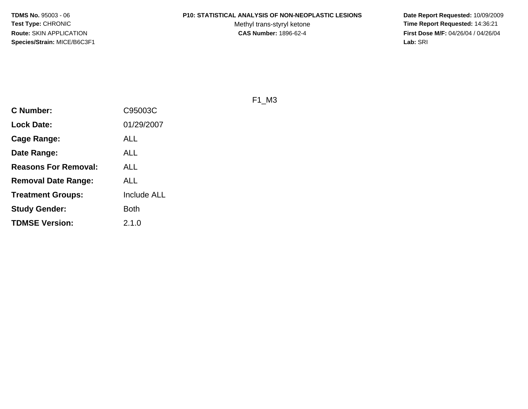#### **P10: STATISTICAL ANALYSIS OF NON-NEOPLASTIC LESIONS**

Methyl trans-styryl ketone<br>CAS Number: 1896-62-4

 **Date Report Requested:** 10/09/2009 **Time Report Requested:** 14:36:21 **First Dose M/F:** 04/26/04 / 04/26/04 Lab: SRI **Lab:** SRI

F1\_M3

| <b>C Number:</b>            | C95003C            |
|-----------------------------|--------------------|
| <b>Lock Date:</b>           | 01/29/2007         |
| <b>Cage Range:</b>          | ALL                |
| Date Range:                 | ALL                |
| <b>Reasons For Removal:</b> | ALL                |
| Removal Date Range:         | ALL                |
| <b>Treatment Groups:</b>    | <b>Include ALL</b> |
| <b>Study Gender:</b>        | <b>Both</b>        |
| <b>TDMSE Version:</b>       | 2.1.0              |
|                             |                    |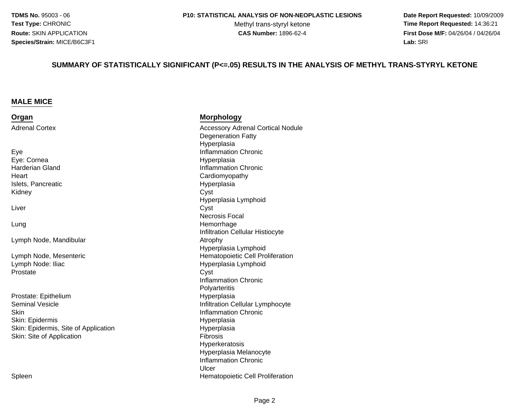Methyl trans-styryl ketone<br>CAS Number: 1896-62-4

 **Date Report Requested:** 10/09/2009 **Time Report Requested:** 14:36:21 **First Dose M/F:** 04/26/04 / 04/26/04 Lab: SRI **Lab:** SRI

#### **SUMMARY OF STATISTICALLY SIGNIFICANT (P<=.05) RESULTS IN THE ANALYSIS OF METHYL TRANS-STYRYL KETONE**

#### **MALE MICE**

| Organ                                | <b>Morphology</b>                        |
|--------------------------------------|------------------------------------------|
| <b>Adrenal Cortex</b>                | <b>Accessory Adrenal Cortical Nodule</b> |
|                                      | <b>Degeneration Fatty</b>                |
|                                      | Hyperplasia                              |
| Eye                                  | <b>Inflammation Chronic</b>              |
| Eye: Cornea                          | Hyperplasia                              |
| <b>Harderian Gland</b>               | <b>Inflammation Chronic</b>              |
| Heart                                | Cardiomyopathy                           |
| Islets, Pancreatic                   | Hyperplasia                              |
| Kidney                               | Cyst                                     |
|                                      | Hyperplasia Lymphoid                     |
| Liver                                | Cyst                                     |
|                                      | Necrosis Focal                           |
| Lung                                 | Hemorrhage                               |
|                                      | Infiltration Cellular Histiocyte         |
| Lymph Node, Mandibular               | Atrophy                                  |
|                                      | Hyperplasia Lymphoid                     |
| Lymph Node, Mesenteric               | Hematopoietic Cell Proliferation         |
| Lymph Node: Iliac                    | Hyperplasia Lymphoid                     |
| Prostate                             | Cyst                                     |
|                                      | <b>Inflammation Chronic</b>              |
|                                      | Polyarteritis                            |
| Prostate: Epithelium                 | Hyperplasia                              |
| <b>Seminal Vesicle</b>               | Infiltration Cellular Lymphocyte         |
| Skin                                 | <b>Inflammation Chronic</b>              |
| Skin: Epidermis                      | Hyperplasia                              |
| Skin: Epidermis, Site of Application | Hyperplasia                              |
| Skin: Site of Application            | Fibrosis                                 |
|                                      | Hyperkeratosis                           |

n **External Structure Cell Proliferation**<br>
Hematopoietic Cell Proliferation Spleen

 Hyperplasia MelanocyteInflammation Chronic

Ulcer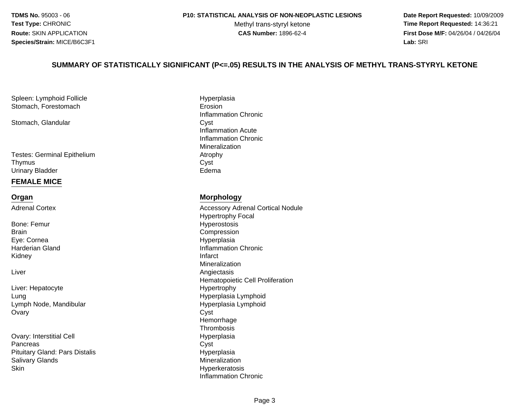#### **P10: STATISTICAL ANALYSIS OF NON-NEOPLASTIC LESIONS**

Methyl trans-styryl ketone<br>CAS Number: 1896-62-4

 **Date Report Requested:** 10/09/2009 **Time Report Requested:** 14:36:21 **First Dose M/F:** 04/26/04 / 04/26/04 Lab: SRI **Lab:** SRI

#### **SUMMARY OF STATISTICALLY SIGNIFICANT (P<=.05) RESULTS IN THE ANALYSIS OF METHYL TRANS-STYRYL KETONE**

Spleen: Lymphoid FollicleStomach, Forestomach

Stomach, Glandular

Testes: Germinal EpitheliumThymuss Cyst Urinary Bladderr **Edema** 

#### **FEMALE MICE**

#### **Organ**

Adrenal Cortex

Bone: Femur**Brain** Eye: CorneaHarderian GlandKidneyy and the contract of the contract of the contract of the contract of the contract of the contract of the contract of the contract of the contract of the contract of the contract of the contract of the contract of the cont

Liver

Liver: HepatocyteLungLymph Node, Mandibular**Ovary** y Cyst

Ovary: Interstitial Cell**Pancreas** s Cyst Pituitary Gland: Pars Distaliss **Suppliers Mineralization** Salivary Glandsn and the settlement of the settlement of the Hyperkeratosis and the Hyperkeratosis of the settlement of the s **Skin** 

Hyperplasia<br>Erosion h Erosion and the Erosion Inflammation Chronicr Cyst Inflammation Acute Inflammation ChronicMineralizationm Atrophy<br>Cycle

#### **Morphology**

 Accessory Adrenal Cortical NoduleHypertrophy Focal Hyperostosisn Compression Hyperplasia Inflammation Chronic<br>Infarct Mineralization Angiectasis Hematopoietic Cell Proliferation Hypertrophy Hyperplasia Lymphoid Hyperplasia Lymphoid**Hemorrhage**  Thrombosisl and the contract of the Hyperplasia HyperplasiaInflammation Chronic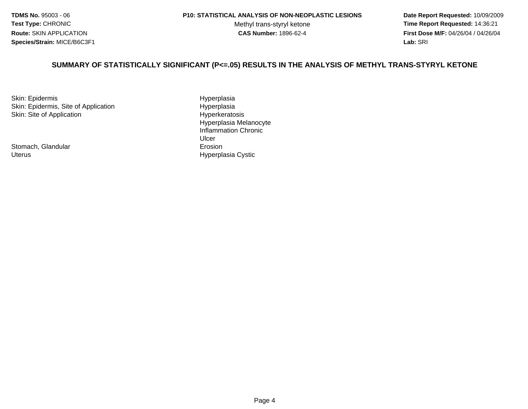Methyl trans-styryl ketone<br>CAS Number: 1896-62-4

 **Date Report Requested:** 10/09/2009 **Time Report Requested:** 14:36:21 **First Dose M/F:** 04/26/04 / 04/26/04 Lab: SRI **Lab:** SRI

#### **SUMMARY OF STATISTICALLY SIGNIFICANT (P<=.05) RESULTS IN THE ANALYSIS OF METHYL TRANS-STYRYL KETONE**

Skin: EpidermisSkin: Epidermis, Site of ApplicationSkin: Site of Application

Stomach, Glandular Hyperplasia Cystic Uterus

 Hyperplasian Hyperplasia Hyperkeratosis Hyperplasia MelanocyteInflammation ChronicUlcer**Example 2018 Example 2018 Example 2019**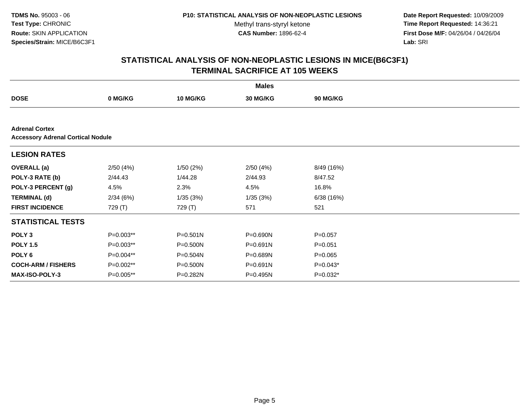Methyl trans-styryl ketone<br>CAS Number: 1896-62-4

 **Date Report Requested:** 10/09/2009 **Time Report Requested:** 14:36:21 **First Dose M/F:** 04/26/04 / 04/26/04 Lab: SRI **Lab:** SRI

|                                                                   |             |                 | <b>Males</b> |                 |  |
|-------------------------------------------------------------------|-------------|-----------------|--------------|-----------------|--|
| <b>DOSE</b>                                                       | 0 MG/KG     | <b>10 MG/KG</b> | 30 MG/KG     | <b>90 MG/KG</b> |  |
|                                                                   |             |                 |              |                 |  |
| <b>Adrenal Cortex</b><br><b>Accessory Adrenal Cortical Nodule</b> |             |                 |              |                 |  |
| <b>LESION RATES</b>                                               |             |                 |              |                 |  |
| <b>OVERALL</b> (a)                                                | 2/50(4%)    | 1/50(2%)        | 2/50(4%)     | 8/49 (16%)      |  |
| POLY-3 RATE (b)                                                   | 2/44.43     | 1/44.28         | 2/44.93      | 8/47.52         |  |
| POLY-3 PERCENT (g)                                                | 4.5%        | 2.3%            | 4.5%         | 16.8%           |  |
| <b>TERMINAL (d)</b>                                               | 2/34(6%)    | 1/35(3%)        | 1/35(3%)     | 6/38(16%)       |  |
| <b>FIRST INCIDENCE</b>                                            | 729 (T)     | 729 (T)         | 571          | 521             |  |
| <b>STATISTICAL TESTS</b>                                          |             |                 |              |                 |  |
| POLY <sub>3</sub>                                                 | P=0.003**   | $P = 0.501N$    | P=0.690N     | $P = 0.057$     |  |
| <b>POLY 1.5</b>                                                   | P=0.003**   | P=0.500N        | P=0.691N     | $P = 0.051$     |  |
| POLY 6                                                            | P=0.004**   | P=0.504N        | P=0.689N     | $P = 0.065$     |  |
| <b>COCH-ARM / FISHERS</b>                                         | $P=0.002**$ | $P = 0.500N$    | $P = 0.691N$ | $P=0.043*$      |  |
| <b>MAX-ISO-POLY-3</b>                                             | $P=0.005**$ | P=0.282N        | P=0.495N     | $P=0.032*$      |  |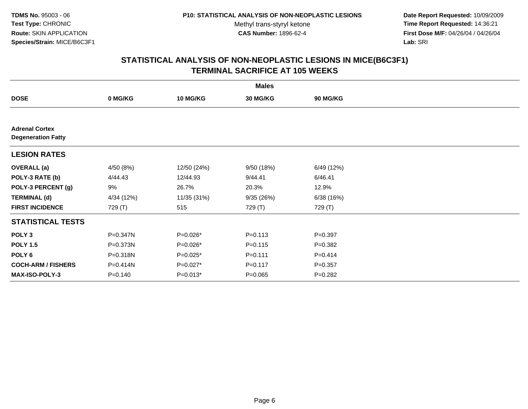**Date Report Requested:** 10/09/2009 **Time Report Requested:** 14:36:21 **First Dose M/F:** 04/26/04 / 04/26/04 Lab: SRI **Lab:** SRI

| <b>Males</b>                                       |             |                 |             |                 |  |  |
|----------------------------------------------------|-------------|-----------------|-------------|-----------------|--|--|
| <b>DOSE</b>                                        | 0 MG/KG     | <b>10 MG/KG</b> | 30 MG/KG    | <b>90 MG/KG</b> |  |  |
|                                                    |             |                 |             |                 |  |  |
| <b>Adrenal Cortex</b><br><b>Degeneration Fatty</b> |             |                 |             |                 |  |  |
| <b>LESION RATES</b>                                |             |                 |             |                 |  |  |
| <b>OVERALL</b> (a)                                 | 4/50 (8%)   | 12/50 (24%)     | 9/50 (18%)  | 6/49 (12%)      |  |  |
| POLY-3 RATE (b)                                    | 4/44.43     | 12/44.93        | 9/44.41     | 6/46.41         |  |  |
| POLY-3 PERCENT (g)                                 | 9%          | 26.7%           | 20.3%       | 12.9%           |  |  |
| <b>TERMINAL (d)</b>                                | 4/34 (12%)  | 11/35 (31%)     | 9/35(26%)   | 6/38(16%)       |  |  |
| <b>FIRST INCIDENCE</b>                             | 729 (T)     | 515             | 729 (T)     | 729 (T)         |  |  |
| <b>STATISTICAL TESTS</b>                           |             |                 |             |                 |  |  |
| POLY <sub>3</sub>                                  | P=0.347N    | P=0.026*        | $P = 0.113$ | $P = 0.397$     |  |  |
| <b>POLY 1.5</b>                                    | P=0.373N    | $P=0.026*$      | $P = 0.115$ | $P=0.382$       |  |  |
| POLY <sub>6</sub>                                  | P=0.318N    | P=0.025*        | $P = 0.111$ | $P=0.414$       |  |  |
| <b>COCH-ARM / FISHERS</b>                          | P=0.414N    | P=0.027*        | $P = 0.117$ | $P = 0.357$     |  |  |
| <b>MAX-ISO-POLY-3</b>                              | $P = 0.140$ | $P=0.013*$      | $P = 0.065$ | $P = 0.282$     |  |  |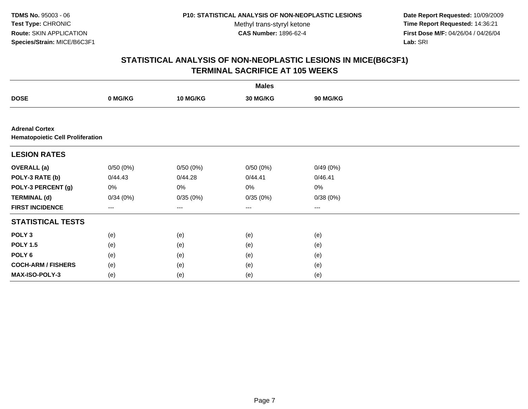Methyl trans-styryl ketone<br>CAS Number: 1896-62-4

 **Date Report Requested:** 10/09/2009 **Time Report Requested:** 14:36:21 **First Dose M/F:** 04/26/04 / 04/26/04 Lab: SRI **Lab:** SRI

| <b>Males</b>                                                     |          |          |                        |          |  |  |
|------------------------------------------------------------------|----------|----------|------------------------|----------|--|--|
| <b>DOSE</b>                                                      | 0 MG/KG  | 10 MG/KG | 30 MG/KG               | 90 MG/KG |  |  |
|                                                                  |          |          |                        |          |  |  |
| <b>Adrenal Cortex</b><br><b>Hematopoietic Cell Proliferation</b> |          |          |                        |          |  |  |
| <b>LESION RATES</b>                                              |          |          |                        |          |  |  |
| <b>OVERALL</b> (a)                                               | 0/50(0%) | 0/50(0%) | 0/50(0%)               | 0/49(0%) |  |  |
| POLY-3 RATE (b)                                                  | 0/44.43  | 0/44.28  | 0/44.41                | 0/46.41  |  |  |
| POLY-3 PERCENT (g)                                               | 0%       | 0%       | 0%                     | $0\%$    |  |  |
| <b>TERMINAL (d)</b>                                              | 0/34(0%) | 0/35(0%) | 0/35(0%)               | 0/38(0%) |  |  |
| <b>FIRST INCIDENCE</b>                                           | ---      | ---      | $\qquad \qquad \cdots$ | $\cdots$ |  |  |
| <b>STATISTICAL TESTS</b>                                         |          |          |                        |          |  |  |
| POLY <sub>3</sub>                                                | (e)      | (e)      | (e)                    | (e)      |  |  |
| <b>POLY 1.5</b>                                                  | (e)      | (e)      | (e)                    | (e)      |  |  |
| POLY 6                                                           | (e)      | (e)      | (e)                    | (e)      |  |  |
| <b>COCH-ARM / FISHERS</b>                                        | (e)      | (e)      | (e)                    | (e)      |  |  |
| MAX-ISO-POLY-3                                                   | (e)      | (e)      | (e)                    | (e)      |  |  |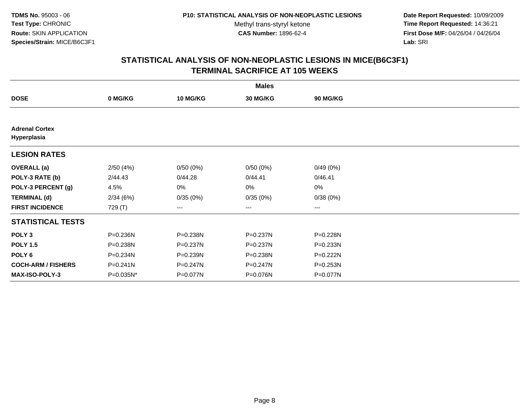**Date Report Requested:** 10/09/2009 **Time Report Requested:** 14:36:21 **First Dose M/F:** 04/26/04 / 04/26/04 Lab: SRI **Lab:** SRI

| <b>Males</b>                         |              |                 |                   |          |  |  |
|--------------------------------------|--------------|-----------------|-------------------|----------|--|--|
| <b>DOSE</b>                          | 0 MG/KG      | <b>10 MG/KG</b> | 30 MG/KG          | 90 MG/KG |  |  |
|                                      |              |                 |                   |          |  |  |
| <b>Adrenal Cortex</b><br>Hyperplasia |              |                 |                   |          |  |  |
| <b>LESION RATES</b>                  |              |                 |                   |          |  |  |
| <b>OVERALL</b> (a)                   | 2/50(4%)     | 0/50(0%)        | 0/50(0%)          | 0/49(0%) |  |  |
| POLY-3 RATE (b)                      | 2/44.43      | 0/44.28         | 0/44.41           | 0/46.41  |  |  |
| POLY-3 PERCENT (g)                   | 4.5%         | 0%              | 0%                | $0\%$    |  |  |
| <b>TERMINAL (d)</b>                  | 2/34(6%)     | 0/35(0%)        | 0/35(0%)          | 0/38(0%) |  |  |
| <b>FIRST INCIDENCE</b>               | 729 (T)      | ---             | $\qquad \qquad -$ | $---$    |  |  |
| <b>STATISTICAL TESTS</b>             |              |                 |                   |          |  |  |
| POLY <sub>3</sub>                    | P=0.236N     | P=0.238N        | P=0.237N          | P=0.228N |  |  |
| <b>POLY 1.5</b>                      | P=0.238N     | P=0.237N        | P=0.237N          | P=0.233N |  |  |
| POLY 6                               | P=0.234N     | P=0.239N        | P=0.238N          | P=0.222N |  |  |
| <b>COCH-ARM / FISHERS</b>            | $P = 0.241N$ | $P = 0.247N$    | $P = 0.247N$      | P=0.253N |  |  |
| MAX-ISO-POLY-3                       | P=0.035N*    | P=0.077N        | P=0.076N          | P=0.077N |  |  |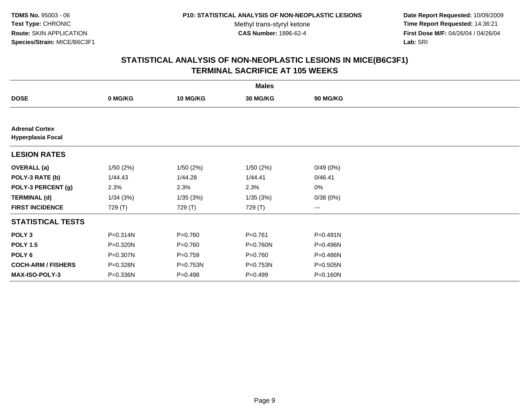**Date Report Requested:** 10/09/2009 **Time Report Requested:** 14:36:21 **First Dose M/F:** 04/26/04 / 04/26/04 Lab: SRI **Lab:** SRI

| <b>Males</b>                                      |          |                 |             |                        |  |  |
|---------------------------------------------------|----------|-----------------|-------------|------------------------|--|--|
| <b>DOSE</b>                                       | 0 MG/KG  | <b>10 MG/KG</b> | 30 MG/KG    | 90 MG/KG               |  |  |
|                                                   |          |                 |             |                        |  |  |
| <b>Adrenal Cortex</b><br><b>Hyperplasia Focal</b> |          |                 |             |                        |  |  |
| <b>LESION RATES</b>                               |          |                 |             |                        |  |  |
| <b>OVERALL</b> (a)                                | 1/50(2%) | 1/50(2%)        | 1/50(2%)    | 0/49(0%)               |  |  |
| POLY-3 RATE (b)                                   | 1/44.43  | 1/44.28         | 1/44.41     | 0/46.41                |  |  |
| POLY-3 PERCENT (g)                                | 2.3%     | 2.3%            | 2.3%        | 0%                     |  |  |
| <b>TERMINAL (d)</b>                               | 1/34(3%) | 1/35(3%)        | 1/35(3%)    | 0/38(0%)               |  |  |
| <b>FIRST INCIDENCE</b>                            | 729 (T)  | 729 (T)         | 729 (T)     | $\qquad \qquad \cdots$ |  |  |
| <b>STATISTICAL TESTS</b>                          |          |                 |             |                        |  |  |
| POLY <sub>3</sub>                                 | P=0.314N | $P = 0.760$     | $P = 0.761$ | P=0.491N               |  |  |
| <b>POLY 1.5</b>                                   | P=0.320N | $P = 0.760$     | P=0.760N    | P=0.496N               |  |  |
| POLY <sub>6</sub>                                 | P=0.307N | $P = 0.759$     | $P = 0.760$ | P=0.486N               |  |  |
| <b>COCH-ARM / FISHERS</b>                         | P=0.328N | P=0.753N        | P=0.753N    | P=0.505N               |  |  |
| <b>MAX-ISO-POLY-3</b>                             | P=0.336N | $P = 0.498$     | $P = 0.499$ | P=0.160N               |  |  |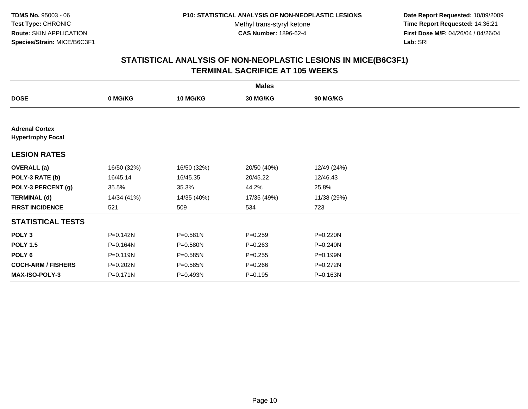**Date Report Requested:** 10/09/2009 **Time Report Requested:** 14:36:21 **First Dose M/F:** 04/26/04 / 04/26/04 Lab: SRI **Lab:** SRI

| <b>Males</b>                                      |             |                 |             |                 |  |  |
|---------------------------------------------------|-------------|-----------------|-------------|-----------------|--|--|
| <b>DOSE</b>                                       | 0 MG/KG     | <b>10 MG/KG</b> | 30 MG/KG    | <b>90 MG/KG</b> |  |  |
|                                                   |             |                 |             |                 |  |  |
| <b>Adrenal Cortex</b><br><b>Hypertrophy Focal</b> |             |                 |             |                 |  |  |
| <b>LESION RATES</b>                               |             |                 |             |                 |  |  |
| <b>OVERALL</b> (a)                                | 16/50 (32%) | 16/50 (32%)     | 20/50 (40%) | 12/49 (24%)     |  |  |
| POLY-3 RATE (b)                                   | 16/45.14    | 16/45.35        | 20/45.22    | 12/46.43        |  |  |
| POLY-3 PERCENT (g)                                | 35.5%       | 35.3%           | 44.2%       | 25.8%           |  |  |
| <b>TERMINAL (d)</b>                               | 14/34 (41%) | 14/35 (40%)     | 17/35 (49%) | 11/38 (29%)     |  |  |
| <b>FIRST INCIDENCE</b>                            | 521         | 509             | 534         | 723             |  |  |
| <b>STATISTICAL TESTS</b>                          |             |                 |             |                 |  |  |
| POLY <sub>3</sub>                                 | P=0.142N    | P=0.581N        | $P = 0.259$ | P=0.220N        |  |  |
| <b>POLY 1.5</b>                                   | P=0.164N    | P=0.580N        | $P = 0.263$ | P=0.240N        |  |  |
| POLY 6                                            | P=0.119N    | $P = 0.585N$    | $P=0.255$   | P=0.199N        |  |  |
| <b>COCH-ARM / FISHERS</b>                         | P=0.202N    | $P = 0.585N$    | $P = 0.266$ | P=0.272N        |  |  |
| <b>MAX-ISO-POLY-3</b>                             | P=0.171N    | P=0.493N        | $P = 0.195$ | P=0.163N        |  |  |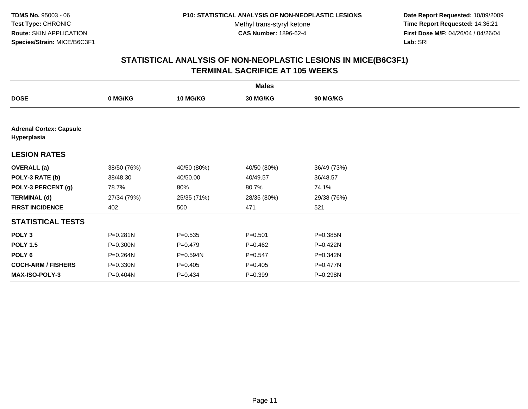**Date Report Requested:** 10/09/2009 **Time Report Requested:** 14:36:21 **First Dose M/F:** 04/26/04 / 04/26/04 Lab: SRI **Lab:** SRI

| <b>Males</b>                                  |              |                 |             |                 |  |  |
|-----------------------------------------------|--------------|-----------------|-------------|-----------------|--|--|
| <b>DOSE</b>                                   | 0 MG/KG      | <b>10 MG/KG</b> | 30 MG/KG    | <b>90 MG/KG</b> |  |  |
|                                               |              |                 |             |                 |  |  |
| <b>Adrenal Cortex: Capsule</b><br>Hyperplasia |              |                 |             |                 |  |  |
| <b>LESION RATES</b>                           |              |                 |             |                 |  |  |
| <b>OVERALL</b> (a)                            | 38/50 (76%)  | 40/50 (80%)     | 40/50 (80%) | 36/49 (73%)     |  |  |
| POLY-3 RATE (b)                               | 38/48.30     | 40/50.00        | 40/49.57    | 36/48.57        |  |  |
| POLY-3 PERCENT (g)                            | 78.7%        | 80%             | 80.7%       | 74.1%           |  |  |
| <b>TERMINAL (d)</b>                           | 27/34 (79%)  | 25/35 (71%)     | 28/35 (80%) | 29/38 (76%)     |  |  |
| <b>FIRST INCIDENCE</b>                        | 402          | 500             | 471         | 521             |  |  |
| <b>STATISTICAL TESTS</b>                      |              |                 |             |                 |  |  |
| POLY <sub>3</sub>                             | $P = 0.281N$ | $P = 0.535$     | $P = 0.501$ | P=0.385N        |  |  |
| <b>POLY 1.5</b>                               | P=0.300N     | $P=0.479$       | $P=0.462$   | P=0.422N        |  |  |
| POLY 6                                        | P=0.264N     | P=0.594N        | $P=0.547$   | P=0.342N        |  |  |
| <b>COCH-ARM / FISHERS</b>                     | $P = 0.330N$ | $P = 0.405$     | $P=0.405$   | $P=0.477N$      |  |  |
| <b>MAX-ISO-POLY-3</b>                         | P=0.404N     | $P=0.434$       | $P = 0.399$ | P=0.298N        |  |  |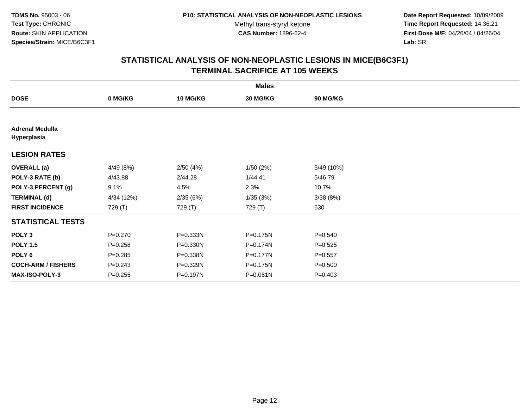**Date Report Requested:** 10/09/2009 **Time Report Requested:** 14:36:21 **First Dose M/F:** 04/26/04 / 04/26/04 Lab: SRI **Lab:** SRI

| <b>Males</b>                          |             |                 |          |                 |  |  |
|---------------------------------------|-------------|-----------------|----------|-----------------|--|--|
| <b>DOSE</b>                           | 0 MG/KG     | <b>10 MG/KG</b> | 30 MG/KG | <b>90 MG/KG</b> |  |  |
|                                       |             |                 |          |                 |  |  |
| <b>Adrenal Medulla</b><br>Hyperplasia |             |                 |          |                 |  |  |
| <b>LESION RATES</b>                   |             |                 |          |                 |  |  |
| <b>OVERALL</b> (a)                    | 4/49 (8%)   | 2/50(4%)        | 1/50(2%) | 5/49 (10%)      |  |  |
| POLY-3 RATE (b)                       | 4/43.88     | 2/44.28         | 1/44.41  | 5/46.79         |  |  |
| POLY-3 PERCENT (g)                    | 9.1%        | 4.5%            | 2.3%     | 10.7%           |  |  |
| <b>TERMINAL (d)</b>                   | 4/34 (12%)  | 2/35(6%)        | 1/35(3%) | 3/38(8%)        |  |  |
| <b>FIRST INCIDENCE</b>                | 729 (T)     | 729 (T)         | 729 (T)  | 630             |  |  |
| <b>STATISTICAL TESTS</b>              |             |                 |          |                 |  |  |
| POLY <sub>3</sub>                     | $P = 0.270$ | P=0.333N        | P=0.175N | $P = 0.540$     |  |  |
| <b>POLY 1.5</b>                       | $P=0.258$   | $P = 0.330N$    | P=0.174N | $P=0.525$       |  |  |
| POLY 6                                | $P = 0.285$ | P=0.338N        | P=0.177N | $P = 0.557$     |  |  |
| <b>COCH-ARM / FISHERS</b>             | $P = 0.243$ | P=0.329N        | P=0.175N | $P = 0.500$     |  |  |
| <b>MAX-ISO-POLY-3</b>                 | $P = 0.255$ | P=0.197N        | P=0.081N | $P=0.403$       |  |  |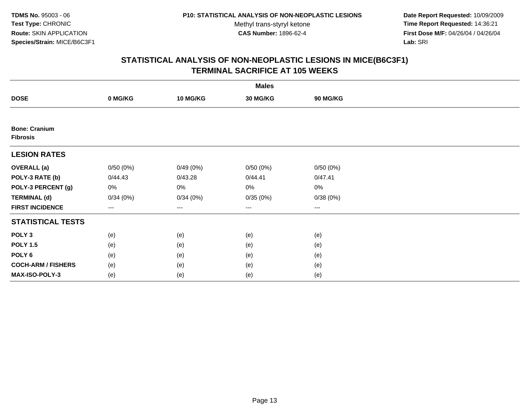**Date Report Requested:** 10/09/2009 **Time Report Requested:** 14:36:21 **First Dose M/F:** 04/26/04 / 04/26/04 Lab: SRI **Lab:** SRI

| <b>Males</b>                            |          |                   |                 |          |  |  |
|-----------------------------------------|----------|-------------------|-----------------|----------|--|--|
| <b>DOSE</b>                             | 0 MG/KG  | <b>10 MG/KG</b>   | <b>30 MG/KG</b> | 90 MG/KG |  |  |
|                                         |          |                   |                 |          |  |  |
| <b>Bone: Cranium</b><br><b>Fibrosis</b> |          |                   |                 |          |  |  |
| <b>LESION RATES</b>                     |          |                   |                 |          |  |  |
| <b>OVERALL (a)</b>                      | 0/50(0%) | 0/49(0%)          | 0/50(0%)        | 0/50(0%) |  |  |
| POLY-3 RATE (b)                         | 0/44.43  | 0/43.28           | 0/44.41         | 0/47.41  |  |  |
| POLY-3 PERCENT (g)                      | 0%       | 0%                | 0%              | 0%       |  |  |
| <b>TERMINAL (d)</b>                     | 0/34(0%) | 0/34(0%)          | 0/35(0%)        | 0/38(0%) |  |  |
| <b>FIRST INCIDENCE</b>                  | $--$     | $\qquad \qquad -$ | $\cdots$        | $\cdots$ |  |  |
| <b>STATISTICAL TESTS</b>                |          |                   |                 |          |  |  |
| POLY <sub>3</sub>                       | (e)      | (e)               | (e)             | (e)      |  |  |
| <b>POLY 1.5</b>                         | (e)      | (e)               | (e)             | (e)      |  |  |
| POLY <sub>6</sub>                       | (e)      | (e)               | (e)             | (e)      |  |  |
| <b>COCH-ARM / FISHERS</b>               | (e)      | (e)               | (e)             | (e)      |  |  |
| MAX-ISO-POLY-3                          | (e)      | (e)               | (e)             | (e)      |  |  |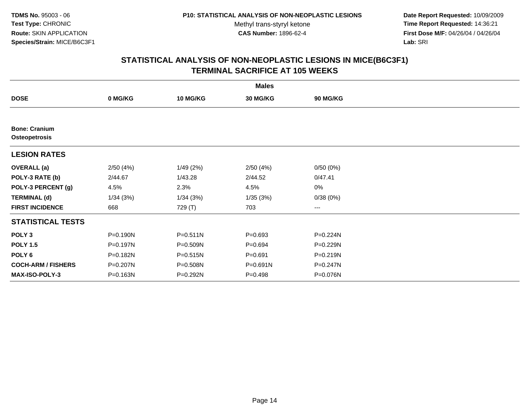**Date Report Requested:** 10/09/2009 **Time Report Requested:** 14:36:21 **First Dose M/F:** 04/26/04 / 04/26/04 Lab: SRI **Lab:** SRI

| <b>Males</b>                                 |          |                 |             |          |  |  |
|----------------------------------------------|----------|-----------------|-------------|----------|--|--|
| <b>DOSE</b>                                  | 0 MG/KG  | <b>10 MG/KG</b> | 30 MG/KG    | 90 MG/KG |  |  |
|                                              |          |                 |             |          |  |  |
| <b>Bone: Cranium</b><br><b>Osteopetrosis</b> |          |                 |             |          |  |  |
| <b>LESION RATES</b>                          |          |                 |             |          |  |  |
| <b>OVERALL</b> (a)                           | 2/50(4%) | 1/49(2%)        | 2/50(4%)    | 0/50(0%) |  |  |
| POLY-3 RATE (b)                              | 2/44.67  | 1/43.28         | 2/44.52     | 0/47.41  |  |  |
| POLY-3 PERCENT (g)                           | 4.5%     | 2.3%            | 4.5%        | 0%       |  |  |
| <b>TERMINAL (d)</b>                          | 1/34(3%) | 1/34(3%)        | 1/35(3%)    | 0/38(0%) |  |  |
| <b>FIRST INCIDENCE</b>                       | 668      | 729 (T)         | 703         | $---$    |  |  |
| <b>STATISTICAL TESTS</b>                     |          |                 |             |          |  |  |
| POLY <sub>3</sub>                            | P=0.190N | $P = 0.511N$    | $P = 0.693$ | P=0.224N |  |  |
| <b>POLY 1.5</b>                              | P=0.197N | P=0.509N        | $P = 0.694$ | P=0.229N |  |  |
| POLY 6                                       | P=0.182N | P=0.515N        | $P = 0.691$ | P=0.219N |  |  |
| <b>COCH-ARM / FISHERS</b>                    | P=0.207N | P=0.508N        | P=0.691N    | P=0.247N |  |  |
| <b>MAX-ISO-POLY-3</b>                        | P=0.163N | P=0.292N        | $P = 0.498$ | P=0.076N |  |  |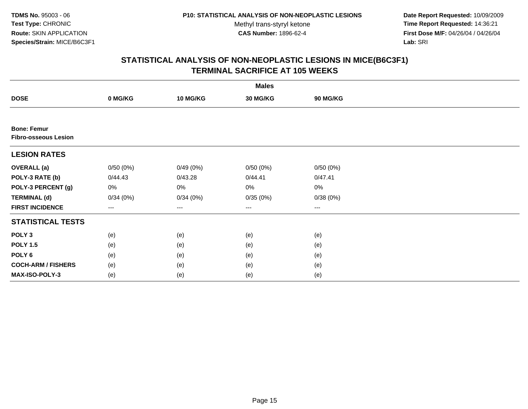**Date Report Requested:** 10/09/2009 **Time Report Requested:** 14:36:21 **First Dose M/F:** 04/26/04 / 04/26/04 Lab: SRI **Lab:** SRI

|                                                   |          |          | <b>Males</b> |          |  |
|---------------------------------------------------|----------|----------|--------------|----------|--|
| <b>DOSE</b>                                       | 0 MG/KG  | 10 MG/KG | 30 MG/KG     | 90 MG/KG |  |
|                                                   |          |          |              |          |  |
| <b>Bone: Femur</b><br><b>Fibro-osseous Lesion</b> |          |          |              |          |  |
| <b>LESION RATES</b>                               |          |          |              |          |  |
| <b>OVERALL</b> (a)                                | 0/50(0%) | 0/49(0%) | 0/50(0%)     | 0/50(0%) |  |
| POLY-3 RATE (b)                                   | 0/44.43  | 0/43.28  | 0/44.41      | 0/47.41  |  |
| POLY-3 PERCENT (g)                                | 0%       | 0%       | 0%           | 0%       |  |
| <b>TERMINAL (d)</b>                               | 0/34(0%) | 0/34(0%) | 0/35(0%)     | 0/38(0%) |  |
| <b>FIRST INCIDENCE</b>                            | ---      | $--$     | ---          | ---      |  |
| <b>STATISTICAL TESTS</b>                          |          |          |              |          |  |
| POLY <sub>3</sub>                                 | (e)      | (e)      | (e)          | (e)      |  |
| <b>POLY 1.5</b>                                   | (e)      | (e)      | (e)          | (e)      |  |
| POLY 6                                            | (e)      | (e)      | (e)          | (e)      |  |
| <b>COCH-ARM / FISHERS</b>                         | (e)      | (e)      | (e)          | (e)      |  |
| <b>MAX-ISO-POLY-3</b>                             | (e)      | (e)      | (e)          | (e)      |  |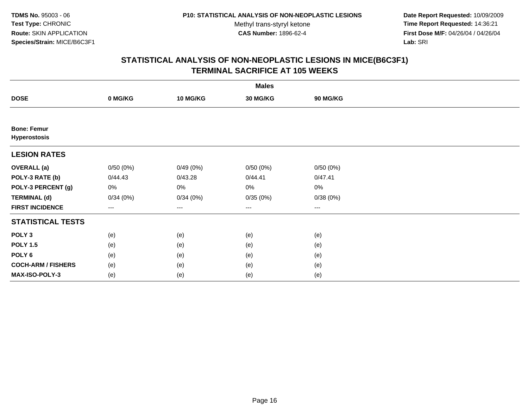**Date Report Requested:** 10/09/2009 **Time Report Requested:** 14:36:21 **First Dose M/F:** 04/26/04 / 04/26/04 Lab: SRI **Lab:** SRI

|                                           |          |                 | <b>Males</b> |          |  |
|-------------------------------------------|----------|-----------------|--------------|----------|--|
| <b>DOSE</b>                               | 0 MG/KG  | <b>10 MG/KG</b> | 30 MG/KG     | 90 MG/KG |  |
|                                           |          |                 |              |          |  |
| <b>Bone: Femur</b><br><b>Hyperostosis</b> |          |                 |              |          |  |
| <b>LESION RATES</b>                       |          |                 |              |          |  |
| <b>OVERALL</b> (a)                        | 0/50(0%) | 0/49(0%)        | 0/50(0%)     | 0/50(0%) |  |
| POLY-3 RATE (b)                           | 0/44.43  | 0/43.28         | 0/44.41      | 0/47.41  |  |
| POLY-3 PERCENT (g)                        | 0%       | 0%              | 0%           | $0\%$    |  |
| <b>TERMINAL (d)</b>                       | 0/34(0%) | 0/34(0%)        | 0/35(0%)     | 0/38(0%) |  |
| <b>FIRST INCIDENCE</b>                    | $---$    | $\cdots$        | $\cdots$     | $\cdots$ |  |
| <b>STATISTICAL TESTS</b>                  |          |                 |              |          |  |
| POLY <sub>3</sub>                         | (e)      | (e)             | (e)          | (e)      |  |
| <b>POLY 1.5</b>                           | (e)      | (e)             | (e)          | (e)      |  |
| POLY 6                                    | (e)      | (e)             | (e)          | (e)      |  |
| <b>COCH-ARM / FISHERS</b>                 | (e)      | (e)             | (e)          | (e)      |  |
| MAX-ISO-POLY-3                            | (e)      | (e)             | (e)          | (e)      |  |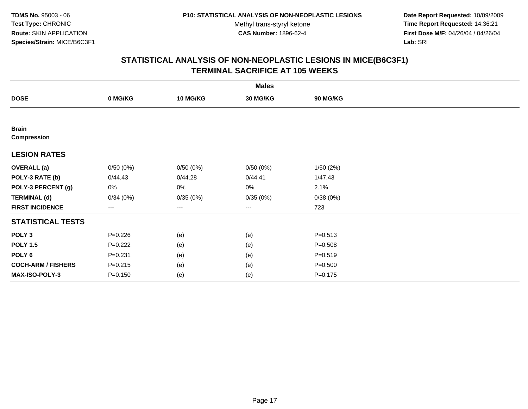**Date Report Requested:** 10/09/2009 **Time Report Requested:** 14:36:21 **First Dose M/F:** 04/26/04 / 04/26/04 Lab: SRI **Lab:** SRI

|                                    | <b>Males</b>      |          |                 |             |  |  |  |  |
|------------------------------------|-------------------|----------|-----------------|-------------|--|--|--|--|
| <b>DOSE</b>                        | 0 MG/KG           | 10 MG/KG | <b>30 MG/KG</b> | 90 MG/KG    |  |  |  |  |
|                                    |                   |          |                 |             |  |  |  |  |
| <b>Brain</b><br><b>Compression</b> |                   |          |                 |             |  |  |  |  |
| <b>LESION RATES</b>                |                   |          |                 |             |  |  |  |  |
| <b>OVERALL</b> (a)                 | 0/50(0%)          | 0/50(0%) | 0/50(0%)        | 1/50(2%)    |  |  |  |  |
| POLY-3 RATE (b)                    | 0/44.43           | 0/44.28  | 0/44.41         | 1/47.43     |  |  |  |  |
| POLY-3 PERCENT (g)                 | 0%                | $0\%$    | 0%              | 2.1%        |  |  |  |  |
| <b>TERMINAL (d)</b>                | 0/34(0%)          | 0/35(0%) | 0/35(0%)        | 0/38(0%)    |  |  |  |  |
| <b>FIRST INCIDENCE</b>             | $\qquad \qquad -$ | ---      | ---             | 723         |  |  |  |  |
| <b>STATISTICAL TESTS</b>           |                   |          |                 |             |  |  |  |  |
| POLY <sub>3</sub>                  | $P=0.226$         | (e)      | (e)             | $P = 0.513$ |  |  |  |  |
| <b>POLY 1.5</b>                    | $P=0.222$         | (e)      | (e)             | $P = 0.508$ |  |  |  |  |
| POLY <sub>6</sub>                  | $P = 0.231$       | (e)      | (e)             | $P = 0.519$ |  |  |  |  |
| <b>COCH-ARM / FISHERS</b>          | $P = 0.215$       | (e)      | (e)             | $P = 0.500$ |  |  |  |  |
| MAX-ISO-POLY-3                     | $P = 0.150$       | (e)      | (e)             | $P = 0.175$ |  |  |  |  |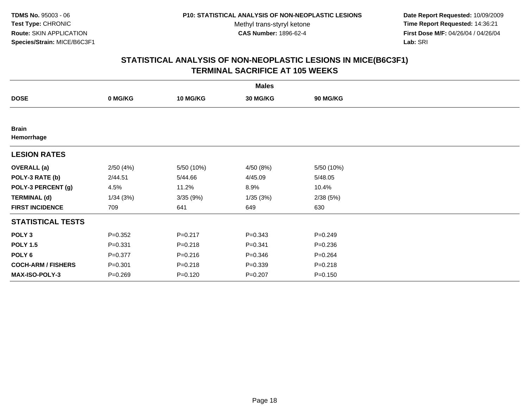**Date Report Requested:** 10/09/2009 **Time Report Requested:** 14:36:21 **First Dose M/F:** 04/26/04 / 04/26/04 Lab: SRI **Lab:** SRI

|                            |             |                 | <b>Males</b> |             |  |
|----------------------------|-------------|-----------------|--------------|-------------|--|
| <b>DOSE</b>                | 0 MG/KG     | <b>10 MG/KG</b> | 30 MG/KG     | 90 MG/KG    |  |
|                            |             |                 |              |             |  |
| <b>Brain</b><br>Hemorrhage |             |                 |              |             |  |
| <b>LESION RATES</b>        |             |                 |              |             |  |
| <b>OVERALL</b> (a)         | 2/50(4%)    | 5/50 (10%)      | 4/50 (8%)    | 5/50 (10%)  |  |
| POLY-3 RATE (b)            | 2/44.51     | 5/44.66         | 4/45.09      | 5/48.05     |  |
| POLY-3 PERCENT (g)         | 4.5%        | 11.2%           | 8.9%         | 10.4%       |  |
| <b>TERMINAL (d)</b>        | 1/34(3%)    | 3/35(9%)        | 1/35(3%)     | 2/38(5%)    |  |
| <b>FIRST INCIDENCE</b>     | 709         | 641             | 649          | 630         |  |
| <b>STATISTICAL TESTS</b>   |             |                 |              |             |  |
| POLY <sub>3</sub>          | $P=0.352$   | $P = 0.217$     | $P = 0.343$  | $P = 0.249$ |  |
| <b>POLY 1.5</b>            | $P = 0.331$ | $P = 0.218$     | $P = 0.341$  | $P = 0.236$ |  |
| POLY 6                     | $P = 0.377$ | $P = 0.216$     | $P = 0.346$  | $P = 0.264$ |  |
| <b>COCH-ARM / FISHERS</b>  | $P = 0.301$ | $P = 0.218$     | $P = 0.339$  | $P = 0.218$ |  |
| MAX-ISO-POLY-3             | $P = 0.269$ | $P = 0.120$     | $P = 0.207$  | $P = 0.150$ |  |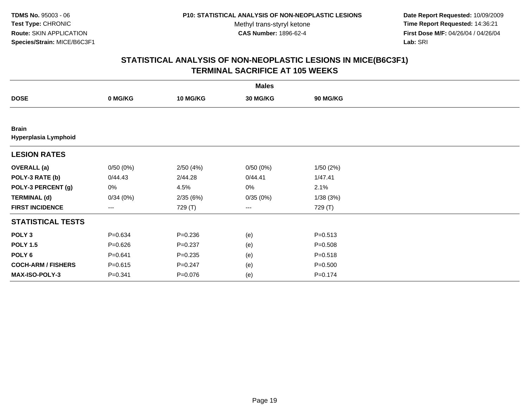**Date Report Requested:** 10/09/2009 **Time Report Requested:** 14:36:21 **First Dose M/F:** 04/26/04 / 04/26/04 Lab: SRI **Lab:** SRI

|                                      |             |                 | <b>Males</b> |             |  |
|--------------------------------------|-------------|-----------------|--------------|-------------|--|
| <b>DOSE</b>                          | 0 MG/KG     | <b>10 MG/KG</b> | 30 MG/KG     | 90 MG/KG    |  |
|                                      |             |                 |              |             |  |
| <b>Brain</b><br>Hyperplasia Lymphoid |             |                 |              |             |  |
| <b>LESION RATES</b>                  |             |                 |              |             |  |
| <b>OVERALL</b> (a)                   | 0/50(0%)    | 2/50(4%)        | 0/50(0%)     | 1/50(2%)    |  |
| POLY-3 RATE (b)                      | 0/44.43     | 2/44.28         | 0/44.41      | 1/47.41     |  |
| POLY-3 PERCENT (g)                   | 0%          | 4.5%            | 0%           | 2.1%        |  |
| <b>TERMINAL (d)</b>                  | 0/34(0%)    | 2/35(6%)        | 0/35(0%)     | 1/38(3%)    |  |
| <b>FIRST INCIDENCE</b>               | ---         | 729 (T)         | $--$         | 729 (T)     |  |
| <b>STATISTICAL TESTS</b>             |             |                 |              |             |  |
| POLY <sub>3</sub>                    | $P = 0.634$ | $P = 0.236$     | (e)          | $P = 0.513$ |  |
| <b>POLY 1.5</b>                      | $P = 0.626$ | $P = 0.237$     | (e)          | $P = 0.508$ |  |
| POLY <sub>6</sub>                    | $P = 0.641$ | $P = 0.235$     | (e)          | $P = 0.518$ |  |
| <b>COCH-ARM / FISHERS</b>            | $P = 0.615$ | $P = 0.247$     | (e)          | $P = 0.500$ |  |
| <b>MAX-ISO-POLY-3</b>                | $P = 0.341$ | $P = 0.076$     | (e)          | $P = 0.174$ |  |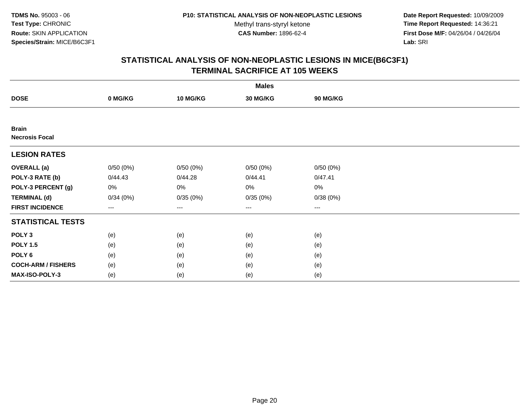**Date Report Requested:** 10/09/2009 **Time Report Requested:** 14:36:21 **First Dose M/F:** 04/26/04 / 04/26/04 Lab: SRI **Lab:** SRI

|                                       |          |          | <b>Males</b>         |                   |  |
|---------------------------------------|----------|----------|----------------------|-------------------|--|
| <b>DOSE</b>                           | 0 MG/KG  | 10 MG/KG | 30 MG/KG             | 90 MG/KG          |  |
|                                       |          |          |                      |                   |  |
| <b>Brain</b><br><b>Necrosis Focal</b> |          |          |                      |                   |  |
| <b>LESION RATES</b>                   |          |          |                      |                   |  |
| <b>OVERALL (a)</b>                    | 0/50(0%) | 0/50(0%) | 0/50(0%)             | 0/50(0%)          |  |
| POLY-3 RATE (b)                       | 0/44.43  | 0/44.28  | 0/44.41              | 0/47.41           |  |
| POLY-3 PERCENT (g)                    | 0%       | 0%       | 0%                   | $0\%$             |  |
| <b>TERMINAL (d)</b>                   | 0/34(0%) | 0/35(0%) | 0/35(0%)             | 0/38(0%)          |  |
| <b>FIRST INCIDENCE</b>                | ---      | $---$    | $\scriptstyle\cdots$ | $\qquad \qquad -$ |  |
| <b>STATISTICAL TESTS</b>              |          |          |                      |                   |  |
| POLY <sub>3</sub>                     | (e)      | (e)      | (e)                  | (e)               |  |
| <b>POLY 1.5</b>                       | (e)      | (e)      | (e)                  | (e)               |  |
| POLY 6                                | (e)      | (e)      | (e)                  | (e)               |  |
| <b>COCH-ARM / FISHERS</b>             | (e)      | (e)      | (e)                  | (e)               |  |
| MAX-ISO-POLY-3                        | (e)      | (e)      | (e)                  | (e)               |  |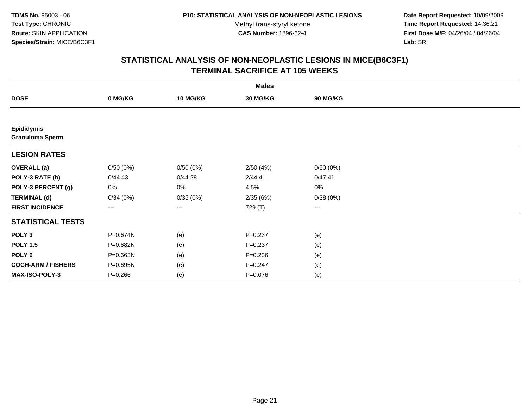Methyl trans-styryl ketone<br>CAS Number: 1896-62-4

 **Date Report Requested:** 10/09/2009 **Time Report Requested:** 14:36:21 **First Dose M/F:** 04/26/04 / 04/26/04 Lab: SRI **Lab:** SRI

|                                             |                   |                 | <b>Males</b>    |                        |  |
|---------------------------------------------|-------------------|-----------------|-----------------|------------------------|--|
| <b>DOSE</b>                                 | 0 MG/KG           | <b>10 MG/KG</b> | <b>30 MG/KG</b> | 90 MG/KG               |  |
|                                             |                   |                 |                 |                        |  |
| <b>Epididymis</b><br><b>Granuloma Sperm</b> |                   |                 |                 |                        |  |
| <b>LESION RATES</b>                         |                   |                 |                 |                        |  |
| <b>OVERALL</b> (a)                          | 0/50(0%)          | 0/50(0%)        | 2/50(4%)        | 0/50(0%)               |  |
| POLY-3 RATE (b)                             | 0/44.43           | 0/44.28         | 2/44.41         | 0/47.41                |  |
| POLY-3 PERCENT (g)                          | 0%                | 0%              | 4.5%            | 0%                     |  |
| <b>TERMINAL (d)</b>                         | 0/34(0%)          | 0/35(0%)        | 2/35(6%)        | 0/38(0%)               |  |
| <b>FIRST INCIDENCE</b>                      | $\qquad \qquad -$ | ---             | 729 (T)         | $\qquad \qquad \cdots$ |  |
| <b>STATISTICAL TESTS</b>                    |                   |                 |                 |                        |  |
| POLY <sub>3</sub>                           | P=0.674N          | (e)             | $P = 0.237$     | (e)                    |  |
| <b>POLY 1.5</b>                             | P=0.682N          | (e)             | $P = 0.237$     | (e)                    |  |
| POLY <sub>6</sub>                           | P=0.663N          | (e)             | $P = 0.236$     | (e)                    |  |
| <b>COCH-ARM / FISHERS</b>                   | P=0.695N          | (e)             | $P = 0.247$     | (e)                    |  |
| MAX-ISO-POLY-3                              | $P = 0.266$       | (e)             | $P = 0.076$     | (e)                    |  |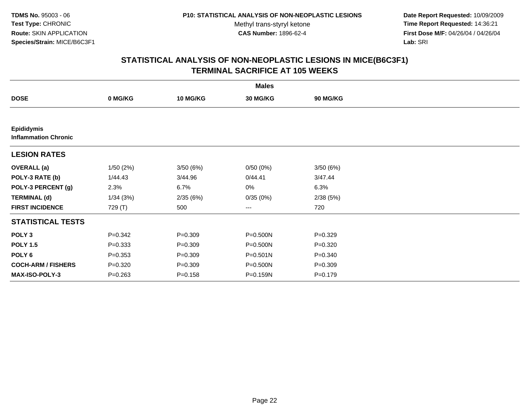**Date Report Requested:** 10/09/2009 **Time Report Requested:** 14:36:21 **First Dose M/F:** 04/26/04 / 04/26/04 Lab: SRI **Lab:** SRI

|                                                  |             |                 | <b>Males</b>           |                 |  |
|--------------------------------------------------|-------------|-----------------|------------------------|-----------------|--|
| <b>DOSE</b>                                      | 0 MG/KG     | <b>10 MG/KG</b> | 30 MG/KG               | <b>90 MG/KG</b> |  |
|                                                  |             |                 |                        |                 |  |
| <b>Epididymis</b><br><b>Inflammation Chronic</b> |             |                 |                        |                 |  |
| <b>LESION RATES</b>                              |             |                 |                        |                 |  |
| <b>OVERALL</b> (a)                               | 1/50(2%)    | 3/50(6%)        | 0/50(0%)               | 3/50(6%)        |  |
| POLY-3 RATE (b)                                  | 1/44.43     | 3/44.96         | 0/44.41                | 3/47.44         |  |
| POLY-3 PERCENT (g)                               | 2.3%        | 6.7%            | 0%                     | 6.3%            |  |
| <b>TERMINAL (d)</b>                              | 1/34(3%)    | 2/35(6%)        | 0/35(0%)               | 2/38(5%)        |  |
| <b>FIRST INCIDENCE</b>                           | 729 (T)     | 500             | $\qquad \qquad \cdots$ | 720             |  |
| <b>STATISTICAL TESTS</b>                         |             |                 |                        |                 |  |
| POLY <sub>3</sub>                                | $P = 0.342$ | $P = 0.309$     | P=0.500N               | $P = 0.329$     |  |
| <b>POLY 1.5</b>                                  | $P = 0.333$ | $P = 0.309$     | P=0.500N               | $P=0.320$       |  |
| POLY <sub>6</sub>                                | $P = 0.353$ | $P = 0.309$     | $P = 0.501N$           | $P = 0.340$     |  |
| <b>COCH-ARM / FISHERS</b>                        | $P = 0.320$ | $P = 0.309$     | P=0.500N               | $P = 0.309$     |  |
| <b>MAX-ISO-POLY-3</b>                            | $P = 0.263$ | $P = 0.158$     | P=0.159N               | $P = 0.179$     |  |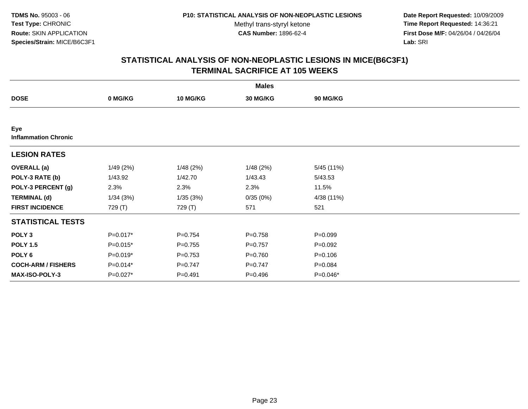**Date Report Requested:** 10/09/2009 **Time Report Requested:** 14:36:21 **First Dose M/F:** 04/26/04 / 04/26/04 Lab: SRI **Lab:** SRI

|                                    |            |                 | <b>Males</b>    |             |  |
|------------------------------------|------------|-----------------|-----------------|-------------|--|
| <b>DOSE</b>                        | 0 MG/KG    | <b>10 MG/KG</b> | <b>30 MG/KG</b> | 90 MG/KG    |  |
|                                    |            |                 |                 |             |  |
| Eye<br><b>Inflammation Chronic</b> |            |                 |                 |             |  |
| <b>LESION RATES</b>                |            |                 |                 |             |  |
| <b>OVERALL</b> (a)                 | 1/49(2%)   | 1/48(2%)        | 1/48(2%)        | 5/45 (11%)  |  |
| POLY-3 RATE (b)                    | 1/43.92    | 1/42.70         | 1/43.43         | 5/43.53     |  |
| POLY-3 PERCENT (g)                 | 2.3%       | 2.3%            | 2.3%            | 11.5%       |  |
| <b>TERMINAL (d)</b>                | 1/34(3%)   | 1/35(3%)        | 0/35(0%)        | 4/38 (11%)  |  |
| <b>FIRST INCIDENCE</b>             | 729 (T)    | 729 (T)         | 571             | 521         |  |
| <b>STATISTICAL TESTS</b>           |            |                 |                 |             |  |
| POLY <sub>3</sub>                  | P=0.017*   | $P = 0.754$     | $P = 0.758$     | $P = 0.099$ |  |
| <b>POLY 1.5</b>                    | $P=0.015*$ | $P=0.755$       | $P=0.757$       | $P = 0.092$ |  |
| POLY 6                             | $P=0.019*$ | $P = 0.753$     | $P = 0.760$     | $P = 0.106$ |  |
| <b>COCH-ARM / FISHERS</b>          | $P=0.014*$ | $P = 0.747$     | $P = 0.747$     | $P = 0.084$ |  |
| MAX-ISO-POLY-3                     | $P=0.027*$ | $P=0.491$       | $P = 0.496$     | $P=0.046*$  |  |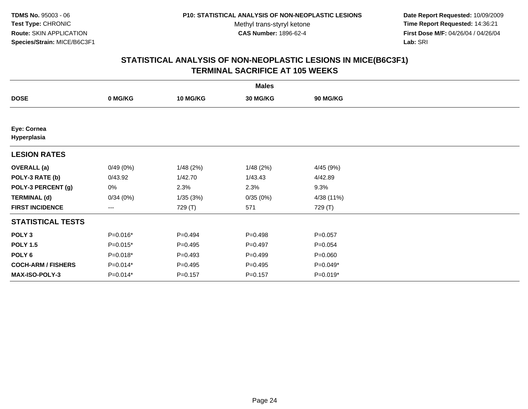**Date Report Requested:** 10/09/2009 **Time Report Requested:** 14:36:21 **First Dose M/F:** 04/26/04 / 04/26/04 Lab: SRI **Lab:** SRI

|                            |            |             | <b>Males</b> |             |  |
|----------------------------|------------|-------------|--------------|-------------|--|
| <b>DOSE</b>                | 0 MG/KG    | 10 MG/KG    | 30 MG/KG     | 90 MG/KG    |  |
|                            |            |             |              |             |  |
| Eye: Cornea<br>Hyperplasia |            |             |              |             |  |
| <b>LESION RATES</b>        |            |             |              |             |  |
| <b>OVERALL</b> (a)         | 0/49(0%)   | 1/48(2%)    | 1/48(2%)     | 4/45 (9%)   |  |
| POLY-3 RATE (b)            | 0/43.92    | 1/42.70     | 1/43.43      | 4/42.89     |  |
| POLY-3 PERCENT (g)         | 0%         | 2.3%        | 2.3%         | 9.3%        |  |
| <b>TERMINAL (d)</b>        | 0/34(0%)   | 1/35(3%)    | 0/35(0%)     | 4/38 (11%)  |  |
| <b>FIRST INCIDENCE</b>     | ---        | 729 (T)     | 571          | 729 (T)     |  |
| <b>STATISTICAL TESTS</b>   |            |             |              |             |  |
| POLY <sub>3</sub>          | $P=0.016*$ | $P=0.494$   | $P = 0.498$  | $P = 0.057$ |  |
| <b>POLY 1.5</b>            | $P=0.015*$ | $P=0.495$   | $P=0.497$    | $P = 0.054$ |  |
| POLY 6                     | $P=0.018*$ | $P=0.493$   | $P = 0.499$  | $P = 0.060$ |  |
| <b>COCH-ARM / FISHERS</b>  | $P=0.014*$ | $P=0.495$   | $P = 0.495$  | P=0.049*    |  |
| MAX-ISO-POLY-3             | P=0.014*   | $P = 0.157$ | $P = 0.157$  | P=0.019*    |  |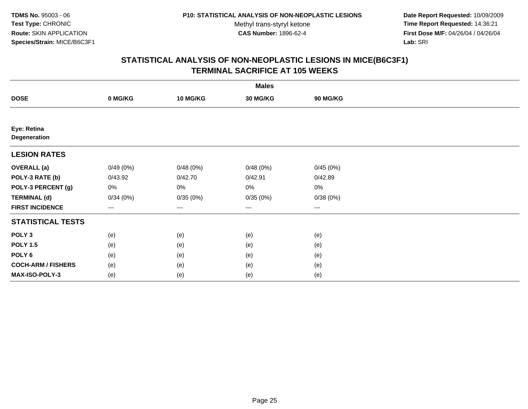**Date Report Requested:** 10/09/2009 **Time Report Requested:** 14:36:21 **First Dose M/F:** 04/26/04 / 04/26/04 Lab: SRI **Lab:** SRI

|                             |          |          | <b>Males</b>         |          |  |
|-----------------------------|----------|----------|----------------------|----------|--|
| <b>DOSE</b>                 | 0 MG/KG  | 10 MG/KG | 30 MG/KG             | 90 MG/KG |  |
|                             |          |          |                      |          |  |
| Eye: Retina<br>Degeneration |          |          |                      |          |  |
| <b>LESION RATES</b>         |          |          |                      |          |  |
| <b>OVERALL</b> (a)          | 0/49(0%) | 0/48(0%) | 0/48(0%)             | 0/45(0%) |  |
| POLY-3 RATE (b)             | 0/43.92  | 0/42.70  | 0/42.91              | 0/42.89  |  |
| POLY-3 PERCENT (g)          | 0%       | 0%       | 0%                   | $0\%$    |  |
| <b>TERMINAL (d)</b>         | 0/34(0%) | 0/35(0%) | 0/35(0%)             | 0/38(0%) |  |
| <b>FIRST INCIDENCE</b>      | ---      | $---$    | $\scriptstyle\cdots$ | $\cdots$ |  |
| <b>STATISTICAL TESTS</b>    |          |          |                      |          |  |
| POLY <sub>3</sub>           | (e)      | (e)      | (e)                  | (e)      |  |
| <b>POLY 1.5</b>             | (e)      | (e)      | (e)                  | (e)      |  |
| POLY 6                      | (e)      | (e)      | (e)                  | (e)      |  |
| <b>COCH-ARM / FISHERS</b>   | (e)      | (e)      | (e)                  | (e)      |  |
| MAX-ISO-POLY-3              | (e)      | (e)      | (e)                  | (e)      |  |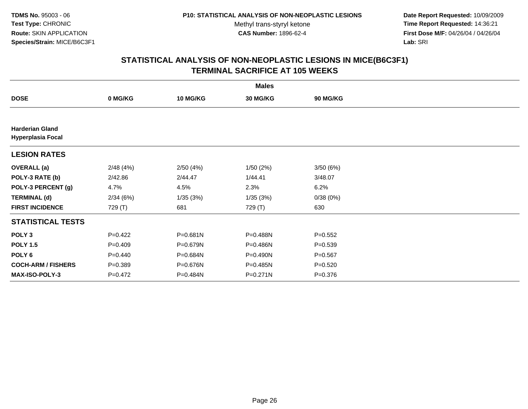**Date Report Requested:** 10/09/2009 **Time Report Requested:** 14:36:21 **First Dose M/F:** 04/26/04 / 04/26/04 Lab: SRI **Lab:** SRI

|                                                    |             |                 | <b>Males</b> |                 |  |
|----------------------------------------------------|-------------|-----------------|--------------|-----------------|--|
| <b>DOSE</b>                                        | 0 MG/KG     | <b>10 MG/KG</b> | 30 MG/KG     | <b>90 MG/KG</b> |  |
|                                                    |             |                 |              |                 |  |
| <b>Harderian Gland</b><br><b>Hyperplasia Focal</b> |             |                 |              |                 |  |
| <b>LESION RATES</b>                                |             |                 |              |                 |  |
| <b>OVERALL</b> (a)                                 | 2/48(4%)    | 2/50(4%)        | 1/50(2%)     | 3/50(6%)        |  |
| POLY-3 RATE (b)                                    | 2/42.86     | 2/44.47         | 1/44.41      | 3/48.07         |  |
| POLY-3 PERCENT (g)                                 | 4.7%        | 4.5%            | 2.3%         | 6.2%            |  |
| <b>TERMINAL (d)</b>                                | 2/34(6%)    | 1/35(3%)        | 1/35(3%)     | 0/38(0%)        |  |
| <b>FIRST INCIDENCE</b>                             | 729 (T)     | 681             | 729 (T)      | 630             |  |
| <b>STATISTICAL TESTS</b>                           |             |                 |              |                 |  |
| POLY <sub>3</sub>                                  | $P=0.422$   | P=0.681N        | P=0.488N     | $P = 0.552$     |  |
| <b>POLY 1.5</b>                                    | $P = 0.409$ | P=0.679N        | P=0.486N     | $P = 0.539$     |  |
| POLY <sub>6</sub>                                  | $P=0.440$   | P=0.684N        | P=0.490N     | $P=0.567$       |  |
| <b>COCH-ARM / FISHERS</b>                          | $P = 0.389$ | P=0.676N        | $P=0.485N$   | $P = 0.520$     |  |
| <b>MAX-ISO-POLY-3</b>                              | $P=0.472$   | P=0.484N        | P=0.271N     | $P = 0.376$     |  |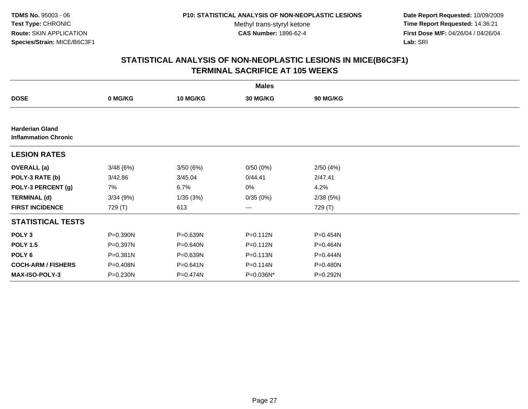**Date Report Requested:** 10/09/2009 **Time Report Requested:** 14:36:21 **First Dose M/F:** 04/26/04 / 04/26/04 Lab: SRI **Lab:** SRI

|                                                       |          |                 | <b>Males</b> |          |  |
|-------------------------------------------------------|----------|-----------------|--------------|----------|--|
| <b>DOSE</b>                                           | 0 MG/KG  | <b>10 MG/KG</b> | 30 MG/KG     | 90 MG/KG |  |
|                                                       |          |                 |              |          |  |
| <b>Harderian Gland</b><br><b>Inflammation Chronic</b> |          |                 |              |          |  |
| <b>LESION RATES</b>                                   |          |                 |              |          |  |
| <b>OVERALL</b> (a)                                    | 3/48(6%) | 3/50(6%)        | 0/50(0%)     | 2/50(4%) |  |
| POLY-3 RATE (b)                                       | 3/42.86  | 3/45.04         | 0/44.41      | 2/47.41  |  |
| POLY-3 PERCENT (g)                                    | 7%       | 6.7%            | 0%           | 4.2%     |  |
| <b>TERMINAL (d)</b>                                   | 3/34(9%) | 1/35(3%)        | 0/35(0%)     | 2/38(5%) |  |
| <b>FIRST INCIDENCE</b>                                | 729 (T)  | 613             | ---          | 729 (T)  |  |
| <b>STATISTICAL TESTS</b>                              |          |                 |              |          |  |
| POLY <sub>3</sub>                                     | P=0.390N | P=0.639N        | P=0.112N     | P=0.454N |  |
| <b>POLY 1.5</b>                                       | P=0.397N | P=0.640N        | P=0.112N     | P=0.464N |  |
| POLY 6                                                | P=0.381N | P=0.639N        | $P = 0.113N$ | P=0.444N |  |
| <b>COCH-ARM / FISHERS</b>                             | P=0.408N | P=0.641N        | P=0.114N     | P=0.480N |  |
| <b>MAX-ISO-POLY-3</b>                                 | P=0.230N | P=0.474N        | P=0.036N*    | P=0.292N |  |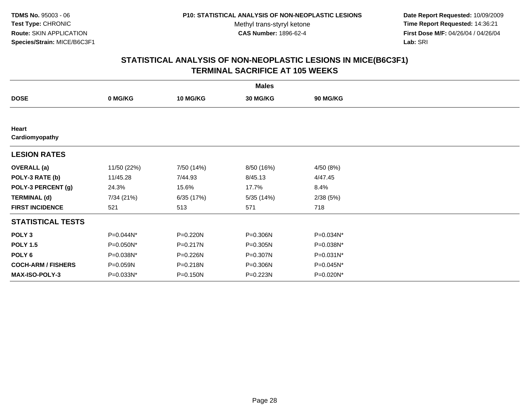**Date Report Requested:** 10/09/2009 **Time Report Requested:** 14:36:21 **First Dose M/F:** 04/26/04 / 04/26/04 Lab: SRI **Lab:** SRI

| <b>Males</b>              |             |                 |            |                 |  |  |
|---------------------------|-------------|-----------------|------------|-----------------|--|--|
| <b>DOSE</b>               | 0 MG/KG     | <b>10 MG/KG</b> | 30 MG/KG   | <b>90 MG/KG</b> |  |  |
|                           |             |                 |            |                 |  |  |
| Heart<br>Cardiomyopathy   |             |                 |            |                 |  |  |
| <b>LESION RATES</b>       |             |                 |            |                 |  |  |
| <b>OVERALL</b> (a)        | 11/50 (22%) | 7/50 (14%)      | 8/50 (16%) | 4/50 (8%)       |  |  |
| POLY-3 RATE (b)           | 11/45.28    | 7/44.93         | 8/45.13    | 4/47.45         |  |  |
| POLY-3 PERCENT (g)        | 24.3%       | 15.6%           | 17.7%      | 8.4%            |  |  |
| <b>TERMINAL (d)</b>       | 7/34 (21%)  | 6/35(17%)       | 5/35(14%)  | 2/38(5%)        |  |  |
| <b>FIRST INCIDENCE</b>    | 521         | 513             | 571        | 718             |  |  |
| <b>STATISTICAL TESTS</b>  |             |                 |            |                 |  |  |
| POLY <sub>3</sub>         | P=0.044N*   | P=0.220N        | P=0.306N   | P=0.034N*       |  |  |
| <b>POLY 1.5</b>           | P=0.050N*   | P=0.217N        | P=0.305N   | P=0.038N*       |  |  |
| POLY 6                    | P=0.038N*   | P=0.226N        | P=0.307N   | P=0.031N*       |  |  |
| <b>COCH-ARM / FISHERS</b> | P=0.059N    | P=0.218N        | P=0.306N   | P=0.045N*       |  |  |
| <b>MAX-ISO-POLY-3</b>     | P=0.033N*   | P=0.150N        | P=0.223N   | P=0.020N*       |  |  |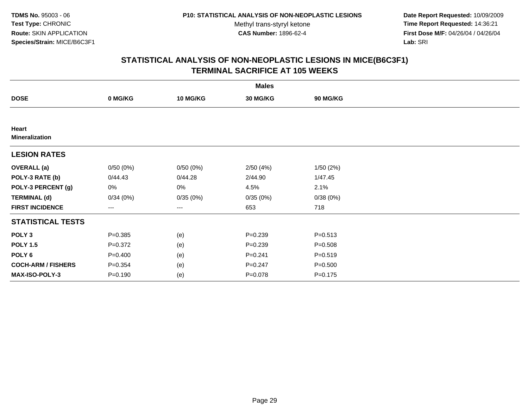**Date Report Requested:** 10/09/2009 **Time Report Requested:** 14:36:21 **First Dose M/F:** 04/26/04 / 04/26/04 Lab: SRI **Lab:** SRI

| <b>Males</b>                   |             |                 |             |                 |  |  |
|--------------------------------|-------------|-----------------|-------------|-----------------|--|--|
| <b>DOSE</b>                    | 0 MG/KG     | <b>10 MG/KG</b> | 30 MG/KG    | <b>90 MG/KG</b> |  |  |
|                                |             |                 |             |                 |  |  |
| Heart<br><b>Mineralization</b> |             |                 |             |                 |  |  |
| <b>LESION RATES</b>            |             |                 |             |                 |  |  |
| <b>OVERALL</b> (a)             | 0/50(0%)    | 0/50(0%)        | 2/50(4%)    | 1/50(2%)        |  |  |
| POLY-3 RATE (b)                | 0/44.43     | 0/44.28         | 2/44.90     | 1/47.45         |  |  |
| POLY-3 PERCENT (g)             | 0%          | 0%              | 4.5%        | 2.1%            |  |  |
| <b>TERMINAL (d)</b>            | 0/34(0%)    | 0/35(0%)        | 0/35(0%)    | 0/38(0%)        |  |  |
| <b>FIRST INCIDENCE</b>         | ---         | ---             | 653         | 718             |  |  |
| <b>STATISTICAL TESTS</b>       |             |                 |             |                 |  |  |
| POLY <sub>3</sub>              | $P = 0.385$ | (e)             | $P = 0.239$ | $P = 0.513$     |  |  |
| <b>POLY 1.5</b>                | $P = 0.372$ | (e)             | $P = 0.239$ | $P = 0.508$     |  |  |
| POLY <sub>6</sub>              | $P = 0.400$ | (e)             | $P = 0.241$ | $P = 0.519$     |  |  |
| <b>COCH-ARM / FISHERS</b>      | $P = 0.354$ | (e)             | $P = 0.247$ | $P = 0.500$     |  |  |
| <b>MAX-ISO-POLY-3</b>          | $P = 0.190$ | (e)             | $P = 0.078$ | $P = 0.175$     |  |  |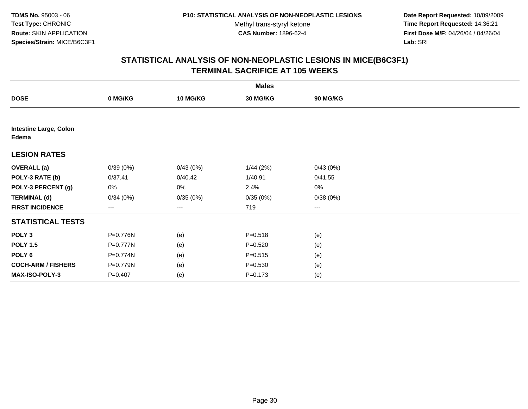**Date Report Requested:** 10/09/2009 **Time Report Requested:** 14:36:21 **First Dose M/F:** 04/26/04 / 04/26/04 Lab: SRI **Lab:** SRI

| <b>Males</b>                           |                   |                 |             |                        |  |  |
|----------------------------------------|-------------------|-----------------|-------------|------------------------|--|--|
| <b>DOSE</b>                            | 0 MG/KG           | <b>10 MG/KG</b> | 30 MG/KG    | 90 MG/KG               |  |  |
|                                        |                   |                 |             |                        |  |  |
| <b>Intestine Large, Colon</b><br>Edema |                   |                 |             |                        |  |  |
| <b>LESION RATES</b>                    |                   |                 |             |                        |  |  |
| <b>OVERALL</b> (a)                     | 0/39(0%)          | 0/43(0%)        | 1/44(2%)    | 0/43(0%)               |  |  |
| POLY-3 RATE (b)                        | 0/37.41           | 0/40.42         | 1/40.91     | 0/41.55                |  |  |
| POLY-3 PERCENT (g)                     | 0%                | 0%              | 2.4%        | $0\%$                  |  |  |
| <b>TERMINAL (d)</b>                    | 0/34(0%)          | 0/35(0%)        | 0/35(0%)    | 0/38(0%)               |  |  |
| <b>FIRST INCIDENCE</b>                 | $\qquad \qquad -$ | ---             | 719         | $\qquad \qquad \cdots$ |  |  |
| <b>STATISTICAL TESTS</b>               |                   |                 |             |                        |  |  |
| POLY <sub>3</sub>                      | P=0.776N          | (e)             | $P = 0.518$ | (e)                    |  |  |
| <b>POLY 1.5</b>                        | P=0.777N          | (e)             | $P = 0.520$ | (e)                    |  |  |
| POLY <sub>6</sub>                      | P=0.774N          | (e)             | $P = 0.515$ | (e)                    |  |  |
| <b>COCH-ARM / FISHERS</b>              | P=0.779N          | (e)             | $P = 0.530$ | (e)                    |  |  |
| MAX-ISO-POLY-3                         | $P = 0.407$       | (e)             | $P = 0.173$ | (e)                    |  |  |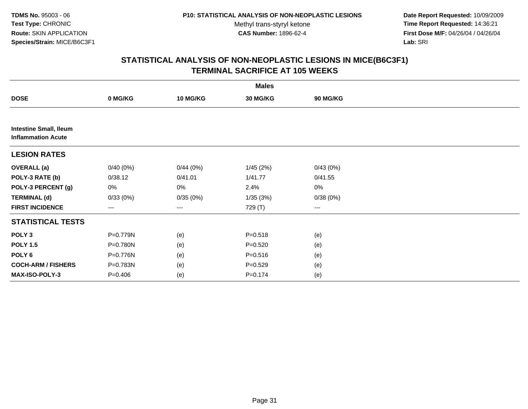**Date Report Requested:** 10/09/2009 **Time Report Requested:** 14:36:21 **First Dose M/F:** 04/26/04 / 04/26/04 Lab: SRI **Lab:** SRI

|                                                            |             |          | <b>Males</b> |                 |  |
|------------------------------------------------------------|-------------|----------|--------------|-----------------|--|
| <b>DOSE</b>                                                | 0 MG/KG     | 10 MG/KG | 30 MG/KG     | <b>90 MG/KG</b> |  |
|                                                            |             |          |              |                 |  |
| <b>Intestine Small, Ileum</b><br><b>Inflammation Acute</b> |             |          |              |                 |  |
| <b>LESION RATES</b>                                        |             |          |              |                 |  |
| <b>OVERALL</b> (a)                                         | 0/40(0%)    | 0/44(0%) | 1/45(2%)     | 0/43(0%)        |  |
| POLY-3 RATE (b)                                            | 0/38.12     | 0/41.01  | 1/41.77      | 0/41.55         |  |
| POLY-3 PERCENT (g)                                         | 0%          | 0%       | 2.4%         | 0%              |  |
| <b>TERMINAL (d)</b>                                        | 0/33(0%)    | 0/35(0%) | 1/35 (3%)    | 0/38(0%)        |  |
| <b>FIRST INCIDENCE</b>                                     | ---         | $--$     | 729 (T)      | ---             |  |
| <b>STATISTICAL TESTS</b>                                   |             |          |              |                 |  |
| POLY <sub>3</sub>                                          | P=0.779N    | (e)      | $P = 0.518$  | (e)             |  |
| <b>POLY 1.5</b>                                            | P=0.780N    | (e)      | $P=0.520$    | (e)             |  |
| POLY 6                                                     | P=0.776N    | (e)      | $P = 0.516$  | (e)             |  |
| <b>COCH-ARM / FISHERS</b>                                  | P=0.783N    | (e)      | $P = 0.529$  | (e)             |  |
| MAX-ISO-POLY-3                                             | $P = 0.406$ | (e)      | $P = 0.174$  | (e)             |  |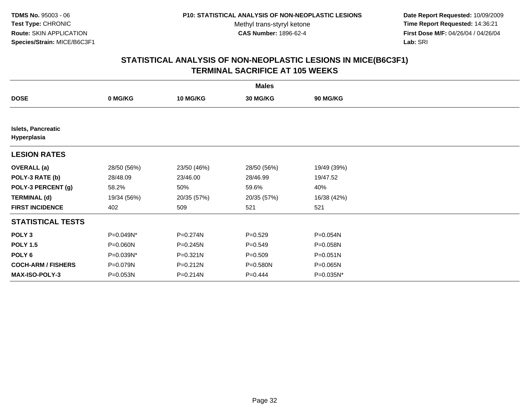**Date Report Requested:** 10/09/2009 **Time Report Requested:** 14:36:21 **First Dose M/F:** 04/26/04 / 04/26/04 Lab: SRI **Lab:** SRI

| <b>Males</b>                             |             |                 |              |                 |  |  |
|------------------------------------------|-------------|-----------------|--------------|-----------------|--|--|
| <b>DOSE</b>                              | 0 MG/KG     | <b>10 MG/KG</b> | 30 MG/KG     | <b>90 MG/KG</b> |  |  |
|                                          |             |                 |              |                 |  |  |
| <b>Islets, Pancreatic</b><br>Hyperplasia |             |                 |              |                 |  |  |
| <b>LESION RATES</b>                      |             |                 |              |                 |  |  |
| <b>OVERALL</b> (a)                       | 28/50 (56%) | 23/50 (46%)     | 28/50 (56%)  | 19/49 (39%)     |  |  |
| POLY-3 RATE (b)                          | 28/48.09    | 23/46.00        | 28/46.99     | 19/47.52        |  |  |
| POLY-3 PERCENT (g)                       | 58.2%       | 50%             | 59.6%        | 40%             |  |  |
| <b>TERMINAL (d)</b>                      | 19/34 (56%) | 20/35 (57%)     | 20/35 (57%)  | 16/38 (42%)     |  |  |
| <b>FIRST INCIDENCE</b>                   | 402         | 509             | 521          | 521             |  |  |
| <b>STATISTICAL TESTS</b>                 |             |                 |              |                 |  |  |
| POLY <sub>3</sub>                        | P=0.049N*   | P=0.274N        | $P = 0.529$  | P=0.054N        |  |  |
| <b>POLY 1.5</b>                          | P=0.060N    | $P = 0.245N$    | $P = 0.549$  | P=0.058N        |  |  |
| POLY 6                                   | P=0.039N*   | $P = 0.321N$    | $P = 0.509$  | $P = 0.051N$    |  |  |
| <b>COCH-ARM / FISHERS</b>                | P=0.079N    | P=0.212N        | $P = 0.580N$ | P=0.065N        |  |  |
| <b>MAX-ISO-POLY-3</b>                    | P=0.053N    | P=0.214N        | $P = 0.444$  | P=0.035N*       |  |  |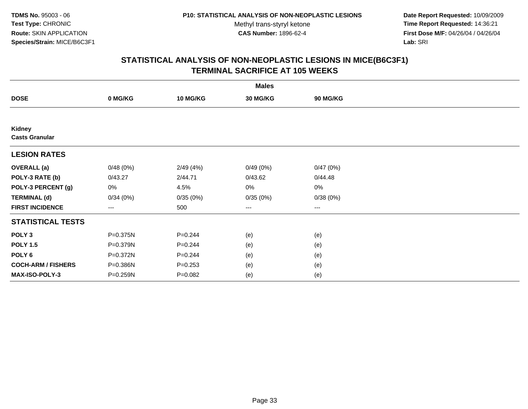**Date Report Requested:** 10/09/2009 **Time Report Requested:** 14:36:21 **First Dose M/F:** 04/26/04 / 04/26/04 Lab: SRI **Lab:** SRI

| <b>Males</b>                    |                   |                 |                        |                        |  |  |
|---------------------------------|-------------------|-----------------|------------------------|------------------------|--|--|
| <b>DOSE</b>                     | 0 MG/KG           | <b>10 MG/KG</b> | 30 MG/KG               | <b>90 MG/KG</b>        |  |  |
|                                 |                   |                 |                        |                        |  |  |
| Kidney<br><b>Casts Granular</b> |                   |                 |                        |                        |  |  |
| <b>LESION RATES</b>             |                   |                 |                        |                        |  |  |
| <b>OVERALL</b> (a)              | 0/48(0%)          | 2/49(4%)        | 0/49(0%)               | 0/47(0%)               |  |  |
| POLY-3 RATE (b)                 | 0/43.27           | 2/44.71         | 0/43.62                | 0/44.48                |  |  |
| POLY-3 PERCENT (g)              | 0%                | 4.5%            | 0%                     | $0\%$                  |  |  |
| <b>TERMINAL (d)</b>             | 0/34(0%)          | 0/35(0%)        | 0/35(0%)               | 0/38(0%)               |  |  |
| <b>FIRST INCIDENCE</b>          | $\qquad \qquad -$ | 500             | $\qquad \qquad \cdots$ | $\qquad \qquad \cdots$ |  |  |
| <b>STATISTICAL TESTS</b>        |                   |                 |                        |                        |  |  |
| POLY <sub>3</sub>               | P=0.375N          | $P = 0.244$     | (e)                    | (e)                    |  |  |
| <b>POLY 1.5</b>                 | P=0.379N          | $P = 0.244$     | (e)                    | (e)                    |  |  |
| POLY <sub>6</sub>               | P=0.372N          | $P = 0.244$     | (e)                    | (e)                    |  |  |
| <b>COCH-ARM / FISHERS</b>       | P=0.386N          | $P = 0.253$     | (e)                    | (e)                    |  |  |
| <b>MAX-ISO-POLY-3</b>           | P=0.259N          | $P=0.082$       | (e)                    | (e)                    |  |  |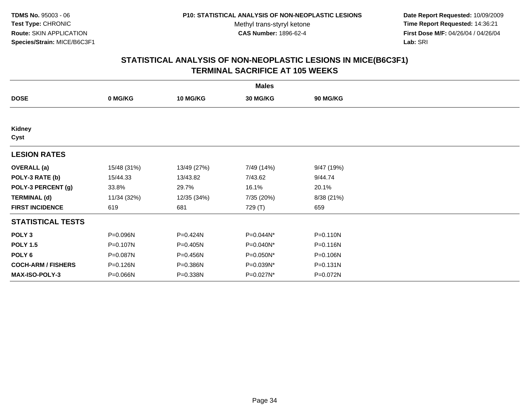**Date Report Requested:** 10/09/2009 **Time Report Requested:** 14:36:21 **First Dose M/F:** 04/26/04 / 04/26/04 Lab: SRI **Lab:** SRI

| <b>Males</b>              |             |                 |            |              |  |  |
|---------------------------|-------------|-----------------|------------|--------------|--|--|
| <b>DOSE</b>               | 0 MG/KG     | <b>10 MG/KG</b> | 30 MG/KG   | 90 MG/KG     |  |  |
|                           |             |                 |            |              |  |  |
| Kidney<br>Cyst            |             |                 |            |              |  |  |
| <b>LESION RATES</b>       |             |                 |            |              |  |  |
| <b>OVERALL</b> (a)        | 15/48 (31%) | 13/49 (27%)     | 7/49 (14%) | 9/47 (19%)   |  |  |
| POLY-3 RATE (b)           | 15/44.33    | 13/43.82        | 7/43.62    | 9/44.74      |  |  |
| POLY-3 PERCENT (g)        | 33.8%       | 29.7%           | 16.1%      | 20.1%        |  |  |
| <b>TERMINAL (d)</b>       | 11/34 (32%) | 12/35 (34%)     | 7/35 (20%) | 8/38 (21%)   |  |  |
| <b>FIRST INCIDENCE</b>    | 619         | 681             | 729 (T)    | 659          |  |  |
| <b>STATISTICAL TESTS</b>  |             |                 |            |              |  |  |
| POLY <sub>3</sub>         | P=0.096N    | P=0.424N        | P=0.044N*  | P=0.110N     |  |  |
| <b>POLY 1.5</b>           | P=0.107N    | P=0.405N        | P=0.040N*  | P=0.116N     |  |  |
| POLY 6                    | P=0.087N    | P=0.456N        | P=0.050N*  | P=0.106N     |  |  |
| <b>COCH-ARM / FISHERS</b> | P=0.126N    | P=0.386N        | P=0.039N*  | $P = 0.131N$ |  |  |
| <b>MAX-ISO-POLY-3</b>     | P=0.066N    | P=0.338N        | P=0.027N*  | P=0.072N     |  |  |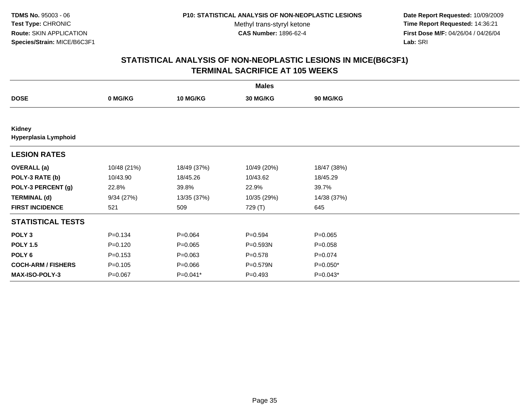**Date Report Requested:** 10/09/2009 **Time Report Requested:** 14:36:21 **First Dose M/F:** 04/26/04 / 04/26/04 Lab: SRI **Lab:** SRI

| <b>Males</b>                   |             |                 |             |                 |  |  |
|--------------------------------|-------------|-----------------|-------------|-----------------|--|--|
| <b>DOSE</b>                    | 0 MG/KG     | <b>10 MG/KG</b> | 30 MG/KG    | <b>90 MG/KG</b> |  |  |
|                                |             |                 |             |                 |  |  |
| Kidney<br>Hyperplasia Lymphoid |             |                 |             |                 |  |  |
| <b>LESION RATES</b>            |             |                 |             |                 |  |  |
| <b>OVERALL</b> (a)             | 10/48 (21%) | 18/49 (37%)     | 10/49 (20%) | 18/47 (38%)     |  |  |
| POLY-3 RATE (b)                | 10/43.90    | 18/45.26        | 10/43.62    | 18/45.29        |  |  |
| POLY-3 PERCENT (g)             | 22.8%       | 39.8%           | 22.9%       | 39.7%           |  |  |
| <b>TERMINAL (d)</b>            | 9/34(27%)   | 13/35 (37%)     | 10/35 (29%) | 14/38 (37%)     |  |  |
| <b>FIRST INCIDENCE</b>         | 521         | 509             | 729 (T)     | 645             |  |  |
| <b>STATISTICAL TESTS</b>       |             |                 |             |                 |  |  |
| POLY <sub>3</sub>              | $P = 0.134$ | $P = 0.064$     | $P = 0.594$ | $P = 0.065$     |  |  |
| <b>POLY 1.5</b>                | $P = 0.120$ | $P = 0.065$     | P=0.593N    | $P = 0.058$     |  |  |
| POLY 6                         | $P = 0.153$ | $P = 0.063$     | $P = 0.578$ | $P = 0.074$     |  |  |
| <b>COCH-ARM / FISHERS</b>      | $P = 0.105$ | $P = 0.066$     | P=0.579N    | P=0.050*        |  |  |
| <b>MAX-ISO-POLY-3</b>          | $P = 0.067$ | $P=0.041*$      | $P = 0.493$ | P=0.043*        |  |  |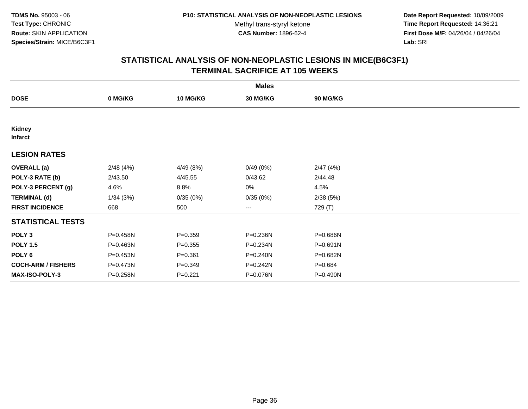**Date Report Requested:** 10/09/2009 **Time Report Requested:** 14:36:21 **First Dose M/F:** 04/26/04 / 04/26/04 Lab: SRI **Lab:** SRI

| <b>Males</b>              |          |             |                        |                 |  |  |
|---------------------------|----------|-------------|------------------------|-----------------|--|--|
| <b>DOSE</b>               | 0 MG/KG  | 10 MG/KG    | 30 MG/KG               | <b>90 MG/KG</b> |  |  |
|                           |          |             |                        |                 |  |  |
| Kidney<br><b>Infarct</b>  |          |             |                        |                 |  |  |
| <b>LESION RATES</b>       |          |             |                        |                 |  |  |
| <b>OVERALL</b> (a)        | 2/48(4%) | 4/49 (8%)   | 0/49(0%)               | 2/47(4%)        |  |  |
| POLY-3 RATE (b)           | 2/43.50  | 4/45.55     | 0/43.62                | 2/44.48         |  |  |
| POLY-3 PERCENT (g)        | 4.6%     | 8.8%        | 0%                     | 4.5%            |  |  |
| <b>TERMINAL (d)</b>       | 1/34(3%) | 0/35(0%)    | 0/35(0%)               | 2/38(5%)        |  |  |
| <b>FIRST INCIDENCE</b>    | 668      | 500         | $\qquad \qquad \cdots$ | 729 (T)         |  |  |
| <b>STATISTICAL TESTS</b>  |          |             |                        |                 |  |  |
| POLY <sub>3</sub>         | P=0.458N | $P = 0.359$ | P=0.236N               | P=0.686N        |  |  |
| <b>POLY 1.5</b>           | P=0.463N | $P = 0.355$ | P=0.234N               | P=0.691N        |  |  |
| POLY 6                    | P=0.453N | $P = 0.361$ | $P = 0.240N$           | P=0.682N        |  |  |
| <b>COCH-ARM / FISHERS</b> | P=0.473N | $P = 0.349$ | P=0.242N               | $P = 0.684$     |  |  |
| <b>MAX-ISO-POLY-3</b>     | P=0.258N | $P=0.221$   | P=0.076N               | P=0.490N        |  |  |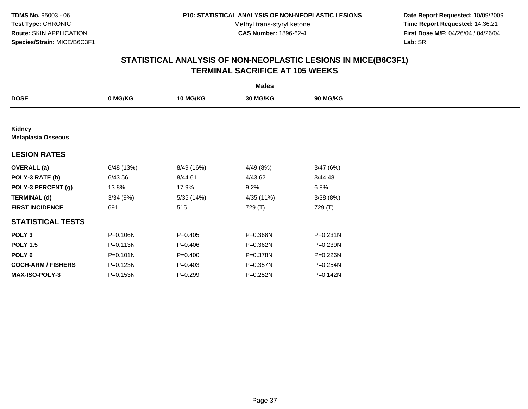**Date Report Requested:** 10/09/2009 **Time Report Requested:** 14:36:21 **First Dose M/F:** 04/26/04 / 04/26/04 Lab: SRI **Lab:** SRI

|                                            |              |                 | <b>Males</b> |          |  |
|--------------------------------------------|--------------|-----------------|--------------|----------|--|
| <b>DOSE</b>                                | 0 MG/KG      | <b>10 MG/KG</b> | 30 MG/KG     | 90 MG/KG |  |
|                                            |              |                 |              |          |  |
| <b>Kidney</b><br><b>Metaplasia Osseous</b> |              |                 |              |          |  |
| <b>LESION RATES</b>                        |              |                 |              |          |  |
| <b>OVERALL</b> (a)                         | 6/48 (13%)   | 8/49 (16%)      | 4/49(8%)     | 3/47(6%) |  |
| POLY-3 RATE (b)                            | 6/43.56      | 8/44.61         | 4/43.62      | 3/44.48  |  |
| POLY-3 PERCENT (g)                         | 13.8%        | 17.9%           | 9.2%         | 6.8%     |  |
| <b>TERMINAL (d)</b>                        | 3/34(9%)     | 5/35(14%)       | 4/35 (11%)   | 3/38(8%) |  |
| <b>FIRST INCIDENCE</b>                     | 691          | 515             | 729 (T)      | 729 (T)  |  |
| <b>STATISTICAL TESTS</b>                   |              |                 |              |          |  |
| POLY <sub>3</sub>                          | P=0.106N     | $P=0.405$       | P=0.368N     | P=0.231N |  |
| <b>POLY 1.5</b>                            | $P = 0.113N$ | $P=0.406$       | P=0.362N     | P=0.239N |  |
| POLY 6                                     | $P = 0.101N$ | $P = 0.400$     | P=0.378N     | P=0.226N |  |
| <b>COCH-ARM / FISHERS</b>                  | P=0.123N     | $P=0.403$       | P=0.357N     | P=0.254N |  |
| <b>MAX-ISO-POLY-3</b>                      | P=0.153N     | $P=0.299$       | P=0.252N     | P=0.142N |  |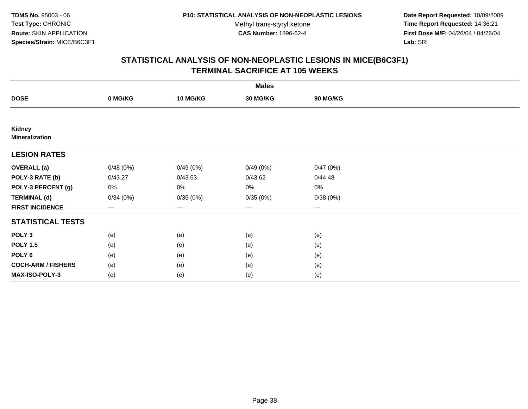**Date Report Requested:** 10/09/2009 **Time Report Requested:** 14:36:21 **First Dose M/F:** 04/26/04 / 04/26/04 Lab: SRI **Lab:** SRI

|                                 |          |                 | <b>Males</b> |          |  |
|---------------------------------|----------|-----------------|--------------|----------|--|
| <b>DOSE</b>                     | 0 MG/KG  | <b>10 MG/KG</b> | 30 MG/KG     | 90 MG/KG |  |
|                                 |          |                 |              |          |  |
| Kidney<br><b>Mineralization</b> |          |                 |              |          |  |
| <b>LESION RATES</b>             |          |                 |              |          |  |
| <b>OVERALL</b> (a)              | 0/48(0%) | 0/49(0%)        | 0/49(0%)     | 0/47(0%) |  |
| POLY-3 RATE (b)                 | 0/43.27  | 0/43.63         | 0/43.62      | 0/44.48  |  |
| POLY-3 PERCENT (g)              | 0%       | 0%              | 0%           | $0\%$    |  |
| <b>TERMINAL (d)</b>             | 0/34(0%) | 0/35(0%)        | 0/35(0%)     | 0/38(0%) |  |
| <b>FIRST INCIDENCE</b>          | ---      | $\cdots$        | $\cdots$     | $\cdots$ |  |
| <b>STATISTICAL TESTS</b>        |          |                 |              |          |  |
| POLY <sub>3</sub>               | (e)      | (e)             | (e)          | (e)      |  |
| <b>POLY 1.5</b>                 | (e)      | (e)             | (e)          | (e)      |  |
| POLY 6                          | (e)      | (e)             | (e)          | (e)      |  |
| <b>COCH-ARM / FISHERS</b>       | (e)      | (e)             | (e)          | (e)      |  |
| MAX-ISO-POLY-3                  | (e)      | (e)             | (e)          | (e)      |  |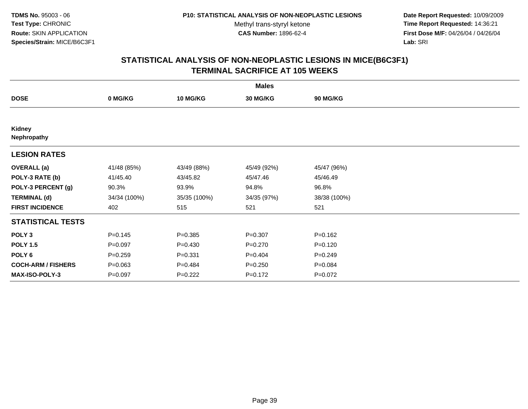**Date Report Requested:** 10/09/2009 **Time Report Requested:** 14:36:21 **First Dose M/F:** 04/26/04 / 04/26/04 Lab: SRI **Lab:** SRI

| <b>Males</b>              |              |                 |             |                 |  |  |
|---------------------------|--------------|-----------------|-------------|-----------------|--|--|
| <b>DOSE</b>               | 0 MG/KG      | <b>10 MG/KG</b> | 30 MG/KG    | <b>90 MG/KG</b> |  |  |
|                           |              |                 |             |                 |  |  |
| Kidney<br>Nephropathy     |              |                 |             |                 |  |  |
| <b>LESION RATES</b>       |              |                 |             |                 |  |  |
| <b>OVERALL</b> (a)        | 41/48 (85%)  | 43/49 (88%)     | 45/49 (92%) | 45/47 (96%)     |  |  |
| POLY-3 RATE (b)           | 41/45.40     | 43/45.82        | 45/47.46    | 45/46.49        |  |  |
| POLY-3 PERCENT (g)        | 90.3%        | 93.9%           | 94.8%       | 96.8%           |  |  |
| <b>TERMINAL (d)</b>       | 34/34 (100%) | 35/35 (100%)    | 34/35 (97%) | 38/38 (100%)    |  |  |
| <b>FIRST INCIDENCE</b>    | 402          | 515             | 521         | 521             |  |  |
| <b>STATISTICAL TESTS</b>  |              |                 |             |                 |  |  |
| POLY <sub>3</sub>         | $P = 0.145$  | $P = 0.385$     | $P = 0.307$ | $P = 0.162$     |  |  |
| <b>POLY 1.5</b>           | $P = 0.097$  | $P = 0.430$     | $P = 0.270$ | $P = 0.120$     |  |  |
| POLY <sub>6</sub>         | $P = 0.259$  | $P = 0.331$     | $P = 0.404$ | $P = 0.249$     |  |  |
| <b>COCH-ARM / FISHERS</b> | $P = 0.063$  | $P = 0.484$     | $P = 0.250$ | $P = 0.084$     |  |  |
| <b>MAX-ISO-POLY-3</b>     | $P = 0.097$  | $P=0.222$       | $P = 0.172$ | $P=0.072$       |  |  |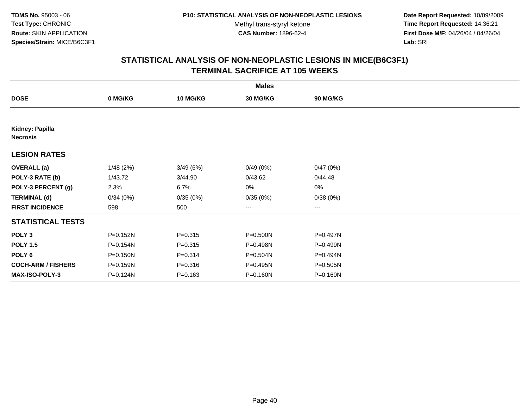**Date Report Requested:** 10/09/2009 **Time Report Requested:** 14:36:21 **First Dose M/F:** 04/26/04 / 04/26/04 Lab: SRI **Lab:** SRI

|                                    |          |                 | <b>Males</b>    |          |  |
|------------------------------------|----------|-----------------|-----------------|----------|--|
| <b>DOSE</b>                        | 0 MG/KG  | <b>10 MG/KG</b> | <b>30 MG/KG</b> | 90 MG/KG |  |
|                                    |          |                 |                 |          |  |
| Kidney: Papilla<br><b>Necrosis</b> |          |                 |                 |          |  |
| <b>LESION RATES</b>                |          |                 |                 |          |  |
| <b>OVERALL</b> (a)                 | 1/48(2%) | 3/49(6%)        | 0/49(0%)        | 0/47(0%) |  |
| POLY-3 RATE (b)                    | 1/43.72  | 3/44.90         | 0/43.62         | 0/44.48  |  |
| POLY-3 PERCENT (g)                 | 2.3%     | 6.7%            | 0%              | 0%       |  |
| <b>TERMINAL (d)</b>                | 0/34(0%) | 0/35(0%)        | 0/35(0%)        | 0/38(0%) |  |
| <b>FIRST INCIDENCE</b>             | 598      | 500             | $\cdots$        | $\cdots$ |  |
| <b>STATISTICAL TESTS</b>           |          |                 |                 |          |  |
| POLY <sub>3</sub>                  | P=0.152N | $P = 0.315$     | P=0.500N        | P=0.497N |  |
| <b>POLY 1.5</b>                    | P=0.154N | $P = 0.315$     | $P = 0.498N$    | P=0.499N |  |
| POLY 6                             | P=0.150N | $P = 0.314$     | P=0.504N        | P=0.494N |  |
| <b>COCH-ARM / FISHERS</b>          | P=0.159N | $P = 0.316$     | P=0.495N        | P=0.505N |  |
| <b>MAX-ISO-POLY-3</b>              | P=0.124N | $P = 0.163$     | P=0.160N        | P=0.160N |  |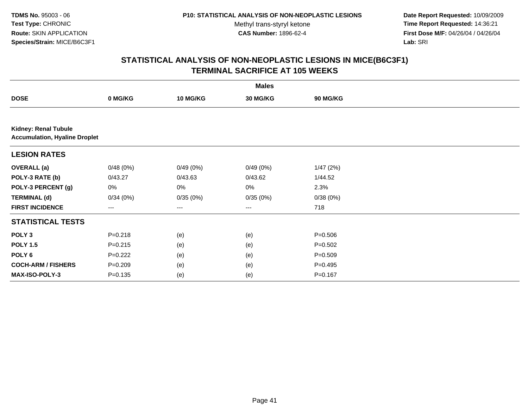**Date Report Requested:** 10/09/2009 **Time Report Requested:** 14:36:21 **First Dose M/F:** 04/26/04 / 04/26/04 Lab: SRI **Lab:** SRI

|                                                                     |             |                   | <b>Males</b>    |             |  |
|---------------------------------------------------------------------|-------------|-------------------|-----------------|-------------|--|
| <b>DOSE</b>                                                         | 0 MG/KG     | 10 MG/KG          | <b>30 MG/KG</b> | 90 MG/KG    |  |
|                                                                     |             |                   |                 |             |  |
| <b>Kidney: Renal Tubule</b><br><b>Accumulation, Hyaline Droplet</b> |             |                   |                 |             |  |
| <b>LESION RATES</b>                                                 |             |                   |                 |             |  |
| <b>OVERALL (a)</b>                                                  | 0/48(0%)    | 0/49(0%)          | 0/49(0%)        | 1/47(2%)    |  |
| POLY-3 RATE (b)                                                     | 0/43.27     | 0/43.63           | 0/43.62         | 1/44.52     |  |
| POLY-3 PERCENT (g)                                                  | 0%          | 0%                | 0%              | 2.3%        |  |
| <b>TERMINAL (d)</b>                                                 | 0/34(0%)    | 0/35(0%)          | 0/35(0%)        | 0/38(0%)    |  |
| <b>FIRST INCIDENCE</b>                                              | $--$        | $\qquad \qquad -$ | ---             | 718         |  |
| <b>STATISTICAL TESTS</b>                                            |             |                   |                 |             |  |
| POLY <sub>3</sub>                                                   | $P = 0.218$ | (e)               | (e)             | $P = 0.506$ |  |
| <b>POLY 1.5</b>                                                     | $P = 0.215$ | (e)               | (e)             | $P = 0.502$ |  |
| POLY <sub>6</sub>                                                   | $P=0.222$   | (e)               | (e)             | $P = 0.509$ |  |
| <b>COCH-ARM / FISHERS</b>                                           | $P = 0.209$ | (e)               | (e)             | $P=0.495$   |  |
| MAX-ISO-POLY-3                                                      | $P = 0.135$ | (e)               | (e)             | $P = 0.167$ |  |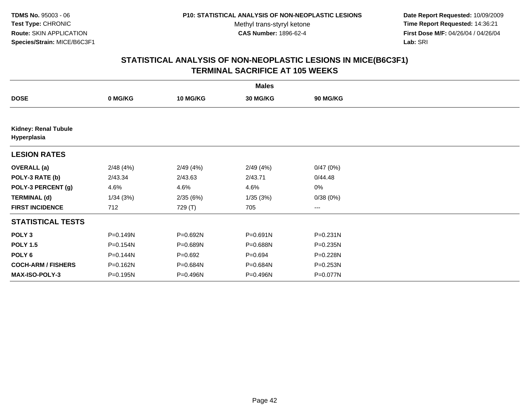**Date Report Requested:** 10/09/2009 **Time Report Requested:** 14:36:21 **First Dose M/F:** 04/26/04 / 04/26/04 Lab: SRI **Lab:** SRI

|                                            |          |                 | <b>Males</b> |                 |  |
|--------------------------------------------|----------|-----------------|--------------|-----------------|--|
| <b>DOSE</b>                                | 0 MG/KG  | <b>10 MG/KG</b> | 30 MG/KG     | <b>90 MG/KG</b> |  |
|                                            |          |                 |              |                 |  |
| <b>Kidney: Renal Tubule</b><br>Hyperplasia |          |                 |              |                 |  |
| <b>LESION RATES</b>                        |          |                 |              |                 |  |
| <b>OVERALL</b> (a)                         | 2/48(4%) | 2/49(4%)        | 2/49(4%)     | 0/47(0%)        |  |
| POLY-3 RATE (b)                            | 2/43.34  | 2/43.63         | 2/43.71      | 0/44.48         |  |
| POLY-3 PERCENT (g)                         | 4.6%     | 4.6%            | 4.6%         | $0\%$           |  |
| <b>TERMINAL (d)</b>                        | 1/34(3%) | 2/35(6%)        | 1/35(3%)     | 0/38(0%)        |  |
| <b>FIRST INCIDENCE</b>                     | 712      | 729 (T)         | 705          | ---             |  |
| <b>STATISTICAL TESTS</b>                   |          |                 |              |                 |  |
| POLY <sub>3</sub>                          | P=0.149N | P=0.692N        | P=0.691N     | P=0.231N        |  |
| <b>POLY 1.5</b>                            | P=0.154N | P=0.689N        | P=0.688N     | P=0.235N        |  |
| POLY <sub>6</sub>                          | P=0.144N | $P=0.692$       | $P = 0.694$  | P=0.228N        |  |
| <b>COCH-ARM / FISHERS</b>                  | P=0.162N | P=0.684N        | P=0.684N     | P=0.253N        |  |
| <b>MAX-ISO-POLY-3</b>                      | P=0.195N | P=0.496N        | P=0.496N     | P=0.077N        |  |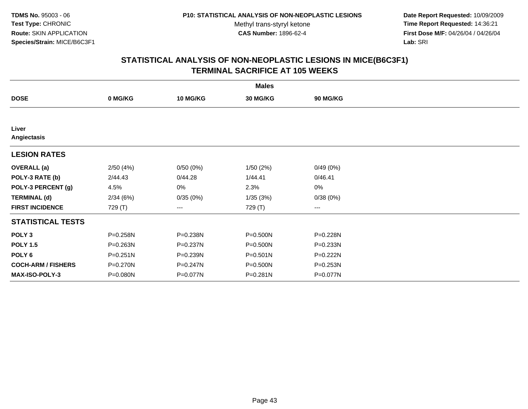**Date Report Requested:** 10/09/2009 **Time Report Requested:** 14:36:21 **First Dose M/F:** 04/26/04 / 04/26/04 Lab: SRI **Lab:** SRI

|                           |          |                 | <b>Males</b> |          |  |
|---------------------------|----------|-----------------|--------------|----------|--|
| <b>DOSE</b>               | 0 MG/KG  | <b>10 MG/KG</b> | 30 MG/KG     | 90 MG/KG |  |
|                           |          |                 |              |          |  |
| Liver<br>Angiectasis      |          |                 |              |          |  |
| <b>LESION RATES</b>       |          |                 |              |          |  |
| <b>OVERALL</b> (a)        | 2/50(4%) | 0/50(0%)        | 1/50(2%)     | 0/49(0%) |  |
| POLY-3 RATE (b)           | 2/44.43  | 0/44.28         | 1/44.41      | 0/46.41  |  |
| POLY-3 PERCENT (g)        | 4.5%     | 0%              | 2.3%         | 0%       |  |
| <b>TERMINAL (d)</b>       | 2/34(6%) | 0/35(0%)        | 1/35(3%)     | 0/38(0%) |  |
| <b>FIRST INCIDENCE</b>    | 729 (T)  | ---             | 729 (T)      | $--$     |  |
| <b>STATISTICAL TESTS</b>  |          |                 |              |          |  |
| POLY <sub>3</sub>         | P=0.258N | P=0.238N        | $P = 0.500N$ | P=0.228N |  |
| <b>POLY 1.5</b>           | P=0.263N | P=0.237N        | P=0.500N     | P=0.233N |  |
| POLY 6                    | P=0.251N | P=0.239N        | $P = 0.501N$ | P=0.222N |  |
| <b>COCH-ARM / FISHERS</b> | P=0.270N | P=0.247N        | P=0.500N     | P=0.253N |  |
| MAX-ISO-POLY-3            | P=0.080N | P=0.077N        | P=0.281N     | P=0.077N |  |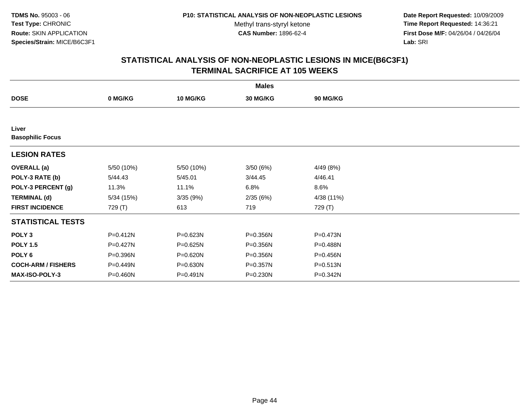**Date Report Requested:** 10/09/2009 **Time Report Requested:** 14:36:21 **First Dose M/F:** 04/26/04 / 04/26/04 Lab: SRI **Lab:** SRI

|                                  |              |                 | <b>Males</b> |            |  |
|----------------------------------|--------------|-----------------|--------------|------------|--|
| <b>DOSE</b>                      | 0 MG/KG      | <b>10 MG/KG</b> | 30 MG/KG     | 90 MG/KG   |  |
|                                  |              |                 |              |            |  |
| Liver<br><b>Basophilic Focus</b> |              |                 |              |            |  |
| <b>LESION RATES</b>              |              |                 |              |            |  |
| <b>OVERALL</b> (a)               | 5/50 (10%)   | 5/50 (10%)      | 3/50(6%)     | 4/49 (8%)  |  |
| POLY-3 RATE (b)                  | 5/44.43      | 5/45.01         | 3/44.45      | 4/46.41    |  |
| POLY-3 PERCENT (g)               | 11.3%        | 11.1%           | 6.8%         | 8.6%       |  |
| <b>TERMINAL (d)</b>              | 5/34(15%)    | 3/35(9%)        | 2/35(6%)     | 4/38 (11%) |  |
| <b>FIRST INCIDENCE</b>           | 729 (T)      | 613             | 719          | 729 (T)    |  |
| <b>STATISTICAL TESTS</b>         |              |                 |              |            |  |
| POLY <sub>3</sub>                | $P = 0.412N$ | P=0.623N        | P=0.356N     | P=0.473N   |  |
| <b>POLY 1.5</b>                  | $P = 0.427N$ | P=0.625N        | P=0.356N     | P=0.488N   |  |
| POLY 6                           | P=0.396N     | P=0.620N        | P=0.356N     | P=0.456N   |  |
| <b>COCH-ARM / FISHERS</b>        | P=0.449N     | P=0.630N        | P=0.357N     | P=0.513N   |  |
| <b>MAX-ISO-POLY-3</b>            | P=0.460N     | P=0.491N        | P=0.230N     | P=0.342N   |  |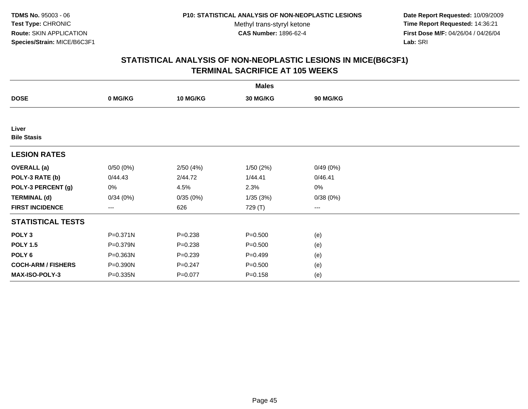**Date Report Requested:** 10/09/2009 **Time Report Requested:** 14:36:21 **First Dose M/F:** 04/26/04 / 04/26/04 Lab: SRI **Lab:** SRI

|                             |                   |                 | <b>Males</b> |                        |  |
|-----------------------------|-------------------|-----------------|--------------|------------------------|--|
| <b>DOSE</b>                 | 0 MG/KG           | <b>10 MG/KG</b> | 30 MG/KG     | <b>90 MG/KG</b>        |  |
|                             |                   |                 |              |                        |  |
| Liver<br><b>Bile Stasis</b> |                   |                 |              |                        |  |
| <b>LESION RATES</b>         |                   |                 |              |                        |  |
| <b>OVERALL</b> (a)          | 0/50(0%)          | 2/50(4%)        | 1/50(2%)     | 0/49(0%)               |  |
| POLY-3 RATE (b)             | 0/44.43           | 2/44.72         | 1/44.41      | 0/46.41                |  |
| POLY-3 PERCENT (g)          | 0%                | 4.5%            | 2.3%         | $0\%$                  |  |
| <b>TERMINAL (d)</b>         | 0/34(0%)          | 0/35(0%)        | 1/35(3%)     | 0/38(0%)               |  |
| <b>FIRST INCIDENCE</b>      | $\qquad \qquad -$ | 626             | 729 (T)      | $\qquad \qquad \cdots$ |  |
| <b>STATISTICAL TESTS</b>    |                   |                 |              |                        |  |
| POLY <sub>3</sub>           | P=0.371N          | $P = 0.238$     | $P = 0.500$  | (e)                    |  |
| <b>POLY 1.5</b>             | P=0.379N          | $P = 0.238$     | $P = 0.500$  | (e)                    |  |
| POLY <sub>6</sub>           | P=0.363N          | $P = 0.239$     | $P = 0.499$  | (e)                    |  |
| <b>COCH-ARM / FISHERS</b>   | P=0.390N          | $P = 0.247$     | $P = 0.500$  | (e)                    |  |
| <b>MAX-ISO-POLY-3</b>       | P=0.335N          | $P = 0.077$     | $P = 0.158$  | (e)                    |  |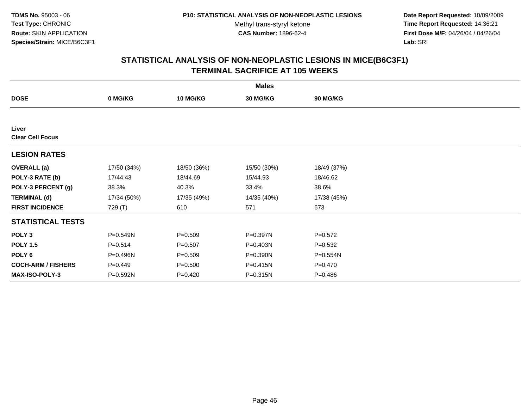**Date Report Requested:** 10/09/2009 **Time Report Requested:** 14:36:21 **First Dose M/F:** 04/26/04 / 04/26/04 Lab: SRI **Lab:** SRI

| <b>Males</b>                     |             |                 |             |                 |  |  |
|----------------------------------|-------------|-----------------|-------------|-----------------|--|--|
| <b>DOSE</b>                      | 0 MG/KG     | <b>10 MG/KG</b> | 30 MG/KG    | <b>90 MG/KG</b> |  |  |
|                                  |             |                 |             |                 |  |  |
| Liver<br><b>Clear Cell Focus</b> |             |                 |             |                 |  |  |
| <b>LESION RATES</b>              |             |                 |             |                 |  |  |
| <b>OVERALL</b> (a)               | 17/50 (34%) | 18/50 (36%)     | 15/50 (30%) | 18/49 (37%)     |  |  |
| POLY-3 RATE (b)                  | 17/44.43    | 18/44.69        | 15/44.93    | 18/46.62        |  |  |
| POLY-3 PERCENT (g)               | 38.3%       | 40.3%           | 33.4%       | 38.6%           |  |  |
| <b>TERMINAL (d)</b>              | 17/34 (50%) | 17/35 (49%)     | 14/35 (40%) | 17/38 (45%)     |  |  |
| <b>FIRST INCIDENCE</b>           | 729 (T)     | 610             | 571         | 673             |  |  |
| <b>STATISTICAL TESTS</b>         |             |                 |             |                 |  |  |
| POLY <sub>3</sub>                | P=0.549N    | $P = 0.509$     | P=0.397N    | $P = 0.572$     |  |  |
| <b>POLY 1.5</b>                  | $P = 0.514$ | $P = 0.507$     | P=0.403N    | $P = 0.532$     |  |  |
| POLY <sub>6</sub>                | P=0.496N    | $P = 0.509$     | P=0.390N    | P=0.554N        |  |  |
| <b>COCH-ARM / FISHERS</b>        | $P=0.449$   | $P = 0.500$     | P=0.415N    | $P = 0.470$     |  |  |
| <b>MAX-ISO-POLY-3</b>            | P=0.592N    | $P=0.420$       | P=0.315N    | $P = 0.486$     |  |  |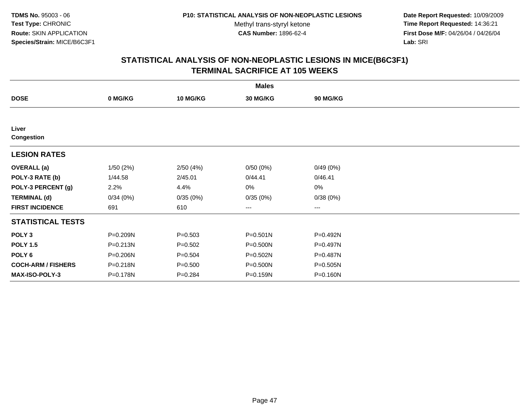**Date Report Requested:** 10/09/2009 **Time Report Requested:** 14:36:21 **First Dose M/F:** 04/26/04 / 04/26/04 Lab: SRI **Lab:** SRI

|                            |          |                 | <b>Males</b>    |          |  |
|----------------------------|----------|-----------------|-----------------|----------|--|
| <b>DOSE</b>                | 0 MG/KG  | <b>10 MG/KG</b> | <b>30 MG/KG</b> | 90 MG/KG |  |
|                            |          |                 |                 |          |  |
| Liver<br><b>Congestion</b> |          |                 |                 |          |  |
| <b>LESION RATES</b>        |          |                 |                 |          |  |
| <b>OVERALL</b> (a)         | 1/50(2%) | 2/50(4%)        | 0/50(0%)        | 0/49(0%) |  |
| POLY-3 RATE (b)            | 1/44.58  | 2/45.01         | 0/44.41         | 0/46.41  |  |
| POLY-3 PERCENT (g)         | 2.2%     | 4.4%            | 0%              | 0%       |  |
| <b>TERMINAL (d)</b>        | 0/34(0%) | 0/35(0%)        | 0/35(0%)        | 0/38(0%) |  |
| <b>FIRST INCIDENCE</b>     | 691      | 610             | $\cdots$        | $\cdots$ |  |
| <b>STATISTICAL TESTS</b>   |          |                 |                 |          |  |
| POLY <sub>3</sub>          | P=0.209N | $P = 0.503$     | $P = 0.501N$    | P=0.492N |  |
| <b>POLY 1.5</b>            | P=0.213N | $P = 0.502$     | P=0.500N        | P=0.497N |  |
| POLY 6                     | P=0.206N | $P = 0.504$     | P=0.502N        | P=0.487N |  |
| <b>COCH-ARM / FISHERS</b>  | P=0.218N | $P = 0.500$     | P=0.500N        | P=0.505N |  |
| <b>MAX-ISO-POLY-3</b>      | P=0.178N | $P = 0.284$     | P=0.159N        | P=0.160N |  |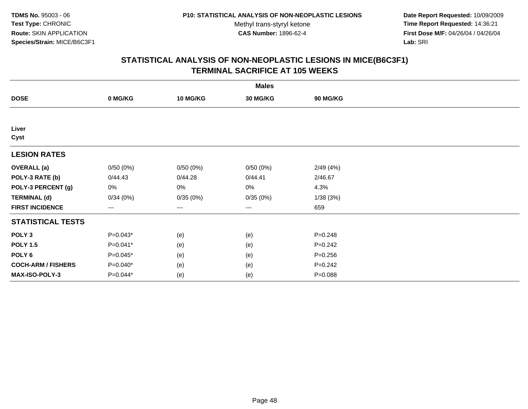**Date Report Requested:** 10/09/2009 **Time Report Requested:** 14:36:21 **First Dose M/F:** 04/26/04 / 04/26/04 Lab: SRI **Lab:** SRI

|                           |            |                 | <b>Males</b>      |             |  |
|---------------------------|------------|-----------------|-------------------|-------------|--|
| <b>DOSE</b>               | 0 MG/KG    | <b>10 MG/KG</b> | 30 MG/KG          | 90 MG/KG    |  |
|                           |            |                 |                   |             |  |
| Liver<br>Cyst             |            |                 |                   |             |  |
| <b>LESION RATES</b>       |            |                 |                   |             |  |
| <b>OVERALL (a)</b>        | 0/50(0%)   | 0/50(0%)        | 0/50(0%)          | 2/49(4%)    |  |
| POLY-3 RATE (b)           | 0/44.43    | 0/44.28         | 0/44.41           | 2/46.67     |  |
| POLY-3 PERCENT (g)        | 0%         | $0\%$           | 0%                | 4.3%        |  |
| <b>TERMINAL (d)</b>       | 0/34(0%)   | 0/35(0%)        | 0/35(0%)          | 1/38(3%)    |  |
| <b>FIRST INCIDENCE</b>    | ---        | ---             | $\qquad \qquad -$ | 659         |  |
| <b>STATISTICAL TESTS</b>  |            |                 |                   |             |  |
| POLY <sub>3</sub>         | $P=0.043*$ | (e)             | (e)               | $P = 0.248$ |  |
| <b>POLY 1.5</b>           | P=0.041*   | (e)             | (e)               | $P = 0.242$ |  |
| POLY <sub>6</sub>         | $P=0.045*$ | (e)             | (e)               | $P = 0.256$ |  |
| <b>COCH-ARM / FISHERS</b> | $P=0.040*$ | (e)             | (e)               | $P = 0.242$ |  |
| <b>MAX-ISO-POLY-3</b>     | P=0.044*   | (e)             | (e)               | $P = 0.088$ |  |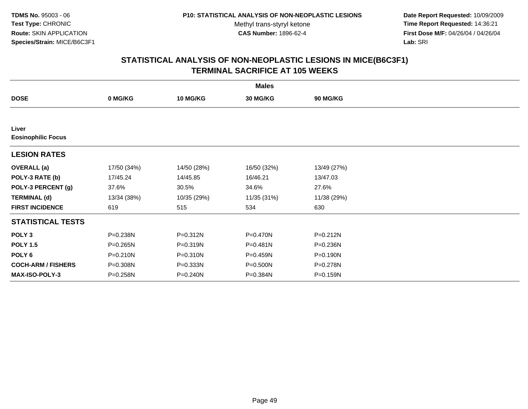**Date Report Requested:** 10/09/2009 **Time Report Requested:** 14:36:21 **First Dose M/F:** 04/26/04 / 04/26/04 Lab: SRI **Lab:** SRI

| <b>Males</b>                       |             |                 |             |                 |  |  |  |
|------------------------------------|-------------|-----------------|-------------|-----------------|--|--|--|
| <b>DOSE</b>                        | 0 MG/KG     | <b>10 MG/KG</b> | 30 MG/KG    | <b>90 MG/KG</b> |  |  |  |
|                                    |             |                 |             |                 |  |  |  |
| Liver<br><b>Eosinophilic Focus</b> |             |                 |             |                 |  |  |  |
| <b>LESION RATES</b>                |             |                 |             |                 |  |  |  |
| <b>OVERALL</b> (a)                 | 17/50 (34%) | 14/50 (28%)     | 16/50 (32%) | 13/49 (27%)     |  |  |  |
| POLY-3 RATE (b)                    | 17/45.24    | 14/45.85        | 16/46.21    | 13/47.03        |  |  |  |
| POLY-3 PERCENT (g)                 | 37.6%       | 30.5%           | 34.6%       | 27.6%           |  |  |  |
| <b>TERMINAL (d)</b>                | 13/34 (38%) | 10/35 (29%)     | 11/35 (31%) | 11/38 (29%)     |  |  |  |
| <b>FIRST INCIDENCE</b>             | 619         | 515             | 534         | 630             |  |  |  |
| <b>STATISTICAL TESTS</b>           |             |                 |             |                 |  |  |  |
| POLY <sub>3</sub>                  | P=0.238N    | P=0.312N        | P=0.470N    | P=0.212N        |  |  |  |
| <b>POLY 1.5</b>                    | P=0.265N    | P=0.319N        | P=0.481N    | P=0.236N        |  |  |  |
| POLY 6                             | P=0.210N    | P=0.310N        | P=0.459N    | P=0.190N        |  |  |  |
| <b>COCH-ARM / FISHERS</b>          | P=0.308N    | P=0.333N        | P=0.500N    | P=0.278N        |  |  |  |
| <b>MAX-ISO-POLY-3</b>              | P=0.258N    | P=0.240N        | P=0.384N    | P=0.159N        |  |  |  |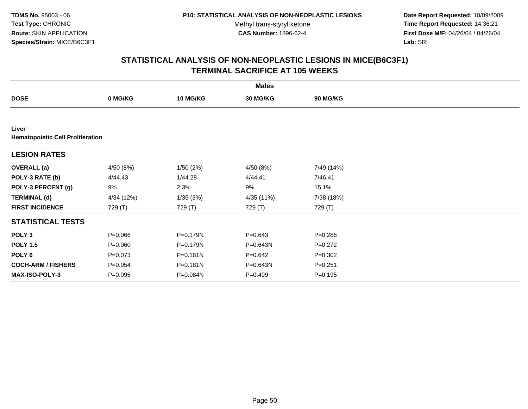**Date Report Requested:** 10/09/2009 **Time Report Requested:** 14:36:21 **First Dose M/F:** 04/26/04 / 04/26/04 Lab: SRI **Lab:** SRI

|                                                  |             |                 | <b>Males</b> |                 |  |
|--------------------------------------------------|-------------|-----------------|--------------|-----------------|--|
| <b>DOSE</b>                                      | 0 MG/KG     | <b>10 MG/KG</b> | 30 MG/KG     | <b>90 MG/KG</b> |  |
|                                                  |             |                 |              |                 |  |
| Liver<br><b>Hematopoietic Cell Proliferation</b> |             |                 |              |                 |  |
| <b>LESION RATES</b>                              |             |                 |              |                 |  |
| <b>OVERALL</b> (a)                               | 4/50 (8%)   | 1/50(2%)        | 4/50 (8%)    | 7/49 (14%)      |  |
| POLY-3 RATE (b)                                  | 4/44.43     | 1/44.28         | 4/44.41      | 7/46.41         |  |
| POLY-3 PERCENT (g)                               | 9%          | 2.3%            | 9%           | 15.1%           |  |
| <b>TERMINAL (d)</b>                              | 4/34 (12%)  | 1/35(3%)        | 4/35 (11%)   | 7/38 (18%)      |  |
| <b>FIRST INCIDENCE</b>                           | 729 (T)     | 729 (T)         | 729 (T)      | 729 (T)         |  |
| <b>STATISTICAL TESTS</b>                         |             |                 |              |                 |  |
| POLY <sub>3</sub>                                | $P = 0.066$ | P=0.179N        | $P = 0.643$  | $P = 0.286$     |  |
| <b>POLY 1.5</b>                                  | $P = 0.060$ | P=0.179N        | P=0.643N     | $P=0.272$       |  |
| POLY <sub>6</sub>                                | $P = 0.073$ | $P = 0.181N$    | $P = 0.642$  | $P = 0.302$     |  |
| <b>COCH-ARM / FISHERS</b>                        | $P = 0.054$ | $P = 0.181N$    | P=0.643N     | $P = 0.251$     |  |
| <b>MAX-ISO-POLY-3</b>                            | $P = 0.095$ | P=0.084N        | $P=0.499$    | $P = 0.195$     |  |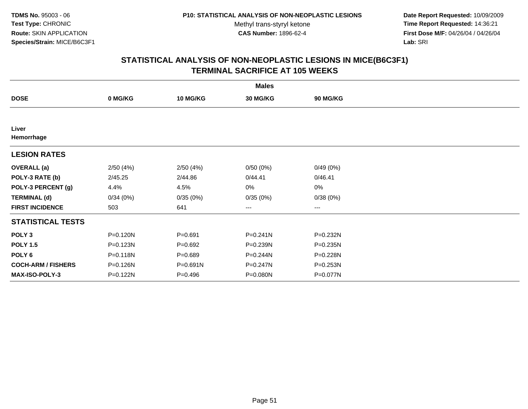**Date Report Requested:** 10/09/2009 **Time Report Requested:** 14:36:21 **First Dose M/F:** 04/26/04 / 04/26/04 Lab: SRI **Lab:** SRI

|                           |              |                 | <b>Males</b> |          |  |
|---------------------------|--------------|-----------------|--------------|----------|--|
| <b>DOSE</b>               | 0 MG/KG      | <b>10 MG/KG</b> | 30 MG/KG     | 90 MG/KG |  |
|                           |              |                 |              |          |  |
| Liver<br>Hemorrhage       |              |                 |              |          |  |
| <b>LESION RATES</b>       |              |                 |              |          |  |
| <b>OVERALL</b> (a)        | 2/50(4%)     | 2/50(4%)        | 0/50(0%)     | 0/49(0%) |  |
| POLY-3 RATE (b)           | 2/45.25      | 2/44.86         | 0/44.41      | 0/46.41  |  |
| POLY-3 PERCENT (g)        | 4.4%         | 4.5%            | 0%           | 0%       |  |
| <b>TERMINAL (d)</b>       | 0/34(0%)     | 0/35(0%)        | 0/35(0%)     | 0/38(0%) |  |
| <b>FIRST INCIDENCE</b>    | 503          | 641             | ---          | $--$     |  |
| <b>STATISTICAL TESTS</b>  |              |                 |              |          |  |
| POLY <sub>3</sub>         | P=0.120N     | $P = 0.691$     | $P = 0.241N$ | P=0.232N |  |
| <b>POLY 1.5</b>           | P=0.123N     | $P = 0.692$     | P=0.239N     | P=0.235N |  |
| POLY <sub>6</sub>         | $P = 0.118N$ | $P = 0.689$     | P=0.244N     | P=0.228N |  |
| <b>COCH-ARM / FISHERS</b> | P=0.126N     | P=0.691N        | P=0.247N     | P=0.253N |  |
| MAX-ISO-POLY-3            | P=0.122N     | $P = 0.496$     | P=0.080N     | P=0.077N |  |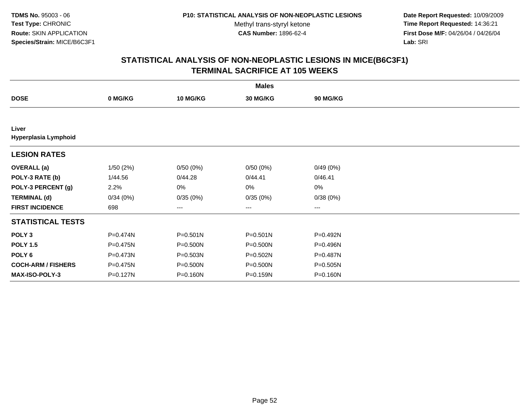**Date Report Requested:** 10/09/2009 **Time Report Requested:** 14:36:21 **First Dose M/F:** 04/26/04 / 04/26/04 Lab: SRI **Lab:** SRI

|                               | <b>Males</b> |              |                   |                 |  |  |  |  |
|-------------------------------|--------------|--------------|-------------------|-----------------|--|--|--|--|
| <b>DOSE</b>                   | 0 MG/KG      | 10 MG/KG     | 30 MG/KG          | <b>90 MG/KG</b> |  |  |  |  |
|                               |              |              |                   |                 |  |  |  |  |
| Liver<br>Hyperplasia Lymphoid |              |              |                   |                 |  |  |  |  |
| <b>LESION RATES</b>           |              |              |                   |                 |  |  |  |  |
| <b>OVERALL</b> (a)            | 1/50(2%)     | 0/50(0%)     | 0/50(0%)          | 0/49(0%)        |  |  |  |  |
| POLY-3 RATE (b)               | 1/44.56      | 0/44.28      | 0/44.41           | 0/46.41         |  |  |  |  |
| POLY-3 PERCENT (g)            | 2.2%         | 0%           | $0\%$             | $0\%$           |  |  |  |  |
| <b>TERMINAL (d)</b>           | 0/34(0%)     | 0/35(0%)     | 0/35(0%)          | 0/38(0%)        |  |  |  |  |
| <b>FIRST INCIDENCE</b>        | 698          | ---          | $\qquad \qquad -$ | $---$           |  |  |  |  |
| <b>STATISTICAL TESTS</b>      |              |              |                   |                 |  |  |  |  |
| POLY <sub>3</sub>             | P=0.474N     | $P = 0.501N$ | $P = 0.501N$      | P=0.492N        |  |  |  |  |
| <b>POLY 1.5</b>               | P=0.475N     | $P = 0.500N$ | $P = 0.500N$      | P=0.496N        |  |  |  |  |
| POLY 6                        | P=0.473N     | P=0.503N     | P=0.502N          | P=0.487N        |  |  |  |  |
| <b>COCH-ARM / FISHERS</b>     | P=0.475N     | P=0.500N     | P=0.500N          | P=0.505N        |  |  |  |  |
| <b>MAX-ISO-POLY-3</b>         | P=0.127N     | P=0.160N     | P=0.159N          | P=0.160N        |  |  |  |  |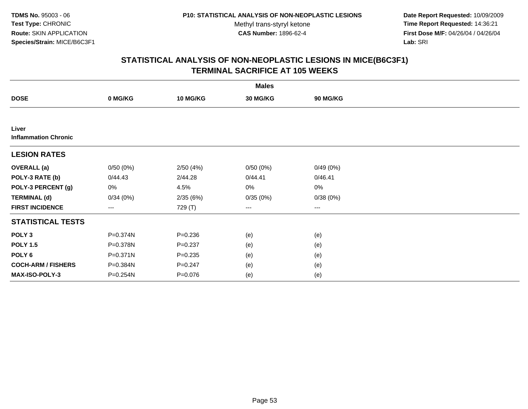**Date Report Requested:** 10/09/2009 **Time Report Requested:** 14:36:21 **First Dose M/F:** 04/26/04 / 04/26/04 Lab: SRI **Lab:** SRI

| <b>Males</b>                         |              |                 |                        |                 |  |  |  |
|--------------------------------------|--------------|-----------------|------------------------|-----------------|--|--|--|
| <b>DOSE</b>                          | 0 MG/KG      | <b>10 MG/KG</b> | 30 MG/KG               | <b>90 MG/KG</b> |  |  |  |
|                                      |              |                 |                        |                 |  |  |  |
| Liver<br><b>Inflammation Chronic</b> |              |                 |                        |                 |  |  |  |
| <b>LESION RATES</b>                  |              |                 |                        |                 |  |  |  |
| <b>OVERALL</b> (a)                   | 0/50(0%)     | 2/50(4%)        | 0/50(0%)               | 0/49(0%)        |  |  |  |
| POLY-3 RATE (b)                      | 0/44.43      | 2/44.28         | 0/44.41                | 0/46.41         |  |  |  |
| POLY-3 PERCENT (g)                   | 0%           | 4.5%            | 0%                     | $0\%$           |  |  |  |
| <b>TERMINAL (d)</b>                  | 0/34(0%)     | 2/35(6%)        | 0/35(0%)               | 0/38(0%)        |  |  |  |
| <b>FIRST INCIDENCE</b>               | ---          | 729 (T)         | $\qquad \qquad \cdots$ | ---             |  |  |  |
| <b>STATISTICAL TESTS</b>             |              |                 |                        |                 |  |  |  |
| POLY <sub>3</sub>                    | P=0.374N     | $P = 0.236$     | (e)                    | (e)             |  |  |  |
| <b>POLY 1.5</b>                      | P=0.378N     | $P = 0.237$     | (e)                    | (e)             |  |  |  |
| POLY <sub>6</sub>                    | $P = 0.371N$ | $P = 0.235$     | (e)                    | (e)             |  |  |  |
| <b>COCH-ARM / FISHERS</b>            | P=0.384N     | $P = 0.247$     | (e)                    | (e)             |  |  |  |
| <b>MAX-ISO-POLY-3</b>                | P=0.254N     | $P = 0.076$     | (e)                    | (e)             |  |  |  |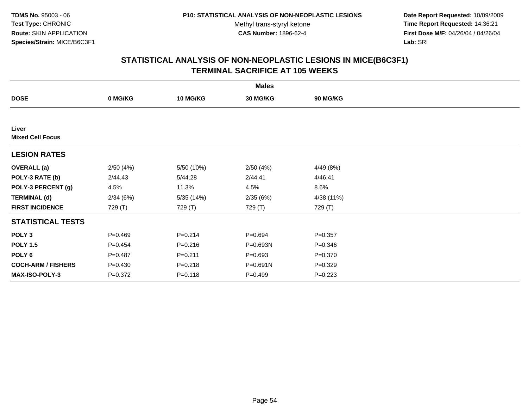**Date Report Requested:** 10/09/2009 **Time Report Requested:** 14:36:21 **First Dose M/F:** 04/26/04 / 04/26/04 Lab: SRI **Lab:** SRI

|                                  |             |             | <b>Males</b> |                 |  |
|----------------------------------|-------------|-------------|--------------|-----------------|--|
| <b>DOSE</b>                      | 0 MG/KG     | 10 MG/KG    | 30 MG/KG     | <b>90 MG/KG</b> |  |
|                                  |             |             |              |                 |  |
| Liver<br><b>Mixed Cell Focus</b> |             |             |              |                 |  |
| <b>LESION RATES</b>              |             |             |              |                 |  |
| <b>OVERALL (a)</b>               | 2/50(4%)    | 5/50 (10%)  | 2/50(4%)     | 4/49 (8%)       |  |
| POLY-3 RATE (b)                  | 2/44.43     | 5/44.28     | 2/44.41      | 4/46.41         |  |
| POLY-3 PERCENT (g)               | 4.5%        | 11.3%       | 4.5%         | 8.6%            |  |
| <b>TERMINAL (d)</b>              | 2/34(6%)    | 5/35(14%)   | 2/35(6%)     | 4/38 (11%)      |  |
| <b>FIRST INCIDENCE</b>           | 729 (T)     | 729 (T)     | 729 (T)      | 729 (T)         |  |
| <b>STATISTICAL TESTS</b>         |             |             |              |                 |  |
| POLY <sub>3</sub>                | $P=0.469$   | $P = 0.214$ | $P = 0.694$  | $P = 0.357$     |  |
| <b>POLY 1.5</b>                  | $P=0.454$   | $P = 0.216$ | P=0.693N     | $P = 0.346$     |  |
| POLY 6                           | $P=0.487$   | $P = 0.211$ | $P = 0.693$  | $P = 0.370$     |  |
| <b>COCH-ARM / FISHERS</b>        | $P = 0.430$ | $P = 0.218$ | $P = 0.691N$ | $P = 0.329$     |  |
| <b>MAX-ISO-POLY-3</b>            | $P = 0.372$ | $P = 0.118$ | $P = 0.499$  | $P=0.223$       |  |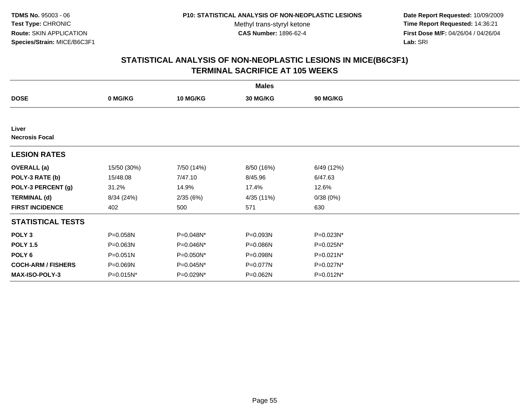**Date Report Requested:** 10/09/2009 **Time Report Requested:** 14:36:21 **First Dose M/F:** 04/26/04 / 04/26/04 Lab: SRI **Lab:** SRI

|                                |              |                 | <b>Males</b> |                 |  |
|--------------------------------|--------------|-----------------|--------------|-----------------|--|
| <b>DOSE</b>                    | 0 MG/KG      | <b>10 MG/KG</b> | 30 MG/KG     | <b>90 MG/KG</b> |  |
|                                |              |                 |              |                 |  |
| Liver<br><b>Necrosis Focal</b> |              |                 |              |                 |  |
| <b>LESION RATES</b>            |              |                 |              |                 |  |
| <b>OVERALL</b> (a)             | 15/50 (30%)  | 7/50 (14%)      | 8/50 (16%)   | 6/49 (12%)      |  |
| POLY-3 RATE (b)                | 15/48.08     | 7/47.10         | 8/45.96      | 6/47.63         |  |
| POLY-3 PERCENT (g)             | 31.2%        | 14.9%           | 17.4%        | 12.6%           |  |
| <b>TERMINAL (d)</b>            | 8/34 (24%)   | 2/35(6%)        | 4/35 (11%)   | 0/38(0%)        |  |
| <b>FIRST INCIDENCE</b>         | 402          | 500             | 571          | 630             |  |
| <b>STATISTICAL TESTS</b>       |              |                 |              |                 |  |
| POLY <sub>3</sub>              | P=0.058N     | P=0.048N*       | P=0.093N     | P=0.023N*       |  |
| <b>POLY 1.5</b>                | P=0.063N     | P=0.046N*       | P=0.086N     | P=0.025N*       |  |
| POLY 6                         | $P = 0.051N$ | P=0.050N*       | P=0.098N     | P=0.021N*       |  |
| <b>COCH-ARM / FISHERS</b>      | P=0.069N     | P=0.045N*       | P=0.077N     | P=0.027N*       |  |
| <b>MAX-ISO-POLY-3</b>          | P=0.015N*    | P=0.029N*       | P=0.062N     | P=0.012N*       |  |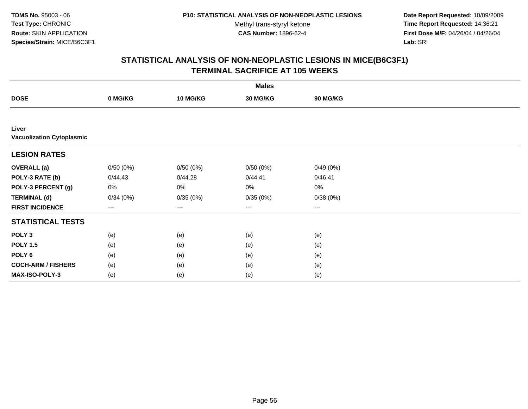**Date Report Requested:** 10/09/2009 **Time Report Requested:** 14:36:21 **First Dose M/F:** 04/26/04 / 04/26/04 Lab: SRI **Lab:** SRI

|                                           | <b>Males</b> |                 |                   |          |  |  |  |  |
|-------------------------------------------|--------------|-----------------|-------------------|----------|--|--|--|--|
| <b>DOSE</b>                               | 0 MG/KG      | <b>10 MG/KG</b> | 30 MG/KG          | 90 MG/KG |  |  |  |  |
|                                           |              |                 |                   |          |  |  |  |  |
| Liver<br><b>Vacuolization Cytoplasmic</b> |              |                 |                   |          |  |  |  |  |
| <b>LESION RATES</b>                       |              |                 |                   |          |  |  |  |  |
| <b>OVERALL</b> (a)                        | 0/50(0%)     | 0/50(0%)        | 0/50(0%)          | 0/49(0%) |  |  |  |  |
| POLY-3 RATE (b)                           | 0/44.43      | 0/44.28         | 0/44.41           | 0/46.41  |  |  |  |  |
| POLY-3 PERCENT (g)                        | 0%           | 0%              | 0%                | $0\%$    |  |  |  |  |
| <b>TERMINAL (d)</b>                       | 0/34(0%)     | 0/35(0%)        | 0/35(0%)          | 0/38(0%) |  |  |  |  |
| <b>FIRST INCIDENCE</b>                    | $---$        | $--$            | $\qquad \qquad -$ | $\cdots$ |  |  |  |  |
| <b>STATISTICAL TESTS</b>                  |              |                 |                   |          |  |  |  |  |
| POLY <sub>3</sub>                         | (e)          | (e)             | (e)               | (e)      |  |  |  |  |
| <b>POLY 1.5</b>                           | (e)          | (e)             | (e)               | (e)      |  |  |  |  |
| POLY 6                                    | (e)          | (e)             | (e)               | (e)      |  |  |  |  |
| <b>COCH-ARM / FISHERS</b>                 | (e)          | (e)             | (e)               | (e)      |  |  |  |  |
| MAX-ISO-POLY-3                            | (e)          | (e)             | (e)               | (e)      |  |  |  |  |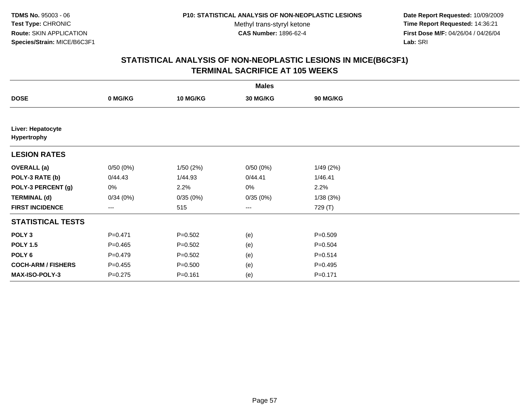**Date Report Requested:** 10/09/2009 **Time Report Requested:** 14:36:21 **First Dose M/F:** 04/26/04 / 04/26/04 Lab: SRI **Lab:** SRI

|                                  |             |             | <b>Males</b> |                 |  |
|----------------------------------|-------------|-------------|--------------|-----------------|--|
| <b>DOSE</b>                      | 0 MG/KG     | 10 MG/KG    | 30 MG/KG     | <b>90 MG/KG</b> |  |
|                                  |             |             |              |                 |  |
| Liver: Hepatocyte<br>Hypertrophy |             |             |              |                 |  |
| <b>LESION RATES</b>              |             |             |              |                 |  |
| <b>OVERALL</b> (a)               | 0/50(0%)    | 1/50(2%)    | 0/50(0%)     | 1/49(2%)        |  |
| POLY-3 RATE (b)                  | 0/44.43     | 1/44.93     | 0/44.41      | 1/46.41         |  |
| POLY-3 PERCENT (g)               | 0%          | 2.2%        | 0%           | 2.2%            |  |
| <b>TERMINAL (d)</b>              | 0/34(0%)    | 0/35(0%)    | 0/35(0%)     | 1/38(3%)        |  |
| <b>FIRST INCIDENCE</b>           | ---         | 515         | $\cdots$     | 729 (T)         |  |
| <b>STATISTICAL TESTS</b>         |             |             |              |                 |  |
| POLY <sub>3</sub>                | $P=0.471$   | $P = 0.502$ | (e)          | $P = 0.509$     |  |
| <b>POLY 1.5</b>                  | $P=0.465$   | $P = 0.502$ | (e)          | $P = 0.504$     |  |
| POLY <sub>6</sub>                | $P=0.479$   | $P = 0.502$ | (e)          | $P = 0.514$     |  |
| <b>COCH-ARM / FISHERS</b>        | $P=0.455$   | $P = 0.500$ | (e)          | $P=0.495$       |  |
| MAX-ISO-POLY-3                   | $P = 0.275$ | $P = 0.161$ | (e)          | $P = 0.171$     |  |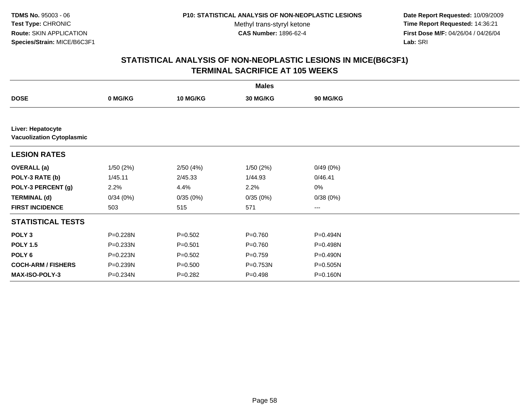**Date Report Requested:** 10/09/2009 **Time Report Requested:** 14:36:21 **First Dose M/F:** 04/26/04 / 04/26/04 Lab: SRI **Lab:** SRI

|                                                       |          |                 | <b>Males</b> |                 |  |
|-------------------------------------------------------|----------|-----------------|--------------|-----------------|--|
| <b>DOSE</b>                                           | 0 MG/KG  | <b>10 MG/KG</b> | 30 MG/KG     | <b>90 MG/KG</b> |  |
|                                                       |          |                 |              |                 |  |
| Liver: Hepatocyte<br><b>Vacuolization Cytoplasmic</b> |          |                 |              |                 |  |
| <b>LESION RATES</b>                                   |          |                 |              |                 |  |
| <b>OVERALL (a)</b>                                    | 1/50(2%) | 2/50(4%)        | 1/50(2%)     | 0/49(0%)        |  |
| POLY-3 RATE (b)                                       | 1/45.11  | 2/45.33         | 1/44.93      | 0/46.41         |  |
| POLY-3 PERCENT (g)                                    | 2.2%     | 4.4%            | 2.2%         | 0%              |  |
| <b>TERMINAL (d)</b>                                   | 0/34(0%) | 0/35(0%)        | 0/35(0%)     | 0/38(0%)        |  |
| <b>FIRST INCIDENCE</b>                                | 503      | 515             | 571          | ---             |  |
| <b>STATISTICAL TESTS</b>                              |          |                 |              |                 |  |
| POLY <sub>3</sub>                                     | P=0.228N | $P = 0.502$     | $P = 0.760$  | P=0.494N        |  |
| <b>POLY 1.5</b>                                       | P=0.233N | $P = 0.501$     | $P = 0.760$  | P=0.498N        |  |
| POLY 6                                                | P=0.223N | $P=0.502$       | $P=0.759$    | P=0.490N        |  |
| <b>COCH-ARM / FISHERS</b>                             | P=0.239N | $P = 0.500$     | P=0.753N     | $P = 0.505N$    |  |
| <b>MAX-ISO-POLY-3</b>                                 | P=0.234N | $P = 0.282$     | $P=0.498$    | P=0.160N        |  |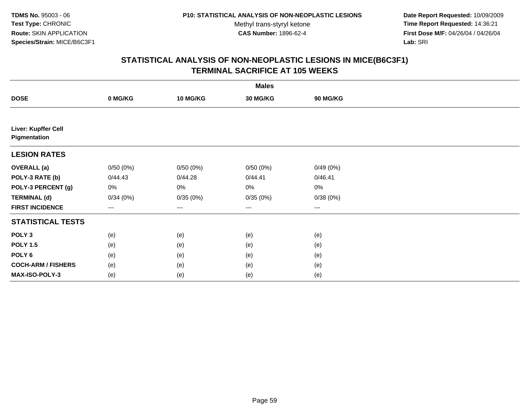**Date Report Requested:** 10/09/2009 **Time Report Requested:** 14:36:21 **First Dose M/F:** 04/26/04 / 04/26/04 Lab: SRI **Lab:** SRI

|                                     | <b>Males</b> |                 |          |          |  |  |  |  |
|-------------------------------------|--------------|-----------------|----------|----------|--|--|--|--|
| <b>DOSE</b>                         | 0 MG/KG      | <b>10 MG/KG</b> | 30 MG/KG | 90 MG/KG |  |  |  |  |
|                                     |              |                 |          |          |  |  |  |  |
| Liver: Kupffer Cell<br>Pigmentation |              |                 |          |          |  |  |  |  |
| <b>LESION RATES</b>                 |              |                 |          |          |  |  |  |  |
| <b>OVERALL</b> (a)                  | 0/50(0%)     | 0/50(0%)        | 0/50(0%) | 0/49(0%) |  |  |  |  |
| POLY-3 RATE (b)                     | 0/44.43      | 0/44.28         | 0/44.41  | 0/46.41  |  |  |  |  |
| POLY-3 PERCENT (g)                  | 0%           | 0%              | 0%       | $0\%$    |  |  |  |  |
| <b>TERMINAL (d)</b>                 | 0/34(0%)     | 0/35(0%)        | 0/35(0%) | 0/38(0%) |  |  |  |  |
| <b>FIRST INCIDENCE</b>              | $---$        | $\cdots$        | $\cdots$ | $\cdots$ |  |  |  |  |
| <b>STATISTICAL TESTS</b>            |              |                 |          |          |  |  |  |  |
| POLY <sub>3</sub>                   | (e)          | (e)             | (e)      | (e)      |  |  |  |  |
| <b>POLY 1.5</b>                     | (e)          | (e)             | (e)      | (e)      |  |  |  |  |
| POLY 6                              | (e)          | (e)             | (e)      | (e)      |  |  |  |  |
| <b>COCH-ARM / FISHERS</b>           | (e)          | (e)             | (e)      | (e)      |  |  |  |  |
| MAX-ISO-POLY-3                      | (e)          | (e)             | (e)      | (e)      |  |  |  |  |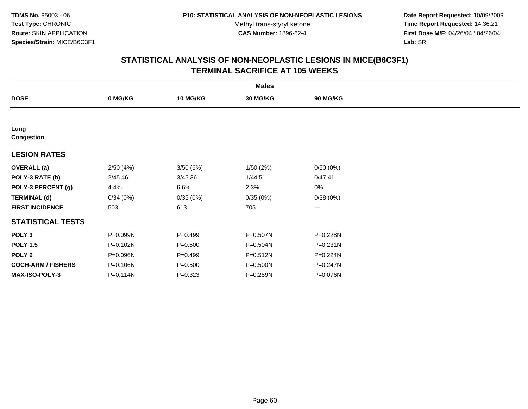**Date Report Requested:** 10/09/2009 **Time Report Requested:** 14:36:21 **First Dose M/F:** 04/26/04 / 04/26/04 Lab: SRI **Lab:** SRI

|                           |          |                 | <b>Males</b> |                        |  |
|---------------------------|----------|-----------------|--------------|------------------------|--|
| <b>DOSE</b>               | 0 MG/KG  | <b>10 MG/KG</b> | 30 MG/KG     | 90 MG/KG               |  |
|                           |          |                 |              |                        |  |
| Lung<br>Congestion        |          |                 |              |                        |  |
| <b>LESION RATES</b>       |          |                 |              |                        |  |
| <b>OVERALL</b> (a)        | 2/50(4%) | 3/50(6%)        | 1/50(2%)     | 0/50(0%)               |  |
| POLY-3 RATE (b)           | 2/45.46  | 3/45.36         | 1/44.51      | 0/47.41                |  |
| POLY-3 PERCENT (g)        | 4.4%     | 6.6%            | 2.3%         | 0%                     |  |
| <b>TERMINAL (d)</b>       | 0/34(0%) | 0/35(0%)        | 0/35(0%)     | 0/38(0%)               |  |
| <b>FIRST INCIDENCE</b>    | 503      | 613             | 705          | $\qquad \qquad \cdots$ |  |
| <b>STATISTICAL TESTS</b>  |          |                 |              |                        |  |
| POLY <sub>3</sub>         | P=0.099N | $P=0.499$       | P=0.507N     | P=0.228N               |  |
| <b>POLY 1.5</b>           | P=0.102N | $P = 0.500$     | P=0.504N     | $P = 0.231N$           |  |
| POLY <sub>6</sub>         | P=0.096N | $P=0.499$       | P=0.512N     | P=0.224N               |  |
| <b>COCH-ARM / FISHERS</b> | P=0.106N | $P = 0.500$     | P=0.500N     | P=0.247N               |  |
| <b>MAX-ISO-POLY-3</b>     | P=0.114N | $P = 0.323$     | P=0.289N     | P=0.076N               |  |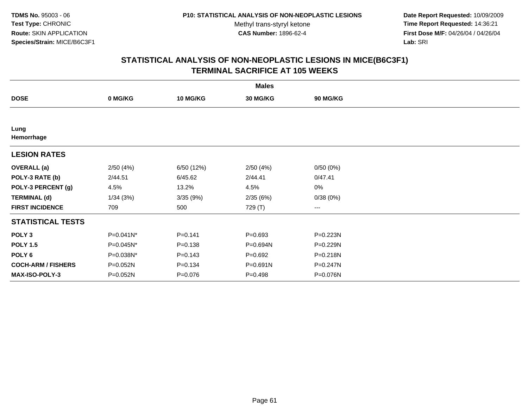**Date Report Requested:** 10/09/2009 **Time Report Requested:** 14:36:21 **First Dose M/F:** 04/26/04 / 04/26/04 Lab: SRI **Lab:** SRI

|                           |           |                 | <b>Males</b>    |                        |  |
|---------------------------|-----------|-----------------|-----------------|------------------------|--|
| <b>DOSE</b>               | 0 MG/KG   | <b>10 MG/KG</b> | <b>30 MG/KG</b> | 90 MG/KG               |  |
|                           |           |                 |                 |                        |  |
| Lung<br>Hemorrhage        |           |                 |                 |                        |  |
| <b>LESION RATES</b>       |           |                 |                 |                        |  |
| <b>OVERALL</b> (a)        | 2/50(4%)  | 6/50 (12%)      | 2/50(4%)        | 0/50(0%)               |  |
| POLY-3 RATE (b)           | 2/44.51   | 6/45.62         | 2/44.41         | 0/47.41                |  |
| POLY-3 PERCENT (g)        | 4.5%      | 13.2%           | 4.5%            | 0%                     |  |
| <b>TERMINAL (d)</b>       | 1/34(3%)  | 3/35(9%)        | 2/35(6%)        | 0/38(0%)               |  |
| <b>FIRST INCIDENCE</b>    | 709       | 500             | 729 (T)         | $\qquad \qquad \cdots$ |  |
| <b>STATISTICAL TESTS</b>  |           |                 |                 |                        |  |
| POLY <sub>3</sub>         | P=0.041N* | $P = 0.141$     | $P=0.693$       | P=0.223N               |  |
| <b>POLY 1.5</b>           | P=0.045N* | $P = 0.138$     | P=0.694N        | P=0.229N               |  |
| POLY 6                    | P=0.038N* | $P=0.143$       | $P=0.692$       | $P = 0.218N$           |  |
| <b>COCH-ARM / FISHERS</b> | P=0.052N  | $P = 0.134$     | P=0.691N        | P=0.247N               |  |
| MAX-ISO-POLY-3            | P=0.052N  | $P = 0.076$     | $P = 0.498$     | P=0.076N               |  |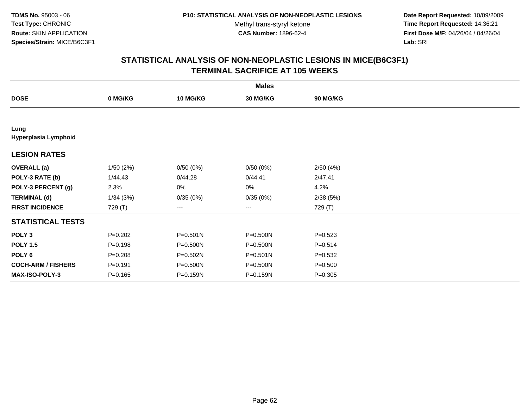**Date Report Requested:** 10/09/2009 **Time Report Requested:** 14:36:21 **First Dose M/F:** 04/26/04 / 04/26/04 Lab: SRI **Lab:** SRI

|                              |             |                 | <b>Males</b>      |                 |  |
|------------------------------|-------------|-----------------|-------------------|-----------------|--|
| <b>DOSE</b>                  | 0 MG/KG     | <b>10 MG/KG</b> | 30 MG/KG          | <b>90 MG/KG</b> |  |
|                              |             |                 |                   |                 |  |
| Lung<br>Hyperplasia Lymphoid |             |                 |                   |                 |  |
| <b>LESION RATES</b>          |             |                 |                   |                 |  |
| <b>OVERALL</b> (a)           | 1/50(2%)    | 0/50(0%)        | 0/50(0%)          | 2/50(4%)        |  |
| POLY-3 RATE (b)              | 1/44.43     | 0/44.28         | 0/44.41           | 2/47.41         |  |
| POLY-3 PERCENT (g)           | 2.3%        | 0%              | 0%                | 4.2%            |  |
| <b>TERMINAL (d)</b>          | 1/34(3%)    | 0/35(0%)        | 0/35(0%)          | 2/38(5%)        |  |
| <b>FIRST INCIDENCE</b>       | 729 (T)     | $---$           | $\qquad \qquad -$ | 729 (T)         |  |
| <b>STATISTICAL TESTS</b>     |             |                 |                   |                 |  |
| POLY <sub>3</sub>            | $P = 0.202$ | P=0.501N        | P=0.500N          | $P = 0.523$     |  |
| <b>POLY 1.5</b>              | $P = 0.198$ | P=0.500N        | P=0.500N          | $P = 0.514$     |  |
| POLY <sub>6</sub>            | $P = 0.208$ | P=0.502N        | $P = 0.501N$      | $P = 0.532$     |  |
| <b>COCH-ARM / FISHERS</b>    | $P = 0.191$ | P=0.500N        | P=0.500N          | $P = 0.500$     |  |
| <b>MAX-ISO-POLY-3</b>        | $P = 0.165$ | P=0.159N        | P=0.159N          | $P = 0.305$     |  |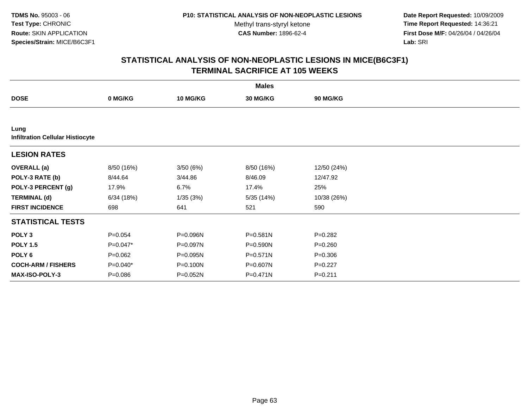**Date Report Requested:** 10/09/2009 **Time Report Requested:** 14:36:21 **First Dose M/F:** 04/26/04 / 04/26/04 Lab: SRI **Lab:** SRI

|                                                 |             |                 | <b>Males</b> |                 |  |
|-------------------------------------------------|-------------|-----------------|--------------|-----------------|--|
| <b>DOSE</b>                                     | 0 MG/KG     | <b>10 MG/KG</b> | 30 MG/KG     | <b>90 MG/KG</b> |  |
|                                                 |             |                 |              |                 |  |
| Lung<br><b>Infiltration Cellular Histiocyte</b> |             |                 |              |                 |  |
| <b>LESION RATES</b>                             |             |                 |              |                 |  |
| <b>OVERALL</b> (a)                              | 8/50 (16%)  | 3/50 (6%)       | 8/50 (16%)   | 12/50 (24%)     |  |
| POLY-3 RATE (b)                                 | 8/44.64     | 3/44.86         | 8/46.09      | 12/47.92        |  |
| POLY-3 PERCENT (g)                              | 17.9%       | 6.7%            | 17.4%        | 25%             |  |
| <b>TERMINAL (d)</b>                             | 6/34(18%)   | 1/35(3%)        | 5/35(14%)    | 10/38 (26%)     |  |
| <b>FIRST INCIDENCE</b>                          | 698         | 641             | 521          | 590             |  |
| <b>STATISTICAL TESTS</b>                        |             |                 |              |                 |  |
| POLY <sub>3</sub>                               | $P = 0.054$ | P=0.096N        | P=0.581N     | $P = 0.282$     |  |
| <b>POLY 1.5</b>                                 | $P=0.047*$  | P=0.097N        | $P = 0.590N$ | $P = 0.260$     |  |
| POLY 6                                          | $P=0.062$   | P=0.095N        | $P = 0.571N$ | $P = 0.306$     |  |
| <b>COCH-ARM / FISHERS</b>                       | $P=0.040*$  | P=0.100N        | P=0.607N     | $P=0.227$       |  |
| MAX-ISO-POLY-3                                  | $P = 0.086$ | P=0.052N        | $P = 0.471N$ | $P = 0.211$     |  |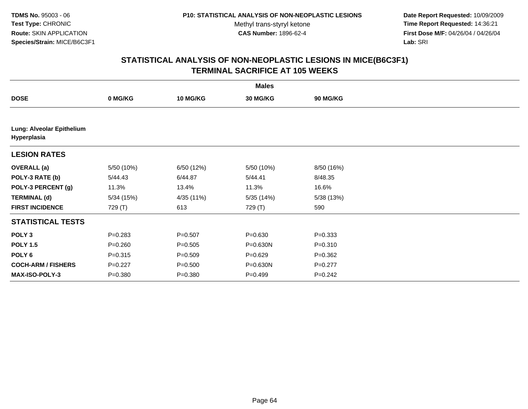**Date Report Requested:** 10/09/2009 **Time Report Requested:** 14:36:21 **First Dose M/F:** 04/26/04 / 04/26/04 Lab: SRI **Lab:** SRI

|                                          |             |                 | <b>Males</b> |                 |  |
|------------------------------------------|-------------|-----------------|--------------|-----------------|--|
| <b>DOSE</b>                              | 0 MG/KG     | <b>10 MG/KG</b> | 30 MG/KG     | <b>90 MG/KG</b> |  |
|                                          |             |                 |              |                 |  |
| Lung: Alveolar Epithelium<br>Hyperplasia |             |                 |              |                 |  |
| <b>LESION RATES</b>                      |             |                 |              |                 |  |
| <b>OVERALL</b> (a)                       | 5/50 (10%)  | 6/50 (12%)      | 5/50 (10%)   | 8/50 (16%)      |  |
| POLY-3 RATE (b)                          | 5/44.43     | 6/44.87         | 5/44.41      | 8/48.35         |  |
| POLY-3 PERCENT (g)                       | 11.3%       | 13.4%           | 11.3%        | 16.6%           |  |
| <b>TERMINAL (d)</b>                      | 5/34 (15%)  | 4/35 (11%)      | 5/35(14%)    | 5/38(13%)       |  |
| <b>FIRST INCIDENCE</b>                   | 729 (T)     | 613             | 729 (T)      | 590             |  |
| <b>STATISTICAL TESTS</b>                 |             |                 |              |                 |  |
| POLY <sub>3</sub>                        | $P = 0.283$ | $P = 0.507$     | $P = 0.630$  | $P = 0.333$     |  |
| <b>POLY 1.5</b>                          | $P = 0.260$ | $P = 0.505$     | P=0.630N     | $P = 0.310$     |  |
| POLY <sub>6</sub>                        | $P = 0.315$ | $P = 0.509$     | $P=0.629$    | $P = 0.362$     |  |
| <b>COCH-ARM / FISHERS</b>                | $P=0.227$   | $P = 0.500$     | P=0.630N     | $P=0.277$       |  |
| <b>MAX-ISO-POLY-3</b>                    | $P = 0.380$ | $P = 0.380$     | $P=0.499$    | $P = 0.242$     |  |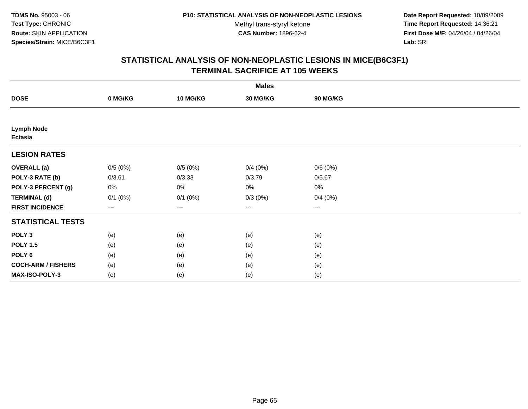**Date Report Requested:** 10/09/2009 **Time Report Requested:** 14:36:21 **First Dose M/F:** 04/26/04 / 04/26/04 Lab: SRI **Lab:** SRI

| <b>Males</b>                 |                          |                   |                 |          |  |  |  |
|------------------------------|--------------------------|-------------------|-----------------|----------|--|--|--|
| <b>DOSE</b>                  | 0 MG/KG                  | <b>10 MG/KG</b>   | <b>30 MG/KG</b> | 90 MG/KG |  |  |  |
|                              |                          |                   |                 |          |  |  |  |
| <b>Lymph Node</b><br>Ectasia |                          |                   |                 |          |  |  |  |
| <b>LESION RATES</b>          |                          |                   |                 |          |  |  |  |
| <b>OVERALL</b> (a)           | 0/5(0%)                  | 0/5(0%)           | 0/4(0%)         | 0/6(0%)  |  |  |  |
| POLY-3 RATE (b)              | 0/3.61                   | 0/3.33            | 0/3.79          | 0/5.67   |  |  |  |
| POLY-3 PERCENT (g)           | 0%                       | $0\%$             | 0%              | 0%       |  |  |  |
| <b>TERMINAL (d)</b>          | $0/1$ $(0%)$             | $0/1$ $(0%)$      | $0/3(0\%)$      | 0/4(0%)  |  |  |  |
| <b>FIRST INCIDENCE</b>       | $\hspace{0.05cm} \ldots$ | $\qquad \qquad -$ | $\cdots$        | $\cdots$ |  |  |  |
| <b>STATISTICAL TESTS</b>     |                          |                   |                 |          |  |  |  |
| POLY <sub>3</sub>            | (e)                      | (e)               | (e)             | (e)      |  |  |  |
| <b>POLY 1.5</b>              | (e)                      | (e)               | (e)             | (e)      |  |  |  |
| POLY <sub>6</sub>            | (e)                      | (e)               | (e)             | (e)      |  |  |  |
| <b>COCH-ARM / FISHERS</b>    | (e)                      | (e)               | (e)             | (e)      |  |  |  |
| MAX-ISO-POLY-3               | (e)                      | (e)               | (e)             | (e)      |  |  |  |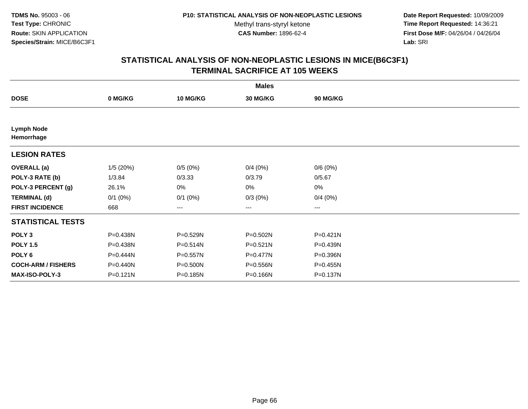**Date Report Requested:** 10/09/2009 **Time Report Requested:** 14:36:21 **First Dose M/F:** 04/26/04 / 04/26/04 Lab: SRI **Lab:** SRI

|                                 |              |                 | <b>Males</b>    |                 |  |
|---------------------------------|--------------|-----------------|-----------------|-----------------|--|
| <b>DOSE</b>                     | 0 MG/KG      | <b>10 MG/KG</b> | <b>30 MG/KG</b> | <b>90 MG/KG</b> |  |
|                                 |              |                 |                 |                 |  |
| <b>Lymph Node</b><br>Hemorrhage |              |                 |                 |                 |  |
| <b>LESION RATES</b>             |              |                 |                 |                 |  |
| <b>OVERALL</b> (a)              | 1/5(20%)     | 0/5(0%)         | 0/4(0%)         | 0/6(0%)         |  |
| POLY-3 RATE (b)                 | 1/3.84       | 0/3.33          | 0/3.79          | 0/5.67          |  |
| POLY-3 PERCENT (g)              | 26.1%        | 0%              | 0%              | 0%              |  |
| <b>TERMINAL (d)</b>             | $0/1$ (0%)   | $0/1$ $(0%)$    | $0/3(0\%)$      | 0/4(0%)         |  |
| <b>FIRST INCIDENCE</b>          | 668          | ---             | $---$           | ---             |  |
| <b>STATISTICAL TESTS</b>        |              |                 |                 |                 |  |
| POLY <sub>3</sub>               | P=0.438N     | P=0.529N        | P=0.502N        | P=0.421N        |  |
| <b>POLY 1.5</b>                 | P=0.438N     | P=0.514N        | $P = 0.521N$    | P=0.439N        |  |
| POLY 6                          | P=0.444N     | P=0.557N        | $P = 0.477N$    | P=0.396N        |  |
| <b>COCH-ARM / FISHERS</b>       | P=0.440N     | P=0.500N        | P=0.556N        | P=0.455N        |  |
| <b>MAX-ISO-POLY-3</b>           | $P = 0.121N$ | P=0.185N        | P=0.166N        | P=0.137N        |  |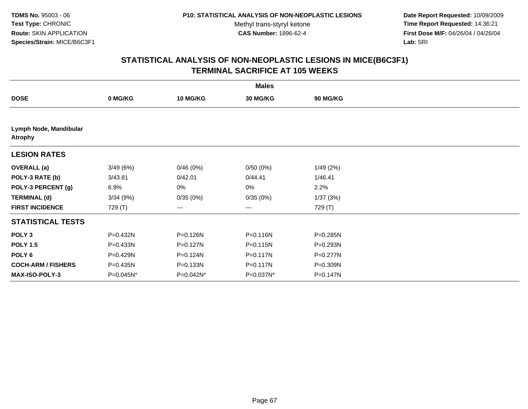**Date Report Requested:** 10/09/2009 **Time Report Requested:** 14:36:21 **First Dose M/F:** 04/26/04 / 04/26/04 Lab: SRI **Lab:** SRI

|                                          |           |                 | <b>Males</b> |          |  |
|------------------------------------------|-----------|-----------------|--------------|----------|--|
| <b>DOSE</b>                              | 0 MG/KG   | <b>10 MG/KG</b> | 30 MG/KG     | 90 MG/KG |  |
|                                          |           |                 |              |          |  |
| Lymph Node, Mandibular<br><b>Atrophy</b> |           |                 |              |          |  |
| <b>LESION RATES</b>                      |           |                 |              |          |  |
| <b>OVERALL (a)</b>                       | 3/49(6%)  | 0/46(0%)        | 0/50(0%)     | 1/49(2%) |  |
| POLY-3 RATE (b)                          | 3/43.81   | 0/42.01         | 0/44.41      | 1/46.41  |  |
| POLY-3 PERCENT (g)                       | 6.9%      | 0%              | 0%           | 2.2%     |  |
| <b>TERMINAL (d)</b>                      | 3/34(9%)  | 0/35(0%)        | 0/35(0%)     | 1/37(3%) |  |
| <b>FIRST INCIDENCE</b>                   | 729 (T)   | $\cdots$        | $\cdots$     | 729 (T)  |  |
| <b>STATISTICAL TESTS</b>                 |           |                 |              |          |  |
| POLY <sub>3</sub>                        | P=0.432N  | P=0.126N        | P=0.116N     | P=0.285N |  |
| <b>POLY 1.5</b>                          | P=0.433N  | P=0.127N        | $P = 0.115N$ | P=0.293N |  |
| POLY 6                                   | P=0.429N  | P=0.124N        | $P = 0.117N$ | P=0.277N |  |
| <b>COCH-ARM / FISHERS</b>                | P=0.435N  | P=0.133N        | P=0.117N     | P=0.309N |  |
| MAX-ISO-POLY-3                           | P=0.045N* | P=0.042N*       | P=0.037N*    | P=0.147N |  |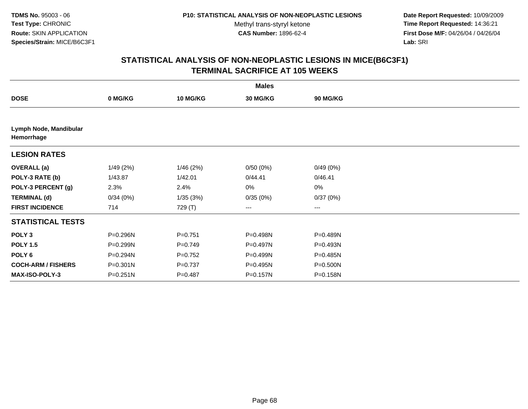**Date Report Requested:** 10/09/2009 **Time Report Requested:** 14:36:21 **First Dose M/F:** 04/26/04 / 04/26/04 Lab: SRI **Lab:** SRI

|                                      |              |                 | <b>Males</b> |          |  |
|--------------------------------------|--------------|-----------------|--------------|----------|--|
| <b>DOSE</b>                          | 0 MG/KG      | <b>10 MG/KG</b> | 30 MG/KG     | 90 MG/KG |  |
|                                      |              |                 |              |          |  |
| Lymph Node, Mandibular<br>Hemorrhage |              |                 |              |          |  |
| <b>LESION RATES</b>                  |              |                 |              |          |  |
| <b>OVERALL</b> (a)                   | 1/49(2%)     | 1/46(2%)        | 0/50(0%)     | 0/49(0%) |  |
| POLY-3 RATE (b)                      | 1/43.87      | 1/42.01         | 0/44.41      | 0/46.41  |  |
| POLY-3 PERCENT (g)                   | 2.3%         | 2.4%            | 0%           | $0\%$    |  |
| <b>TERMINAL (d)</b>                  | 0/34(0%)     | 1/35(3%)        | 0/35(0%)     | 0/37(0%) |  |
| <b>FIRST INCIDENCE</b>               | 714          | 729 (T)         | ---          | ---      |  |
| <b>STATISTICAL TESTS</b>             |              |                 |              |          |  |
| POLY <sub>3</sub>                    | P=0.296N     | $P = 0.751$     | P=0.498N     | P=0.489N |  |
| <b>POLY 1.5</b>                      | P=0.299N     | $P=0.749$       | P=0.497N     | P=0.493N |  |
| POLY 6                               | P=0.294N     | $P=0.752$       | P=0.499N     | P=0.485N |  |
| <b>COCH-ARM / FISHERS</b>            | $P = 0.301N$ | $P = 0.737$     | P=0.495N     | P=0.500N |  |
| MAX-ISO-POLY-3                       | $P = 0.251N$ | $P = 0.487$     | P=0.157N     | P=0.158N |  |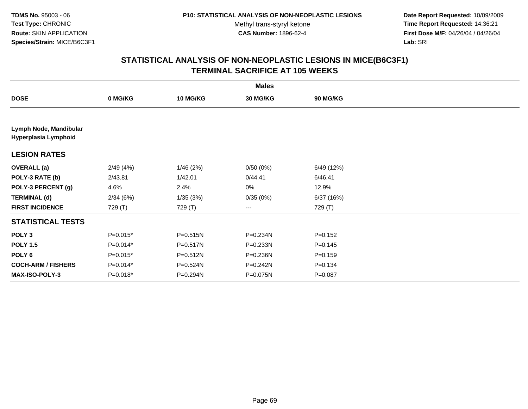**Date Report Requested:** 10/09/2009 **Time Report Requested:** 14:36:21 **First Dose M/F:** 04/26/04 / 04/26/04 Lab: SRI **Lab:** SRI

|                                                |            |              | <b>Males</b> |                 |  |
|------------------------------------------------|------------|--------------|--------------|-----------------|--|
| <b>DOSE</b>                                    | 0 MG/KG    | 10 MG/KG     | 30 MG/KG     | <b>90 MG/KG</b> |  |
|                                                |            |              |              |                 |  |
| Lymph Node, Mandibular<br>Hyperplasia Lymphoid |            |              |              |                 |  |
| <b>LESION RATES</b>                            |            |              |              |                 |  |
| <b>OVERALL</b> (a)                             | 2/49(4%)   | 1/46(2%)     | 0/50(0%)     | 6/49 (12%)      |  |
| POLY-3 RATE (b)                                | 2/43.81    | 1/42.01      | 0/44.41      | 6/46.41         |  |
| POLY-3 PERCENT (g)                             | 4.6%       | 2.4%         | 0%           | 12.9%           |  |
| <b>TERMINAL (d)</b>                            | 2/34(6%)   | 1/35(3%)     | 0/35(0%)     | 6/37 (16%)      |  |
| <b>FIRST INCIDENCE</b>                         | 729 (T)    | 729 (T)      | $\cdots$     | 729 (T)         |  |
| <b>STATISTICAL TESTS</b>                       |            |              |              |                 |  |
| POLY <sub>3</sub>                              | $P=0.015*$ | $P = 0.515N$ | P=0.234N     | $P = 0.152$     |  |
| <b>POLY 1.5</b>                                | $P=0.014*$ | P=0.517N     | $P = 0.233N$ | $P = 0.145$     |  |
| POLY <sub>6</sub>                              | $P=0.015*$ | P=0.512N     | P=0.236N     | $P = 0.159$     |  |
| <b>COCH-ARM / FISHERS</b>                      | $P=0.014*$ | P=0.524N     | $P = 0.242N$ | $P = 0.134$     |  |
| <b>MAX-ISO-POLY-3</b>                          | $P=0.018*$ | P=0.294N     | P=0.075N     | $P = 0.087$     |  |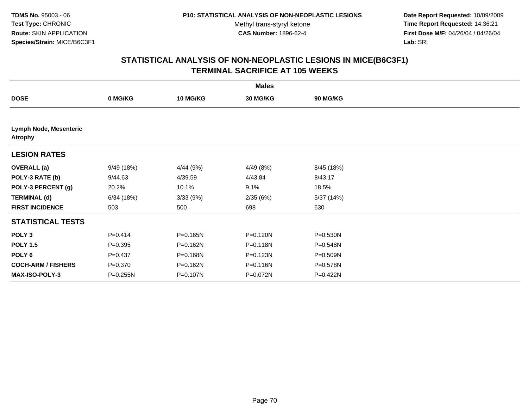**Date Report Requested:** 10/09/2009 **Time Report Requested:** 14:36:21 **First Dose M/F:** 04/26/04 / 04/26/04 Lab: SRI **Lab:** SRI

|                                          |              |                 | <b>Males</b> |                 |  |
|------------------------------------------|--------------|-----------------|--------------|-----------------|--|
| <b>DOSE</b>                              | 0 MG/KG      | <b>10 MG/KG</b> | 30 MG/KG     | <b>90 MG/KG</b> |  |
|                                          |              |                 |              |                 |  |
| Lymph Node, Mesenteric<br><b>Atrophy</b> |              |                 |              |                 |  |
| <b>LESION RATES</b>                      |              |                 |              |                 |  |
| <b>OVERALL</b> (a)                       | 9/49 (18%)   | 4/44 (9%)       | 4/49(8%)     | 8/45 (18%)      |  |
| POLY-3 RATE (b)                          | 9/44.63      | 4/39.59         | 4/43.84      | 8/43.17         |  |
| POLY-3 PERCENT (g)                       | 20.2%        | 10.1%           | 9.1%         | 18.5%           |  |
| <b>TERMINAL (d)</b>                      | 6/34(18%)    | 3/33 (9%)       | 2/35(6%)     | 5/37 (14%)      |  |
| <b>FIRST INCIDENCE</b>                   | 503          | 500             | 698          | 630             |  |
| <b>STATISTICAL TESTS</b>                 |              |                 |              |                 |  |
| POLY <sub>3</sub>                        | $P=0.414$    | $P = 0.165N$    | P=0.120N     | $P = 0.530N$    |  |
| <b>POLY 1.5</b>                          | $P = 0.395$  | P=0.162N        | P=0.118N     | P=0.548N        |  |
| POLY 6                                   | $P=0.437$    | P=0.168N        | P=0.123N     | P=0.509N        |  |
| <b>COCH-ARM / FISHERS</b>                | $P = 0.370$  | P=0.162N        | P=0.116N     | P=0.578N        |  |
| MAX-ISO-POLY-3                           | $P = 0.255N$ | P=0.107N        | P=0.072N     | P=0.422N        |  |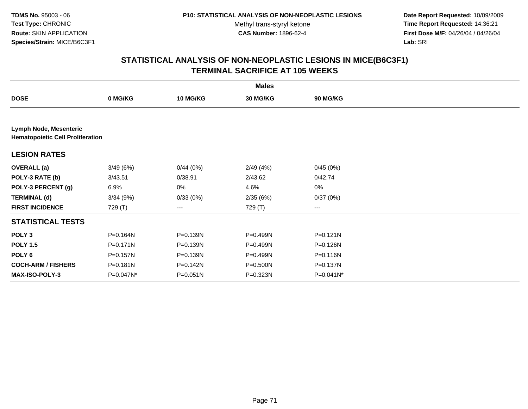**TDMS No.** 95003 - 06**Test Type:** CHRONIC**Route:** SKIN APPLICATION**Species/Strain:** MICE/B6C3F1

Methyl trans-styryl ketone<br>CAS Number: 1896-62-4

 **Date Report Requested:** 10/09/2009 **Time Report Requested:** 14:36:21 **First Dose M/F:** 04/26/04 / 04/26/04 Lab: SRI **Lab:** SRI

|                                                                   |           |              | <b>Males</b>    |                 |  |  |  |  |
|-------------------------------------------------------------------|-----------|--------------|-----------------|-----------------|--|--|--|--|
| <b>DOSE</b>                                                       | 0 MG/KG   | 10 MG/KG     | <b>30 MG/KG</b> | <b>90 MG/KG</b> |  |  |  |  |
|                                                                   |           |              |                 |                 |  |  |  |  |
| Lymph Node, Mesenteric<br><b>Hematopoietic Cell Proliferation</b> |           |              |                 |                 |  |  |  |  |
| <b>LESION RATES</b>                                               |           |              |                 |                 |  |  |  |  |
| <b>OVERALL</b> (a)                                                | 3/49(6%)  | 0/44(0%)     | 2/49(4%)        | 0/45(0%)        |  |  |  |  |
| POLY-3 RATE (b)                                                   | 3/43.51   | 0/38.91      | 2/43.62         | 0/42.74         |  |  |  |  |
| POLY-3 PERCENT (g)                                                | 6.9%      | 0%           | 4.6%            | 0%              |  |  |  |  |
| <b>TERMINAL (d)</b>                                               | 3/34(9%)  | 0/33(0%)     | 2/35(6%)        | 0/37(0%)        |  |  |  |  |
| <b>FIRST INCIDENCE</b>                                            | 729 (T)   | $---$        | 729 (T)         | ---             |  |  |  |  |
| <b>STATISTICAL TESTS</b>                                          |           |              |                 |                 |  |  |  |  |
| POLY <sub>3</sub>                                                 | P=0.164N  | P=0.139N     | P=0.499N        | $P = 0.121N$    |  |  |  |  |
| <b>POLY 1.5</b>                                                   | P=0.171N  | P=0.139N     | P=0.499N        | P=0.126N        |  |  |  |  |
| POLY <sub>6</sub>                                                 | P=0.157N  | P=0.139N     | P=0.499N        | P=0.116N        |  |  |  |  |
| <b>COCH-ARM / FISHERS</b>                                         | P=0.181N  | P=0.142N     | P=0.500N        | P=0.137N        |  |  |  |  |
| <b>MAX-ISO-POLY-3</b>                                             | P=0.047N* | $P = 0.051N$ | P=0.323N        | P=0.041N*       |  |  |  |  |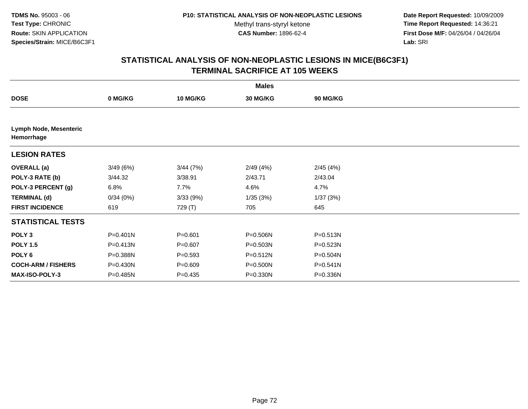**Date Report Requested:** 10/09/2009 **Time Report Requested:** 14:36:21 **First Dose M/F:** 04/26/04 / 04/26/04 Lab: SRI **Lab:** SRI

|                                             |              |             | <b>Males</b> |                 |  |
|---------------------------------------------|--------------|-------------|--------------|-----------------|--|
| <b>DOSE</b>                                 | 0 MG/KG      | 10 MG/KG    | 30 MG/KG     | <b>90 MG/KG</b> |  |
|                                             |              |             |              |                 |  |
| <b>Lymph Node, Mesenteric</b><br>Hemorrhage |              |             |              |                 |  |
| <b>LESION RATES</b>                         |              |             |              |                 |  |
| <b>OVERALL</b> (a)                          | 3/49(6%)     | 3/44(7%)    | 2/49(4%)     | 2/45(4%)        |  |
| POLY-3 RATE (b)                             | 3/44.32      | 3/38.91     | 2/43.71      | 2/43.04         |  |
| POLY-3 PERCENT (g)                          | 6.8%         | 7.7%        | 4.6%         | 4.7%            |  |
| <b>TERMINAL (d)</b>                         | 0/34(0%)     | 3/33(9%)    | 1/35(3%)     | 1/37(3%)        |  |
| <b>FIRST INCIDENCE</b>                      | 619          | 729 (T)     | 705          | 645             |  |
| <b>STATISTICAL TESTS</b>                    |              |             |              |                 |  |
| POLY <sub>3</sub>                           | $P = 0.401N$ | $P = 0.601$ | P=0.506N     | P=0.513N        |  |
| <b>POLY 1.5</b>                             | P=0.413N     | $P = 0.607$ | P=0.503N     | P=0.523N        |  |
| POLY <sub>6</sub>                           | P=0.388N     | $P = 0.593$ | $P = 0.512N$ | $P = 0.504N$    |  |
| <b>COCH-ARM / FISHERS</b>                   | P=0.430N     | $P = 0.609$ | P=0.500N     | $P = 0.541N$    |  |
| <b>MAX-ISO-POLY-3</b>                       | P=0.485N     | $P=0.435$   | $P = 0.330N$ | P=0.336N        |  |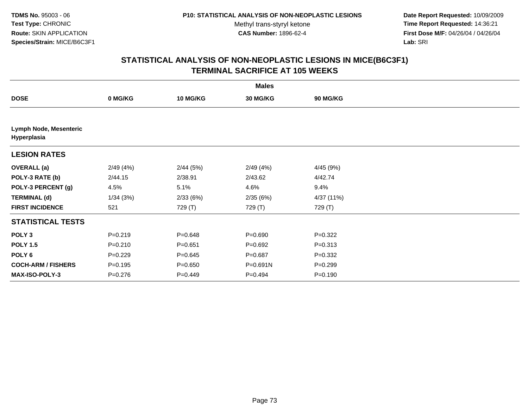**Date Report Requested:** 10/09/2009 **Time Report Requested:** 14:36:21 **First Dose M/F:** 04/26/04 / 04/26/04 Lab: SRI **Lab:** SRI

|                                              |             |                 | <b>Males</b> |                 |  |
|----------------------------------------------|-------------|-----------------|--------------|-----------------|--|
| <b>DOSE</b>                                  | 0 MG/KG     | <b>10 MG/KG</b> | 30 MG/KG     | <b>90 MG/KG</b> |  |
|                                              |             |                 |              |                 |  |
| <b>Lymph Node, Mesenteric</b><br>Hyperplasia |             |                 |              |                 |  |
| <b>LESION RATES</b>                          |             |                 |              |                 |  |
| <b>OVERALL</b> (a)                           | 2/49(4%)    | 2/44(5%)        | 2/49(4%)     | 4/45 (9%)       |  |
| POLY-3 RATE (b)                              | 2/44.15     | 2/38.91         | 2/43.62      | 4/42.74         |  |
| POLY-3 PERCENT (g)                           | 4.5%        | 5.1%            | 4.6%         | 9.4%            |  |
| <b>TERMINAL (d)</b>                          | 1/34(3%)    | 2/33(6%)        | 2/35(6%)     | 4/37 (11%)      |  |
| <b>FIRST INCIDENCE</b>                       | 521         | 729 (T)         | 729 (T)      | 729 (T)         |  |
| <b>STATISTICAL TESTS</b>                     |             |                 |              |                 |  |
| POLY <sub>3</sub>                            | $P = 0.219$ | $P = 0.648$     | $P = 0.690$  | $P=0.322$       |  |
| <b>POLY 1.5</b>                              | $P = 0.210$ | $P = 0.651$     | $P=0.692$    | $P = 0.313$     |  |
| POLY <sub>6</sub>                            | $P=0.229$   | $P = 0.645$     | $P = 0.687$  | $P = 0.332$     |  |
| <b>COCH-ARM / FISHERS</b>                    | $P = 0.195$ | $P = 0.650$     | P=0.691N     | $P = 0.299$     |  |
| <b>MAX-ISO-POLY-3</b>                        | $P = 0.276$ | $P = 0.449$     | $P = 0.494$  | $P = 0.190$     |  |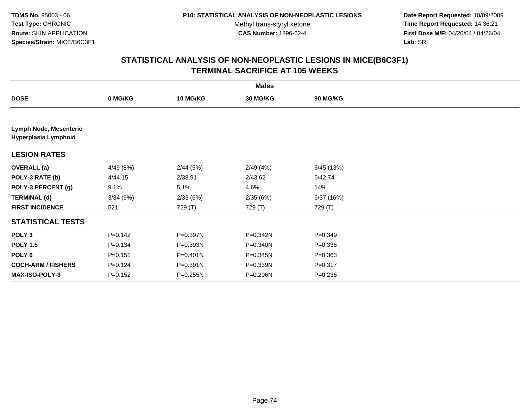**Date Report Requested:** 10/09/2009 **Time Report Requested:** 14:36:21 **First Dose M/F:** 04/26/04 / 04/26/04 Lab: SRI **Lab:** SRI

|                                                       |             |              | <b>Males</b> |                 |  |
|-------------------------------------------------------|-------------|--------------|--------------|-----------------|--|
| <b>DOSE</b>                                           | 0 MG/KG     | 10 MG/KG     | 30 MG/KG     | <b>90 MG/KG</b> |  |
|                                                       |             |              |              |                 |  |
| <b>Lymph Node, Mesenteric</b><br>Hyperplasia Lymphoid |             |              |              |                 |  |
| <b>LESION RATES</b>                                   |             |              |              |                 |  |
| <b>OVERALL</b> (a)                                    | 4/49 (8%)   | 2/44(5%)     | 2/49(4%)     | 6/45 (13%)      |  |
| POLY-3 RATE (b)                                       | 4/44.15     | 2/38.91      | 2/43.62      | 6/42.74         |  |
| POLY-3 PERCENT (g)                                    | 9.1%        | 5.1%         | 4.6%         | 14%             |  |
| <b>TERMINAL (d)</b>                                   | 3/34(9%)    | 2/33(6%)     | 2/35(6%)     | 6/37(16%)       |  |
| <b>FIRST INCIDENCE</b>                                | 521         | 729 (T)      | 729 (T)      | 729 (T)         |  |
| <b>STATISTICAL TESTS</b>                              |             |              |              |                 |  |
| POLY <sub>3</sub>                                     | $P = 0.142$ | P=0.397N     | P=0.342N     | $P = 0.349$     |  |
| <b>POLY 1.5</b>                                       | $P = 0.134$ | P=0.393N     | P=0.340N     | $P = 0.336$     |  |
| POLY <sub>6</sub>                                     | $P = 0.151$ | $P = 0.401N$ | $P = 0.345N$ | $P = 0.363$     |  |
| <b>COCH-ARM / FISHERS</b>                             | $P = 0.124$ | P=0.391N     | P=0.339N     | $P = 0.317$     |  |
| <b>MAX-ISO-POLY-3</b>                                 | $P = 0.152$ | $P = 0.255N$ | P=0.206N     | $P = 0.236$     |  |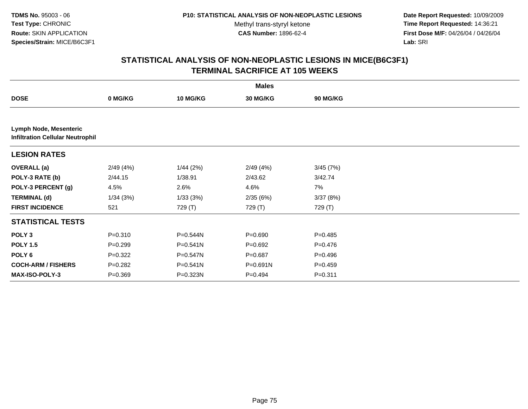**Date Report Requested:** 10/09/2009 **Time Report Requested:** 14:36:21 **First Dose M/F:** 04/26/04 / 04/26/04 Lab: SRI **Lab:** SRI

|                               |                                         |                 | <b>Males</b>    |                 |  |  |  |  |  |
|-------------------------------|-----------------------------------------|-----------------|-----------------|-----------------|--|--|--|--|--|
| <b>DOSE</b>                   | 0 MG/KG                                 | <b>10 MG/KG</b> | <b>30 MG/KG</b> | <b>90 MG/KG</b> |  |  |  |  |  |
|                               |                                         |                 |                 |                 |  |  |  |  |  |
| <b>Lymph Node, Mesenteric</b> | <b>Infiltration Cellular Neutrophil</b> |                 |                 |                 |  |  |  |  |  |
| <b>LESION RATES</b>           |                                         |                 |                 |                 |  |  |  |  |  |
| <b>OVERALL</b> (a)            | 2/49(4%)                                | 1/44(2%)        | 2/49(4%)        | 3/45(7%)        |  |  |  |  |  |
| POLY-3 RATE (b)               | 2/44.15                                 | 1/38.91         | 2/43.62         | 3/42.74         |  |  |  |  |  |
| POLY-3 PERCENT (g)            | 4.5%                                    | 2.6%            | 4.6%            | 7%              |  |  |  |  |  |
| <b>TERMINAL (d)</b>           | 1/34(3%)                                | 1/33(3%)        | 2/35(6%)        | 3/37(8%)        |  |  |  |  |  |
| <b>FIRST INCIDENCE</b>        | 521                                     | 729 (T)         | 729 (T)         | 729 (T)         |  |  |  |  |  |
| <b>STATISTICAL TESTS</b>      |                                         |                 |                 |                 |  |  |  |  |  |
| POLY <sub>3</sub>             | $P = 0.310$                             | P=0.544N        | $P = 0.690$     | $P=0.485$       |  |  |  |  |  |
| <b>POLY 1.5</b>               | $P = 0.299$                             | P=0.541N        | $P = 0.692$     | $P = 0.476$     |  |  |  |  |  |
| POLY <sub>6</sub>             | $P=0.322$                               | P=0.547N        | $P = 0.687$     | $P=0.496$       |  |  |  |  |  |
| <b>COCH-ARM / FISHERS</b>     | $P=0.282$                               | P=0.541N        | $P = 0.691N$    | $P=0.459$       |  |  |  |  |  |
| <b>MAX-ISO-POLY-3</b>         | $P = 0.369$                             | P=0.323N        | $P=0.494$       | $P = 0.311$     |  |  |  |  |  |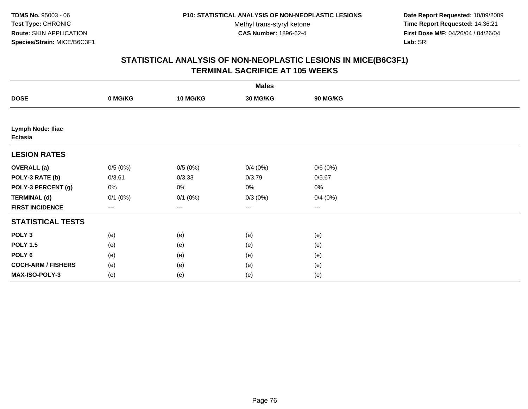**Date Report Requested:** 10/09/2009 **Time Report Requested:** 14:36:21 **First Dose M/F:** 04/26/04 / 04/26/04 Lab: SRI **Lab:** SRI

|                                     | <b>Males</b> |              |                        |          |  |  |  |
|-------------------------------------|--------------|--------------|------------------------|----------|--|--|--|
| <b>DOSE</b>                         | 0 MG/KG      | 10 MG/KG     | 30 MG/KG               | 90 MG/KG |  |  |  |
|                                     |              |              |                        |          |  |  |  |
| Lymph Node: Iliac<br><b>Ectasia</b> |              |              |                        |          |  |  |  |
| <b>LESION RATES</b>                 |              |              |                        |          |  |  |  |
| <b>OVERALL (a)</b>                  | 0/5(0%)      | 0/5(0%)      | 0/4(0%)                | 0/6(0%)  |  |  |  |
| POLY-3 RATE (b)                     | 0/3.61       | 0/3.33       | 0/3.79                 | 0/5.67   |  |  |  |
| POLY-3 PERCENT (g)                  | 0%           | 0%           | 0%                     | 0%       |  |  |  |
| <b>TERMINAL (d)</b>                 | $0/1$ $(0%)$ | $0/1$ $(0%)$ | $0/3(0\%)$             | 0/4(0%)  |  |  |  |
| <b>FIRST INCIDENCE</b>              | ---          | $---$        | $\qquad \qquad \cdots$ | $---$    |  |  |  |
| <b>STATISTICAL TESTS</b>            |              |              |                        |          |  |  |  |
| POLY <sub>3</sub>                   | (e)          | (e)          | (e)                    | (e)      |  |  |  |
| <b>POLY 1.5</b>                     | (e)          | (e)          | (e)                    | (e)      |  |  |  |
| POLY <sub>6</sub>                   | (e)          | (e)          | (e)                    | (e)      |  |  |  |
| <b>COCH-ARM / FISHERS</b>           | (e)          | (e)          | (e)                    | (e)      |  |  |  |
| MAX-ISO-POLY-3                      | (e)          | (e)          | (e)                    | (e)      |  |  |  |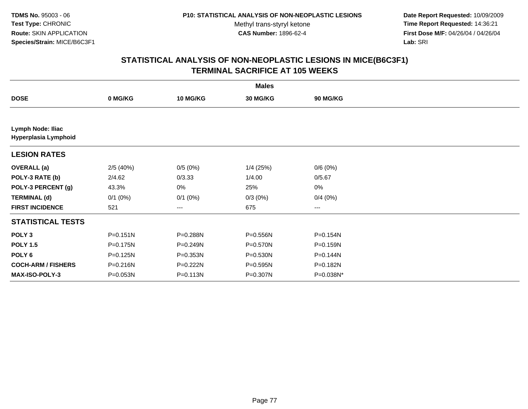**Date Report Requested:** 10/09/2009 **Time Report Requested:** 14:36:21 **First Dose M/F:** 04/26/04 / 04/26/04 Lab: SRI **Lab:** SRI

|                                           |              |              | <b>Males</b> |                 |  |
|-------------------------------------------|--------------|--------------|--------------|-----------------|--|
| <b>DOSE</b>                               | 0 MG/KG      | 10 MG/KG     | 30 MG/KG     | <b>90 MG/KG</b> |  |
|                                           |              |              |              |                 |  |
| Lymph Node: Iliac<br>Hyperplasia Lymphoid |              |              |              |                 |  |
| <b>LESION RATES</b>                       |              |              |              |                 |  |
| <b>OVERALL</b> (a)                        | 2/5(40%)     | 0/5(0%)      | $1/4$ (25%)  | 0/6(0%)         |  |
| POLY-3 RATE (b)                           | 2/4.62       | 0/3.33       | 1/4.00       | 0/5.67          |  |
| POLY-3 PERCENT (g)                        | 43.3%        | 0%           | 25%          | 0%              |  |
| <b>TERMINAL (d)</b>                       | $0/1$ $(0%)$ | $0/1$ $(0%)$ | $0/3(0\%)$   | 0/4(0%)         |  |
| <b>FIRST INCIDENCE</b>                    | 521          | ---          | 675          | ---             |  |
| <b>STATISTICAL TESTS</b>                  |              |              |              |                 |  |
| POLY <sub>3</sub>                         | $P = 0.151N$ | P=0.288N     | P=0.556N     | P=0.154N        |  |
| <b>POLY 1.5</b>                           | P=0.175N     | P=0.249N     | P=0.570N     | P=0.159N        |  |
| POLY 6                                    | P=0.125N     | P=0.353N     | P=0.530N     | P=0.144N        |  |
| <b>COCH-ARM / FISHERS</b>                 | P=0.216N     | P=0.222N     | P=0.595N     | P=0.182N        |  |
| MAX-ISO-POLY-3                            | P=0.053N     | P=0.113N     | P=0.307N     | P=0.038N*       |  |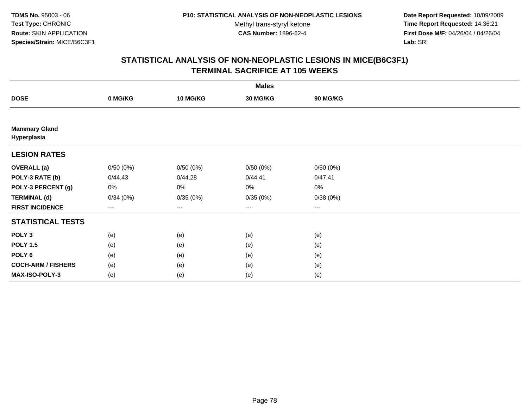**Date Report Requested:** 10/09/2009 **Time Report Requested:** 14:36:21 **First Dose M/F:** 04/26/04 / 04/26/04 Lab: SRI **Lab:** SRI

|                                     |          |          | <b>Males</b> |          |  |
|-------------------------------------|----------|----------|--------------|----------|--|
| <b>DOSE</b>                         | 0 MG/KG  | 10 MG/KG | 30 MG/KG     | 90 MG/KG |  |
|                                     |          |          |              |          |  |
| <b>Mammary Gland</b><br>Hyperplasia |          |          |              |          |  |
| <b>LESION RATES</b>                 |          |          |              |          |  |
| <b>OVERALL</b> (a)                  | 0/50(0%) | 0/50(0%) | 0/50(0%)     | 0/50(0%) |  |
| POLY-3 RATE (b)                     | 0/44.43  | 0/44.28  | 0/44.41      | 0/47.41  |  |
| POLY-3 PERCENT (g)                  | 0%       | 0%       | 0%           | 0%       |  |
| <b>TERMINAL (d)</b>                 | 0/34(0%) | 0/35(0%) | 0/35(0%)     | 0/38(0%) |  |
| <b>FIRST INCIDENCE</b>              | ---      | ---      | $---$        | $---$    |  |
| <b>STATISTICAL TESTS</b>            |          |          |              |          |  |
| POLY <sub>3</sub>                   | (e)      | (e)      | (e)          | (e)      |  |
| <b>POLY 1.5</b>                     | (e)      | (e)      | (e)          | (e)      |  |
| POLY 6                              | (e)      | (e)      | (e)          | (e)      |  |
| <b>COCH-ARM / FISHERS</b>           | (e)      | (e)      | (e)          | (e)      |  |
| MAX-ISO-POLY-3                      | (e)      | (e)      | (e)          | (e)      |  |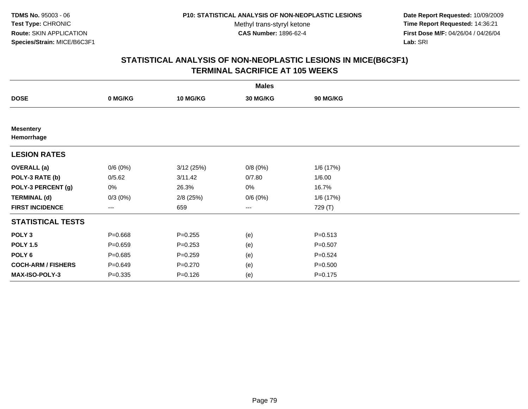**Date Report Requested:** 10/09/2009 **Time Report Requested:** 14:36:21 **First Dose M/F:** 04/26/04 / 04/26/04 Lab: SRI **Lab:** SRI

|                                |             |             | <b>Males</b>           |                 |  |
|--------------------------------|-------------|-------------|------------------------|-----------------|--|
| <b>DOSE</b>                    | 0 MG/KG     | 10 MG/KG    | 30 MG/KG               | <b>90 MG/KG</b> |  |
|                                |             |             |                        |                 |  |
| <b>Mesentery</b><br>Hemorrhage |             |             |                        |                 |  |
| <b>LESION RATES</b>            |             |             |                        |                 |  |
| <b>OVERALL</b> (a)             | 0/6(0%)     | 3/12(25%)   | 0/8(0%)                | 1/6 (17%)       |  |
| POLY-3 RATE (b)                | 0/5.62      | 3/11.42     | 0/7.80                 | 1/6.00          |  |
| POLY-3 PERCENT (g)             | 0%          | 26.3%       | 0%                     | 16.7%           |  |
| <b>TERMINAL (d)</b>            | $0/3(0\%)$  | $2/8$ (25%) | 0/6(0%)                | 1/6 (17%)       |  |
| <b>FIRST INCIDENCE</b>         | ---         | 659         | $\qquad \qquad \cdots$ | 729 (T)         |  |
| <b>STATISTICAL TESTS</b>       |             |             |                        |                 |  |
| POLY <sub>3</sub>              | $P = 0.668$ | $P = 0.255$ | (e)                    | $P = 0.513$     |  |
| <b>POLY 1.5</b>                | $P = 0.659$ | $P = 0.253$ | (e)                    | $P = 0.507$     |  |
| POLY 6                         | $P = 0.685$ | $P = 0.259$ | (e)                    | $P=0.524$       |  |
| <b>COCH-ARM / FISHERS</b>      | $P = 0.649$ | $P = 0.270$ | (e)                    | $P = 0.500$     |  |
| MAX-ISO-POLY-3                 | $P = 0.335$ | $P = 0.126$ | (e)                    | $P = 0.175$     |  |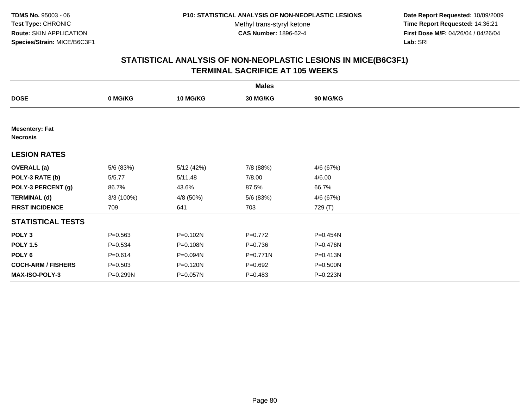**Date Report Requested:** 10/09/2009 **Time Report Requested:** 14:36:21 **First Dose M/F:** 04/26/04 / 04/26/04 Lab: SRI **Lab:** SRI

|                                          |             |            | <b>Males</b> |           |  |
|------------------------------------------|-------------|------------|--------------|-----------|--|
| <b>DOSE</b>                              | 0 MG/KG     | 10 MG/KG   | 30 MG/KG     | 90 MG/KG  |  |
|                                          |             |            |              |           |  |
| <b>Mesentery: Fat</b><br><b>Necrosis</b> |             |            |              |           |  |
| <b>LESION RATES</b>                      |             |            |              |           |  |
| <b>OVERALL</b> (a)                       | 5/6 (83%)   | 5/12 (42%) | 7/8 (88%)    | 4/6 (67%) |  |
| POLY-3 RATE (b)                          | 5/5.77      | 5/11.48    | 7/8.00       | 4/6.00    |  |
| POLY-3 PERCENT (g)                       | 86.7%       | 43.6%      | 87.5%        | 66.7%     |  |
| <b>TERMINAL (d)</b>                      | 3/3(100%)   | 4/8 (50%)  | 5/6 (83%)    | 4/6 (67%) |  |
| <b>FIRST INCIDENCE</b>                   | 709         | 641        | 703          | 729 (T)   |  |
| <b>STATISTICAL TESTS</b>                 |             |            |              |           |  |
| POLY <sub>3</sub>                        | $P = 0.563$ | P=0.102N   | $P=0.772$    | P=0.454N  |  |
| <b>POLY 1.5</b>                          | $P = 0.534$ | P=0.108N   | $P = 0.736$  | P=0.476N  |  |
| POLY <sub>6</sub>                        | $P = 0.614$ | P=0.094N   | $P = 0.771N$ | P=0.413N  |  |
| <b>COCH-ARM / FISHERS</b>                | $P = 0.503$ | P=0.120N   | $P = 0.692$  | P=0.500N  |  |
| <b>MAX-ISO-POLY-3</b>                    | P=0.299N    | P=0.057N   | $P = 0.483$  | P=0.223N  |  |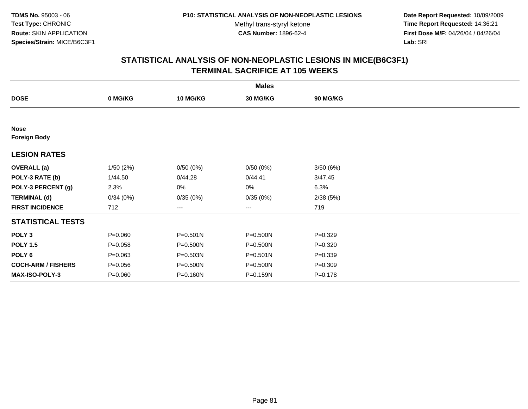**Date Report Requested:** 10/09/2009 **Time Report Requested:** 14:36:21 **First Dose M/F:** 04/26/04 / 04/26/04 Lab: SRI **Lab:** SRI

|                                    |             |                 | <b>Males</b>      |                 |  |
|------------------------------------|-------------|-----------------|-------------------|-----------------|--|
| <b>DOSE</b>                        | 0 MG/KG     | <b>10 MG/KG</b> | 30 MG/KG          | <b>90 MG/KG</b> |  |
|                                    |             |                 |                   |                 |  |
| <b>Nose</b><br><b>Foreign Body</b> |             |                 |                   |                 |  |
| <b>LESION RATES</b>                |             |                 |                   |                 |  |
| <b>OVERALL</b> (a)                 | 1/50(2%)    | 0/50(0%)        | 0/50(0%)          | 3/50(6%)        |  |
| POLY-3 RATE (b)                    | 1/44.50     | 0/44.28         | 0/44.41           | 3/47.45         |  |
| POLY-3 PERCENT (g)                 | 2.3%        | 0%              | 0%                | 6.3%            |  |
| <b>TERMINAL (d)</b>                | 0/34(0%)    | 0/35(0%)        | 0/35(0%)          | 2/38(5%)        |  |
| <b>FIRST INCIDENCE</b>             | 712         | $---$           | $\qquad \qquad -$ | 719             |  |
| <b>STATISTICAL TESTS</b>           |             |                 |                   |                 |  |
| POLY <sub>3</sub>                  | $P = 0.060$ | P=0.501N        | P=0.500N          | $P = 0.329$     |  |
| <b>POLY 1.5</b>                    | $P = 0.058$ | P=0.500N        | P=0.500N          | $P=0.320$       |  |
| POLY 6                             | $P = 0.063$ | P=0.503N        | $P = 0.501N$      | $P = 0.339$     |  |
| <b>COCH-ARM / FISHERS</b>          | $P = 0.056$ | P=0.500N        | P=0.500N          | $P = 0.309$     |  |
| <b>MAX-ISO-POLY-3</b>              | $P = 0.060$ | P=0.160N        | P=0.159N          | $P = 0.178$     |  |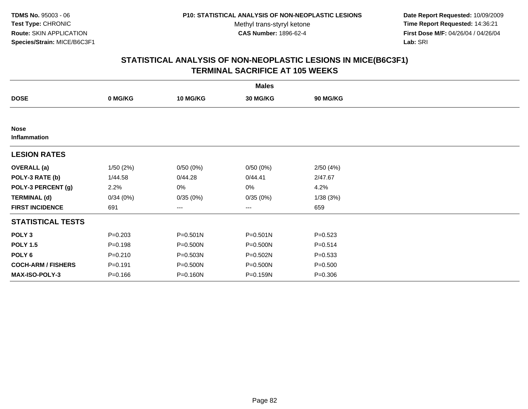**Date Report Requested:** 10/09/2009 **Time Report Requested:** 14:36:21 **First Dose M/F:** 04/26/04 / 04/26/04 Lab: SRI **Lab:** SRI

|                             |             |                 | <b>Males</b>      |                 |  |
|-----------------------------|-------------|-----------------|-------------------|-----------------|--|
| <b>DOSE</b>                 | 0 MG/KG     | <b>10 MG/KG</b> | 30 MG/KG          | <b>90 MG/KG</b> |  |
|                             |             |                 |                   |                 |  |
| <b>Nose</b><br>Inflammation |             |                 |                   |                 |  |
| <b>LESION RATES</b>         |             |                 |                   |                 |  |
| <b>OVERALL</b> (a)          | 1/50(2%)    | 0/50(0%)        | 0/50(0%)          | 2/50(4%)        |  |
| POLY-3 RATE (b)             | 1/44.58     | 0/44.28         | 0/44.41           | 2/47.67         |  |
| POLY-3 PERCENT (g)          | 2.2%        | 0%              | 0%                | 4.2%            |  |
| <b>TERMINAL (d)</b>         | 0/34(0%)    | 0/35(0%)        | 0/35(0%)          | 1/38(3%)        |  |
| <b>FIRST INCIDENCE</b>      | 691         | ---             | $\qquad \qquad -$ | 659             |  |
| <b>STATISTICAL TESTS</b>    |             |                 |                   |                 |  |
| POLY <sub>3</sub>           | $P = 0.203$ | $P = 0.501N$    | $P = 0.501N$      | $P = 0.523$     |  |
| <b>POLY 1.5</b>             | $P = 0.198$ | P=0.500N        | P=0.500N          | $P = 0.514$     |  |
| POLY 6                      | $P = 0.210$ | P=0.503N        | P=0.502N          | $P = 0.533$     |  |
| <b>COCH-ARM / FISHERS</b>   | $P = 0.191$ | P=0.500N        | P=0.500N          | $P = 0.500$     |  |
| <b>MAX-ISO-POLY-3</b>       | $P = 0.166$ | P=0.160N        | P=0.159N          | $P = 0.306$     |  |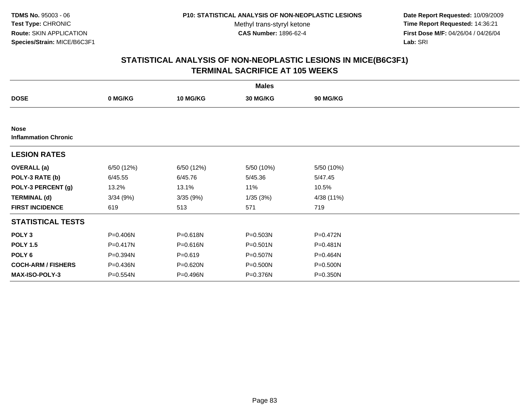**Date Report Requested:** 10/09/2009 **Time Report Requested:** 14:36:21 **First Dose M/F:** 04/26/04 / 04/26/04 Lab: SRI **Lab:** SRI

|                                            |            |                 | <b>Males</b> |                 |  |
|--------------------------------------------|------------|-----------------|--------------|-----------------|--|
| <b>DOSE</b>                                | 0 MG/KG    | <b>10 MG/KG</b> | 30 MG/KG     | <b>90 MG/KG</b> |  |
|                                            |            |                 |              |                 |  |
| <b>Nose</b><br><b>Inflammation Chronic</b> |            |                 |              |                 |  |
| <b>LESION RATES</b>                        |            |                 |              |                 |  |
| <b>OVERALL</b> (a)                         | 6/50 (12%) | 6/50 (12%)      | 5/50 (10%)   | 5/50 (10%)      |  |
| POLY-3 RATE (b)                            | 6/45.55    | 6/45.76         | 5/45.36      | 5/47.45         |  |
| POLY-3 PERCENT (g)                         | 13.2%      | 13.1%           | 11%          | 10.5%           |  |
| <b>TERMINAL (d)</b>                        | 3/34(9%)   | 3/35(9%)        | 1/35(3%)     | 4/38 (11%)      |  |
| <b>FIRST INCIDENCE</b>                     | 619        | 513             | 571          | 719             |  |
| <b>STATISTICAL TESTS</b>                   |            |                 |              |                 |  |
| POLY <sub>3</sub>                          | P=0.406N   | P=0.618N        | P=0.503N     | $P = 0.472N$    |  |
| <b>POLY 1.5</b>                            | P=0.417N   | P=0.616N        | $P = 0.501N$ | P=0.481N        |  |
| POLY <sub>6</sub>                          | P=0.394N   | $P = 0.619$     | P=0.507N     | P=0.464N        |  |
| <b>COCH-ARM / FISHERS</b>                  | P=0.436N   | P=0.620N        | P=0.500N     | P=0.500N        |  |
| <b>MAX-ISO-POLY-3</b>                      | P=0.554N   | P=0.496N        | P=0.376N     | P=0.350N        |  |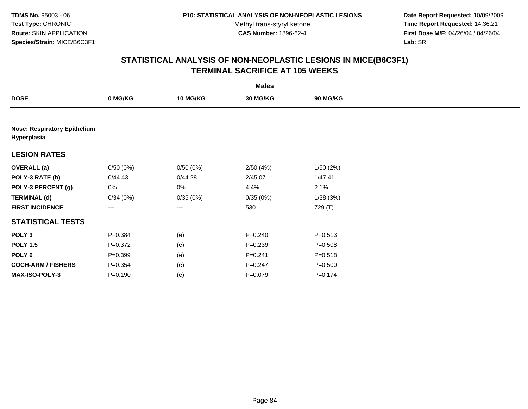**Date Report Requested:** 10/09/2009 **Time Report Requested:** 14:36:21 **First Dose M/F:** 04/26/04 / 04/26/04 Lab: SRI **Lab:** SRI

|                           |                                     |          | <b>Males</b> |                 |  |  |  |  |  |
|---------------------------|-------------------------------------|----------|--------------|-----------------|--|--|--|--|--|
| <b>DOSE</b>               | 0 MG/KG                             | 10 MG/KG | 30 MG/KG     | <b>90 MG/KG</b> |  |  |  |  |  |
|                           |                                     |          |              |                 |  |  |  |  |  |
| Hyperplasia               | <b>Nose: Respiratory Epithelium</b> |          |              |                 |  |  |  |  |  |
| <b>LESION RATES</b>       |                                     |          |              |                 |  |  |  |  |  |
| <b>OVERALL</b> (a)        | 0/50(0%)                            | 0/50(0%) | 2/50(4%)     | 1/50(2%)        |  |  |  |  |  |
| POLY-3 RATE (b)           | 0/44.43                             | 0/44.28  | 2/45.07      | 1/47.41         |  |  |  |  |  |
| POLY-3 PERCENT (g)        | 0%                                  | 0%       | 4.4%         | 2.1%            |  |  |  |  |  |
| <b>TERMINAL (d)</b>       | 0/34(0%)                            | 0/35(0%) | 0/35(0%)     | 1/38(3%)        |  |  |  |  |  |
| <b>FIRST INCIDENCE</b>    | ---                                 | $--$     | 530          | 729 (T)         |  |  |  |  |  |
| <b>STATISTICAL TESTS</b>  |                                     |          |              |                 |  |  |  |  |  |
| POLY <sub>3</sub>         | $P = 0.384$                         | (e)      | $P = 0.240$  | $P = 0.513$     |  |  |  |  |  |
| <b>POLY 1.5</b>           | $P = 0.372$                         | (e)      | $P = 0.239$  | $P = 0.508$     |  |  |  |  |  |
| POLY <sub>6</sub>         | $P = 0.399$                         | (e)      | $P = 0.241$  | $P = 0.518$     |  |  |  |  |  |
| <b>COCH-ARM / FISHERS</b> | $P = 0.354$                         | (e)      | $P=0.247$    | $P = 0.500$     |  |  |  |  |  |
| <b>MAX-ISO-POLY-3</b>     | $P = 0.190$                         | (e)      | $P=0.079$    | $P = 0.174$     |  |  |  |  |  |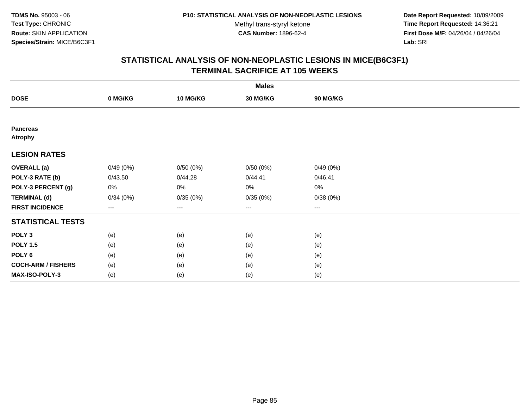**Date Report Requested:** 10/09/2009 **Time Report Requested:** 14:36:21 **First Dose M/F:** 04/26/04 / 04/26/04 Lab: SRI **Lab:** SRI

| <b>Males</b>                      |          |                   |                 |          |  |  |  |
|-----------------------------------|----------|-------------------|-----------------|----------|--|--|--|
| <b>DOSE</b>                       | 0 MG/KG  | <b>10 MG/KG</b>   | <b>30 MG/KG</b> | 90 MG/KG |  |  |  |
|                                   |          |                   |                 |          |  |  |  |
| <b>Pancreas</b><br><b>Atrophy</b> |          |                   |                 |          |  |  |  |
| <b>LESION RATES</b>               |          |                   |                 |          |  |  |  |
| <b>OVERALL</b> (a)                | 0/49(0%) | 0/50(0%)          | 0/50(0%)        | 0/49(0%) |  |  |  |
| POLY-3 RATE (b)                   | 0/43.50  | 0/44.28           | 0/44.41         | 0/46.41  |  |  |  |
| POLY-3 PERCENT (g)                | 0%       | $0\%$             | 0%              | 0%       |  |  |  |
| <b>TERMINAL (d)</b>               | 0/34(0%) | 0/35(0%)          | 0/35(0%)        | 0/38(0%) |  |  |  |
| <b>FIRST INCIDENCE</b>            | $--$     | $\qquad \qquad -$ | $\cdots$        | $\cdots$ |  |  |  |
| <b>STATISTICAL TESTS</b>          |          |                   |                 |          |  |  |  |
| POLY <sub>3</sub>                 | (e)      | (e)               | (e)             | (e)      |  |  |  |
| <b>POLY 1.5</b>                   | (e)      | (e)               | (e)             | (e)      |  |  |  |
| POLY <sub>6</sub>                 | (e)      | (e)               | (e)             | (e)      |  |  |  |
| <b>COCH-ARM / FISHERS</b>         | (e)      | (e)               | (e)             | (e)      |  |  |  |
| MAX-ISO-POLY-3                    | (e)      | (e)               | (e)             | (e)      |  |  |  |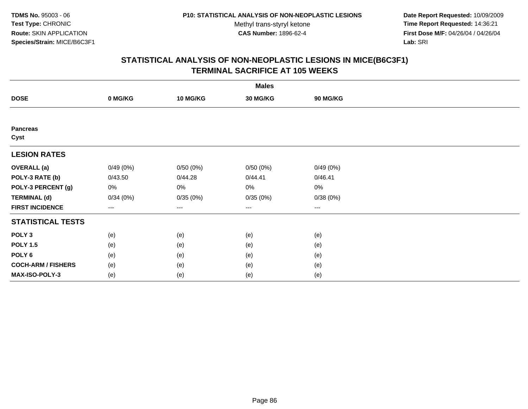**Date Report Requested:** 10/09/2009 **Time Report Requested:** 14:36:21 **First Dose M/F:** 04/26/04 / 04/26/04 Lab: SRI **Lab:** SRI

| <b>Males</b>              |          |                   |                 |          |  |  |  |
|---------------------------|----------|-------------------|-----------------|----------|--|--|--|
| <b>DOSE</b>               | 0 MG/KG  | <b>10 MG/KG</b>   | <b>30 MG/KG</b> | 90 MG/KG |  |  |  |
|                           |          |                   |                 |          |  |  |  |
| <b>Pancreas</b><br>Cyst   |          |                   |                 |          |  |  |  |
| <b>LESION RATES</b>       |          |                   |                 |          |  |  |  |
| <b>OVERALL</b> (a)        | 0/49(0%) | 0/50(0%)          | 0/50(0%)        | 0/49(0%) |  |  |  |
| POLY-3 RATE (b)           | 0/43.50  | 0/44.28           | 0/44.41         | 0/46.41  |  |  |  |
| POLY-3 PERCENT (g)        | 0%       | $0\%$             | 0%              | 0%       |  |  |  |
| <b>TERMINAL (d)</b>       | 0/34(0%) | 0/35(0%)          | 0/35(0%)        | 0/38(0%) |  |  |  |
| <b>FIRST INCIDENCE</b>    | $--$     | $\qquad \qquad -$ | $\cdots$        | $\cdots$ |  |  |  |
| <b>STATISTICAL TESTS</b>  |          |                   |                 |          |  |  |  |
| POLY <sub>3</sub>         | (e)      | (e)               | (e)             | (e)      |  |  |  |
| <b>POLY 1.5</b>           | (e)      | (e)               | (e)             | (e)      |  |  |  |
| POLY <sub>6</sub>         | (e)      | (e)               | (e)             | (e)      |  |  |  |
| <b>COCH-ARM / FISHERS</b> | (e)      | (e)               | (e)             | (e)      |  |  |  |
| MAX-ISO-POLY-3            | (e)      | (e)               | (e)             | (e)      |  |  |  |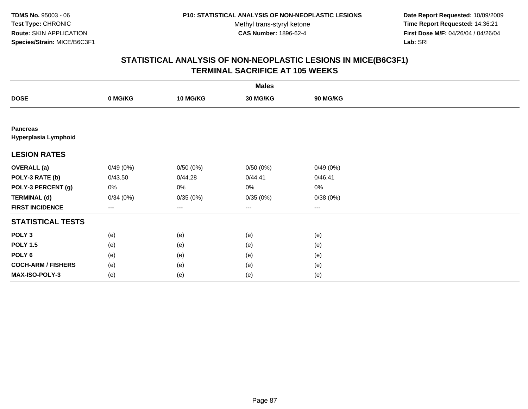**Date Report Requested:** 10/09/2009 **Time Report Requested:** 14:36:21 **First Dose M/F:** 04/26/04 / 04/26/04 Lab: SRI **Lab:** SRI

|                                         |          |                 | <b>Males</b>           |          |  |
|-----------------------------------------|----------|-----------------|------------------------|----------|--|
| <b>DOSE</b>                             | 0 MG/KG  | <b>10 MG/KG</b> | 30 MG/KG               | 90 MG/KG |  |
|                                         |          |                 |                        |          |  |
| <b>Pancreas</b><br>Hyperplasia Lymphoid |          |                 |                        |          |  |
| <b>LESION RATES</b>                     |          |                 |                        |          |  |
| <b>OVERALL</b> (a)                      | 0/49(0%) | 0/50(0%)        | 0/50(0%)               | 0/49(0%) |  |
| POLY-3 RATE (b)                         | 0/43.50  | 0/44.28         | 0/44.41                | 0/46.41  |  |
| POLY-3 PERCENT (g)                      | 0%       | 0%              | 0%                     | 0%       |  |
| <b>TERMINAL (d)</b>                     | 0/34(0%) | 0/35(0%)        | 0/35(0%)               | 0/38(0%) |  |
| <b>FIRST INCIDENCE</b>                  | ---      | $---$           | $\qquad \qquad \cdots$ | $---$    |  |
| <b>STATISTICAL TESTS</b>                |          |                 |                        |          |  |
| POLY <sub>3</sub>                       | (e)      | (e)             | (e)                    | (e)      |  |
| <b>POLY 1.5</b>                         | (e)      | (e)             | (e)                    | (e)      |  |
| POLY <sub>6</sub>                       | (e)      | (e)             | (e)                    | (e)      |  |
| <b>COCH-ARM / FISHERS</b>               | (e)      | (e)             | (e)                    | (e)      |  |
| MAX-ISO-POLY-3                          | (e)      | (e)             | (e)                    | (e)      |  |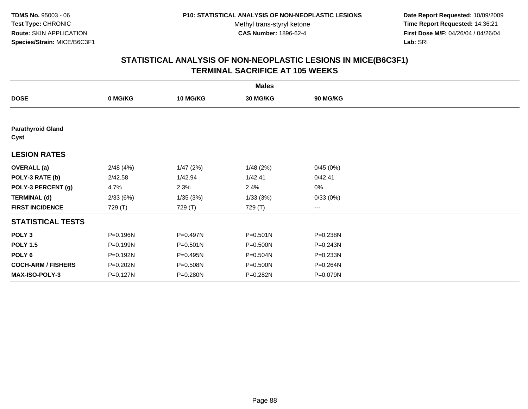**Date Report Requested:** 10/09/2009 **Time Report Requested:** 14:36:21 **First Dose M/F:** 04/26/04 / 04/26/04 Lab: SRI **Lab:** SRI

|                                  |          |              | <b>Males</b> |          |  |
|----------------------------------|----------|--------------|--------------|----------|--|
| <b>DOSE</b>                      | 0 MG/KG  | 10 MG/KG     | 30 MG/KG     | 90 MG/KG |  |
|                                  |          |              |              |          |  |
| <b>Parathyroid Gland</b><br>Cyst |          |              |              |          |  |
| <b>LESION RATES</b>              |          |              |              |          |  |
| <b>OVERALL</b> (a)               | 2/48(4%) | 1/47(2%)     | 1/48(2%)     | 0/45(0%) |  |
| POLY-3 RATE (b)                  | 2/42.58  | 1/42.94      | 1/42.41      | 0/42.41  |  |
| POLY-3 PERCENT (g)               | 4.7%     | 2.3%         | 2.4%         | 0%       |  |
| <b>TERMINAL (d)</b>              | 2/33(6%) | 1/35(3%)     | 1/33(3%)     | 0/33(0%) |  |
| <b>FIRST INCIDENCE</b>           | 729 (T)  | 729 (T)      | 729 (T)      | ---      |  |
| <b>STATISTICAL TESTS</b>         |          |              |              |          |  |
| POLY <sub>3</sub>                | P=0.196N | P=0.497N     | $P = 0.501N$ | P=0.238N |  |
| <b>POLY 1.5</b>                  | P=0.199N | $P = 0.501N$ | P=0.500N     | P=0.243N |  |
| POLY 6                           | P=0.192N | P=0.495N     | P=0.504N     | P=0.233N |  |
| <b>COCH-ARM / FISHERS</b>        | P=0.202N | P=0.508N     | P=0.500N     | P=0.264N |  |
| <b>MAX-ISO-POLY-3</b>            | P=0.127N | P=0.280N     | P=0.282N     | P=0.079N |  |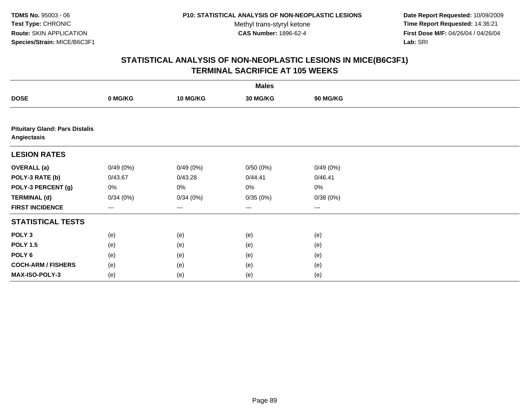**Date Report Requested:** 10/09/2009 **Time Report Requested:** 14:36:21 **First Dose M/F:** 04/26/04 / 04/26/04 Lab: SRI **Lab:** SRI

| <b>Males</b>                                         |          |                   |          |          |  |  |  |
|------------------------------------------------------|----------|-------------------|----------|----------|--|--|--|
| <b>DOSE</b>                                          | 0 MG/KG  | 10 MG/KG          | 30 MG/KG | 90 MG/KG |  |  |  |
|                                                      |          |                   |          |          |  |  |  |
| <b>Pituitary Gland: Pars Distalis</b><br>Angiectasis |          |                   |          |          |  |  |  |
| <b>LESION RATES</b>                                  |          |                   |          |          |  |  |  |
| <b>OVERALL</b> (a)                                   | 0/49(0%) | 0/49(0%)          | 0/50(0%) | 0/49(0%) |  |  |  |
| POLY-3 RATE (b)                                      | 0/43.67  | 0/43.28           | 0/44.41  | 0/46.41  |  |  |  |
| POLY-3 PERCENT (g)                                   | 0%       | 0%                | 0%       | 0%       |  |  |  |
| <b>TERMINAL (d)</b>                                  | 0/34(0%) | 0/34(0%)          | 0/35(0%) | 0/38(0%) |  |  |  |
| <b>FIRST INCIDENCE</b>                               | $---$    | $\qquad \qquad -$ | $\cdots$ | $\cdots$ |  |  |  |
| <b>STATISTICAL TESTS</b>                             |          |                   |          |          |  |  |  |
| POLY <sub>3</sub>                                    | (e)      | (e)               | (e)      | (e)      |  |  |  |
| <b>POLY 1.5</b>                                      | (e)      | (e)               | (e)      | (e)      |  |  |  |
| POLY <sub>6</sub>                                    | (e)      | (e)               | (e)      | (e)      |  |  |  |
| <b>COCH-ARM / FISHERS</b>                            | (e)      | (e)               | (e)      | (e)      |  |  |  |
| MAX-ISO-POLY-3                                       | (e)      | (e)               | (e)      | (e)      |  |  |  |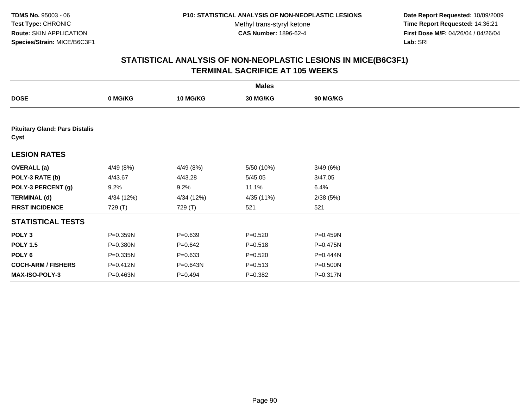**Date Report Requested:** 10/09/2009 **Time Report Requested:** 14:36:21 **First Dose M/F:** 04/26/04 / 04/26/04 Lab: SRI **Lab:** SRI

|                                               |            |                 | <b>Males</b> |                 |  |
|-----------------------------------------------|------------|-----------------|--------------|-----------------|--|
| <b>DOSE</b>                                   | 0 MG/KG    | <b>10 MG/KG</b> | 30 MG/KG     | <b>90 MG/KG</b> |  |
|                                               |            |                 |              |                 |  |
| <b>Pituitary Gland: Pars Distalis</b><br>Cyst |            |                 |              |                 |  |
| <b>LESION RATES</b>                           |            |                 |              |                 |  |
| <b>OVERALL</b> (a)                            | 4/49 (8%)  | 4/49 (8%)       | 5/50 (10%)   | 3/49(6%)        |  |
| POLY-3 RATE (b)                               | 4/43.67    | 4/43.28         | 5/45.05      | 3/47.05         |  |
| POLY-3 PERCENT (g)                            | 9.2%       | 9.2%            | 11.1%        | 6.4%            |  |
| <b>TERMINAL (d)</b>                           | 4/34 (12%) | 4/34 (12%)      | 4/35 (11%)   | 2/38(5%)        |  |
| <b>FIRST INCIDENCE</b>                        | 729 (T)    | 729 (T)         | 521          | 521             |  |
| <b>STATISTICAL TESTS</b>                      |            |                 |              |                 |  |
| POLY <sub>3</sub>                             | P=0.359N   | $P = 0.639$     | $P = 0.520$  | P=0.459N        |  |
| <b>POLY 1.5</b>                               | P=0.380N   | $P = 0.642$     | $P = 0.518$  | $P = 0.475N$    |  |
| POLY 6                                        | P=0.335N   | $P = 0.633$     | $P=0.520$    | P=0.444N        |  |
| <b>COCH-ARM / FISHERS</b>                     | P=0.412N   | P=0.643N        | $P = 0.513$  | P=0.500N        |  |
| <b>MAX-ISO-POLY-3</b>                         | P=0.463N   | $P = 0.494$     | $P = 0.382$  | P=0.317N        |  |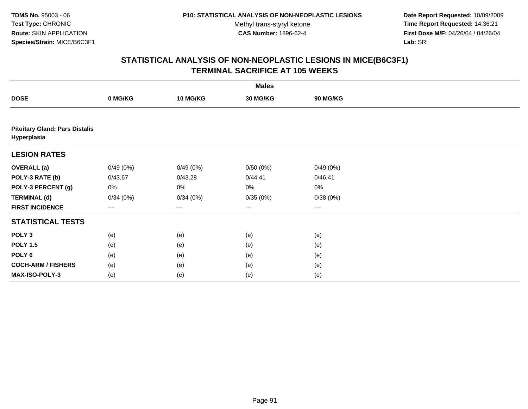**Date Report Requested:** 10/09/2009 **Time Report Requested:** 14:36:21 **First Dose M/F:** 04/26/04 / 04/26/04 Lab: SRI **Lab:** SRI

| <b>Males</b>                                         |          |                   |          |          |  |  |  |
|------------------------------------------------------|----------|-------------------|----------|----------|--|--|--|
| <b>DOSE</b>                                          | 0 MG/KG  | 10 MG/KG          | 30 MG/KG | 90 MG/KG |  |  |  |
|                                                      |          |                   |          |          |  |  |  |
| <b>Pituitary Gland: Pars Distalis</b><br>Hyperplasia |          |                   |          |          |  |  |  |
| <b>LESION RATES</b>                                  |          |                   |          |          |  |  |  |
| <b>OVERALL</b> (a)                                   | 0/49(0%) | 0/49(0%)          | 0/50(0%) | 0/49(0%) |  |  |  |
| POLY-3 RATE (b)                                      | 0/43.67  | 0/43.28           | 0/44.41  | 0/46.41  |  |  |  |
| POLY-3 PERCENT (g)                                   | 0%       | 0%                | 0%       | $0\%$    |  |  |  |
| <b>TERMINAL (d)</b>                                  | 0/34(0%) | 0/34(0%)          | 0/35(0%) | 0/38(0%) |  |  |  |
| <b>FIRST INCIDENCE</b>                               | $---$    | $\qquad \qquad -$ | $\cdots$ | $\cdots$ |  |  |  |
| <b>STATISTICAL TESTS</b>                             |          |                   |          |          |  |  |  |
| POLY <sub>3</sub>                                    | (e)      | (e)               | (e)      | (e)      |  |  |  |
| <b>POLY 1.5</b>                                      | (e)      | (e)               | (e)      | (e)      |  |  |  |
| POLY <sub>6</sub>                                    | (e)      | (e)               | (e)      | (e)      |  |  |  |
| <b>COCH-ARM / FISHERS</b>                            | (e)      | (e)               | (e)      | (e)      |  |  |  |
| MAX-ISO-POLY-3                                       | (e)      | (e)               | (e)      | (e)      |  |  |  |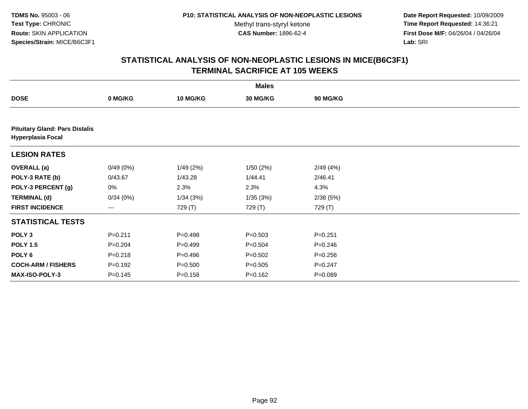**Date Report Requested:** 10/09/2009 **Time Report Requested:** 14:36:21 **First Dose M/F:** 04/26/04 / 04/26/04 Lab: SRI **Lab:** SRI

|                                                                   |             |             | <b>Males</b> |                 |  |
|-------------------------------------------------------------------|-------------|-------------|--------------|-----------------|--|
| <b>DOSE</b>                                                       | 0 MG/KG     | 10 MG/KG    | 30 MG/KG     | <b>90 MG/KG</b> |  |
|                                                                   |             |             |              |                 |  |
| <b>Pituitary Gland: Pars Distalis</b><br><b>Hyperplasia Focal</b> |             |             |              |                 |  |
| <b>LESION RATES</b>                                               |             |             |              |                 |  |
| <b>OVERALL</b> (a)                                                | 0/49(0%)    | 1/49(2%)    | 1/50(2%)     | 2/49(4%)        |  |
| POLY-3 RATE (b)                                                   | 0/43.67     | 1/43.28     | 1/44.41      | 2/46.41         |  |
| POLY-3 PERCENT (g)                                                | 0%          | 2.3%        | 2.3%         | 4.3%            |  |
| <b>TERMINAL (d)</b>                                               | 0/34(0%)    | 1/34(3%)    | 1/35(3%)     | 2/38(5%)        |  |
| <b>FIRST INCIDENCE</b>                                            | ---         | 729 (T)     | 729 (T)      | 729 (T)         |  |
| <b>STATISTICAL TESTS</b>                                          |             |             |              |                 |  |
| POLY <sub>3</sub>                                                 | $P = 0.211$ | $P = 0.498$ | $P = 0.503$  | $P = 0.251$     |  |
| <b>POLY 1.5</b>                                                   | $P = 0.204$ | $P=0.499$   | $P = 0.504$  | $P = 0.246$     |  |
| POLY <sub>6</sub>                                                 | $P = 0.218$ | $P = 0.496$ | $P = 0.502$  | $P = 0.256$     |  |
| <b>COCH-ARM / FISHERS</b>                                         | $P = 0.192$ | $P = 0.500$ | $P = 0.505$  | $P = 0.247$     |  |
| <b>MAX-ISO-POLY-3</b>                                             | $P = 0.145$ | $P = 0.158$ | $P = 0.162$  | $P = 0.089$     |  |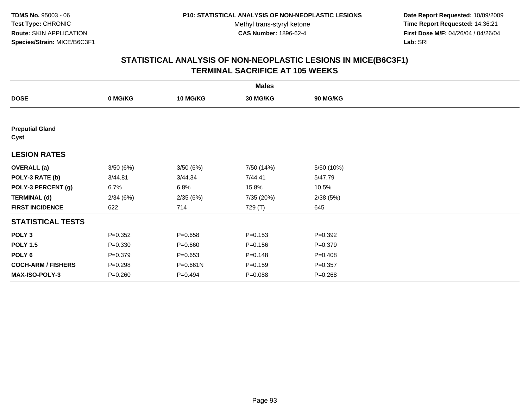**Date Report Requested:** 10/09/2009 **Time Report Requested:** 14:36:21 **First Dose M/F:** 04/26/04 / 04/26/04 Lab: SRI **Lab:** SRI

| <b>Males</b>                   |             |                 |             |                 |  |  |  |
|--------------------------------|-------------|-----------------|-------------|-----------------|--|--|--|
| <b>DOSE</b>                    | 0 MG/KG     | <b>10 MG/KG</b> | 30 MG/KG    | <b>90 MG/KG</b> |  |  |  |
|                                |             |                 |             |                 |  |  |  |
| <b>Preputial Gland</b><br>Cyst |             |                 |             |                 |  |  |  |
| <b>LESION RATES</b>            |             |                 |             |                 |  |  |  |
| <b>OVERALL</b> (a)             | 3/50(6%)    | 3/50(6%)        | 7/50 (14%)  | 5/50 (10%)      |  |  |  |
| POLY-3 RATE (b)                | 3/44.81     | 3/44.34         | 7/44.41     | 5/47.79         |  |  |  |
| POLY-3 PERCENT (g)             | 6.7%        | 6.8%            | 15.8%       | 10.5%           |  |  |  |
| <b>TERMINAL (d)</b>            | 2/34(6%)    | 2/35(6%)        | 7/35 (20%)  | 2/38(5%)        |  |  |  |
| <b>FIRST INCIDENCE</b>         | 622         | 714             | 729 (T)     | 645             |  |  |  |
| <b>STATISTICAL TESTS</b>       |             |                 |             |                 |  |  |  |
| POLY <sub>3</sub>              | $P = 0.352$ | $P = 0.658$     | $P = 0.153$ | $P = 0.392$     |  |  |  |
| <b>POLY 1.5</b>                | $P = 0.330$ | $P = 0.660$     | $P = 0.156$ | $P = 0.379$     |  |  |  |
| POLY 6                         | $P = 0.379$ | $P = 0.653$     | $P = 0.148$ | $P=0.408$       |  |  |  |
| <b>COCH-ARM / FISHERS</b>      | $P = 0.298$ | $P = 0.661N$    | $P = 0.159$ | $P = 0.357$     |  |  |  |
| <b>MAX-ISO-POLY-3</b>          | $P = 0.260$ | $P=0.494$       | $P = 0.088$ | $P = 0.268$     |  |  |  |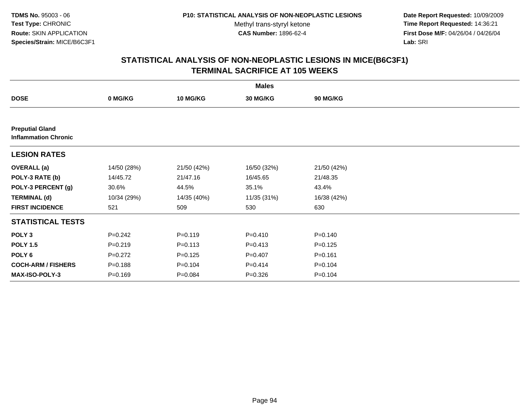**Date Report Requested:** 10/09/2009 **Time Report Requested:** 14:36:21 **First Dose M/F:** 04/26/04 / 04/26/04 Lab: SRI **Lab:** SRI

| <b>Males</b>                                          |             |                 |             |             |  |  |  |
|-------------------------------------------------------|-------------|-----------------|-------------|-------------|--|--|--|
| <b>DOSE</b>                                           | 0 MG/KG     | <b>10 MG/KG</b> | 30 MG/KG    | 90 MG/KG    |  |  |  |
|                                                       |             |                 |             |             |  |  |  |
| <b>Preputial Gland</b><br><b>Inflammation Chronic</b> |             |                 |             |             |  |  |  |
| <b>LESION RATES</b>                                   |             |                 |             |             |  |  |  |
| <b>OVERALL</b> (a)                                    | 14/50 (28%) | 21/50 (42%)     | 16/50 (32%) | 21/50 (42%) |  |  |  |
| POLY-3 RATE (b)                                       | 14/45.72    | 21/47.16        | 16/45.65    | 21/48.35    |  |  |  |
| POLY-3 PERCENT (g)                                    | 30.6%       | 44.5%           | 35.1%       | 43.4%       |  |  |  |
| <b>TERMINAL (d)</b>                                   | 10/34 (29%) | 14/35 (40%)     | 11/35 (31%) | 16/38 (42%) |  |  |  |
| <b>FIRST INCIDENCE</b>                                | 521         | 509             | 530         | 630         |  |  |  |
| <b>STATISTICAL TESTS</b>                              |             |                 |             |             |  |  |  |
| POLY <sub>3</sub>                                     | $P = 0.242$ | $P = 0.119$     | $P = 0.410$ | $P = 0.140$ |  |  |  |
| <b>POLY 1.5</b>                                       | $P = 0.219$ | $P = 0.113$     | $P = 0.413$ | $P = 0.125$ |  |  |  |
| POLY <sub>6</sub>                                     | $P=0.272$   | $P = 0.125$     | $P = 0.407$ | $P = 0.161$ |  |  |  |
| <b>COCH-ARM / FISHERS</b>                             | $P = 0.188$ | $P = 0.104$     | $P = 0.414$ | $P = 0.104$ |  |  |  |
| <b>MAX-ISO-POLY-3</b>                                 | $P = 0.169$ | $P = 0.084$     | $P = 0.326$ | $P = 0.104$ |  |  |  |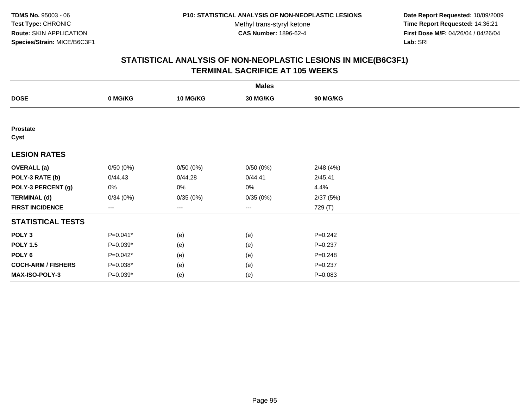**Date Report Requested:** 10/09/2009 **Time Report Requested:** 14:36:21 **First Dose M/F:** 04/26/04 / 04/26/04 Lab: SRI **Lab:** SRI

| <b>Males</b>              |            |                 |          |             |  |  |  |
|---------------------------|------------|-----------------|----------|-------------|--|--|--|
| <b>DOSE</b>               | 0 MG/KG    | <b>10 MG/KG</b> | 30 MG/KG | 90 MG/KG    |  |  |  |
|                           |            |                 |          |             |  |  |  |
| <b>Prostate</b><br>Cyst   |            |                 |          |             |  |  |  |
| <b>LESION RATES</b>       |            |                 |          |             |  |  |  |
| <b>OVERALL</b> (a)        | 0/50(0%)   | 0/50(0%)        | 0/50(0%) | 2/48(4%)    |  |  |  |
| POLY-3 RATE (b)           | 0/44.43    | 0/44.28         | 0/44.41  | 2/45.41     |  |  |  |
| POLY-3 PERCENT (g)        | 0%         | 0%              | 0%       | 4.4%        |  |  |  |
| <b>TERMINAL (d)</b>       | 0/34(0%)   | 0/35(0%)        | 0/35(0%) | 2/37(5%)    |  |  |  |
| <b>FIRST INCIDENCE</b>    | $---$      | $---$           | ---      | 729 (T)     |  |  |  |
| <b>STATISTICAL TESTS</b>  |            |                 |          |             |  |  |  |
| POLY <sub>3</sub>         | P=0.041*   | (e)             | (e)      | $P = 0.242$ |  |  |  |
| <b>POLY 1.5</b>           | $P=0.039*$ | (e)             | (e)      | $P = 0.237$ |  |  |  |
| POLY <sub>6</sub>         | $P=0.042*$ | (e)             | (e)      | $P = 0.248$ |  |  |  |
| <b>COCH-ARM / FISHERS</b> | P=0.038*   | (e)             | (e)      | $P = 0.237$ |  |  |  |
| MAX-ISO-POLY-3            | P=0.039*   | (e)             | (e)      | $P = 0.083$ |  |  |  |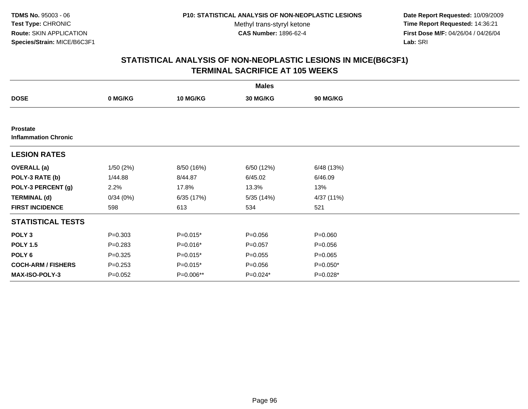**Date Report Requested:** 10/09/2009 **Time Report Requested:** 14:36:21 **First Dose M/F:** 04/26/04 / 04/26/04 Lab: SRI **Lab:** SRI

|                                                | <b>Males</b> |                 |             |                 |  |  |  |  |
|------------------------------------------------|--------------|-----------------|-------------|-----------------|--|--|--|--|
| <b>DOSE</b>                                    | 0 MG/KG      | <b>10 MG/KG</b> | 30 MG/KG    | <b>90 MG/KG</b> |  |  |  |  |
|                                                |              |                 |             |                 |  |  |  |  |
| <b>Prostate</b><br><b>Inflammation Chronic</b> |              |                 |             |                 |  |  |  |  |
| <b>LESION RATES</b>                            |              |                 |             |                 |  |  |  |  |
| <b>OVERALL</b> (a)                             | 1/50(2%)     | 8/50 (16%)      | 6/50 (12%)  | 6/48 (13%)      |  |  |  |  |
| POLY-3 RATE (b)                                | 1/44.88      | 8/44.87         | 6/45.02     | 6/46.09         |  |  |  |  |
| POLY-3 PERCENT (g)                             | 2.2%         | 17.8%           | 13.3%       | 13%             |  |  |  |  |
| <b>TERMINAL (d)</b>                            | 0/34(0%)     | 6/35 (17%)      | 5/35(14%)   | 4/37 (11%)      |  |  |  |  |
| <b>FIRST INCIDENCE</b>                         | 598          | 613             | 534         | 521             |  |  |  |  |
| <b>STATISTICAL TESTS</b>                       |              |                 |             |                 |  |  |  |  |
| POLY <sub>3</sub>                              | $P = 0.303$  | $P=0.015*$      | $P = 0.056$ | $P = 0.060$     |  |  |  |  |
| <b>POLY 1.5</b>                                | $P = 0.283$  | P=0.016*        | $P = 0.057$ | $P = 0.056$     |  |  |  |  |
| POLY <sub>6</sub>                              | $P = 0.325$  | $P=0.015*$      | $P = 0.055$ | $P = 0.065$     |  |  |  |  |
| <b>COCH-ARM / FISHERS</b>                      | $P = 0.253$  | $P=0.015*$      | $P = 0.056$ | $P=0.050*$      |  |  |  |  |
| <b>MAX-ISO-POLY-3</b>                          | $P=0.052$    | P=0.006**       | P=0.024*    | P=0.028*        |  |  |  |  |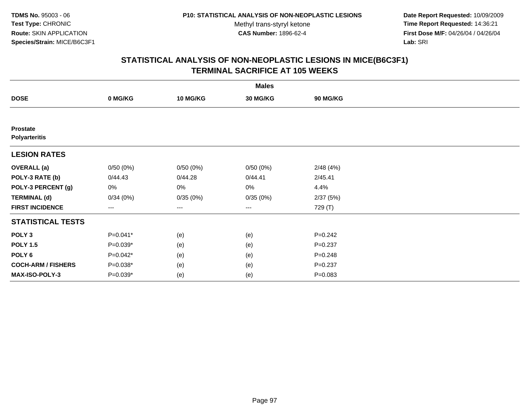**Date Report Requested:** 10/09/2009 **Time Report Requested:** 14:36:21 **First Dose M/F:** 04/26/04 / 04/26/04 Lab: SRI **Lab:** SRI

| <b>Males</b>                     |            |                 |                   |                 |  |  |  |
|----------------------------------|------------|-----------------|-------------------|-----------------|--|--|--|
| <b>DOSE</b>                      | 0 MG/KG    | <b>10 MG/KG</b> | 30 MG/KG          | <b>90 MG/KG</b> |  |  |  |
|                                  |            |                 |                   |                 |  |  |  |
| Prostate<br><b>Polyarteritis</b> |            |                 |                   |                 |  |  |  |
| <b>LESION RATES</b>              |            |                 |                   |                 |  |  |  |
| <b>OVERALL</b> (a)               | 0/50(0%)   | 0/50(0%)        | 0/50(0%)          | 2/48(4%)        |  |  |  |
| POLY-3 RATE (b)                  | 0/44.43    | 0/44.28         | 0/44.41           | 2/45.41         |  |  |  |
| POLY-3 PERCENT (g)               | 0%         | 0%              | 0%                | 4.4%            |  |  |  |
| <b>TERMINAL (d)</b>              | 0/34(0%)   | 0/35(0%)        | 0/35(0%)          | 2/37(5%)        |  |  |  |
| <b>FIRST INCIDENCE</b>           | ---        | ---             | $\qquad \qquad -$ | 729 (T)         |  |  |  |
| <b>STATISTICAL TESTS</b>         |            |                 |                   |                 |  |  |  |
| POLY <sub>3</sub>                | P=0.041*   | (e)             | (e)               | $P = 0.242$     |  |  |  |
| <b>POLY 1.5</b>                  | $P=0.039*$ | (e)             | (e)               | $P = 0.237$     |  |  |  |
| POLY <sub>6</sub>                | $P=0.042*$ | (e)             | (e)               | $P = 0.248$     |  |  |  |
| <b>COCH-ARM / FISHERS</b>        | $P=0.038*$ | (e)             | (e)               | $P = 0.237$     |  |  |  |
| <b>MAX-ISO-POLY-3</b>            | P=0.039*   | (e)             | (e)               | $P = 0.083$     |  |  |  |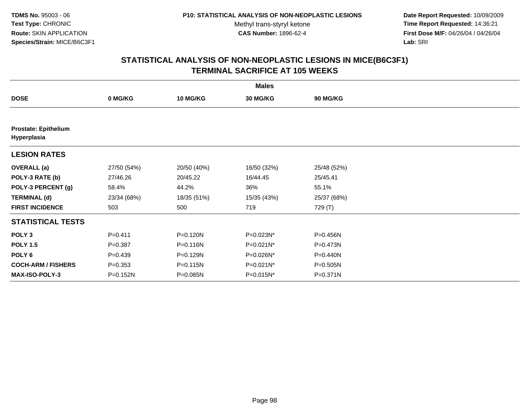**Date Report Requested:** 10/09/2009 **Time Report Requested:** 14:36:21 **First Dose M/F:** 04/26/04 / 04/26/04 Lab: SRI **Lab:** SRI

| <b>Males</b>                               |             |                 |             |                 |  |  |  |
|--------------------------------------------|-------------|-----------------|-------------|-----------------|--|--|--|
| <b>DOSE</b>                                | 0 MG/KG     | <b>10 MG/KG</b> | 30 MG/KG    | <b>90 MG/KG</b> |  |  |  |
|                                            |             |                 |             |                 |  |  |  |
| <b>Prostate: Epithelium</b><br>Hyperplasia |             |                 |             |                 |  |  |  |
| <b>LESION RATES</b>                        |             |                 |             |                 |  |  |  |
| <b>OVERALL</b> (a)                         | 27/50 (54%) | 20/50 (40%)     | 16/50 (32%) | 25/48 (52%)     |  |  |  |
| POLY-3 RATE (b)                            | 27/46.26    | 20/45.22        | 16/44.45    | 25/45.41        |  |  |  |
| POLY-3 PERCENT (g)                         | 58.4%       | 44.2%           | 36%         | 55.1%           |  |  |  |
| <b>TERMINAL (d)</b>                        | 23/34 (68%) | 18/35 (51%)     | 15/35 (43%) | 25/37 (68%)     |  |  |  |
| <b>FIRST INCIDENCE</b>                     | 503         | 500             | 719         | 729 (T)         |  |  |  |
| <b>STATISTICAL TESTS</b>                   |             |                 |             |                 |  |  |  |
| POLY <sub>3</sub>                          | $P=0.411$   | P=0.120N        | P=0.023N*   | P=0.456N        |  |  |  |
| <b>POLY 1.5</b>                            | $P = 0.387$ | P=0.116N        | P=0.021N*   | P=0.473N        |  |  |  |
| POLY <sub>6</sub>                          | $P = 0.439$ | P=0.129N        | P=0.026N*   | P=0.440N        |  |  |  |
| <b>COCH-ARM / FISHERS</b>                  | $P = 0.353$ | P=0.115N        | P=0.021N*   | P=0.505N        |  |  |  |
| <b>MAX-ISO-POLY-3</b>                      | P=0.152N    | P=0.085N        | P=0.015N*   | P=0.371N        |  |  |  |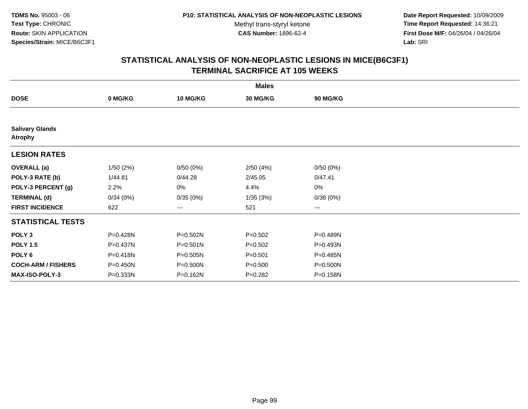**Date Report Requested:** 10/09/2009 **Time Report Requested:** 14:36:21 **First Dose M/F:** 04/26/04 / 04/26/04 Lab: SRI **Lab:** SRI

|                                          | <b>Males</b> |                 |             |          |  |  |  |  |
|------------------------------------------|--------------|-----------------|-------------|----------|--|--|--|--|
| <b>DOSE</b>                              | 0 MG/KG      | <b>10 MG/KG</b> | 30 MG/KG    | 90 MG/KG |  |  |  |  |
|                                          |              |                 |             |          |  |  |  |  |
| <b>Salivary Glands</b><br><b>Atrophy</b> |              |                 |             |          |  |  |  |  |
| <b>LESION RATES</b>                      |              |                 |             |          |  |  |  |  |
| <b>OVERALL</b> (a)                       | 1/50(2%)     | 0/50(0%)        | 2/50(4%)    | 0/50(0%) |  |  |  |  |
| POLY-3 RATE (b)                          | 1/44.81      | 0/44.28         | 2/45.05     | 0/47.41  |  |  |  |  |
| POLY-3 PERCENT (g)                       | 2.2%         | 0%              | 4.4%        | 0%       |  |  |  |  |
| <b>TERMINAL (d)</b>                      | 0/34(0%)     | 0/35(0%)        | 1/35(3%)    | 0/38(0%) |  |  |  |  |
| <b>FIRST INCIDENCE</b>                   | 622          | ---             | 521         | $---$    |  |  |  |  |
| <b>STATISTICAL TESTS</b>                 |              |                 |             |          |  |  |  |  |
| POLY <sub>3</sub>                        | P=0.428N     | P=0.502N        | $P = 0.502$ | P=0.489N |  |  |  |  |
| <b>POLY 1.5</b>                          | P=0.437N     | P=0.501N        | $P = 0.502$ | P=0.493N |  |  |  |  |
| POLY 6                                   | $P = 0.418N$ | P=0.505N        | $P = 0.501$ | P=0.485N |  |  |  |  |
| <b>COCH-ARM / FISHERS</b>                | P=0.450N     | P=0.500N        | $P = 0.500$ | P=0.500N |  |  |  |  |
| <b>MAX-ISO-POLY-3</b>                    | P=0.333N     | P=0.162N        | $P = 0.282$ | P=0.158N |  |  |  |  |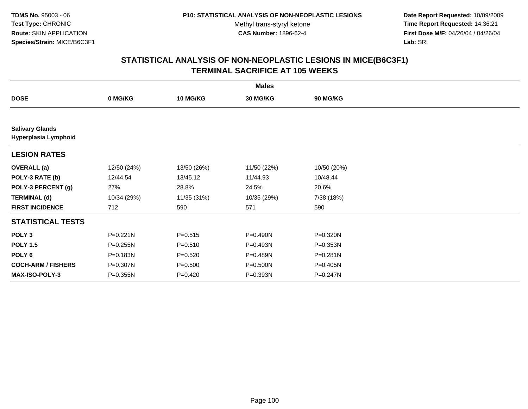**Date Report Requested:** 10/09/2009 **Time Report Requested:** 14:36:21 **First Dose M/F:** 04/26/04 / 04/26/04 Lab: SRI **Lab:** SRI

| <b>Males</b>                                   |              |                 |              |                 |  |  |  |
|------------------------------------------------|--------------|-----------------|--------------|-----------------|--|--|--|
| <b>DOSE</b>                                    | 0 MG/KG      | <b>10 MG/KG</b> | 30 MG/KG     | <b>90 MG/KG</b> |  |  |  |
|                                                |              |                 |              |                 |  |  |  |
| <b>Salivary Glands</b><br>Hyperplasia Lymphoid |              |                 |              |                 |  |  |  |
| <b>LESION RATES</b>                            |              |                 |              |                 |  |  |  |
| <b>OVERALL</b> (a)                             | 12/50 (24%)  | 13/50 (26%)     | 11/50 (22%)  | 10/50 (20%)     |  |  |  |
| POLY-3 RATE (b)                                | 12/44.54     | 13/45.12        | 11/44.93     | 10/48.44        |  |  |  |
| POLY-3 PERCENT (g)                             | 27%          | 28.8%           | 24.5%        | 20.6%           |  |  |  |
| <b>TERMINAL (d)</b>                            | 10/34 (29%)  | 11/35 (31%)     | 10/35 (29%)  | 7/38 (18%)      |  |  |  |
| <b>FIRST INCIDENCE</b>                         | 712          | 590             | 571          | 590             |  |  |  |
| <b>STATISTICAL TESTS</b>                       |              |                 |              |                 |  |  |  |
| POLY <sub>3</sub>                              | $P = 0.221N$ | $P = 0.515$     | P=0.490N     | P=0.320N        |  |  |  |
| <b>POLY 1.5</b>                                | $P = 0.255N$ | $P = 0.510$     | P=0.493N     | P=0.353N        |  |  |  |
| POLY 6                                         | P=0.183N     | $P = 0.520$     | P=0.489N     | P=0.281N        |  |  |  |
| <b>COCH-ARM / FISHERS</b>                      | P=0.307N     | $P = 0.500$     | $P = 0.500N$ | P=0.405N        |  |  |  |
| MAX-ISO-POLY-3                                 | P=0.355N     | $P=0.420$       | P=0.393N     | P=0.247N        |  |  |  |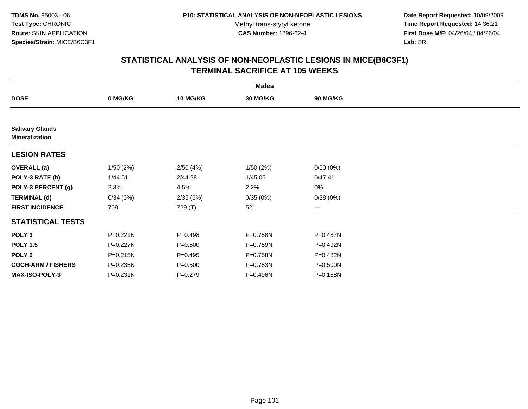**Date Report Requested:** 10/09/2009 **Time Report Requested:** 14:36:21 **First Dose M/F:** 04/26/04 / 04/26/04 Lab: SRI **Lab:** SRI

|                                                 |              |                 | <b>Males</b> |                 |  |
|-------------------------------------------------|--------------|-----------------|--------------|-----------------|--|
| <b>DOSE</b>                                     | 0 MG/KG      | <b>10 MG/KG</b> | 30 MG/KG     | <b>90 MG/KG</b> |  |
|                                                 |              |                 |              |                 |  |
| <b>Salivary Glands</b><br><b>Mineralization</b> |              |                 |              |                 |  |
| <b>LESION RATES</b>                             |              |                 |              |                 |  |
| <b>OVERALL</b> (a)                              | 1/50(2%)     | 2/50(4%)        | 1/50(2%)     | 0/50(0%)        |  |
| POLY-3 RATE (b)                                 | 1/44.51      | 2/44.28         | 1/45.05      | 0/47.41         |  |
| POLY-3 PERCENT (g)                              | 2.3%         | 4.5%            | 2.2%         | $0\%$           |  |
| <b>TERMINAL (d)</b>                             | 0/34(0%)     | 2/35(6%)        | 0/35(0%)     | 0/38(0%)        |  |
| <b>FIRST INCIDENCE</b>                          | 709          | 729 (T)         | 521          | $\cdots$        |  |
| <b>STATISTICAL TESTS</b>                        |              |                 |              |                 |  |
| POLY <sub>3</sub>                               | $P = 0.221N$ | $P = 0.498$     | P=0.758N     | P=0.487N        |  |
| <b>POLY 1.5</b>                                 | P=0.227N     | $P = 0.500$     | P=0.759N     | P=0.492N        |  |
| POLY <sub>6</sub>                               | P=0.215N     | $P = 0.495$     | P=0.758N     | P=0.482N        |  |
| <b>COCH-ARM / FISHERS</b>                       | P=0.235N     | $P = 0.500$     | P=0.753N     | P=0.500N        |  |
| <b>MAX-ISO-POLY-3</b>                           | $P = 0.231N$ | $P = 0.279$     | P=0.496N     | P=0.158N        |  |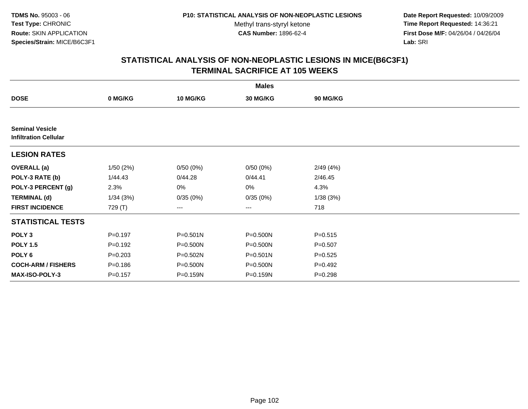**Date Report Requested:** 10/09/2009 **Time Report Requested:** 14:36:21 **First Dose M/F:** 04/26/04 / 04/26/04 Lab: SRI **Lab:** SRI

|                                                        |             |                 | <b>Males</b> |                 |  |
|--------------------------------------------------------|-------------|-----------------|--------------|-----------------|--|
| <b>DOSE</b>                                            | 0 MG/KG     | <b>10 MG/KG</b> | 30 MG/KG     | <b>90 MG/KG</b> |  |
|                                                        |             |                 |              |                 |  |
| <b>Seminal Vesicle</b><br><b>Infiltration Cellular</b> |             |                 |              |                 |  |
| <b>LESION RATES</b>                                    |             |                 |              |                 |  |
| <b>OVERALL</b> (a)                                     | 1/50(2%)    | 0/50(0%)        | 0/50(0%)     | 2/49(4%)        |  |
| POLY-3 RATE (b)                                        | 1/44.43     | 0/44.28         | 0/44.41      | 2/46.45         |  |
| POLY-3 PERCENT (g)                                     | 2.3%        | 0%              | 0%           | 4.3%            |  |
| <b>TERMINAL (d)</b>                                    | 1/34(3%)    | 0/35(0%)        | 0/35(0%)     | 1/38(3%)        |  |
| <b>FIRST INCIDENCE</b>                                 | 729 (T)     | $\cdots$        | $\cdots$     | 718             |  |
| <b>STATISTICAL TESTS</b>                               |             |                 |              |                 |  |
| POLY <sub>3</sub>                                      | $P = 0.197$ | $P = 0.501N$    | P=0.500N     | $P = 0.515$     |  |
| <b>POLY 1.5</b>                                        | $P=0.192$   | P=0.500N        | P=0.500N     | $P = 0.507$     |  |
| POLY 6                                                 | $P = 0.203$ | P=0.502N        | $P = 0.501N$ | $P = 0.525$     |  |
| <b>COCH-ARM / FISHERS</b>                              | $P = 0.186$ | P=0.500N        | P=0.500N     | $P=0.492$       |  |
| <b>MAX-ISO-POLY-3</b>                                  | $P = 0.157$ | P=0.159N        | P=0.159N     | $P = 0.298$     |  |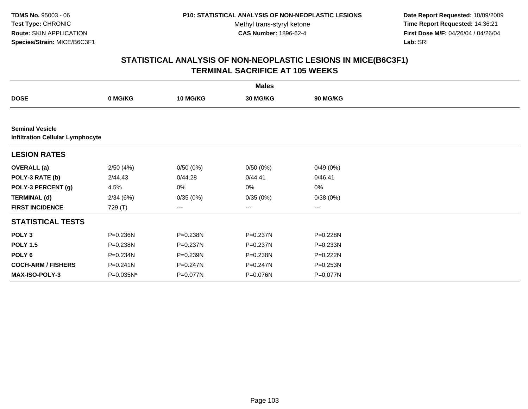**Date Report Requested:** 10/09/2009 **Time Report Requested:** 14:36:21 **First Dose M/F:** 04/26/04 / 04/26/04 Lab: SRI **Lab:** SRI

|                           | <b>Males</b>                            |          |              |                 |  |  |  |  |  |
|---------------------------|-----------------------------------------|----------|--------------|-----------------|--|--|--|--|--|
| <b>DOSE</b>               | 0 MG/KG                                 | 10 MG/KG | 30 MG/KG     | <b>90 MG/KG</b> |  |  |  |  |  |
|                           |                                         |          |              |                 |  |  |  |  |  |
| <b>Seminal Vesicle</b>    | <b>Infiltration Cellular Lymphocyte</b> |          |              |                 |  |  |  |  |  |
| <b>LESION RATES</b>       |                                         |          |              |                 |  |  |  |  |  |
| <b>OVERALL</b> (a)        | 2/50(4%)                                | 0/50(0%) | 0/50(0%)     | 0/49(0%)        |  |  |  |  |  |
| POLY-3 RATE (b)           | 2/44.43                                 | 0/44.28  | 0/44.41      | 0/46.41         |  |  |  |  |  |
| POLY-3 PERCENT (g)        | 4.5%                                    | 0%       | 0%           | 0%              |  |  |  |  |  |
| <b>TERMINAL (d)</b>       | 2/34(6%)                                | 0/35(0%) | 0/35(0%)     | 0/38(0%)        |  |  |  |  |  |
| <b>FIRST INCIDENCE</b>    | 729 (T)                                 | $\cdots$ | ---          | $\cdots$        |  |  |  |  |  |
| <b>STATISTICAL TESTS</b>  |                                         |          |              |                 |  |  |  |  |  |
| POLY <sub>3</sub>         | P=0.236N                                | P=0.238N | P=0.237N     | P=0.228N        |  |  |  |  |  |
| <b>POLY 1.5</b>           | P=0.238N                                | P=0.237N | P=0.237N     | P=0.233N        |  |  |  |  |  |
| POLY 6                    | P=0.234N                                | P=0.239N | P=0.238N     | P=0.222N        |  |  |  |  |  |
| <b>COCH-ARM / FISHERS</b> | $P = 0.241N$                            | P=0.247N | $P = 0.247N$ | P=0.253N        |  |  |  |  |  |
| <b>MAX-ISO-POLY-3</b>     | P=0.035N*                               | P=0.077N | P=0.076N     | P=0.077N        |  |  |  |  |  |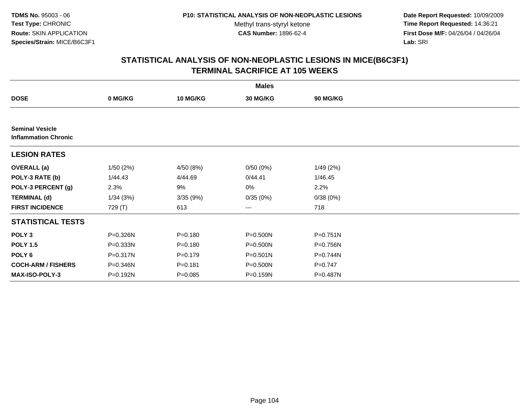**Date Report Requested:** 10/09/2009 **Time Report Requested:** 14:36:21 **First Dose M/F:** 04/26/04 / 04/26/04 Lab: SRI **Lab:** SRI

|                                                       |          |                 | <b>Males</b> |              |  |
|-------------------------------------------------------|----------|-----------------|--------------|--------------|--|
| <b>DOSE</b>                                           | 0 MG/KG  | <b>10 MG/KG</b> | 30 MG/KG     | 90 MG/KG     |  |
|                                                       |          |                 |              |              |  |
| <b>Seminal Vesicle</b><br><b>Inflammation Chronic</b> |          |                 |              |              |  |
| <b>LESION RATES</b>                                   |          |                 |              |              |  |
| <b>OVERALL</b> (a)                                    | 1/50(2%) | 4/50 (8%)       | 0/50(0%)     | 1/49(2%)     |  |
| POLY-3 RATE (b)                                       | 1/44.43  | 4/44.69         | 0/44.41      | 1/46.45      |  |
| POLY-3 PERCENT (g)                                    | 2.3%     | 9%              | 0%           | 2.2%         |  |
| <b>TERMINAL (d)</b>                                   | 1/34(3%) | 3/35(9%)        | 0/35(0%)     | 0/38(0%)     |  |
| <b>FIRST INCIDENCE</b>                                | 729 (T)  | 613             | $\cdots$     | 718          |  |
| <b>STATISTICAL TESTS</b>                              |          |                 |              |              |  |
| POLY <sub>3</sub>                                     | P=0.326N | $P = 0.180$     | $P = 0.500N$ | $P = 0.751N$ |  |
| <b>POLY 1.5</b>                                       | P=0.333N | $P = 0.180$     | P=0.500N     | P=0.756N     |  |
| POLY 6                                                | P=0.317N | $P=0.179$       | $P = 0.501N$ | P=0.744N     |  |
| <b>COCH-ARM / FISHERS</b>                             | P=0.346N | $P = 0.181$     | P=0.500N     | $P = 0.747$  |  |
| <b>MAX-ISO-POLY-3</b>                                 | P=0.192N | $P = 0.085$     | P=0.159N     | P=0.487N     |  |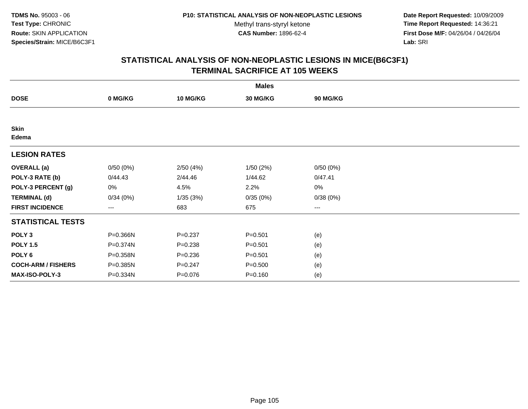**Date Report Requested:** 10/09/2009 **Time Report Requested:** 14:36:21 **First Dose M/F:** 04/26/04 / 04/26/04 Lab: SRI **Lab:** SRI

| <b>Males</b>              |          |                 |                 |          |  |  |  |
|---------------------------|----------|-----------------|-----------------|----------|--|--|--|
| <b>DOSE</b>               | 0 MG/KG  | <b>10 MG/KG</b> | <b>30 MG/KG</b> | 90 MG/KG |  |  |  |
|                           |          |                 |                 |          |  |  |  |
| <b>Skin</b><br>Edema      |          |                 |                 |          |  |  |  |
| <b>LESION RATES</b>       |          |                 |                 |          |  |  |  |
| <b>OVERALL</b> (a)        | 0/50(0%) | 2/50(4%)        | 1/50(2%)        | 0/50(0%) |  |  |  |
| POLY-3 RATE (b)           | 0/44.43  | 2/44.46         | 1/44.62         | 0/47.41  |  |  |  |
| POLY-3 PERCENT (g)        | 0%       | 4.5%            | 2.2%            | 0%       |  |  |  |
| <b>TERMINAL (d)</b>       | 0/34(0%) | 1/35(3%)        | 0/35(0%)        | 0/38(0%) |  |  |  |
| <b>FIRST INCIDENCE</b>    | ---      | 683             | 675             | $---$    |  |  |  |
| <b>STATISTICAL TESTS</b>  |          |                 |                 |          |  |  |  |
| POLY <sub>3</sub>         | P=0.366N | $P = 0.237$     | $P = 0.501$     | (e)      |  |  |  |
| <b>POLY 1.5</b>           | P=0.374N | $P = 0.238$     | $P = 0.501$     | (e)      |  |  |  |
| POLY 6                    | P=0.358N | $P = 0.236$     | $P = 0.501$     | (e)      |  |  |  |
| <b>COCH-ARM / FISHERS</b> | P=0.385N | $P = 0.247$     | $P = 0.500$     | (e)      |  |  |  |
| MAX-ISO-POLY-3            | P=0.334N | $P = 0.076$     | $P = 0.160$     | (e)      |  |  |  |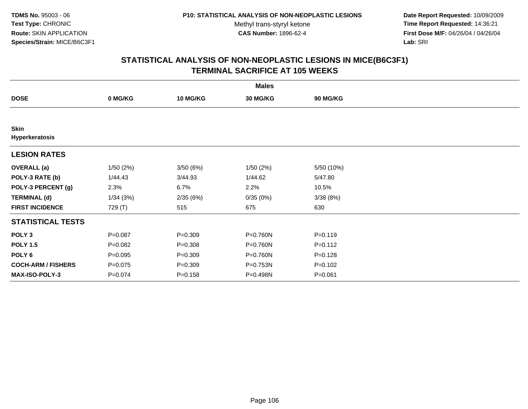**Date Report Requested:** 10/09/2009 **Time Report Requested:** 14:36:21 **First Dose M/F:** 04/26/04 / 04/26/04 Lab: SRI **Lab:** SRI

|                               | <b>Males</b> |                 |                 |             |  |  |  |  |
|-------------------------------|--------------|-----------------|-----------------|-------------|--|--|--|--|
| <b>DOSE</b>                   | 0 MG/KG      | <b>10 MG/KG</b> | <b>30 MG/KG</b> | 90 MG/KG    |  |  |  |  |
|                               |              |                 |                 |             |  |  |  |  |
| <b>Skin</b><br>Hyperkeratosis |              |                 |                 |             |  |  |  |  |
| <b>LESION RATES</b>           |              |                 |                 |             |  |  |  |  |
| <b>OVERALL</b> (a)            | 1/50(2%)     | 3/50(6%)        | 1/50(2%)        | 5/50 (10%)  |  |  |  |  |
| POLY-3 RATE (b)               | 1/44.43      | 3/44.93         | 1/44.62         | 5/47.80     |  |  |  |  |
| POLY-3 PERCENT (g)            | 2.3%         | 6.7%            | 2.2%            | 10.5%       |  |  |  |  |
| <b>TERMINAL (d)</b>           | 1/34(3%)     | 2/35(6%)        | 0/35(0%)        | 3/38(8%)    |  |  |  |  |
| <b>FIRST INCIDENCE</b>        | 729 (T)      | 515             | 675             | 630         |  |  |  |  |
| <b>STATISTICAL TESTS</b>      |              |                 |                 |             |  |  |  |  |
| POLY <sub>3</sub>             | $P = 0.087$  | $P = 0.309$     | P=0.760N        | $P = 0.119$ |  |  |  |  |
| <b>POLY 1.5</b>               | $P=0.082$    | $P = 0.308$     | P=0.760N        | $P = 0.112$ |  |  |  |  |
| POLY 6                        | $P = 0.095$  | $P = 0.309$     | P=0.760N        | $P = 0.128$ |  |  |  |  |
| <b>COCH-ARM / FISHERS</b>     | $P = 0.075$  | $P = 0.309$     | P=0.753N        | $P = 0.102$ |  |  |  |  |
| MAX-ISO-POLY-3                | $P = 0.074$  | $P = 0.158$     | P=0.498N        | $P = 0.061$ |  |  |  |  |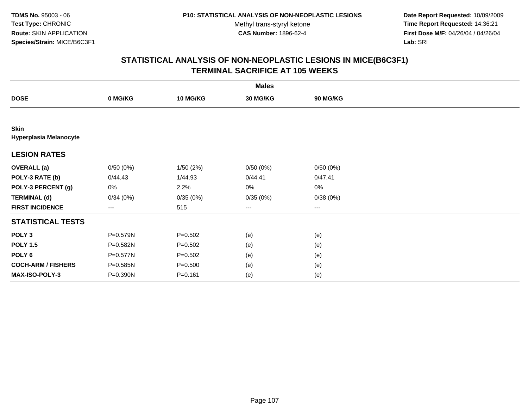**Date Report Requested:** 10/09/2009 **Time Report Requested:** 14:36:21 **First Dose M/F:** 04/26/04 / 04/26/04 Lab: SRI **Lab:** SRI

| <b>Males</b>                                 |                   |                 |                        |                        |  |  |  |
|----------------------------------------------|-------------------|-----------------|------------------------|------------------------|--|--|--|
| <b>DOSE</b>                                  | 0 MG/KG           | <b>10 MG/KG</b> | 30 MG/KG               | <b>90 MG/KG</b>        |  |  |  |
|                                              |                   |                 |                        |                        |  |  |  |
| <b>Skin</b><br><b>Hyperplasia Melanocyte</b> |                   |                 |                        |                        |  |  |  |
| <b>LESION RATES</b>                          |                   |                 |                        |                        |  |  |  |
| <b>OVERALL</b> (a)                           | 0/50(0%)          | 1/50(2%)        | 0/50(0%)               | 0/50(0%)               |  |  |  |
| POLY-3 RATE (b)                              | 0/44.43           | 1/44.93         | 0/44.41                | 0/47.41                |  |  |  |
| POLY-3 PERCENT (g)                           | 0%                | 2.2%            | 0%                     | $0\%$                  |  |  |  |
| <b>TERMINAL (d)</b>                          | 0/34(0%)          | 0/35(0%)        | 0/35(0%)               | 0/38(0%)               |  |  |  |
| <b>FIRST INCIDENCE</b>                       | $\qquad \qquad -$ | 515             | $\qquad \qquad \cdots$ | $\qquad \qquad \cdots$ |  |  |  |
| <b>STATISTICAL TESTS</b>                     |                   |                 |                        |                        |  |  |  |
| POLY <sub>3</sub>                            | P=0.579N          | $P = 0.502$     | (e)                    | (e)                    |  |  |  |
| <b>POLY 1.5</b>                              | P=0.582N          | $P = 0.502$     | (e)                    | (e)                    |  |  |  |
| POLY <sub>6</sub>                            | P=0.577N          | $P = 0.502$     | (e)                    | (e)                    |  |  |  |
| <b>COCH-ARM / FISHERS</b>                    | P=0.585N          | $P = 0.500$     | (e)                    | (e)                    |  |  |  |
| <b>MAX-ISO-POLY-3</b>                        | P=0.390N          | $P = 0.161$     | (e)                    | (e)                    |  |  |  |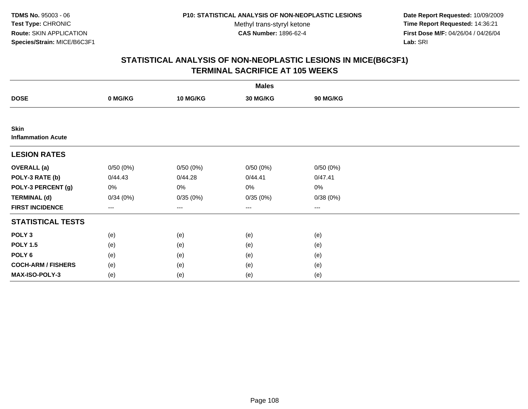**Date Report Requested:** 10/09/2009 **Time Report Requested:** 14:36:21 **First Dose M/F:** 04/26/04 / 04/26/04 Lab: SRI **Lab:** SRI

|                                          | <b>Males</b> |                   |                 |          |  |  |  |  |
|------------------------------------------|--------------|-------------------|-----------------|----------|--|--|--|--|
| <b>DOSE</b>                              | 0 MG/KG      | <b>10 MG/KG</b>   | <b>30 MG/KG</b> | 90 MG/KG |  |  |  |  |
|                                          |              |                   |                 |          |  |  |  |  |
| <b>Skin</b><br><b>Inflammation Acute</b> |              |                   |                 |          |  |  |  |  |
| <b>LESION RATES</b>                      |              |                   |                 |          |  |  |  |  |
| <b>OVERALL</b> (a)                       | 0/50(0%)     | 0/50(0%)          | 0/50(0%)        | 0/50(0%) |  |  |  |  |
| POLY-3 RATE (b)                          | 0/44.43      | 0/44.28           | 0/44.41         | 0/47.41  |  |  |  |  |
| POLY-3 PERCENT (g)                       | 0%           | 0%                | 0%              | 0%       |  |  |  |  |
| <b>TERMINAL (d)</b>                      | 0/34(0%)     | 0/35(0%)          | 0/35(0%)        | 0/38(0%) |  |  |  |  |
| <b>FIRST INCIDENCE</b>                   | $---$        | $\qquad \qquad -$ | ---             | $\cdots$ |  |  |  |  |
| <b>STATISTICAL TESTS</b>                 |              |                   |                 |          |  |  |  |  |
| POLY <sub>3</sub>                        | (e)          | (e)               | (e)             | (e)      |  |  |  |  |
| <b>POLY 1.5</b>                          | (e)          | (e)               | (e)             | (e)      |  |  |  |  |
| POLY <sub>6</sub>                        | (e)          | (e)               | (e)             | (e)      |  |  |  |  |
| <b>COCH-ARM / FISHERS</b>                | (e)          | (e)               | (e)             | (e)      |  |  |  |  |
| MAX-ISO-POLY-3                           | (e)          | (e)               | (e)             | (e)      |  |  |  |  |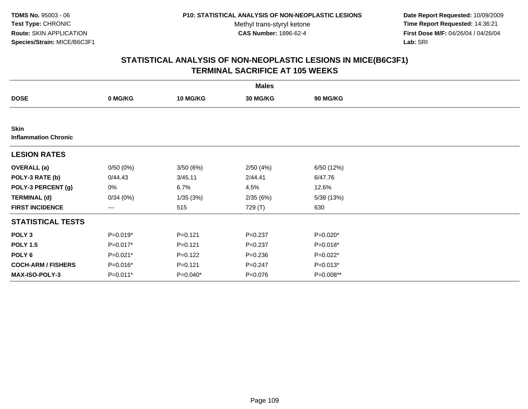**Date Report Requested:** 10/09/2009 **Time Report Requested:** 14:36:21 **First Dose M/F:** 04/26/04 / 04/26/04 Lab: SRI **Lab:** SRI

| <b>Males</b>                               |          |                 |             |                 |  |  |
|--------------------------------------------|----------|-----------------|-------------|-----------------|--|--|
| <b>DOSE</b>                                | 0 MG/KG  | <b>10 MG/KG</b> | 30 MG/KG    | <b>90 MG/KG</b> |  |  |
|                                            |          |                 |             |                 |  |  |
| <b>Skin</b><br><b>Inflammation Chronic</b> |          |                 |             |                 |  |  |
| <b>LESION RATES</b>                        |          |                 |             |                 |  |  |
| <b>OVERALL</b> (a)                         | 0/50(0%) | 3/50(6%)        | 2/50(4%)    | 6/50 (12%)      |  |  |
| POLY-3 RATE (b)                            | 0/44.43  | 3/45.11         | 2/44.41     | 6/47.76         |  |  |
| POLY-3 PERCENT (g)                         | 0%       | 6.7%            | 4.5%        | 12.6%           |  |  |
| <b>TERMINAL (d)</b>                        | 0/34(0%) | 1/35(3%)        | 2/35(6%)    | 5/38 (13%)      |  |  |
| <b>FIRST INCIDENCE</b>                     | $---$    | 515             | 729 (T)     | 630             |  |  |
| <b>STATISTICAL TESTS</b>                   |          |                 |             |                 |  |  |
| POLY <sub>3</sub>                          | P=0.019* | $P = 0.121$     | $P = 0.237$ | P=0.020*        |  |  |
| <b>POLY 1.5</b>                            | P=0.017* | $P = 0.121$     | $P = 0.237$ | P=0.018*        |  |  |
| POLY <sub>6</sub>                          | P=0.021* | $P = 0.122$     | $P = 0.236$ | P=0.022*        |  |  |
| <b>COCH-ARM / FISHERS</b>                  | P=0.016* | $P = 0.121$     | $P = 0.247$ | $P=0.013*$      |  |  |
| <b>MAX-ISO-POLY-3</b>                      | P=0.011* | P=0.040*        | $P = 0.076$ | P=0.008**       |  |  |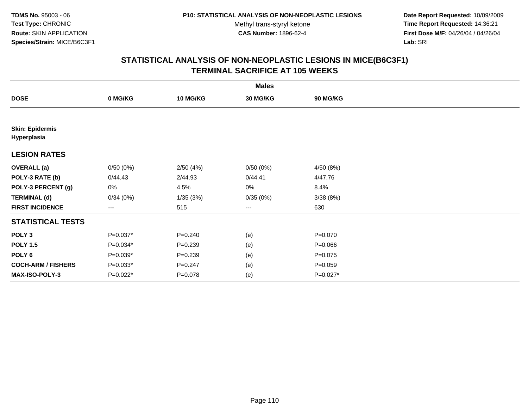**Date Report Requested:** 10/09/2009 **Time Report Requested:** 14:36:21 **First Dose M/F:** 04/26/04 / 04/26/04 Lab: SRI **Lab:** SRI

| <b>Males</b>                          |                   |                 |                        |                 |  |  |
|---------------------------------------|-------------------|-----------------|------------------------|-----------------|--|--|
| <b>DOSE</b>                           | 0 MG/KG           | <b>10 MG/KG</b> | 30 MG/KG               | <b>90 MG/KG</b> |  |  |
|                                       |                   |                 |                        |                 |  |  |
| <b>Skin: Epidermis</b><br>Hyperplasia |                   |                 |                        |                 |  |  |
| <b>LESION RATES</b>                   |                   |                 |                        |                 |  |  |
| <b>OVERALL</b> (a)                    | 0/50(0%)          | 2/50(4%)        | 0/50(0%)               | 4/50 (8%)       |  |  |
| POLY-3 RATE (b)                       | 0/44.43           | 2/44.93         | 0/44.41                | 4/47.76         |  |  |
| POLY-3 PERCENT (g)                    | 0%                | 4.5%            | 0%                     | 8.4%            |  |  |
| <b>TERMINAL (d)</b>                   | 0/34(0%)          | 1/35(3%)        | 0/35(0%)               | 3/38(8%)        |  |  |
| <b>FIRST INCIDENCE</b>                | $\qquad \qquad -$ | 515             | $\qquad \qquad \cdots$ | 630             |  |  |
| <b>STATISTICAL TESTS</b>              |                   |                 |                        |                 |  |  |
| POLY <sub>3</sub>                     | P=0.037*          | $P = 0.240$     | (e)                    | $P = 0.070$     |  |  |
| <b>POLY 1.5</b>                       | $P=0.034*$        | $P=0.239$       | (e)                    | $P = 0.066$     |  |  |
| POLY <sub>6</sub>                     | P=0.039*          | $P = 0.239$     | (e)                    | $P=0.075$       |  |  |
| <b>COCH-ARM / FISHERS</b>             | $P=0.033*$        | $P = 0.247$     | (e)                    | $P = 0.059$     |  |  |
| <b>MAX-ISO-POLY-3</b>                 | $P=0.022*$        | $P = 0.078$     | (e)                    | P=0.027*        |  |  |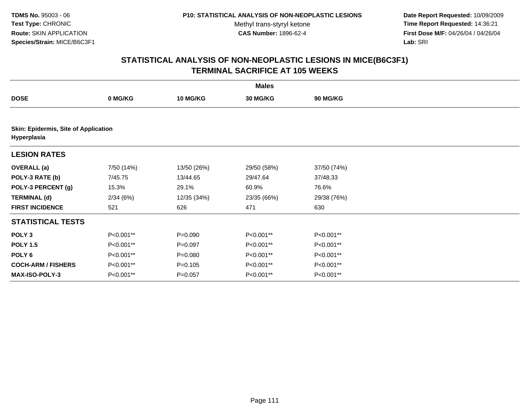**Date Report Requested:** 10/09/2009 **Time Report Requested:** 14:36:21 **First Dose M/F:** 04/26/04 / 04/26/04 Lab: SRI **Lab:** SRI

|                                                     | <b>Males</b> |                 |             |                 |  |  |  |  |
|-----------------------------------------------------|--------------|-----------------|-------------|-----------------|--|--|--|--|
| <b>DOSE</b>                                         | 0 MG/KG      | <b>10 MG/KG</b> | 30 MG/KG    | <b>90 MG/KG</b> |  |  |  |  |
|                                                     |              |                 |             |                 |  |  |  |  |
| Skin: Epidermis, Site of Application<br>Hyperplasia |              |                 |             |                 |  |  |  |  |
| <b>LESION RATES</b>                                 |              |                 |             |                 |  |  |  |  |
| <b>OVERALL</b> (a)                                  | 7/50 (14%)   | 13/50 (26%)     | 29/50 (58%) | 37/50 (74%)     |  |  |  |  |
| POLY-3 RATE (b)                                     | 7/45.75      | 13/44.65        | 29/47.64    | 37/48.33        |  |  |  |  |
| POLY-3 PERCENT (g)                                  | 15.3%        | 29.1%           | 60.9%       | 76.6%           |  |  |  |  |
| <b>TERMINAL (d)</b>                                 | 2/34(6%)     | 12/35 (34%)     | 23/35 (66%) | 29/38 (76%)     |  |  |  |  |
| <b>FIRST INCIDENCE</b>                              | 521          | 626             | 471         | 630             |  |  |  |  |
| <b>STATISTICAL TESTS</b>                            |              |                 |             |                 |  |  |  |  |
| POLY <sub>3</sub>                                   | P<0.001**    | $P = 0.090$     | P<0.001**   | P<0.001**       |  |  |  |  |
| <b>POLY 1.5</b>                                     | P<0.001**    | $P=0.097$       | P<0.001**   | P<0.001**       |  |  |  |  |
| POLY <sub>6</sub>                                   | P<0.001**    | $P = 0.080$     | P<0.001**   | P<0.001**       |  |  |  |  |
| <b>COCH-ARM / FISHERS</b>                           | P<0.001**    | $P = 0.105$     | P<0.001**   | P<0.001**       |  |  |  |  |
| <b>MAX-ISO-POLY-3</b>                               | P<0.001**    | $P = 0.057$     | P<0.001**   | P<0.001**       |  |  |  |  |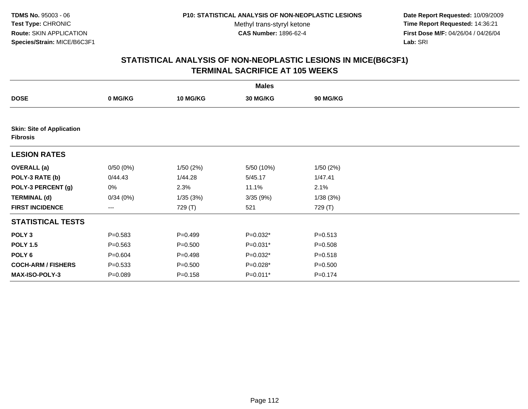**Date Report Requested:** 10/09/2009 **Time Report Requested:** 14:36:21 **First Dose M/F:** 04/26/04 / 04/26/04 Lab: SRI **Lab:** SRI

|                                                     |             |                 | <b>Males</b> |                 |  |
|-----------------------------------------------------|-------------|-----------------|--------------|-----------------|--|
| <b>DOSE</b>                                         | 0 MG/KG     | <b>10 MG/KG</b> | 30 MG/KG     | <b>90 MG/KG</b> |  |
|                                                     |             |                 |              |                 |  |
| <b>Skin: Site of Application</b><br><b>Fibrosis</b> |             |                 |              |                 |  |
| <b>LESION RATES</b>                                 |             |                 |              |                 |  |
| <b>OVERALL</b> (a)                                  | 0/50(0%)    | 1/50(2%)        | 5/50 (10%)   | 1/50(2%)        |  |
| POLY-3 RATE (b)                                     | 0/44.43     | 1/44.28         | 5/45.17      | 1/47.41         |  |
| POLY-3 PERCENT (g)                                  | 0%          | 2.3%            | 11.1%        | 2.1%            |  |
| <b>TERMINAL (d)</b>                                 | 0/34(0%)    | 1/35(3%)        | 3/35(9%)     | 1/38(3%)        |  |
| <b>FIRST INCIDENCE</b>                              | ---         | 729 (T)         | 521          | 729 (T)         |  |
| <b>STATISTICAL TESTS</b>                            |             |                 |              |                 |  |
| POLY <sub>3</sub>                                   | $P = 0.583$ | $P=0.499$       | P=0.032*     | $P = 0.513$     |  |
| <b>POLY 1.5</b>                                     | $P = 0.563$ | $P = 0.500$     | P=0.031*     | $P = 0.508$     |  |
| POLY 6                                              | $P = 0.604$ | $P = 0.498$     | P=0.032*     | $P = 0.518$     |  |
| <b>COCH-ARM / FISHERS</b>                           | $P = 0.533$ | $P = 0.500$     | $P=0.028*$   | $P = 0.500$     |  |
| MAX-ISO-POLY-3                                      | $P = 0.089$ | $P = 0.158$     | $P=0.011*$   | $P = 0.174$     |  |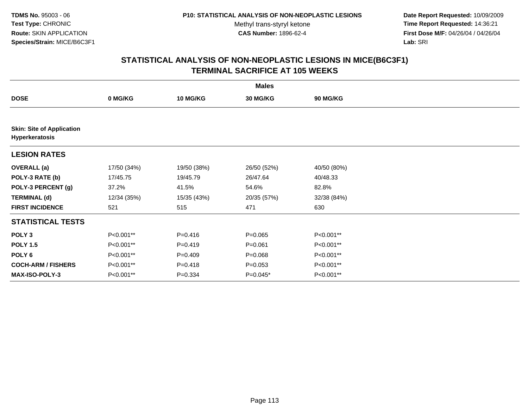**Date Report Requested:** 10/09/2009 **Time Report Requested:** 14:36:21 **First Dose M/F:** 04/26/04 / 04/26/04 Lab: SRI **Lab:** SRI

| <b>Males</b>                                       |             |                 |             |                 |  |  |
|----------------------------------------------------|-------------|-----------------|-------------|-----------------|--|--|
| <b>DOSE</b>                                        | 0 MG/KG     | <b>10 MG/KG</b> | 30 MG/KG    | <b>90 MG/KG</b> |  |  |
|                                                    |             |                 |             |                 |  |  |
| <b>Skin: Site of Application</b><br>Hyperkeratosis |             |                 |             |                 |  |  |
| <b>LESION RATES</b>                                |             |                 |             |                 |  |  |
| <b>OVERALL</b> (a)                                 | 17/50 (34%) | 19/50 (38%)     | 26/50 (52%) | 40/50 (80%)     |  |  |
| POLY-3 RATE (b)                                    | 17/45.75    | 19/45.79        | 26/47.64    | 40/48.33        |  |  |
| POLY-3 PERCENT (g)                                 | 37.2%       | 41.5%           | 54.6%       | 82.8%           |  |  |
| <b>TERMINAL (d)</b>                                | 12/34 (35%) | 15/35 (43%)     | 20/35 (57%) | 32/38 (84%)     |  |  |
| <b>FIRST INCIDENCE</b>                             | 521         | 515             | 471         | 630             |  |  |
| <b>STATISTICAL TESTS</b>                           |             |                 |             |                 |  |  |
| POLY <sub>3</sub>                                  | P<0.001**   | $P = 0.416$     | $P = 0.065$ | P<0.001**       |  |  |
| <b>POLY 1.5</b>                                    | P<0.001**   | $P=0.419$       | $P = 0.061$ | P<0.001**       |  |  |
| POLY <sub>6</sub>                                  | P<0.001**   | $P=0.409$       | $P = 0.068$ | P<0.001**       |  |  |
| <b>COCH-ARM / FISHERS</b>                          | P<0.001**   | $P = 0.418$     | $P = 0.053$ | P<0.001**       |  |  |
| MAX-ISO-POLY-3                                     | P<0.001**   | $P = 0.334$     | P=0.045*    | P<0.001**       |  |  |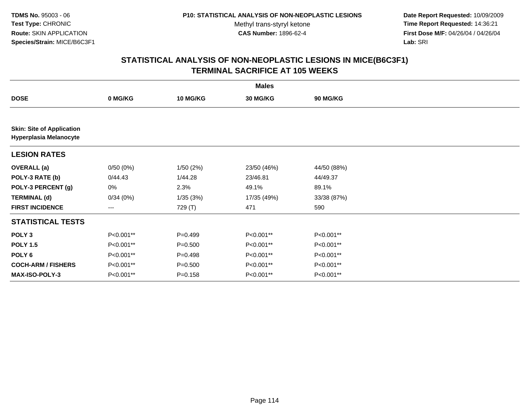**Date Report Requested:** 10/09/2009 **Time Report Requested:** 14:36:21 **First Dose M/F:** 04/26/04 / 04/26/04 Lab: SRI **Lab:** SRI

|                                                                   | <b>Males</b> |             |                 |                 |  |  |  |
|-------------------------------------------------------------------|--------------|-------------|-----------------|-----------------|--|--|--|
| <b>DOSE</b>                                                       | 0 MG/KG      | 10 MG/KG    | <b>30 MG/KG</b> | <b>90 MG/KG</b> |  |  |  |
|                                                                   |              |             |                 |                 |  |  |  |
| <b>Skin: Site of Application</b><br><b>Hyperplasia Melanocyte</b> |              |             |                 |                 |  |  |  |
| <b>LESION RATES</b>                                               |              |             |                 |                 |  |  |  |
| <b>OVERALL</b> (a)                                                | 0/50(0%)     | 1/50(2%)    | 23/50 (46%)     | 44/50 (88%)     |  |  |  |
| POLY-3 RATE (b)                                                   | 0/44.43      | 1/44.28     | 23/46.81        | 44/49.37        |  |  |  |
| POLY-3 PERCENT (g)                                                | 0%           | 2.3%        | 49.1%           | 89.1%           |  |  |  |
| <b>TERMINAL (d)</b>                                               | 0/34(0%)     | 1/35(3%)    | 17/35 (49%)     | 33/38 (87%)     |  |  |  |
| <b>FIRST INCIDENCE</b>                                            | ---          | 729 (T)     | 471             | 590             |  |  |  |
| <b>STATISTICAL TESTS</b>                                          |              |             |                 |                 |  |  |  |
| POLY <sub>3</sub>                                                 | P<0.001**    | $P=0.499$   | P<0.001**       | P<0.001**       |  |  |  |
| <b>POLY 1.5</b>                                                   | P<0.001**    | $P = 0.500$ | P<0.001**       | P<0.001**       |  |  |  |
| POLY <sub>6</sub>                                                 | P<0.001**    | $P = 0.498$ | P<0.001**       | P<0.001**       |  |  |  |
| <b>COCH-ARM / FISHERS</b>                                         | P<0.001**    | $P = 0.500$ | P<0.001**       | P<0.001**       |  |  |  |
| <b>MAX-ISO-POLY-3</b>                                             | P<0.001**    | $P = 0.158$ | P<0.001**       | P<0.001**       |  |  |  |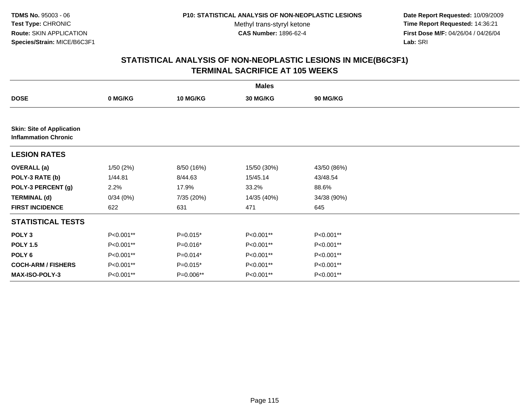**Date Report Requested:** 10/09/2009 **Time Report Requested:** 14:36:21 **First Dose M/F:** 04/26/04 / 04/26/04 Lab: SRI **Lab:** SRI

|                                                                 | <b>Males</b> |            |                 |                 |  |  |  |
|-----------------------------------------------------------------|--------------|------------|-----------------|-----------------|--|--|--|
| <b>DOSE</b>                                                     | 0 MG/KG      | 10 MG/KG   | <b>30 MG/KG</b> | <b>90 MG/KG</b> |  |  |  |
|                                                                 |              |            |                 |                 |  |  |  |
| <b>Skin: Site of Application</b><br><b>Inflammation Chronic</b> |              |            |                 |                 |  |  |  |
| <b>LESION RATES</b>                                             |              |            |                 |                 |  |  |  |
| <b>OVERALL</b> (a)                                              | 1/50(2%)     | 8/50 (16%) | 15/50 (30%)     | 43/50 (86%)     |  |  |  |
| POLY-3 RATE (b)                                                 | 1/44.81      | 8/44.63    | 15/45.14        | 43/48.54        |  |  |  |
| POLY-3 PERCENT (g)                                              | 2.2%         | 17.9%      | 33.2%           | 88.6%           |  |  |  |
| <b>TERMINAL (d)</b>                                             | 0/34(0%)     | 7/35 (20%) | 14/35 (40%)     | 34/38 (90%)     |  |  |  |
| <b>FIRST INCIDENCE</b>                                          | 622          | 631        | 471             | 645             |  |  |  |
| <b>STATISTICAL TESTS</b>                                        |              |            |                 |                 |  |  |  |
| POLY <sub>3</sub>                                               | P<0.001**    | $P=0.015*$ | P<0.001**       | P<0.001**       |  |  |  |
| <b>POLY 1.5</b>                                                 | P<0.001**    | P=0.016*   | P<0.001**       | P<0.001**       |  |  |  |
| POLY <sub>6</sub>                                               | P<0.001**    | $P=0.014*$ | P<0.001**       | P<0.001**       |  |  |  |
| <b>COCH-ARM / FISHERS</b>                                       | P<0.001**    | $P=0.015*$ | P<0.001**       | P<0.001**       |  |  |  |
| <b>MAX-ISO-POLY-3</b>                                           | P<0.001**    | P=0.006**  | P<0.001**       | P<0.001**       |  |  |  |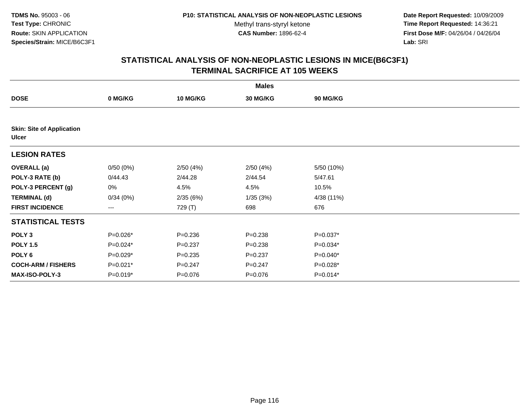**Date Report Requested:** 10/09/2009 **Time Report Requested:** 14:36:21 **First Dose M/F:** 04/26/04 / 04/26/04 Lab: SRI **Lab:** SRI

|                                                  |            |                 | <b>Males</b> |                 |  |
|--------------------------------------------------|------------|-----------------|--------------|-----------------|--|
| <b>DOSE</b>                                      | 0 MG/KG    | <b>10 MG/KG</b> | 30 MG/KG     | <b>90 MG/KG</b> |  |
|                                                  |            |                 |              |                 |  |
| <b>Skin: Site of Application</b><br><b>Ulcer</b> |            |                 |              |                 |  |
| <b>LESION RATES</b>                              |            |                 |              |                 |  |
| <b>OVERALL</b> (a)                               | 0/50(0%)   | 2/50(4%)        | 2/50(4%)     | 5/50 (10%)      |  |
| POLY-3 RATE (b)                                  | 0/44.43    | 2/44.28         | 2/44.54      | 5/47.61         |  |
| POLY-3 PERCENT (g)                               | 0%         | 4.5%            | 4.5%         | 10.5%           |  |
| <b>TERMINAL (d)</b>                              | 0/34(0%)   | 2/35(6%)        | 1/35(3%)     | 4/38 (11%)      |  |
| <b>FIRST INCIDENCE</b>                           | $---$      | 729 (T)         | 698          | 676             |  |
| <b>STATISTICAL TESTS</b>                         |            |                 |              |                 |  |
| POLY <sub>3</sub>                                | P=0.026*   | $P = 0.236$     | $P = 0.238$  | $P=0.037*$      |  |
| <b>POLY 1.5</b>                                  | P=0.024*   | $P = 0.237$     | $P = 0.238$  | $P=0.034*$      |  |
| POLY 6                                           | $P=0.029*$ | $P = 0.235$     | $P = 0.237$  | $P=0.040*$      |  |
| <b>COCH-ARM / FISHERS</b>                        | P=0.021*   | $P = 0.247$     | $P = 0.247$  | P=0.028*        |  |
| MAX-ISO-POLY-3                                   | $P=0.019*$ | $P = 0.076$     | $P = 0.076$  | $P=0.014*$      |  |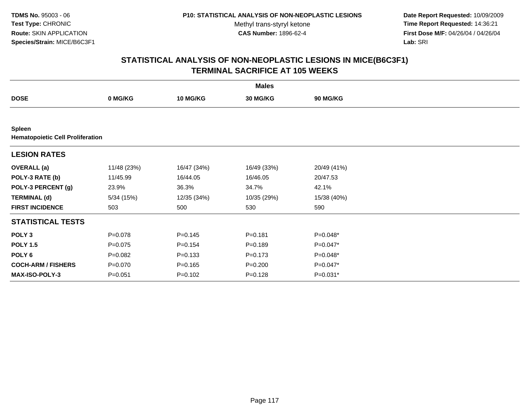**Date Report Requested:** 10/09/2009 **Time Report Requested:** 14:36:21 **First Dose M/F:** 04/26/04 / 04/26/04 Lab: SRI **Lab:** SRI

|                                                          | <b>Males</b> |             |             |                 |  |  |  |  |
|----------------------------------------------------------|--------------|-------------|-------------|-----------------|--|--|--|--|
| <b>DOSE</b>                                              | 0 MG/KG      | 10 MG/KG    | 30 MG/KG    | <b>90 MG/KG</b> |  |  |  |  |
|                                                          |              |             |             |                 |  |  |  |  |
| <b>Spleen</b><br><b>Hematopoietic Cell Proliferation</b> |              |             |             |                 |  |  |  |  |
| <b>LESION RATES</b>                                      |              |             |             |                 |  |  |  |  |
| <b>OVERALL</b> (a)                                       | 11/48 (23%)  | 16/47 (34%) | 16/49 (33%) | 20/49 (41%)     |  |  |  |  |
| POLY-3 RATE (b)                                          | 11/45.99     | 16/44.05    | 16/46.05    | 20/47.53        |  |  |  |  |
| POLY-3 PERCENT (g)                                       | 23.9%        | 36.3%       | 34.7%       | 42.1%           |  |  |  |  |
| <b>TERMINAL (d)</b>                                      | 5/34(15%)    | 12/35 (34%) | 10/35 (29%) | 15/38 (40%)     |  |  |  |  |
| <b>FIRST INCIDENCE</b>                                   | 503          | 500         | 530         | 590             |  |  |  |  |
| <b>STATISTICAL TESTS</b>                                 |              |             |             |                 |  |  |  |  |
| POLY <sub>3</sub>                                        | $P = 0.078$  | $P = 0.145$ | $P = 0.181$ | P=0.048*        |  |  |  |  |
| <b>POLY 1.5</b>                                          | $P = 0.075$  | $P = 0.154$ | $P = 0.189$ | $P=0.047*$      |  |  |  |  |
| POLY <sub>6</sub>                                        | $P=0.082$    | $P = 0.133$ | $P = 0.173$ | $P=0.048*$      |  |  |  |  |
| <b>COCH-ARM / FISHERS</b>                                | $P = 0.070$  | $P = 0.165$ | $P = 0.200$ | $P=0.047*$      |  |  |  |  |
| MAX-ISO-POLY-3                                           | $P = 0.051$  | $P = 0.102$ | $P = 0.128$ | P=0.031*        |  |  |  |  |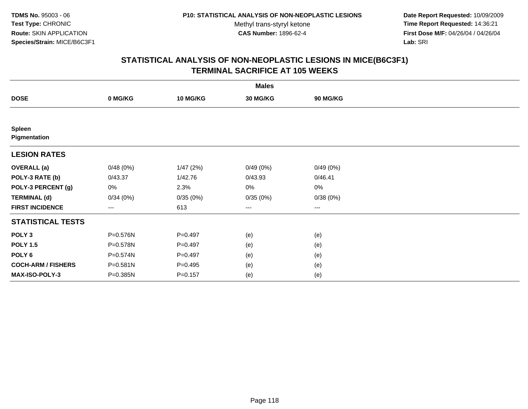**Date Report Requested:** 10/09/2009 **Time Report Requested:** 14:36:21 **First Dose M/F:** 04/26/04 / 04/26/04 Lab: SRI **Lab:** SRI

| <b>Males</b>                  |          |                 |                        |          |  |  |
|-------------------------------|----------|-----------------|------------------------|----------|--|--|
| <b>DOSE</b>                   | 0 MG/KG  | <b>10 MG/KG</b> | 30 MG/KG               | 90 MG/KG |  |  |
|                               |          |                 |                        |          |  |  |
| <b>Spleen</b><br>Pigmentation |          |                 |                        |          |  |  |
| <b>LESION RATES</b>           |          |                 |                        |          |  |  |
| <b>OVERALL</b> (a)            | 0/48(0%) | 1/47(2%)        | 0/49(0%)               | 0/49(0%) |  |  |
| POLY-3 RATE (b)               | 0/43.37  | 1/42.76         | 0/43.93                | 0/46.41  |  |  |
| POLY-3 PERCENT (g)            | 0%       | 2.3%            | $0\%$                  | $0\%$    |  |  |
| <b>TERMINAL (d)</b>           | 0/34(0%) | 0/35(0%)        | 0/35(0%)               | 0/38(0%) |  |  |
| <b>FIRST INCIDENCE</b>        | ---      | 613             | $\qquad \qquad \cdots$ | ---      |  |  |
| <b>STATISTICAL TESTS</b>      |          |                 |                        |          |  |  |
| POLY <sub>3</sub>             | P=0.576N | $P=0.497$       | (e)                    | (e)      |  |  |
| <b>POLY 1.5</b>               | P=0.578N | $P=0.497$       | (e)                    | (e)      |  |  |
| POLY <sub>6</sub>             | P=0.574N | $P=0.497$       | (e)                    | (e)      |  |  |
| <b>COCH-ARM / FISHERS</b>     | P=0.581N | $P=0.495$       | (e)                    | (e)      |  |  |
| <b>MAX-ISO-POLY-3</b>         | P=0.385N | $P = 0.157$     | (e)                    | (e)      |  |  |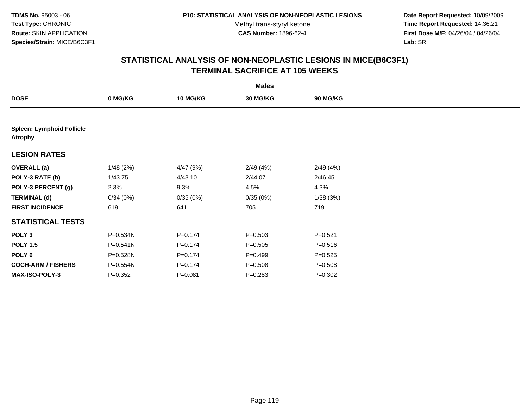**Date Report Requested:** 10/09/2009 **Time Report Requested:** 14:36:21 **First Dose M/F:** 04/26/04 / 04/26/04 Lab: SRI **Lab:** SRI

| <b>Males</b>                                       |              |                 |             |             |  |  |
|----------------------------------------------------|--------------|-----------------|-------------|-------------|--|--|
| <b>DOSE</b>                                        | 0 MG/KG      | <b>10 MG/KG</b> | 30 MG/KG    | 90 MG/KG    |  |  |
|                                                    |              |                 |             |             |  |  |
| <b>Spleen: Lymphoid Follicle</b><br><b>Atrophy</b> |              |                 |             |             |  |  |
| <b>LESION RATES</b>                                |              |                 |             |             |  |  |
| <b>OVERALL</b> (a)                                 | 1/48(2%)     | 4/47 (9%)       | 2/49(4%)    | 2/49(4%)    |  |  |
| POLY-3 RATE (b)                                    | 1/43.75      | 4/43.10         | 2/44.07     | 2/46.45     |  |  |
| POLY-3 PERCENT (g)                                 | 2.3%         | 9.3%            | 4.5%        | 4.3%        |  |  |
| <b>TERMINAL (d)</b>                                | 0/34(0%)     | 0/35(0%)        | 0/35(0%)    | 1/38(3%)    |  |  |
| <b>FIRST INCIDENCE</b>                             | 619          | 641             | 705         | 719         |  |  |
| <b>STATISTICAL TESTS</b>                           |              |                 |             |             |  |  |
| POLY <sub>3</sub>                                  | P=0.534N     | $P = 0.174$     | $P = 0.503$ | $P = 0.521$ |  |  |
| <b>POLY 1.5</b>                                    | $P = 0.541N$ | $P = 0.174$     | $P = 0.505$ | $P = 0.516$ |  |  |
| POLY <sub>6</sub>                                  | P=0.528N     | $P = 0.174$     | $P=0.499$   | $P = 0.525$ |  |  |
| <b>COCH-ARM / FISHERS</b>                          | P=0.554N     | $P = 0.174$     | $P = 0.508$ | $P = 0.508$ |  |  |
| <b>MAX-ISO-POLY-3</b>                              | $P = 0.352$  | $P = 0.081$     | $P = 0.283$ | $P=0.302$   |  |  |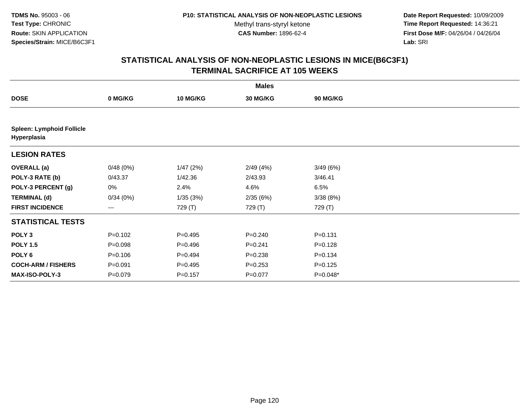**Date Report Requested:** 10/09/2009 **Time Report Requested:** 14:36:21 **First Dose M/F:** 04/26/04 / 04/26/04 Lab: SRI **Lab:** SRI

|                                                 |             |                 | <b>Males</b> |                 |  |
|-------------------------------------------------|-------------|-----------------|--------------|-----------------|--|
| <b>DOSE</b>                                     | 0 MG/KG     | <b>10 MG/KG</b> | 30 MG/KG     | <b>90 MG/KG</b> |  |
|                                                 |             |                 |              |                 |  |
| <b>Spleen: Lymphoid Follicle</b><br>Hyperplasia |             |                 |              |                 |  |
| <b>LESION RATES</b>                             |             |                 |              |                 |  |
| <b>OVERALL</b> (a)                              | 0/48(0%)    | 1/47(2%)        | 2/49(4%)     | 3/49(6%)        |  |
| POLY-3 RATE (b)                                 | 0/43.37     | 1/42.36         | 2/43.93      | 3/46.41         |  |
| POLY-3 PERCENT (g)                              | 0%          | 2.4%            | 4.6%         | 6.5%            |  |
| <b>TERMINAL (d)</b>                             | 0/34(0%)    | 1/35(3%)        | 2/35(6%)     | 3/38(8%)        |  |
| <b>FIRST INCIDENCE</b>                          | ---         | 729 (T)         | 729 (T)      | 729 (T)         |  |
| <b>STATISTICAL TESTS</b>                        |             |                 |              |                 |  |
| POLY <sub>3</sub>                               | $P = 0.102$ | $P = 0.495$     | $P = 0.240$  | $P = 0.131$     |  |
| <b>POLY 1.5</b>                                 | $P = 0.098$ | $P = 0.496$     | $P = 0.241$  | $P = 0.128$     |  |
| POLY <sub>6</sub>                               | $P = 0.106$ | $P=0.494$       | $P = 0.238$  | $P = 0.134$     |  |
| <b>COCH-ARM / FISHERS</b>                       | $P = 0.091$ | $P=0.495$       | $P = 0.253$  | $P = 0.125$     |  |
| <b>MAX-ISO-POLY-3</b>                           | $P = 0.079$ | $P = 0.157$     | $P = 0.077$  | $P=0.048*$      |  |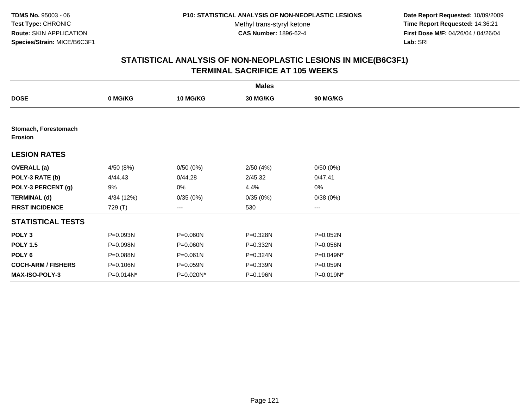**Date Report Requested:** 10/09/2009 **Time Report Requested:** 14:36:21 **First Dose M/F:** 04/26/04 / 04/26/04 Lab: SRI **Lab:** SRI

|                                 |            |                 | <b>Males</b> |                        |  |
|---------------------------------|------------|-----------------|--------------|------------------------|--|
| <b>DOSE</b>                     | 0 MG/KG    | <b>10 MG/KG</b> | 30 MG/KG     | 90 MG/KG               |  |
|                                 |            |                 |              |                        |  |
| Stomach, Forestomach<br>Erosion |            |                 |              |                        |  |
| <b>LESION RATES</b>             |            |                 |              |                        |  |
| <b>OVERALL</b> (a)              | 4/50 (8%)  | 0/50(0%)        | 2/50(4%)     | 0/50(0%)               |  |
| POLY-3 RATE (b)                 | 4/44.43    | 0/44.28         | 2/45.32      | 0/47.41                |  |
| POLY-3 PERCENT (g)              | 9%         | 0%              | 4.4%         | 0%                     |  |
| <b>TERMINAL (d)</b>             | 4/34 (12%) | 0/35(0%)        | 0/35(0%)     | 0/38(0%)               |  |
| <b>FIRST INCIDENCE</b>          | 729 (T)    | ---             | 530          | $\qquad \qquad \cdots$ |  |
| <b>STATISTICAL TESTS</b>        |            |                 |              |                        |  |
| POLY <sub>3</sub>               | P=0.093N   | P=0.060N        | P=0.328N     | P=0.052N               |  |
| <b>POLY 1.5</b>                 | P=0.098N   | P=0.060N        | P=0.332N     | P=0.056N               |  |
| POLY <sub>6</sub>               | P=0.088N   | $P = 0.061N$    | P=0.324N     | P=0.049N*              |  |
| <b>COCH-ARM / FISHERS</b>       | P=0.106N   | P=0.059N        | P=0.339N     | P=0.059N               |  |
| <b>MAX-ISO-POLY-3</b>           | P=0.014N*  | P=0.020N*       | P=0.196N     | P=0.019N*              |  |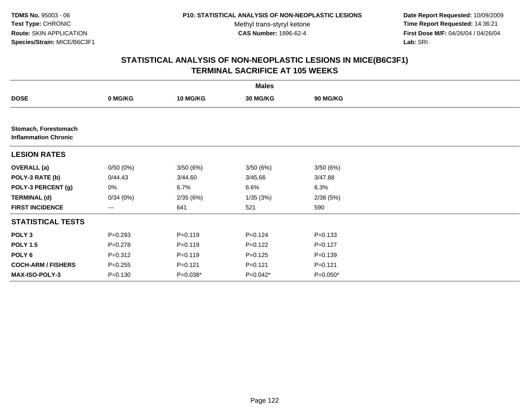**Date Report Requested:** 10/09/2009 **Time Report Requested:** 14:36:21 **First Dose M/F:** 04/26/04 / 04/26/04 Lab: SRI **Lab:** SRI

|                                                     |             |                 | <b>Males</b> |                 |  |
|-----------------------------------------------------|-------------|-----------------|--------------|-----------------|--|
| <b>DOSE</b>                                         | 0 MG/KG     | <b>10 MG/KG</b> | 30 MG/KG     | <b>90 MG/KG</b> |  |
|                                                     |             |                 |              |                 |  |
| Stomach, Forestomach<br><b>Inflammation Chronic</b> |             |                 |              |                 |  |
| <b>LESION RATES</b>                                 |             |                 |              |                 |  |
| <b>OVERALL</b> (a)                                  | 0/50(0%)    | 3/50 (6%)       | 3/50(6%)     | 3/50(6%)        |  |
| POLY-3 RATE (b)                                     | 0/44.43     | 3/44.60         | 3/45.66      | 3/47.88         |  |
| POLY-3 PERCENT (g)                                  | 0%          | 6.7%            | 6.6%         | 6.3%            |  |
| <b>TERMINAL (d)</b>                                 | 0/34(0%)    | 2/35(6%)        | 1/35(3%)     | 2/38(5%)        |  |
| <b>FIRST INCIDENCE</b>                              | ---         | 641             | 521          | 590             |  |
| <b>STATISTICAL TESTS</b>                            |             |                 |              |                 |  |
| POLY <sub>3</sub>                                   | $P = 0.293$ | $P = 0.119$     | $P = 0.124$  | $P = 0.133$     |  |
| <b>POLY 1.5</b>                                     | $P = 0.278$ | $P = 0.119$     | $P=0.122$    | $P=0.127$       |  |
| POLY 6                                              | $P = 0.312$ | $P = 0.119$     | $P = 0.125$  | $P = 0.139$     |  |
| <b>COCH-ARM / FISHERS</b>                           | $P = 0.255$ | $P = 0.121$     | $P = 0.121$  | $P = 0.121$     |  |
| MAX-ISO-POLY-3                                      | $P = 0.130$ | $P=0.038*$      | $P=0.042*$   | $P=0.050*$      |  |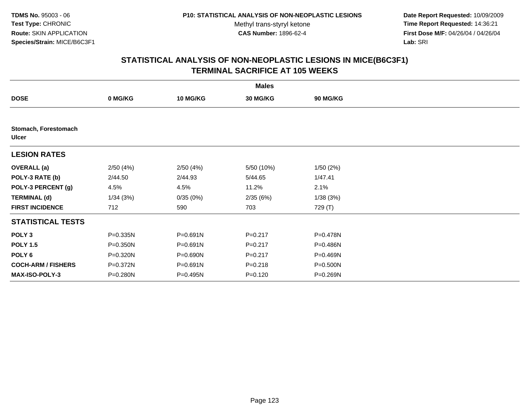**Date Report Requested:** 10/09/2009 **Time Report Requested:** 14:36:21 **First Dose M/F:** 04/26/04 / 04/26/04 Lab: SRI **Lab:** SRI

|                                      |          |                 | <b>Males</b>    |          |  |
|--------------------------------------|----------|-----------------|-----------------|----------|--|
| <b>DOSE</b>                          | 0 MG/KG  | <b>10 MG/KG</b> | <b>30 MG/KG</b> | 90 MG/KG |  |
|                                      |          |                 |                 |          |  |
| Stomach, Forestomach<br><b>Ulcer</b> |          |                 |                 |          |  |
| <b>LESION RATES</b>                  |          |                 |                 |          |  |
| <b>OVERALL</b> (a)                   | 2/50(4%) | 2/50(4%)        | 5/50 (10%)      | 1/50(2%) |  |
| POLY-3 RATE (b)                      | 2/44.50  | 2/44.93         | 5/44.65         | 1/47.41  |  |
| POLY-3 PERCENT (g)                   | 4.5%     | 4.5%            | 11.2%           | 2.1%     |  |
| <b>TERMINAL (d)</b>                  | 1/34(3%) | 0/35(0%)        | 2/35(6%)        | 1/38(3%) |  |
| <b>FIRST INCIDENCE</b>               | 712      | 590             | 703             | 729 (T)  |  |
| <b>STATISTICAL TESTS</b>             |          |                 |                 |          |  |
| POLY <sub>3</sub>                    | P=0.335N | P=0.691N        | $P = 0.217$     | P=0.478N |  |
| <b>POLY 1.5</b>                      | P=0.350N | P=0.691N        | $P = 0.217$     | P=0.486N |  |
| POLY <sub>6</sub>                    | P=0.320N | P=0.690N        | $P = 0.217$     | P=0.469N |  |
| <b>COCH-ARM / FISHERS</b>            | P=0.372N | P=0.691N        | $P = 0.218$     | P=0.500N |  |
| <b>MAX-ISO-POLY-3</b>                | P=0.280N | P=0.495N        | $P = 0.120$     | P=0.269N |  |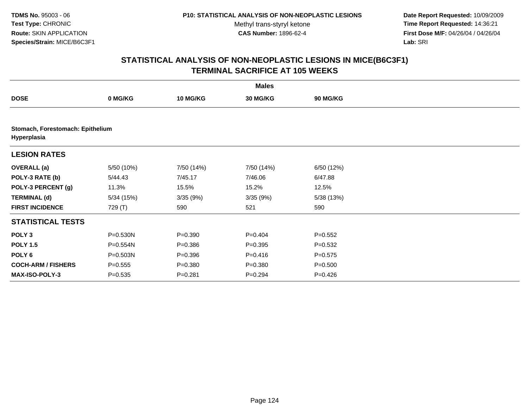**Date Report Requested:** 10/09/2009 **Time Report Requested:** 14:36:21 **First Dose M/F:** 04/26/04 / 04/26/04 Lab: SRI **Lab:** SRI

|                                                 |             |                 | <b>Males</b> |                 |  |
|-------------------------------------------------|-------------|-----------------|--------------|-----------------|--|
| <b>DOSE</b>                                     | 0 MG/KG     | <b>10 MG/KG</b> | 30 MG/KG     | <b>90 MG/KG</b> |  |
|                                                 |             |                 |              |                 |  |
| Stomach, Forestomach: Epithelium<br>Hyperplasia |             |                 |              |                 |  |
| <b>LESION RATES</b>                             |             |                 |              |                 |  |
| <b>OVERALL</b> (a)                              | 5/50 (10%)  | 7/50 (14%)      | 7/50 (14%)   | 6/50 (12%)      |  |
| POLY-3 RATE (b)                                 | 5/44.43     | 7/45.17         | 7/46.06      | 6/47.88         |  |
| POLY-3 PERCENT (g)                              | 11.3%       | 15.5%           | 15.2%        | 12.5%           |  |
| <b>TERMINAL (d)</b>                             | 5/34(15%)   | 3/35(9%)        | 3/35 (9%)    | 5/38 (13%)      |  |
| <b>FIRST INCIDENCE</b>                          | 729 (T)     | 590             | 521          | 590             |  |
| <b>STATISTICAL TESTS</b>                        |             |                 |              |                 |  |
| POLY <sub>3</sub>                               | P=0.530N    | $P = 0.390$     | $P=0.404$    | $P = 0.552$     |  |
| <b>POLY 1.5</b>                                 | P=0.554N    | $P = 0.386$     | $P=0.395$    | $P = 0.532$     |  |
| POLY 6                                          | P=0.503N    | $P = 0.396$     | $P = 0.416$  | $P = 0.575$     |  |
| <b>COCH-ARM / FISHERS</b>                       | $P = 0.555$ | $P = 0.380$     | $P = 0.380$  | $P = 0.500$     |  |
| <b>MAX-ISO-POLY-3</b>                           | $P = 0.535$ | $P=0.281$       | $P=0.294$    | $P = 0.426$     |  |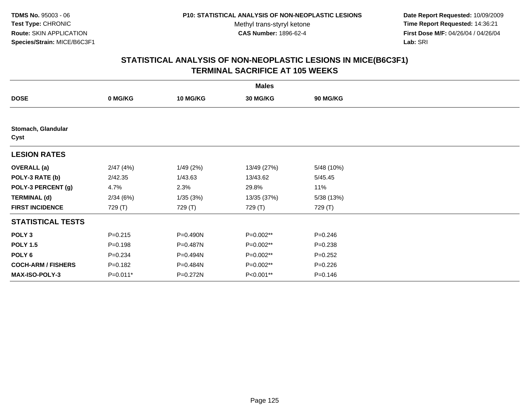**Date Report Requested:** 10/09/2009 **Time Report Requested:** 14:36:21 **First Dose M/F:** 04/26/04 / 04/26/04 Lab: SRI **Lab:** SRI

|                            | <b>Males</b> |                 |                 |             |  |  |  |  |
|----------------------------|--------------|-----------------|-----------------|-------------|--|--|--|--|
| <b>DOSE</b>                | 0 MG/KG      | <b>10 MG/KG</b> | <b>30 MG/KG</b> | 90 MG/KG    |  |  |  |  |
|                            |              |                 |                 |             |  |  |  |  |
| Stomach, Glandular<br>Cyst |              |                 |                 |             |  |  |  |  |
| <b>LESION RATES</b>        |              |                 |                 |             |  |  |  |  |
| <b>OVERALL</b> (a)         | 2/47(4%)     | 1/49(2%)        | 13/49 (27%)     | 5/48 (10%)  |  |  |  |  |
| POLY-3 RATE (b)            | 2/42.35      | 1/43.63         | 13/43.62        | 5/45.45     |  |  |  |  |
| POLY-3 PERCENT (g)         | 4.7%         | 2.3%            | 29.8%           | 11%         |  |  |  |  |
| <b>TERMINAL (d)</b>        | 2/34(6%)     | 1/35(3%)        | 13/35 (37%)     | 5/38 (13%)  |  |  |  |  |
| <b>FIRST INCIDENCE</b>     | 729 (T)      | 729 (T)         | 729 (T)         | 729 (T)     |  |  |  |  |
| <b>STATISTICAL TESTS</b>   |              |                 |                 |             |  |  |  |  |
| POLY <sub>3</sub>          | $P = 0.215$  | P=0.490N        | P=0.002**       | $P = 0.246$ |  |  |  |  |
| <b>POLY 1.5</b>            | $P = 0.198$  | P=0.487N        | P=0.002**       | $P = 0.238$ |  |  |  |  |
| POLY 6                     | $P = 0.234$  | P=0.494N        | P=0.002**       | $P = 0.252$ |  |  |  |  |
| <b>COCH-ARM / FISHERS</b>  | $P = 0.182$  | P=0.484N        | P=0.002**       | $P = 0.226$ |  |  |  |  |
| <b>MAX-ISO-POLY-3</b>      | $P=0.011*$   | P=0.272N        | P<0.001**       | $P = 0.146$ |  |  |  |  |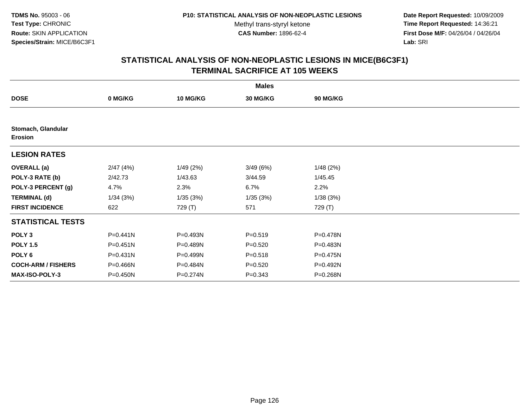**Date Report Requested:** 10/09/2009 **Time Report Requested:** 14:36:21 **First Dose M/F:** 04/26/04 / 04/26/04 Lab: SRI **Lab:** SRI

|                               | <b>Males</b> |                 |             |                 |  |  |  |  |
|-------------------------------|--------------|-----------------|-------------|-----------------|--|--|--|--|
| <b>DOSE</b>                   | 0 MG/KG      | <b>10 MG/KG</b> | 30 MG/KG    | <b>90 MG/KG</b> |  |  |  |  |
|                               |              |                 |             |                 |  |  |  |  |
| Stomach, Glandular<br>Erosion |              |                 |             |                 |  |  |  |  |
| <b>LESION RATES</b>           |              |                 |             |                 |  |  |  |  |
| <b>OVERALL</b> (a)            | 2/47(4%)     | 1/49(2%)        | 3/49(6%)    | 1/48(2%)        |  |  |  |  |
| POLY-3 RATE (b)               | 2/42.73      | 1/43.63         | 3/44.59     | 1/45.45         |  |  |  |  |
| POLY-3 PERCENT (g)            | 4.7%         | 2.3%            | 6.7%        | 2.2%            |  |  |  |  |
| <b>TERMINAL (d)</b>           | 1/34(3%)     | 1/35(3%)        | 1/35(3%)    | 1/38(3%)        |  |  |  |  |
| <b>FIRST INCIDENCE</b>        | 622          | 729 (T)         | 571         | 729 (T)         |  |  |  |  |
| <b>STATISTICAL TESTS</b>      |              |                 |             |                 |  |  |  |  |
| POLY <sub>3</sub>             | P=0.441N     | P=0.493N        | $P = 0.519$ | P=0.478N        |  |  |  |  |
| <b>POLY 1.5</b>               | P=0.451N     | P=0.489N        | $P = 0.520$ | P=0.483N        |  |  |  |  |
| POLY <sub>6</sub>             | P=0.431N     | P=0.499N        | $P = 0.518$ | P=0.475N        |  |  |  |  |
| <b>COCH-ARM / FISHERS</b>     | P=0.466N     | P=0.484N        | $P = 0.520$ | P=0.492N        |  |  |  |  |
| <b>MAX-ISO-POLY-3</b>         | P=0.450N     | P=0.274N        | $P = 0.343$ | P=0.268N        |  |  |  |  |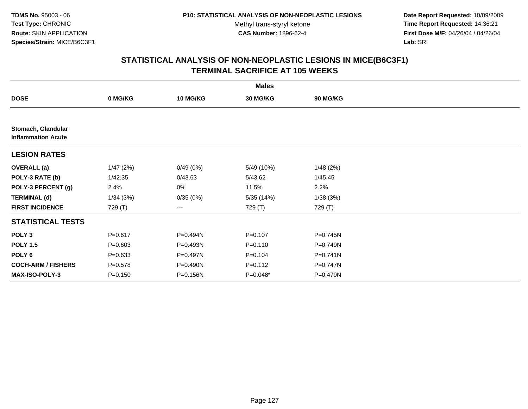**Date Report Requested:** 10/09/2009 **Time Report Requested:** 14:36:21 **First Dose M/F:** 04/26/04 / 04/26/04 Lab: SRI **Lab:** SRI

|                                                 |             |                 | <b>Males</b> |                 |  |
|-------------------------------------------------|-------------|-----------------|--------------|-----------------|--|
| <b>DOSE</b>                                     | 0 MG/KG     | <b>10 MG/KG</b> | 30 MG/KG     | <b>90 MG/KG</b> |  |
|                                                 |             |                 |              |                 |  |
| Stomach, Glandular<br><b>Inflammation Acute</b> |             |                 |              |                 |  |
| <b>LESION RATES</b>                             |             |                 |              |                 |  |
| <b>OVERALL</b> (a)                              | 1/47(2%)    | 0/49(0%)        | 5/49 (10%)   | 1/48(2%)        |  |
| POLY-3 RATE (b)                                 | 1/42.35     | 0/43.63         | 5/43.62      | 1/45.45         |  |
| POLY-3 PERCENT (g)                              | 2.4%        | 0%              | 11.5%        | 2.2%            |  |
| <b>TERMINAL (d)</b>                             | 1/34(3%)    | 0/35(0%)        | 5/35(14%)    | 1/38(3%)        |  |
| <b>FIRST INCIDENCE</b>                          | 729 (T)     | ---             | 729 (T)      | 729 (T)         |  |
| <b>STATISTICAL TESTS</b>                        |             |                 |              |                 |  |
| POLY <sub>3</sub>                               | $P = 0.617$ | P=0.494N        | $P = 0.107$  | P=0.745N        |  |
| <b>POLY 1.5</b>                                 | $P = 0.603$ | P=0.493N        | $P = 0.110$  | P=0.749N        |  |
| POLY 6                                          | $P = 0.633$ | P=0.497N        | $P = 0.104$  | $P = 0.741N$    |  |
| <b>COCH-ARM / FISHERS</b>                       | $P = 0.578$ | P=0.490N        | $P = 0.112$  | P=0.747N        |  |
| MAX-ISO-POLY-3                                  | $P = 0.150$ | P=0.156N        | P=0.048*     | P=0.479N        |  |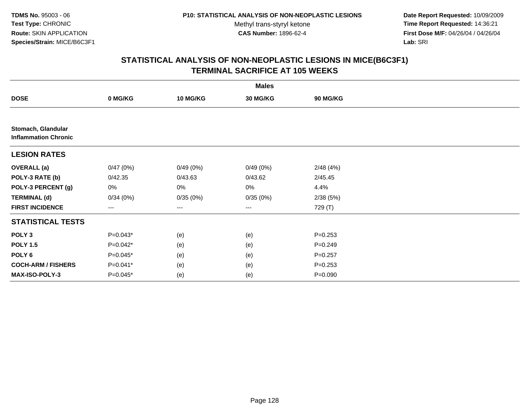**Date Report Requested:** 10/09/2009 **Time Report Requested:** 14:36:21 **First Dose M/F:** 04/26/04 / 04/26/04 Lab: SRI **Lab:** SRI

|                                                   |            |          | <b>Males</b> |                 |  |
|---------------------------------------------------|------------|----------|--------------|-----------------|--|
| <b>DOSE</b>                                       | 0 MG/KG    | 10 MG/KG | 30 MG/KG     | <b>90 MG/KG</b> |  |
|                                                   |            |          |              |                 |  |
| Stomach, Glandular<br><b>Inflammation Chronic</b> |            |          |              |                 |  |
| <b>LESION RATES</b>                               |            |          |              |                 |  |
| <b>OVERALL</b> (a)                                | 0/47(0%)   | 0/49(0%) | 0/49(0%)     | 2/48(4%)        |  |
| POLY-3 RATE (b)                                   | 0/42.35    | 0/43.63  | 0/43.62      | 2/45.45         |  |
| POLY-3 PERCENT (g)                                | 0%         | 0%       | $0\%$        | 4.4%            |  |
| <b>TERMINAL (d)</b>                               | 0/34(0%)   | 0/35(0%) | 0/35(0%)     | 2/38(5%)        |  |
| <b>FIRST INCIDENCE</b>                            | $---$      | $\cdots$ | $\cdots$     | 729 (T)         |  |
| <b>STATISTICAL TESTS</b>                          |            |          |              |                 |  |
| POLY <sub>3</sub>                                 | $P=0.043*$ | (e)      | (e)          | $P = 0.253$     |  |
| <b>POLY 1.5</b>                                   | P=0.042*   | (e)      | (e)          | $P = 0.249$     |  |
| POLY <sub>6</sub>                                 | P=0.045*   | (e)      | (e)          | $P = 0.257$     |  |
| <b>COCH-ARM / FISHERS</b>                         | $P=0.041*$ | (e)      | (e)          | $P = 0.253$     |  |
| MAX-ISO-POLY-3                                    | P=0.045*   | (e)      | (e)          | $P = 0.090$     |  |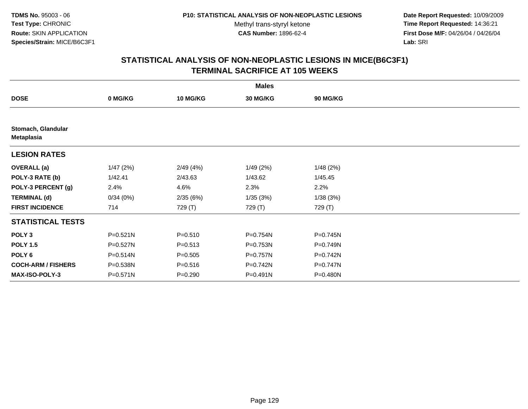**Date Report Requested:** 10/09/2009 **Time Report Requested:** 14:36:21 **First Dose M/F:** 04/26/04 / 04/26/04 Lab: SRI **Lab:** SRI

|                                         |          |                 | <b>Males</b> |                 |  |
|-----------------------------------------|----------|-----------------|--------------|-----------------|--|
| <b>DOSE</b>                             | 0 MG/KG  | <b>10 MG/KG</b> | 30 MG/KG     | <b>90 MG/KG</b> |  |
|                                         |          |                 |              |                 |  |
| Stomach, Glandular<br><b>Metaplasia</b> |          |                 |              |                 |  |
| <b>LESION RATES</b>                     |          |                 |              |                 |  |
| <b>OVERALL</b> (a)                      | 1/47(2%) | 2/49(4%)        | 1/49(2%)     | 1/48(2%)        |  |
| POLY-3 RATE (b)                         | 1/42.41  | 2/43.63         | 1/43.62      | 1/45.45         |  |
| POLY-3 PERCENT (g)                      | 2.4%     | 4.6%            | 2.3%         | 2.2%            |  |
| <b>TERMINAL (d)</b>                     | 0/34(0%) | 2/35(6%)        | 1/35(3%)     | 1/38(3%)        |  |
| <b>FIRST INCIDENCE</b>                  | 714      | 729 (T)         | 729 (T)      | 729 (T)         |  |
| <b>STATISTICAL TESTS</b>                |          |                 |              |                 |  |
| POLY <sub>3</sub>                       | P=0.521N | $P = 0.510$     | P=0.754N     | P=0.745N        |  |
| <b>POLY 1.5</b>                         | P=0.527N | $P = 0.513$     | P=0.753N     | P=0.749N        |  |
| POLY <sub>6</sub>                       | P=0.514N | $P = 0.505$     | P=0.757N     | P=0.742N        |  |
| <b>COCH-ARM / FISHERS</b>               | P=0.538N | $P = 0.516$     | P=0.742N     | P=0.747N        |  |
| <b>MAX-ISO-POLY-3</b>                   | P=0.571N | $P = 0.290$     | P=0.491N     | P=0.480N        |  |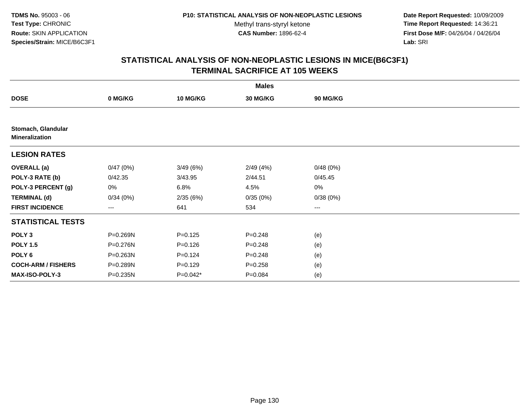**Date Report Requested:** 10/09/2009 **Time Report Requested:** 14:36:21 **First Dose M/F:** 04/26/04 / 04/26/04 Lab: SRI **Lab:** SRI

|                                             |          |                 | <b>Males</b> |                   |  |
|---------------------------------------------|----------|-----------------|--------------|-------------------|--|
| <b>DOSE</b>                                 | 0 MG/KG  | <b>10 MG/KG</b> | 30 MG/KG     | <b>90 MG/KG</b>   |  |
|                                             |          |                 |              |                   |  |
| Stomach, Glandular<br><b>Mineralization</b> |          |                 |              |                   |  |
| <b>LESION RATES</b>                         |          |                 |              |                   |  |
| <b>OVERALL</b> (a)                          | 0/47(0%) | 3/49(6%)        | 2/49(4%)     | 0/48(0%)          |  |
| POLY-3 RATE (b)                             | 0/42.35  | 3/43.95         | 2/44.51      | 0/45.45           |  |
| POLY-3 PERCENT (g)                          | 0%       | 6.8%            | 4.5%         | $0\%$             |  |
| <b>TERMINAL (d)</b>                         | 0/34(0%) | 2/35(6%)        | 0/35(0%)     | 0/38(0%)          |  |
| <b>FIRST INCIDENCE</b>                      | ---      | 641             | 534          | $\qquad \qquad -$ |  |
| <b>STATISTICAL TESTS</b>                    |          |                 |              |                   |  |
| POLY <sub>3</sub>                           | P=0.269N | $P = 0.125$     | $P = 0.248$  | (e)               |  |
| <b>POLY 1.5</b>                             | P=0.276N | $P = 0.126$     | $P = 0.248$  | (e)               |  |
| POLY <sub>6</sub>                           | P=0.263N | $P = 0.124$     | $P = 0.248$  | (e)               |  |
| <b>COCH-ARM / FISHERS</b>                   | P=0.289N | $P = 0.129$     | $P = 0.258$  | (e)               |  |
| MAX-ISO-POLY-3                              | P=0.235N | $P=0.042*$      | $P = 0.084$  | (e)               |  |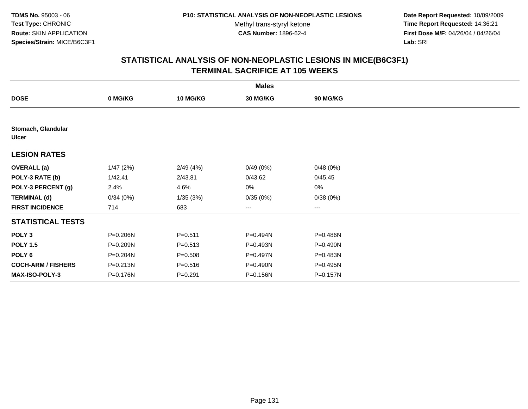**Date Report Requested:** 10/09/2009 **Time Report Requested:** 14:36:21 **First Dose M/F:** 04/26/04 / 04/26/04 Lab: SRI **Lab:** SRI

|                                    |          |                 | <b>Males</b> |                 |  |
|------------------------------------|----------|-----------------|--------------|-----------------|--|
| <b>DOSE</b>                        | 0 MG/KG  | <b>10 MG/KG</b> | 30 MG/KG     | <b>90 MG/KG</b> |  |
|                                    |          |                 |              |                 |  |
| Stomach, Glandular<br><b>Ulcer</b> |          |                 |              |                 |  |
| <b>LESION RATES</b>                |          |                 |              |                 |  |
| <b>OVERALL</b> (a)                 | 1/47(2%) | 2/49(4%)        | 0/49(0%)     | 0/48(0%)        |  |
| POLY-3 RATE (b)                    | 1/42.41  | 2/43.81         | 0/43.62      | 0/45.45         |  |
| POLY-3 PERCENT (g)                 | 2.4%     | 4.6%            | 0%           | $0\%$           |  |
| <b>TERMINAL (d)</b>                | 0/34(0%) | 1/35(3%)        | 0/35(0%)     | 0/38(0%)        |  |
| <b>FIRST INCIDENCE</b>             | 714      | 683             | $\cdots$     | $\cdots$        |  |
| <b>STATISTICAL TESTS</b>           |          |                 |              |                 |  |
| POLY <sub>3</sub>                  | P=0.206N | $P = 0.511$     | P=0.494N     | P=0.486N        |  |
| <b>POLY 1.5</b>                    | P=0.209N | $P = 0.513$     | P=0.493N     | P=0.490N        |  |
| POLY 6                             | P=0.204N | $P = 0.508$     | P=0.497N     | P=0.483N        |  |
| <b>COCH-ARM / FISHERS</b>          | P=0.213N | $P = 0.516$     | P=0.490N     | P=0.495N        |  |
| <b>MAX-ISO-POLY-3</b>              | P=0.176N | $P = 0.291$     | P=0.156N     | P=0.157N        |  |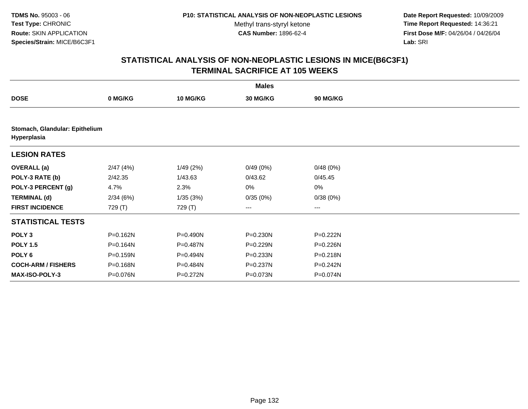**Date Report Requested:** 10/09/2009 **Time Report Requested:** 14:36:21 **First Dose M/F:** 04/26/04 / 04/26/04 Lab: SRI **Lab:** SRI

|                                               |          |                 | <b>Males</b> |          |  |  |  |  |
|-----------------------------------------------|----------|-----------------|--------------|----------|--|--|--|--|
| <b>DOSE</b>                                   | 0 MG/KG  | <b>10 MG/KG</b> | 30 MG/KG     | 90 MG/KG |  |  |  |  |
|                                               |          |                 |              |          |  |  |  |  |
| Stomach, Glandular: Epithelium<br>Hyperplasia |          |                 |              |          |  |  |  |  |
| <b>LESION RATES</b>                           |          |                 |              |          |  |  |  |  |
| <b>OVERALL</b> (a)                            | 2/47(4%) | 1/49(2%)        | 0/49(0%)     | 0/48(0%) |  |  |  |  |
| POLY-3 RATE (b)                               | 2/42.35  | 1/43.63         | 0/43.62      | 0/45.45  |  |  |  |  |
| POLY-3 PERCENT (g)                            | 4.7%     | 2.3%            | 0%           | 0%       |  |  |  |  |
| <b>TERMINAL (d)</b>                           | 2/34(6%) | 1/35(3%)        | 0/35(0%)     | 0/38(0%) |  |  |  |  |
| <b>FIRST INCIDENCE</b>                        | 729 (T)  | 729 (T)         | ---          | ---      |  |  |  |  |
| <b>STATISTICAL TESTS</b>                      |          |                 |              |          |  |  |  |  |
| POLY <sub>3</sub>                             | P=0.162N | P=0.490N        | $P = 0.230N$ | P=0.222N |  |  |  |  |
| <b>POLY 1.5</b>                               | P=0.164N | P=0.487N        | P=0.229N     | P=0.226N |  |  |  |  |
| POLY 6                                        | P=0.159N | P=0.494N        | P=0.233N     | P=0.218N |  |  |  |  |
| <b>COCH-ARM / FISHERS</b>                     | P=0.168N | P=0.484N        | P=0.237N     | P=0.242N |  |  |  |  |
| <b>MAX-ISO-POLY-3</b>                         | P=0.076N | P=0.272N        | P=0.073N     | P=0.074N |  |  |  |  |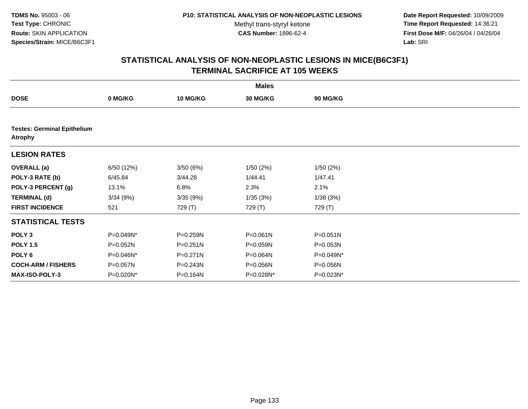**Date Report Requested:** 10/09/2009 **Time Report Requested:** 14:36:21 **First Dose M/F:** 04/26/04 / 04/26/04 Lab: SRI **Lab:** SRI

|                           |                                    |                 | <b>Males</b> |                 |  |  |  |  |  |
|---------------------------|------------------------------------|-----------------|--------------|-----------------|--|--|--|--|--|
| <b>DOSE</b>               | 0 MG/KG                            | <b>10 MG/KG</b> | 30 MG/KG     | <b>90 MG/KG</b> |  |  |  |  |  |
|                           |                                    |                 |              |                 |  |  |  |  |  |
| <b>Atrophy</b>            | <b>Testes: Germinal Epithelium</b> |                 |              |                 |  |  |  |  |  |
| <b>LESION RATES</b>       |                                    |                 |              |                 |  |  |  |  |  |
| <b>OVERALL</b> (a)        | 6/50 (12%)                         | 3/50(6%)        | 1/50(2%)     | 1/50(2%)        |  |  |  |  |  |
| POLY-3 RATE (b)           | 6/45.84                            | 3/44.28         | 1/44.41      | 1/47.41         |  |  |  |  |  |
| POLY-3 PERCENT (g)        | 13.1%                              | 6.8%            | 2.3%         | 2.1%            |  |  |  |  |  |
| <b>TERMINAL (d)</b>       | 3/34(9%)                           | 3/35(9%)        | 1/35(3%)     | 1/38(3%)        |  |  |  |  |  |
| <b>FIRST INCIDENCE</b>    | 521                                | 729 (T)         | 729 (T)      | 729 (T)         |  |  |  |  |  |
| <b>STATISTICAL TESTS</b>  |                                    |                 |              |                 |  |  |  |  |  |
| POLY <sub>3</sub>         | P=0.049N*                          | P=0.259N        | $P = 0.061N$ | $P = 0.051N$    |  |  |  |  |  |
| <b>POLY 1.5</b>           | P=0.052N                           | $P = 0.251N$    | P=0.059N     | P=0.053N        |  |  |  |  |  |
| POLY 6                    | P=0.046N*                          | P=0.271N        | P=0.064N     | P=0.049N*       |  |  |  |  |  |
| <b>COCH-ARM / FISHERS</b> | P=0.057N                           | P=0.243N        | P=0.056N     | P=0.056N        |  |  |  |  |  |
| MAX-ISO-POLY-3            | P=0.020N*                          | P=0.164N        | P=0.028N*    | P=0.023N*       |  |  |  |  |  |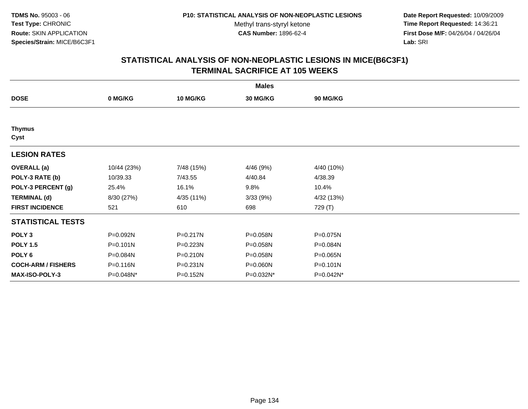**Date Report Requested:** 10/09/2009 **Time Report Requested:** 14:36:21 **First Dose M/F:** 04/26/04 / 04/26/04 Lab: SRI **Lab:** SRI

|                           |             |                 | <b>Males</b>    |              |  |
|---------------------------|-------------|-----------------|-----------------|--------------|--|
| <b>DOSE</b>               | 0 MG/KG     | <b>10 MG/KG</b> | <b>30 MG/KG</b> | 90 MG/KG     |  |
|                           |             |                 |                 |              |  |
| <b>Thymus</b><br>Cyst     |             |                 |                 |              |  |
| <b>LESION RATES</b>       |             |                 |                 |              |  |
| <b>OVERALL</b> (a)        | 10/44 (23%) | 7/48 (15%)      | 4/46 (9%)       | 4/40 (10%)   |  |
| POLY-3 RATE (b)           | 10/39.33    | 7/43.55         | 4/40.84         | 4/38.39      |  |
| POLY-3 PERCENT (g)        | 25.4%       | 16.1%           | 9.8%            | 10.4%        |  |
| <b>TERMINAL (d)</b>       | 8/30 (27%)  | 4/35 (11%)      | 3/33(9%)        | 4/32 (13%)   |  |
| <b>FIRST INCIDENCE</b>    | 521         | 610             | 698             | 729 (T)      |  |
| <b>STATISTICAL TESTS</b>  |             |                 |                 |              |  |
| POLY <sub>3</sub>         | P=0.092N    | P=0.217N        | P=0.058N        | P=0.075N     |  |
| <b>POLY 1.5</b>           | P=0.101N    | P=0.223N        | P=0.058N        | P=0.084N     |  |
| POLY 6                    | P=0.084N    | P=0.210N        | P=0.058N        | P=0.065N     |  |
| <b>COCH-ARM / FISHERS</b> | P=0.116N    | $P = 0.231N$    | P=0.060N        | $P = 0.101N$ |  |
| <b>MAX-ISO-POLY-3</b>     | P=0.048N*   | P=0.152N        | P=0.032N*       | P=0.042N*    |  |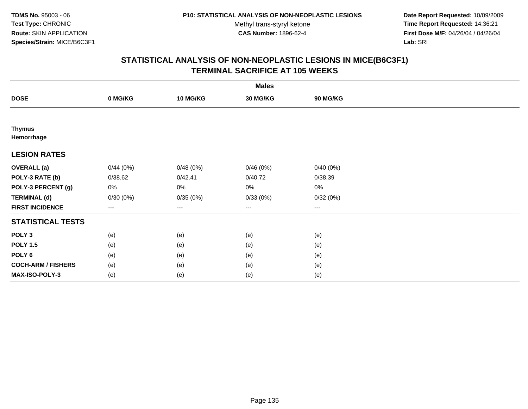**Date Report Requested:** 10/09/2009 **Time Report Requested:** 14:36:21 **First Dose M/F:** 04/26/04 / 04/26/04 Lab: SRI **Lab:** SRI

|                             | <b>Males</b> |          |          |                   |  |  |  |  |
|-----------------------------|--------------|----------|----------|-------------------|--|--|--|--|
| <b>DOSE</b>                 | 0 MG/KG      | 10 MG/KG | 30 MG/KG | 90 MG/KG          |  |  |  |  |
|                             |              |          |          |                   |  |  |  |  |
| <b>Thymus</b><br>Hemorrhage |              |          |          |                   |  |  |  |  |
| <b>LESION RATES</b>         |              |          |          |                   |  |  |  |  |
| <b>OVERALL</b> (a)          | 0/44(0%)     | 0/48(0%) | 0/46(0%) | 0/40(0%)          |  |  |  |  |
| POLY-3 RATE (b)             | 0/38.62      | 0/42.41  | 0/40.72  | 0/38.39           |  |  |  |  |
| POLY-3 PERCENT (g)          | 0%           | 0%       | 0%       | 0%                |  |  |  |  |
| <b>TERMINAL (d)</b>         | 0/30(0%)     | 0/35(0%) | 0/33(0%) | 0/32(0%)          |  |  |  |  |
| <b>FIRST INCIDENCE</b>      | ---          | $---$    | $\cdots$ | $\qquad \qquad -$ |  |  |  |  |
| <b>STATISTICAL TESTS</b>    |              |          |          |                   |  |  |  |  |
| POLY <sub>3</sub>           | (e)          | (e)      | (e)      | (e)               |  |  |  |  |
| <b>POLY 1.5</b>             | (e)          | (e)      | (e)      | (e)               |  |  |  |  |
| POLY <sub>6</sub>           | (e)          | (e)      | (e)      | (e)               |  |  |  |  |
| <b>COCH-ARM / FISHERS</b>   | (e)          | (e)      | (e)      | (e)               |  |  |  |  |
| MAX-ISO-POLY-3              | (e)          | (e)      | (e)      | (e)               |  |  |  |  |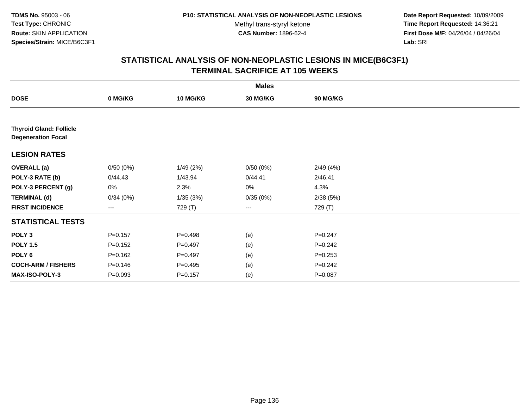**Date Report Requested:** 10/09/2009 **Time Report Requested:** 14:36:21 **First Dose M/F:** 04/26/04 / 04/26/04 Lab: SRI **Lab:** SRI

|                                                             |             |                 | <b>Males</b> |                 |  |
|-------------------------------------------------------------|-------------|-----------------|--------------|-----------------|--|
| <b>DOSE</b>                                                 | 0 MG/KG     | <b>10 MG/KG</b> | 30 MG/KG     | <b>90 MG/KG</b> |  |
|                                                             |             |                 |              |                 |  |
| <b>Thyroid Gland: Follicle</b><br><b>Degeneration Focal</b> |             |                 |              |                 |  |
| <b>LESION RATES</b>                                         |             |                 |              |                 |  |
| <b>OVERALL</b> (a)                                          | 0/50(0%)    | 1/49(2%)        | 0/50(0%)     | 2/49(4%)        |  |
| POLY-3 RATE (b)                                             | 0/44.43     | 1/43.94         | 0/44.41      | 2/46.41         |  |
| POLY-3 PERCENT (g)                                          | 0%          | 2.3%            | 0%           | 4.3%            |  |
| <b>TERMINAL (d)</b>                                         | 0/34(0%)    | 1/35(3%)        | 0/35(0%)     | 2/38(5%)        |  |
| <b>FIRST INCIDENCE</b>                                      | ---         | 729 (T)         | ---          | 729 (T)         |  |
| <b>STATISTICAL TESTS</b>                                    |             |                 |              |                 |  |
| POLY <sub>3</sub>                                           | $P = 0.157$ | $P=0.498$       | (e)          | $P = 0.247$     |  |
| <b>POLY 1.5</b>                                             | $P = 0.152$ | $P=0.497$       | (e)          | $P = 0.242$     |  |
| POLY <sub>6</sub>                                           | $P = 0.162$ | $P=0.497$       | (e)          | $P = 0.253$     |  |
| <b>COCH-ARM / FISHERS</b>                                   | $P = 0.146$ | $P = 0.495$     | (e)          | $P = 0.242$     |  |
| MAX-ISO-POLY-3                                              | $P = 0.093$ | $P = 0.157$     | (e)          | $P = 0.087$     |  |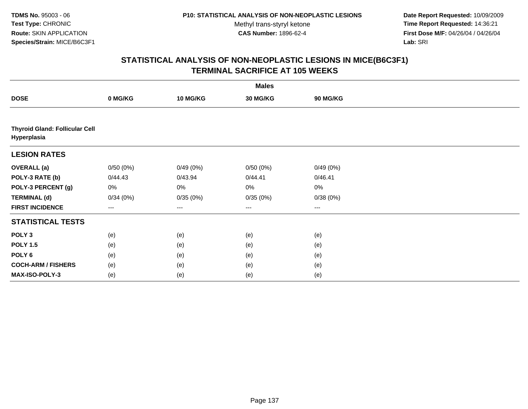**Date Report Requested:** 10/09/2009 **Time Report Requested:** 14:36:21 **First Dose M/F:** 04/26/04 / 04/26/04 Lab: SRI **Lab:** SRI

|                                                      |                   |                   | <b>Males</b>      |                 |  |
|------------------------------------------------------|-------------------|-------------------|-------------------|-----------------|--|
| <b>DOSE</b>                                          | 0 MG/KG           | 10 MG/KG          | 30 MG/KG          | <b>90 MG/KG</b> |  |
|                                                      |                   |                   |                   |                 |  |
| <b>Thyroid Gland: Follicular Cell</b><br>Hyperplasia |                   |                   |                   |                 |  |
| <b>LESION RATES</b>                                  |                   |                   |                   |                 |  |
| <b>OVERALL (a)</b>                                   | 0/50(0%)          | 0/49(0%)          | 0/50(0%)          | 0/49(0%)        |  |
| POLY-3 RATE (b)                                      | 0/44.43           | 0/43.94           | 0/44.41           | 0/46.41         |  |
| POLY-3 PERCENT (g)                                   | 0%                | 0%                | 0%                | 0%              |  |
| <b>TERMINAL (d)</b>                                  | 0/34(0%)          | 0/35(0%)          | 0/35(0%)          | 0/38(0%)        |  |
| <b>FIRST INCIDENCE</b>                               | $\qquad \qquad -$ | $\qquad \qquad -$ | $\qquad \qquad -$ | ---             |  |
| <b>STATISTICAL TESTS</b>                             |                   |                   |                   |                 |  |
| POLY <sub>3</sub>                                    | (e)               | (e)               | (e)               | (e)             |  |
| <b>POLY 1.5</b>                                      | (e)               | (e)               | (e)               | (e)             |  |
| POLY 6                                               | (e)               | (e)               | (e)               | (e)             |  |
| <b>COCH-ARM / FISHERS</b>                            | (e)               | (e)               | (e)               | (e)             |  |
| MAX-ISO-POLY-3                                       | (e)               | (e)               | (e)               | (e)             |  |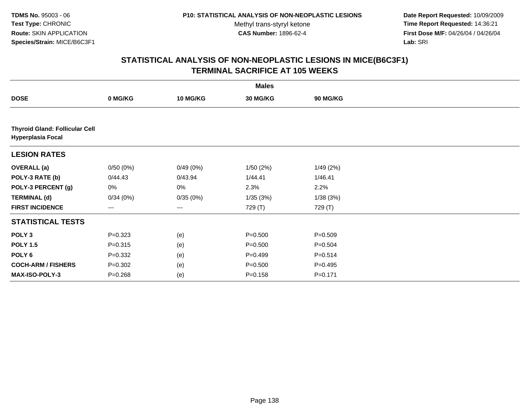**Date Report Requested:** 10/09/2009 **Time Report Requested:** 14:36:21 **First Dose M/F:** 04/26/04 / 04/26/04 Lab: SRI **Lab:** SRI

|                           |                                       |          | <b>Males</b> |                 |  |  |  |  |  |
|---------------------------|---------------------------------------|----------|--------------|-----------------|--|--|--|--|--|
| <b>DOSE</b>               | 0 MG/KG                               | 10 MG/KG | 30 MG/KG     | <b>90 MG/KG</b> |  |  |  |  |  |
|                           |                                       |          |              |                 |  |  |  |  |  |
| <b>Hyperplasia Focal</b>  | <b>Thyroid Gland: Follicular Cell</b> |          |              |                 |  |  |  |  |  |
| <b>LESION RATES</b>       |                                       |          |              |                 |  |  |  |  |  |
| <b>OVERALL</b> (a)        | 0/50(0%)                              | 0/49(0%) | 1/50(2%)     | 1/49(2%)        |  |  |  |  |  |
| POLY-3 RATE (b)           | 0/44.43                               | 0/43.94  | 1/44.41      | 1/46.41         |  |  |  |  |  |
| POLY-3 PERCENT (g)        | 0%                                    | 0%       | 2.3%         | 2.2%            |  |  |  |  |  |
| <b>TERMINAL (d)</b>       | 0/34(0%)                              | 0/35(0%) | 1/35(3%)     | 1/38(3%)        |  |  |  |  |  |
| <b>FIRST INCIDENCE</b>    | ---                                   | $---$    | 729 (T)      | 729 (T)         |  |  |  |  |  |
| <b>STATISTICAL TESTS</b>  |                                       |          |              |                 |  |  |  |  |  |
| POLY <sub>3</sub>         | $P = 0.323$                           | (e)      | $P = 0.500$  | $P = 0.509$     |  |  |  |  |  |
| <b>POLY 1.5</b>           | $P = 0.315$                           | (e)      | $P = 0.500$  | $P = 0.504$     |  |  |  |  |  |
| POLY <sub>6</sub>         | $P = 0.332$                           | (e)      | $P=0.499$    | $P=0.514$       |  |  |  |  |  |
| <b>COCH-ARM / FISHERS</b> | $P = 0.302$                           | (e)      | $P = 0.500$  | $P=0.495$       |  |  |  |  |  |
| <b>MAX-ISO-POLY-3</b>     | $P = 0.268$                           | (e)      | $P = 0.158$  | $P = 0.171$     |  |  |  |  |  |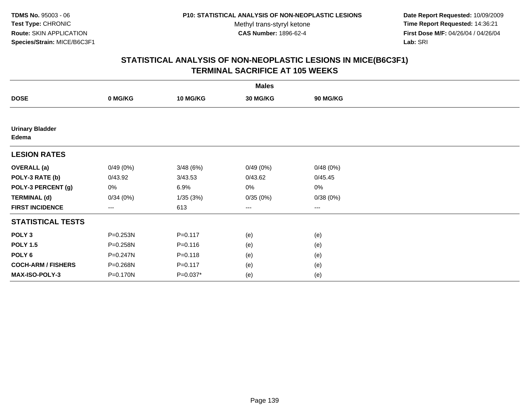**Date Report Requested:** 10/09/2009 **Time Report Requested:** 14:36:21 **First Dose M/F:** 04/26/04 / 04/26/04 Lab: SRI **Lab:** SRI

|                                 |                        |             | <b>Males</b>    |          |  |
|---------------------------------|------------------------|-------------|-----------------|----------|--|
| <b>DOSE</b>                     | 0 MG/KG                | 10 MG/KG    | <b>30 MG/KG</b> | 90 MG/KG |  |
|                                 |                        |             |                 |          |  |
| <b>Urinary Bladder</b><br>Edema |                        |             |                 |          |  |
| <b>LESION RATES</b>             |                        |             |                 |          |  |
| <b>OVERALL</b> (a)              | 0/49(0%)               | 3/48(6%)    | 0/49(0%)        | 0/48(0%) |  |
| POLY-3 RATE (b)                 | 0/43.92                | 3/43.53     | 0/43.62         | 0/45.45  |  |
| POLY-3 PERCENT (g)              | 0%                     | 6.9%        | 0%              | 0%       |  |
| <b>TERMINAL (d)</b>             | 0/34(0%)               | 1/35(3%)    | 0/35(0%)        | 0/38(0%) |  |
| <b>FIRST INCIDENCE</b>          | $\qquad \qquad \cdots$ | 613         | ---             | $---$    |  |
| <b>STATISTICAL TESTS</b>        |                        |             |                 |          |  |
| POLY <sub>3</sub>               | P=0.253N               | $P = 0.117$ | (e)             | (e)      |  |
| <b>POLY 1.5</b>                 | P=0.258N               | $P = 0.116$ | (e)             | (e)      |  |
| POLY <sub>6</sub>               | P=0.247N               | $P = 0.118$ | (e)             | (e)      |  |
| <b>COCH-ARM / FISHERS</b>       | P=0.268N               | $P = 0.117$ | (e)             | (e)      |  |
| MAX-ISO-POLY-3                  | P=0.170N               | $P=0.037*$  | (e)             | (e)      |  |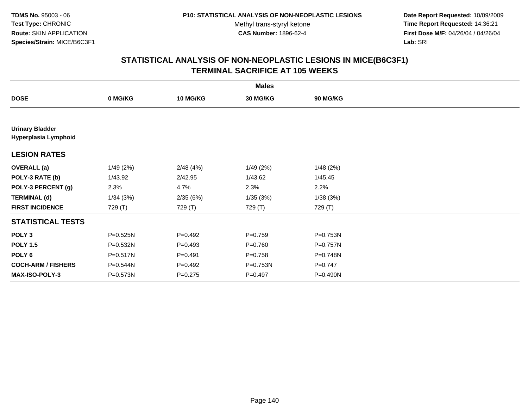**Date Report Requested:** 10/09/2009 **Time Report Requested:** 14:36:21 **First Dose M/F:** 04/26/04 / 04/26/04 Lab: SRI **Lab:** SRI

|                                                |              |                 | <b>Males</b> |                 |  |
|------------------------------------------------|--------------|-----------------|--------------|-----------------|--|
| <b>DOSE</b>                                    | 0 MG/KG      | <b>10 MG/KG</b> | 30 MG/KG     | <b>90 MG/KG</b> |  |
|                                                |              |                 |              |                 |  |
| <b>Urinary Bladder</b><br>Hyperplasia Lymphoid |              |                 |              |                 |  |
| <b>LESION RATES</b>                            |              |                 |              |                 |  |
| <b>OVERALL</b> (a)                             | 1/49(2%)     | 2/48(4%)        | 1/49(2%)     | 1/48(2%)        |  |
| POLY-3 RATE (b)                                | 1/43.92      | 2/42.95         | 1/43.62      | 1/45.45         |  |
| POLY-3 PERCENT (g)                             | 2.3%         | 4.7%            | 2.3%         | 2.2%            |  |
| <b>TERMINAL (d)</b>                            | 1/34(3%)     | 2/35(6%)        | 1/35(3%)     | 1/38(3%)        |  |
| <b>FIRST INCIDENCE</b>                         | 729 (T)      | 729 (T)         | 729 (T)      | 729 (T)         |  |
| <b>STATISTICAL TESTS</b>                       |              |                 |              |                 |  |
| POLY <sub>3</sub>                              | P=0.525N     | $P=0.492$       | $P=0.759$    | P=0.753N        |  |
| <b>POLY 1.5</b>                                | P=0.532N     | $P=0.493$       | $P=0.760$    | P=0.757N        |  |
| POLY <sub>6</sub>                              | $P = 0.517N$ | $P = 0.491$     | $P = 0.758$  | P=0.748N        |  |
| <b>COCH-ARM / FISHERS</b>                      | P=0.544N     | $P=0.492$       | P=0.753N     | $P = 0.747$     |  |
| MAX-ISO-POLY-3                                 | P=0.573N     | $P=0.275$       | $P=0.497$    | P=0.490N        |  |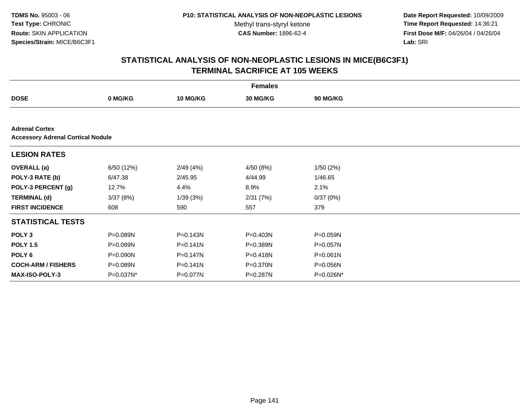**Date Report Requested:** 10/09/2009 **Time Report Requested:** 14:36:21 **First Dose M/F:** 04/26/04 / 04/26/04 Lab: SRI **Lab:** SRI

|                                                                   |            |                 | <b>Females</b> |                 |  |  |  |  |  |
|-------------------------------------------------------------------|------------|-----------------|----------------|-----------------|--|--|--|--|--|
| <b>DOSE</b>                                                       | 0 MG/KG    | <b>10 MG/KG</b> | 30 MG/KG       | <b>90 MG/KG</b> |  |  |  |  |  |
|                                                                   |            |                 |                |                 |  |  |  |  |  |
| <b>Adrenal Cortex</b><br><b>Accessory Adrenal Cortical Nodule</b> |            |                 |                |                 |  |  |  |  |  |
| <b>LESION RATES</b>                                               |            |                 |                |                 |  |  |  |  |  |
| <b>OVERALL</b> (a)                                                | 6/50 (12%) | 2/49(4%)        | 4/50 (8%)      | 1/50(2%)        |  |  |  |  |  |
| POLY-3 RATE (b)                                                   | 6/47.38    | 2/45.95         | 4/44.99        | 1/46.65         |  |  |  |  |  |
| POLY-3 PERCENT (g)                                                | 12.7%      | 4.4%            | 8.9%           | 2.1%            |  |  |  |  |  |
| <b>TERMINAL (d)</b>                                               | 3/37(8%)   | 1/39(3%)        | 2/31(7%)       | 0/37(0%)        |  |  |  |  |  |
| <b>FIRST INCIDENCE</b>                                            | 608        | 590             | 557            | 379             |  |  |  |  |  |
| <b>STATISTICAL TESTS</b>                                          |            |                 |                |                 |  |  |  |  |  |
| POLY <sub>3</sub>                                                 | P=0.089N   | $P = 0.143N$    | P=0.403N       | P=0.059N        |  |  |  |  |  |
| <b>POLY 1.5</b>                                                   | P=0.089N   | $P = 0.141N$    | P=0.389N       | P=0.057N        |  |  |  |  |  |
| POLY 6                                                            | P=0.090N   | $P = 0.147N$    | P=0.418N       | $P = 0.061N$    |  |  |  |  |  |
| <b>COCH-ARM / FISHERS</b>                                         | P=0.089N   | $P = 0.141N$    | P=0.370N       | P=0.056N        |  |  |  |  |  |
| <b>MAX-ISO-POLY-3</b>                                             | P=0.037N*  | P=0.077N        | P=0.287N       | P=0.026N*       |  |  |  |  |  |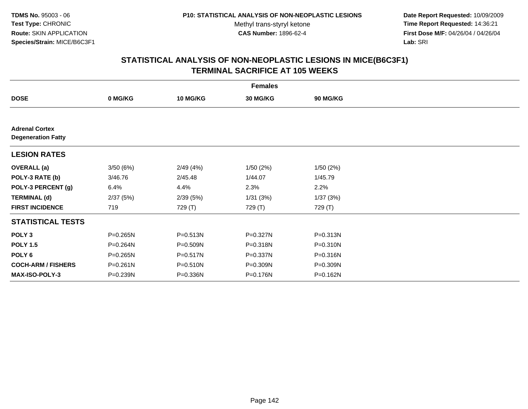**Date Report Requested:** 10/09/2009 **Time Report Requested:** 14:36:21 **First Dose M/F:** 04/26/04 / 04/26/04 Lab: SRI **Lab:** SRI

|                                                    |          |                 | <b>Females</b> |              |  |
|----------------------------------------------------|----------|-----------------|----------------|--------------|--|
| <b>DOSE</b>                                        | 0 MG/KG  | <b>10 MG/KG</b> | 30 MG/KG       | 90 MG/KG     |  |
|                                                    |          |                 |                |              |  |
| <b>Adrenal Cortex</b><br><b>Degeneration Fatty</b> |          |                 |                |              |  |
| <b>LESION RATES</b>                                |          |                 |                |              |  |
| <b>OVERALL</b> (a)                                 | 3/50(6%) | 2/49(4%)        | 1/50 (2%)      | 1/50(2%)     |  |
| POLY-3 RATE (b)                                    | 3/46.76  | 2/45.48         | 1/44.07        | 1/45.79      |  |
| POLY-3 PERCENT (g)                                 | 6.4%     | 4.4%            | 2.3%           | 2.2%         |  |
| <b>TERMINAL (d)</b>                                | 2/37(5%) | 2/39(5%)        | 1/31(3%)       | 1/37(3%)     |  |
| <b>FIRST INCIDENCE</b>                             | 719      | 729 (T)         | 729 (T)        | 729 (T)      |  |
| <b>STATISTICAL TESTS</b>                           |          |                 |                |              |  |
| POLY <sub>3</sub>                                  | P=0.265N | P=0.513N        | P=0.327N       | P=0.313N     |  |
| <b>POLY 1.5</b>                                    | P=0.264N | P=0.509N        | P=0.318N       | $P = 0.310N$ |  |
| POLY 6                                             | P=0.265N | P=0.517N        | P=0.337N       | P=0.316N     |  |
| <b>COCH-ARM / FISHERS</b>                          | P=0.261N | P=0.510N        | P=0.309N       | P=0.309N     |  |
| <b>MAX-ISO-POLY-3</b>                              | P=0.239N | P=0.336N        | P=0.176N       | P=0.162N     |  |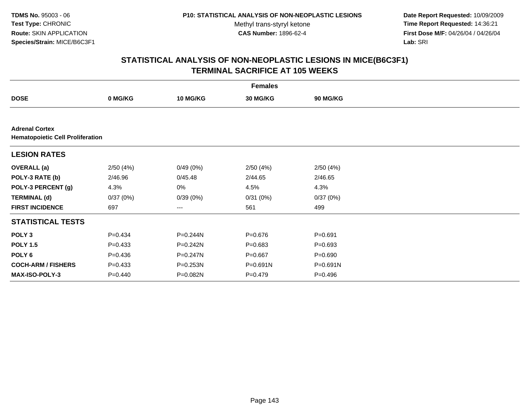**Date Report Requested:** 10/09/2009 **Time Report Requested:** 14:36:21 **First Dose M/F:** 04/26/04 / 04/26/04 Lab: SRI **Lab:** SRI

|                                                                  | <b>Females</b> |                 |              |                 |  |  |  |  |
|------------------------------------------------------------------|----------------|-----------------|--------------|-----------------|--|--|--|--|
| <b>DOSE</b>                                                      | 0 MG/KG        | <b>10 MG/KG</b> | 30 MG/KG     | <b>90 MG/KG</b> |  |  |  |  |
|                                                                  |                |                 |              |                 |  |  |  |  |
| <b>Adrenal Cortex</b><br><b>Hematopoietic Cell Proliferation</b> |                |                 |              |                 |  |  |  |  |
| <b>LESION RATES</b>                                              |                |                 |              |                 |  |  |  |  |
| <b>OVERALL</b> (a)                                               | 2/50(4%)       | 0/49(0%)        | 2/50(4%)     | 2/50(4%)        |  |  |  |  |
| POLY-3 RATE (b)                                                  | 2/46.96        | 0/45.48         | 2/44.65      | 2/46.65         |  |  |  |  |
| POLY-3 PERCENT (g)                                               | 4.3%           | 0%              | 4.5%         | 4.3%            |  |  |  |  |
| <b>TERMINAL (d)</b>                                              | 0/37(0%)       | 0/39(0%)        | 0/31(0%)     | 0/37(0%)        |  |  |  |  |
| <b>FIRST INCIDENCE</b>                                           | 697            | ---             | 561          | 499             |  |  |  |  |
| <b>STATISTICAL TESTS</b>                                         |                |                 |              |                 |  |  |  |  |
| POLY <sub>3</sub>                                                | $P=0.434$      | P=0.244N        | $P = 0.676$  | $P = 0.691$     |  |  |  |  |
| <b>POLY 1.5</b>                                                  | $P=0.433$      | $P = 0.242N$    | $P = 0.683$  | $P = 0.693$     |  |  |  |  |
| POLY <sub>6</sub>                                                | $P=0.436$      | $P = 0.247N$    | $P = 0.667$  | $P = 0.690$     |  |  |  |  |
| <b>COCH-ARM / FISHERS</b>                                        | $P = 0.433$    | P=0.253N        | $P = 0.691N$ | P=0.691N        |  |  |  |  |
| MAX-ISO-POLY-3                                                   | $P=0.440$      | P=0.082N        | $P=0.479$    | $P = 0.496$     |  |  |  |  |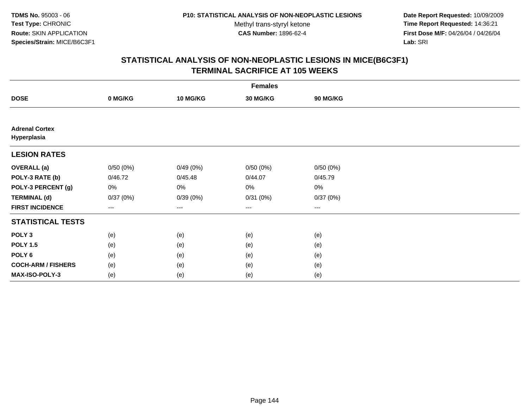**Date Report Requested:** 10/09/2009 **Time Report Requested:** 14:36:21 **First Dose M/F:** 04/26/04 / 04/26/04 Lab: SRI **Lab:** SRI

|                                      | <b>Females</b> |                 |          |                   |  |  |  |  |  |
|--------------------------------------|----------------|-----------------|----------|-------------------|--|--|--|--|--|
| <b>DOSE</b>                          | 0 MG/KG        | <b>10 MG/KG</b> | 30 MG/KG | 90 MG/KG          |  |  |  |  |  |
|                                      |                |                 |          |                   |  |  |  |  |  |
| <b>Adrenal Cortex</b><br>Hyperplasia |                |                 |          |                   |  |  |  |  |  |
| <b>LESION RATES</b>                  |                |                 |          |                   |  |  |  |  |  |
| <b>OVERALL (a)</b>                   | 0/50(0%)       | 0/49(0%)        | 0/50(0%) | 0/50(0%)          |  |  |  |  |  |
| POLY-3 RATE (b)                      | 0/46.72        | 0/45.48         | 0/44.07  | 0/45.79           |  |  |  |  |  |
| POLY-3 PERCENT (g)                   | 0%             | 0%              | 0%       | $0\%$             |  |  |  |  |  |
| <b>TERMINAL (d)</b>                  | 0/37(0%)       | 0/39(0%)        | 0/31(0%) | 0/37(0%)          |  |  |  |  |  |
| <b>FIRST INCIDENCE</b>               | $--$           | $---$           | $--$     | $\qquad \qquad -$ |  |  |  |  |  |
| <b>STATISTICAL TESTS</b>             |                |                 |          |                   |  |  |  |  |  |
| POLY <sub>3</sub>                    | (e)            | (e)             | (e)      | (e)               |  |  |  |  |  |
| <b>POLY 1.5</b>                      | (e)            | (e)             | (e)      | (e)               |  |  |  |  |  |
| POLY <sub>6</sub>                    | (e)            | (e)             | (e)      | (e)               |  |  |  |  |  |
| <b>COCH-ARM / FISHERS</b>            | (e)            | (e)             | (e)      | (e)               |  |  |  |  |  |
| MAX-ISO-POLY-3                       | (e)            | (e)             | (e)      | (e)               |  |  |  |  |  |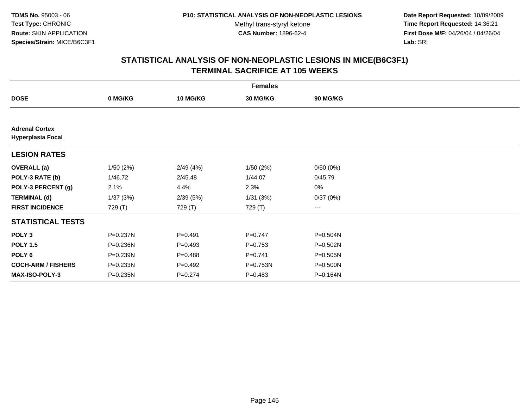**Date Report Requested:** 10/09/2009 **Time Report Requested:** 14:36:21 **First Dose M/F:** 04/26/04 / 04/26/04 Lab: SRI **Lab:** SRI

|                                                   | <b>Females</b> |                 |                 |              |  |  |  |
|---------------------------------------------------|----------------|-----------------|-----------------|--------------|--|--|--|
| <b>DOSE</b>                                       | 0 MG/KG        | <b>10 MG/KG</b> | <b>30 MG/KG</b> | 90 MG/KG     |  |  |  |
|                                                   |                |                 |                 |              |  |  |  |
| <b>Adrenal Cortex</b><br><b>Hyperplasia Focal</b> |                |                 |                 |              |  |  |  |
| <b>LESION RATES</b>                               |                |                 |                 |              |  |  |  |
| <b>OVERALL</b> (a)                                | 1/50(2%)       | 2/49(4%)        | 1/50(2%)        | 0/50(0%)     |  |  |  |
| POLY-3 RATE (b)                                   | 1/46.72        | 2/45.48         | 1/44.07         | 0/45.79      |  |  |  |
| POLY-3 PERCENT (g)                                | 2.1%           | 4.4%            | 2.3%            | 0%           |  |  |  |
| <b>TERMINAL (d)</b>                               | 1/37(3%)       | 2/39(5%)        | 1/31(3%)        | 0/37(0%)     |  |  |  |
| <b>FIRST INCIDENCE</b>                            | 729 (T)        | 729 (T)         | 729 (T)         | $\cdots$     |  |  |  |
| <b>STATISTICAL TESTS</b>                          |                |                 |                 |              |  |  |  |
| POLY <sub>3</sub>                                 | P=0.237N       | $P = 0.491$     | $P = 0.747$     | P=0.504N     |  |  |  |
| <b>POLY 1.5</b>                                   | P=0.236N       | $P=0.493$       | $P=0.753$       | $P = 0.502N$ |  |  |  |
| POLY 6                                            | P=0.239N       | $P=0.488$       | $P = 0.741$     | $P = 0.505N$ |  |  |  |
| <b>COCH-ARM / FISHERS</b>                         | P=0.233N       | $P=0.492$       | $P = 0.753N$    | P=0.500N     |  |  |  |
| <b>MAX-ISO-POLY-3</b>                             | P=0.235N       | $P=0.274$       | $P = 0.483$     | P=0.164N     |  |  |  |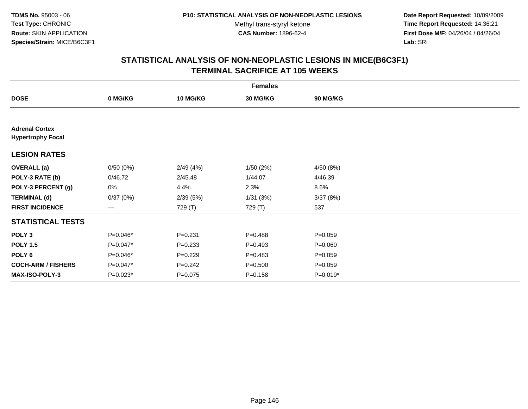**Date Report Requested:** 10/09/2009 **Time Report Requested:** 14:36:21 **First Dose M/F:** 04/26/04 / 04/26/04 Lab: SRI **Lab:** SRI

|                                                   |            |             | <b>Females</b> |             |  |
|---------------------------------------------------|------------|-------------|----------------|-------------|--|
| <b>DOSE</b>                                       | 0 MG/KG    | 10 MG/KG    | 30 MG/KG       | 90 MG/KG    |  |
|                                                   |            |             |                |             |  |
| <b>Adrenal Cortex</b><br><b>Hypertrophy Focal</b> |            |             |                |             |  |
| <b>LESION RATES</b>                               |            |             |                |             |  |
| <b>OVERALL</b> (a)                                | 0/50(0%)   | 2/49(4%)    | 1/50(2%)       | 4/50 (8%)   |  |
| POLY-3 RATE (b)                                   | 0/46.72    | 2/45.48     | 1/44.07        | 4/46.39     |  |
| POLY-3 PERCENT (g)                                | 0%         | 4.4%        | 2.3%           | 8.6%        |  |
| <b>TERMINAL (d)</b>                               | 0/37(0%)   | 2/39(5%)    | 1/31(3%)       | 3/37(8%)    |  |
| <b>FIRST INCIDENCE</b>                            | ---        | 729 (T)     | 729 (T)        | 537         |  |
| <b>STATISTICAL TESTS</b>                          |            |             |                |             |  |
| POLY <sub>3</sub>                                 | $P=0.046*$ | $P = 0.231$ | $P = 0.488$    | $P = 0.059$ |  |
| <b>POLY 1.5</b>                                   | P=0.047*   | $P = 0.233$ | $P=0.493$      | $P = 0.060$ |  |
| POLY 6                                            | $P=0.046*$ | $P=0.229$   | $P=0.483$      | $P = 0.059$ |  |
| <b>COCH-ARM / FISHERS</b>                         | $P=0.047*$ | $P = 0.242$ | $P = 0.500$    | $P = 0.059$ |  |
| <b>MAX-ISO-POLY-3</b>                             | $P=0.023*$ | $P = 0.075$ | $P = 0.158$    | $P=0.019*$  |  |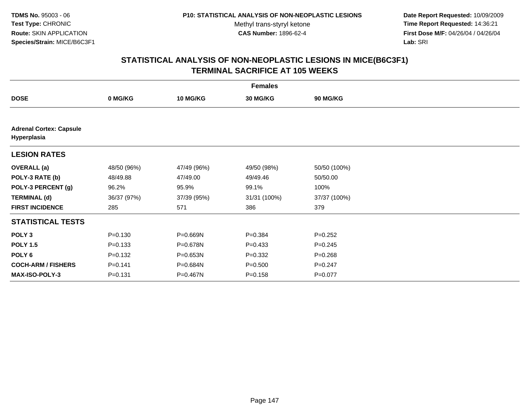**Date Report Requested:** 10/09/2009 **Time Report Requested:** 14:36:21 **First Dose M/F:** 04/26/04 / 04/26/04 Lab: SRI **Lab:** SRI

| <b>Females</b>                                |             |                 |              |                 |  |  |
|-----------------------------------------------|-------------|-----------------|--------------|-----------------|--|--|
| <b>DOSE</b>                                   | 0 MG/KG     | <b>10 MG/KG</b> | 30 MG/KG     | <b>90 MG/KG</b> |  |  |
|                                               |             |                 |              |                 |  |  |
| <b>Adrenal Cortex: Capsule</b><br>Hyperplasia |             |                 |              |                 |  |  |
| <b>LESION RATES</b>                           |             |                 |              |                 |  |  |
| <b>OVERALL</b> (a)                            | 48/50 (96%) | 47/49 (96%)     | 49/50 (98%)  | 50/50 (100%)    |  |  |
| POLY-3 RATE (b)                               | 48/49.88    | 47/49.00        | 49/49.46     | 50/50.00        |  |  |
| POLY-3 PERCENT (g)                            | 96.2%       | 95.9%           | 99.1%        | 100%            |  |  |
| <b>TERMINAL (d)</b>                           | 36/37 (97%) | 37/39 (95%)     | 31/31 (100%) | 37/37 (100%)    |  |  |
| <b>FIRST INCIDENCE</b>                        | 285         | 571             | 386          | 379             |  |  |
| <b>STATISTICAL TESTS</b>                      |             |                 |              |                 |  |  |
| POLY <sub>3</sub>                             | $P = 0.130$ | P=0.669N        | $P = 0.384$  | $P=0.252$       |  |  |
| <b>POLY 1.5</b>                               | $P = 0.133$ | P=0.678N        | $P = 0.433$  | $P = 0.245$     |  |  |
| POLY <sub>6</sub>                             | $P = 0.132$ | P=0.653N        | $P = 0.332$  | $P = 0.268$     |  |  |
| <b>COCH-ARM / FISHERS</b>                     | $P = 0.141$ | P=0.684N        | $P = 0.500$  | $P = 0.247$     |  |  |
| <b>MAX-ISO-POLY-3</b>                         | $P = 0.131$ | P=0.467N        | $P = 0.158$  | $P = 0.077$     |  |  |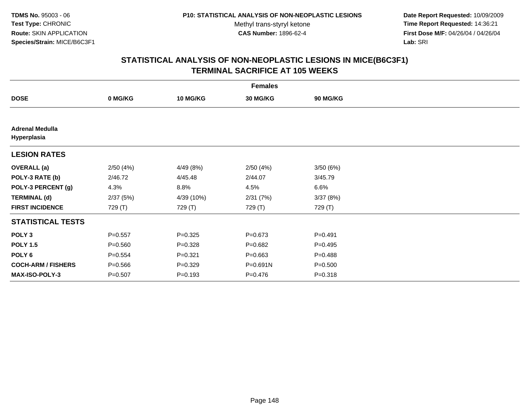**Date Report Requested:** 10/09/2009 **Time Report Requested:** 14:36:21 **First Dose M/F:** 04/26/04 / 04/26/04 Lab: SRI **Lab:** SRI

|                                       | <b>Females</b> |                 |                 |             |  |  |  |
|---------------------------------------|----------------|-----------------|-----------------|-------------|--|--|--|
| <b>DOSE</b>                           | 0 MG/KG        | <b>10 MG/KG</b> | <b>30 MG/KG</b> | 90 MG/KG    |  |  |  |
|                                       |                |                 |                 |             |  |  |  |
| <b>Adrenal Medulla</b><br>Hyperplasia |                |                 |                 |             |  |  |  |
| <b>LESION RATES</b>                   |                |                 |                 |             |  |  |  |
| <b>OVERALL</b> (a)                    | 2/50(4%)       | 4/49 (8%)       | 2/50(4%)        | 3/50(6%)    |  |  |  |
| POLY-3 RATE (b)                       | 2/46.72        | 4/45.48         | 2/44.07         | 3/45.79     |  |  |  |
| POLY-3 PERCENT (g)                    | 4.3%           | 8.8%            | 4.5%            | 6.6%        |  |  |  |
| <b>TERMINAL (d)</b>                   | 2/37(5%)       | 4/39 (10%)      | 2/31(7%)        | 3/37(8%)    |  |  |  |
| <b>FIRST INCIDENCE</b>                | 729 (T)        | 729 (T)         | 729 (T)         | 729 (T)     |  |  |  |
| <b>STATISTICAL TESTS</b>              |                |                 |                 |             |  |  |  |
| POLY <sub>3</sub>                     | $P = 0.557$    | $P=0.325$       | $P = 0.673$     | $P=0.491$   |  |  |  |
| <b>POLY 1.5</b>                       | $P = 0.560$    | $P = 0.328$     | $P = 0.682$     | $P=0.495$   |  |  |  |
| POLY <sub>6</sub>                     | $P = 0.554$    | $P = 0.321$     | $P = 0.663$     | $P = 0.488$ |  |  |  |
| <b>COCH-ARM / FISHERS</b>             | $P = 0.566$    | $P = 0.329$     | P=0.691N        | $P = 0.500$ |  |  |  |
| <b>MAX-ISO-POLY-3</b>                 | $P = 0.507$    | $P = 0.193$     | $P = 0.476$     | $P = 0.318$ |  |  |  |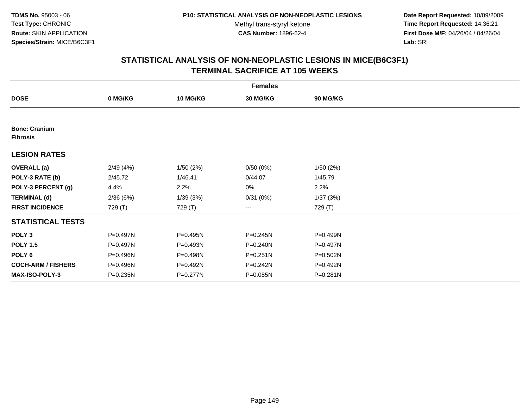**Date Report Requested:** 10/09/2009 **Time Report Requested:** 14:36:21 **First Dose M/F:** 04/26/04 / 04/26/04 Lab: SRI **Lab:** SRI

|                                         |              |                 | <b>Females</b> |              |  |
|-----------------------------------------|--------------|-----------------|----------------|--------------|--|
| <b>DOSE</b>                             | 0 MG/KG      | <b>10 MG/KG</b> | 30 MG/KG       | 90 MG/KG     |  |
|                                         |              |                 |                |              |  |
| <b>Bone: Cranium</b><br><b>Fibrosis</b> |              |                 |                |              |  |
| <b>LESION RATES</b>                     |              |                 |                |              |  |
| <b>OVERALL</b> (a)                      | 2/49(4%)     | 1/50(2%)        | 0/50(0%)       | 1/50(2%)     |  |
| POLY-3 RATE (b)                         | 2/45.72      | 1/46.41         | 0/44.07        | 1/45.79      |  |
| POLY-3 PERCENT (g)                      | 4.4%         | 2.2%            | 0%             | 2.2%         |  |
| <b>TERMINAL (d)</b>                     | 2/36(6%)     | 1/39(3%)        | 0/31(0%)       | 1/37(3%)     |  |
| <b>FIRST INCIDENCE</b>                  | 729 (T)      | 729 (T)         | ---            | 729 (T)      |  |
| <b>STATISTICAL TESTS</b>                |              |                 |                |              |  |
| POLY <sub>3</sub>                       | P=0.497N     | P=0.495N        | P=0.245N       | P=0.499N     |  |
| <b>POLY 1.5</b>                         | P=0.497N     | P=0.493N        | P=0.240N       | $P=0.497N$   |  |
| POLY <sub>6</sub>                       | P=0.496N     | P=0.498N        | P=0.251N       | P=0.502N     |  |
| <b>COCH-ARM / FISHERS</b>               | P=0.496N     | P=0.492N        | P=0.242N       | P=0.492N     |  |
| <b>MAX-ISO-POLY-3</b>                   | $P = 0.235N$ | P=0.277N        | P=0.085N       | $P = 0.281N$ |  |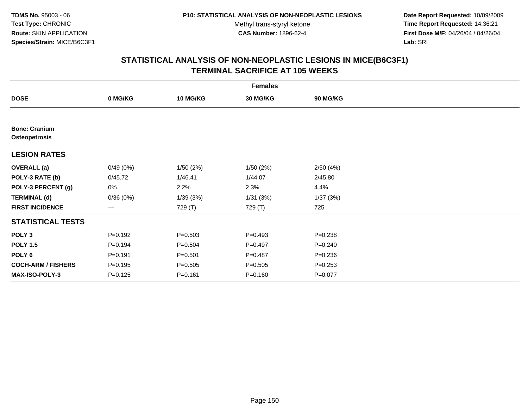**Date Report Requested:** 10/09/2009 **Time Report Requested:** 14:36:21 **First Dose M/F:** 04/26/04 / 04/26/04 Lab: SRI **Lab:** SRI

|                                       |             |                 | <b>Females</b> |                 |  |
|---------------------------------------|-------------|-----------------|----------------|-----------------|--|
| <b>DOSE</b>                           | 0 MG/KG     | <b>10 MG/KG</b> | 30 MG/KG       | <b>90 MG/KG</b> |  |
|                                       |             |                 |                |                 |  |
| <b>Bone: Cranium</b><br>Osteopetrosis |             |                 |                |                 |  |
| <b>LESION RATES</b>                   |             |                 |                |                 |  |
| <b>OVERALL</b> (a)                    | 0/49(0%)    | 1/50(2%)        | 1/50(2%)       | 2/50(4%)        |  |
| POLY-3 RATE (b)                       | 0/45.72     | 1/46.41         | 1/44.07        | 2/45.80         |  |
| POLY-3 PERCENT (g)                    | 0%          | 2.2%            | 2.3%           | 4.4%            |  |
| <b>TERMINAL (d)</b>                   | 0/36(0%)    | 1/39(3%)        | 1/31(3%)       | 1/37(3%)        |  |
| <b>FIRST INCIDENCE</b>                | ---         | 729 (T)         | 729 (T)        | 725             |  |
| <b>STATISTICAL TESTS</b>              |             |                 |                |                 |  |
| POLY <sub>3</sub>                     | $P = 0.192$ | $P = 0.503$     | $P=0.493$      | $P = 0.238$     |  |
| <b>POLY 1.5</b>                       | $P=0.194$   | $P = 0.504$     | $P=0.497$      | $P = 0.240$     |  |
| POLY 6                                | $P = 0.191$ | $P = 0.501$     | $P=0.487$      | $P = 0.236$     |  |
| <b>COCH-ARM / FISHERS</b>             | $P = 0.195$ | $P = 0.505$     | $P = 0.505$    | $P = 0.253$     |  |
| <b>MAX-ISO-POLY-3</b>                 | $P = 0.125$ | $P = 0.161$     | $P = 0.160$    | $P = 0.077$     |  |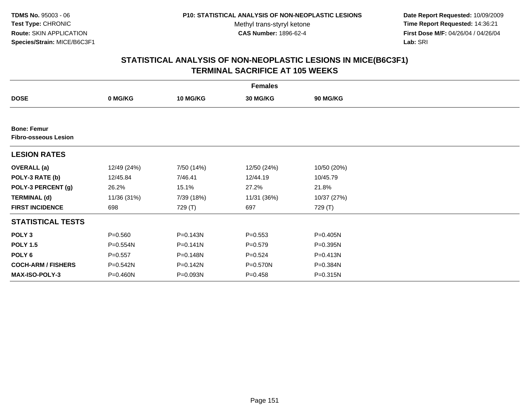**Date Report Requested:** 10/09/2009 **Time Report Requested:** 14:36:21 **First Dose M/F:** 04/26/04 / 04/26/04 Lab: SRI **Lab:** SRI

|                                                   |             |                 | <b>Females</b> |                 |  |
|---------------------------------------------------|-------------|-----------------|----------------|-----------------|--|
| <b>DOSE</b>                                       | 0 MG/KG     | <b>10 MG/KG</b> | 30 MG/KG       | <b>90 MG/KG</b> |  |
|                                                   |             |                 |                |                 |  |
| <b>Bone: Femur</b><br><b>Fibro-osseous Lesion</b> |             |                 |                |                 |  |
| <b>LESION RATES</b>                               |             |                 |                |                 |  |
| <b>OVERALL</b> (a)                                | 12/49 (24%) | 7/50 (14%)      | 12/50 (24%)    | 10/50 (20%)     |  |
| POLY-3 RATE (b)                                   | 12/45.84    | 7/46.41         | 12/44.19       | 10/45.79        |  |
| POLY-3 PERCENT (g)                                | 26.2%       | 15.1%           | 27.2%          | 21.8%           |  |
| <b>TERMINAL (d)</b>                               | 11/36 (31%) | 7/39 (18%)      | 11/31 (36%)    | 10/37 (27%)     |  |
| <b>FIRST INCIDENCE</b>                            | 698         | 729 (T)         | 697            | 729 (T)         |  |
| <b>STATISTICAL TESTS</b>                          |             |                 |                |                 |  |
| POLY <sub>3</sub>                                 | $P = 0.560$ | $P = 0.143N$    | $P = 0.553$    | P=0.405N        |  |
| <b>POLY 1.5</b>                                   | P=0.554N    | $P = 0.141N$    | $P = 0.579$    | P=0.395N        |  |
| POLY <sub>6</sub>                                 | $P = 0.557$ | P=0.148N        | $P=0.524$      | $P = 0.413N$    |  |
| <b>COCH-ARM / FISHERS</b>                         | P=0.542N    | P=0.142N        | P=0.570N       | P=0.384N        |  |
| <b>MAX-ISO-POLY-3</b>                             | P=0.460N    | P=0.093N        | $P=0.458$      | $P = 0.315N$    |  |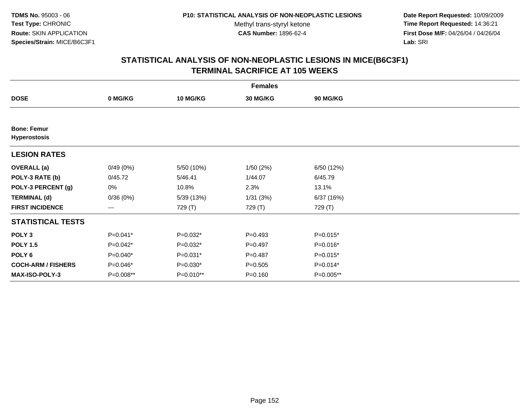**Date Report Requested:** 10/09/2009 **Time Report Requested:** 14:36:21 **First Dose M/F:** 04/26/04 / 04/26/04 Lab: SRI **Lab:** SRI

|                                           |            |                 | <b>Females</b> |                 |  |
|-------------------------------------------|------------|-----------------|----------------|-----------------|--|
| <b>DOSE</b>                               | 0 MG/KG    | <b>10 MG/KG</b> | 30 MG/KG       | <b>90 MG/KG</b> |  |
|                                           |            |                 |                |                 |  |
| <b>Bone: Femur</b><br><b>Hyperostosis</b> |            |                 |                |                 |  |
| <b>LESION RATES</b>                       |            |                 |                |                 |  |
| <b>OVERALL</b> (a)                        | 0/49(0%)   | 5/50 (10%)      | 1/50(2%)       | 6/50 (12%)      |  |
| POLY-3 RATE (b)                           | 0/45.72    | 5/46.41         | 1/44.07        | 6/45.79         |  |
| POLY-3 PERCENT (g)                        | 0%         | 10.8%           | 2.3%           | 13.1%           |  |
| <b>TERMINAL (d)</b>                       | 0/36(0%)   | 5/39 (13%)      | 1/31(3%)       | 6/37 (16%)      |  |
| <b>FIRST INCIDENCE</b>                    | ---        | 729 (T)         | 729 (T)        | 729 (T)         |  |
| <b>STATISTICAL TESTS</b>                  |            |                 |                |                 |  |
| POLY <sub>3</sub>                         | $P=0.041*$ | $P=0.032*$      | $P = 0.493$    | $P=0.015*$      |  |
| <b>POLY 1.5</b>                           | $P=0.042*$ | $P=0.032*$      | $P=0.497$      | $P=0.016*$      |  |
| POLY 6                                    | $P=0.040*$ | P=0.031*        | $P=0.487$      | $P=0.015*$      |  |
| <b>COCH-ARM / FISHERS</b>                 | P=0.046*   | $P=0.030*$      | $P = 0.505$    | $P=0.014*$      |  |
| MAX-ISO-POLY-3                            | P=0.008**  | P=0.010**       | $P = 0.160$    | P=0.005**       |  |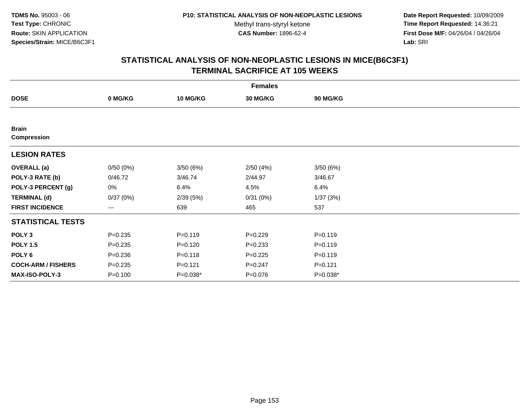**Date Report Requested:** 10/09/2009 **Time Report Requested:** 14:36:21 **First Dose M/F:** 04/26/04 / 04/26/04 Lab: SRI **Lab:** SRI

|                                    |             |                 | <b>Females</b>  |             |  |
|------------------------------------|-------------|-----------------|-----------------|-------------|--|
| <b>DOSE</b>                        | 0 MG/KG     | <b>10 MG/KG</b> | <b>30 MG/KG</b> | 90 MG/KG    |  |
|                                    |             |                 |                 |             |  |
| <b>Brain</b><br><b>Compression</b> |             |                 |                 |             |  |
| <b>LESION RATES</b>                |             |                 |                 |             |  |
| <b>OVERALL</b> (a)                 | 0/50(0%)    | 3/50(6%)        | 2/50(4%)        | 3/50(6%)    |  |
| POLY-3 RATE (b)                    | 0/46.72     | 3/46.74         | 2/44.97         | 3/46.67     |  |
| POLY-3 PERCENT (g)                 | 0%          | 6.4%            | 4.5%            | 6.4%        |  |
| <b>TERMINAL (d)</b>                | 0/37(0%)    | 2/39(5%)        | 0/31(0%)        | 1/37(3%)    |  |
| <b>FIRST INCIDENCE</b>             | $--$        | 639             | 465             | 537         |  |
| <b>STATISTICAL TESTS</b>           |             |                 |                 |             |  |
| POLY <sub>3</sub>                  | $P = 0.235$ | $P = 0.119$     | $P=0.229$       | $P = 0.119$ |  |
| <b>POLY 1.5</b>                    | $P = 0.235$ | $P=0.120$       | $P = 0.233$     | $P = 0.119$ |  |
| POLY <sub>6</sub>                  | $P = 0.236$ | $P = 0.118$     | $P = 0.225$     | $P = 0.119$ |  |
| <b>COCH-ARM / FISHERS</b>          | $P = 0.235$ | $P = 0.121$     | $P = 0.247$     | $P=0.121$   |  |
| MAX-ISO-POLY-3                     | $P = 0.100$ | P=0.038*        | $P = 0.076$     | P=0.038*    |  |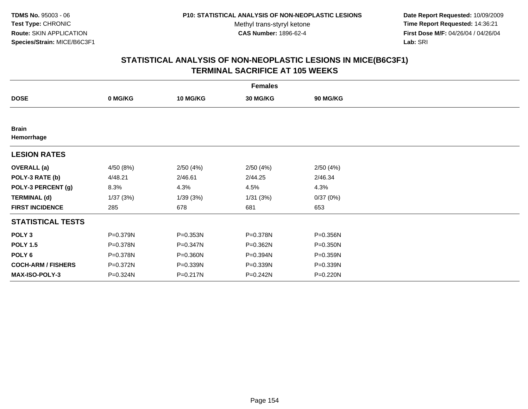**Date Report Requested:** 10/09/2009 **Time Report Requested:** 14:36:21 **First Dose M/F:** 04/26/04 / 04/26/04 Lab: SRI **Lab:** SRI

|                            |           |                 | <b>Females</b> |              |  |
|----------------------------|-----------|-----------------|----------------|--------------|--|
| <b>DOSE</b>                | 0 MG/KG   | <b>10 MG/KG</b> | 30 MG/KG       | 90 MG/KG     |  |
|                            |           |                 |                |              |  |
| <b>Brain</b><br>Hemorrhage |           |                 |                |              |  |
| <b>LESION RATES</b>        |           |                 |                |              |  |
| <b>OVERALL</b> (a)         | 4/50 (8%) | 2/50(4%)        | 2/50(4%)       | 2/50(4%)     |  |
| POLY-3 RATE (b)            | 4/48.21   | 2/46.61         | 2/44.25        | 2/46.34      |  |
| POLY-3 PERCENT (g)         | 8.3%      | 4.3%            | 4.5%           | 4.3%         |  |
| <b>TERMINAL (d)</b>        | 1/37(3%)  | 1/39(3%)        | 1/31(3%)       | 0/37(0%)     |  |
| <b>FIRST INCIDENCE</b>     | 285       | 678             | 681            | 653          |  |
| <b>STATISTICAL TESTS</b>   |           |                 |                |              |  |
| POLY <sub>3</sub>          | P=0.379N  | $P = 0.353N$    | P=0.378N       | P=0.356N     |  |
| <b>POLY 1.5</b>            | P=0.378N  | $P = 0.347N$    | P=0.362N       | $P = 0.350N$ |  |
| POLY <sub>6</sub>          | P=0.378N  | P=0.360N        | P=0.394N       | P=0.359N     |  |
| <b>COCH-ARM / FISHERS</b>  | P=0.372N  | P=0.339N        | P=0.339N       | P=0.339N     |  |
| <b>MAX-ISO-POLY-3</b>      | P=0.324N  | P=0.217N        | P=0.242N       | P=0.220N     |  |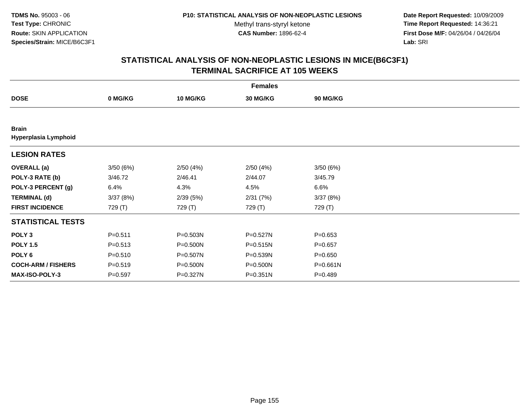**Date Report Requested:** 10/09/2009 **Time Report Requested:** 14:36:21 **First Dose M/F:** 04/26/04 / 04/26/04 Lab: SRI **Lab:** SRI

|                                      |             |                 | <b>Females</b> |             |  |
|--------------------------------------|-------------|-----------------|----------------|-------------|--|
| <b>DOSE</b>                          | 0 MG/KG     | <b>10 MG/KG</b> | 30 MG/KG       | 90 MG/KG    |  |
|                                      |             |                 |                |             |  |
| <b>Brain</b><br>Hyperplasia Lymphoid |             |                 |                |             |  |
| <b>LESION RATES</b>                  |             |                 |                |             |  |
| <b>OVERALL</b> (a)                   | 3/50(6%)    | 2/50(4%)        | 2/50(4%)       | 3/50(6%)    |  |
| POLY-3 RATE (b)                      | 3/46.72     | 2/46.41         | 2/44.07        | 3/45.79     |  |
| POLY-3 PERCENT (g)                   | 6.4%        | 4.3%            | 4.5%           | 6.6%        |  |
| <b>TERMINAL (d)</b>                  | 3/37(8%)    | 2/39(5%)        | 2/31(7%)       | 3/37(8%)    |  |
| <b>FIRST INCIDENCE</b>               | 729 (T)     | 729 (T)         | 729 (T)        | 729 (T)     |  |
| <b>STATISTICAL TESTS</b>             |             |                 |                |             |  |
| POLY <sub>3</sub>                    | $P = 0.511$ | P=0.503N        | $P = 0.527N$   | $P = 0.653$ |  |
| <b>POLY 1.5</b>                      | $P = 0.513$ | P=0.500N        | $P = 0.515N$   | $P = 0.657$ |  |
| POLY 6                               | $P = 0.510$ | P=0.507N        | P=0.539N       | $P = 0.650$ |  |
| <b>COCH-ARM / FISHERS</b>            | $P = 0.519$ | P=0.500N        | P=0.500N       | P=0.661N    |  |
| MAX-ISO-POLY-3                       | $P=0.597$   | P=0.327N        | $P = 0.351N$   | $P = 0.489$ |  |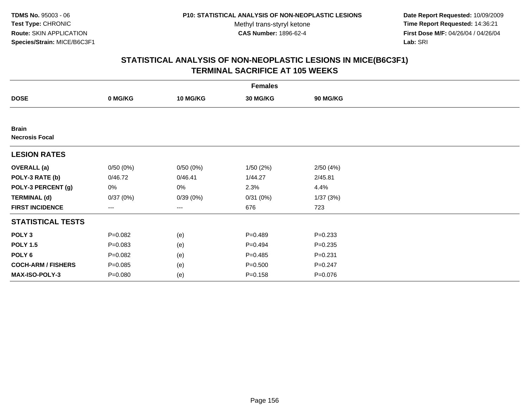**Date Report Requested:** 10/09/2009 **Time Report Requested:** 14:36:21 **First Dose M/F:** 04/26/04 / 04/26/04 Lab: SRI **Lab:** SRI

|                                       |             |                 | <b>Females</b> |             |  |
|---------------------------------------|-------------|-----------------|----------------|-------------|--|
| <b>DOSE</b>                           | 0 MG/KG     | <b>10 MG/KG</b> | 30 MG/KG       | 90 MG/KG    |  |
|                                       |             |                 |                |             |  |
| <b>Brain</b><br><b>Necrosis Focal</b> |             |                 |                |             |  |
| <b>LESION RATES</b>                   |             |                 |                |             |  |
| <b>OVERALL</b> (a)                    | 0/50(0%)    | 0/50(0%)        | 1/50(2%)       | 2/50(4%)    |  |
| POLY-3 RATE (b)                       | 0/46.72     | 0/46.41         | 1/44.27        | 2/45.81     |  |
| POLY-3 PERCENT (g)                    | 0%          | 0%              | 2.3%           | 4.4%        |  |
| <b>TERMINAL (d)</b>                   | 0/37(0%)    | 0/39(0%)        | 0/31(0%)       | 1/37(3%)    |  |
| <b>FIRST INCIDENCE</b>                | ---         | ---             | 676            | 723         |  |
| <b>STATISTICAL TESTS</b>              |             |                 |                |             |  |
| POLY <sub>3</sub>                     | $P = 0.082$ | (e)             | $P = 0.489$    | $P = 0.233$ |  |
| <b>POLY 1.5</b>                       | $P = 0.083$ | (e)             | $P=0.494$      | $P = 0.235$ |  |
| POLY <sub>6</sub>                     | $P = 0.082$ | (e)             | $P=0.485$      | $P = 0.231$ |  |
| <b>COCH-ARM / FISHERS</b>             | $P = 0.085$ | (e)             | $P = 0.500$    | $P = 0.247$ |  |
| MAX-ISO-POLY-3                        | $P = 0.080$ | (e)             | $P = 0.158$    | $P = 0.076$ |  |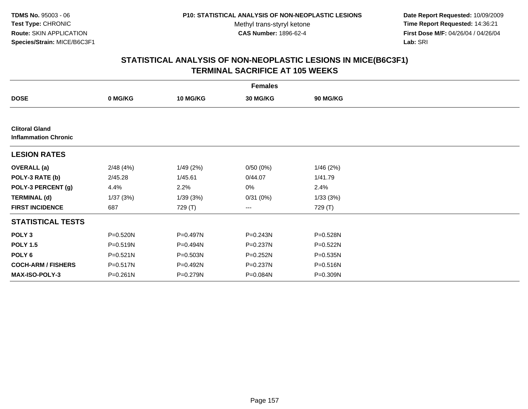**Date Report Requested:** 10/09/2009 **Time Report Requested:** 14:36:21 **First Dose M/F:** 04/26/04 / 04/26/04 Lab: SRI **Lab:** SRI

| <b>Females</b>                                       |              |                 |              |              |  |  |  |
|------------------------------------------------------|--------------|-----------------|--------------|--------------|--|--|--|
| <b>DOSE</b>                                          | 0 MG/KG      | <b>10 MG/KG</b> | 30 MG/KG     | 90 MG/KG     |  |  |  |
|                                                      |              |                 |              |              |  |  |  |
| <b>Clitoral Gland</b><br><b>Inflammation Chronic</b> |              |                 |              |              |  |  |  |
| <b>LESION RATES</b>                                  |              |                 |              |              |  |  |  |
| <b>OVERALL</b> (a)                                   | 2/48(4%)     | 1/49(2%)        | 0/50(0%)     | 1/46(2%)     |  |  |  |
| POLY-3 RATE (b)                                      | 2/45.28      | 1/45.61         | 0/44.07      | 1/41.79      |  |  |  |
| POLY-3 PERCENT (g)                                   | 4.4%         | 2.2%            | 0%           | 2.4%         |  |  |  |
| <b>TERMINAL (d)</b>                                  | 1/37(3%)     | 1/39(3%)        | 0/31(0%)     | 1/33(3%)     |  |  |  |
| <b>FIRST INCIDENCE</b>                               | 687          | 729 (T)         | $--$         | 729 (T)      |  |  |  |
| <b>STATISTICAL TESTS</b>                             |              |                 |              |              |  |  |  |
| POLY <sub>3</sub>                                    | P=0.520N     | P=0.497N        | $P = 0.243N$ | P=0.528N     |  |  |  |
| <b>POLY 1.5</b>                                      | $P = 0.519N$ | $P = 0.494N$    | P=0.237N     | P=0.522N     |  |  |  |
| POLY 6                                               | P=0.521N     | P=0.503N        | $P = 0.252N$ | $P = 0.535N$ |  |  |  |
| <b>COCH-ARM / FISHERS</b>                            | P=0.517N     | P=0.492N        | P=0.237N     | P=0.516N     |  |  |  |
| <b>MAX-ISO-POLY-3</b>                                | $P = 0.261N$ | P=0.279N        | P=0.084N     | P=0.309N     |  |  |  |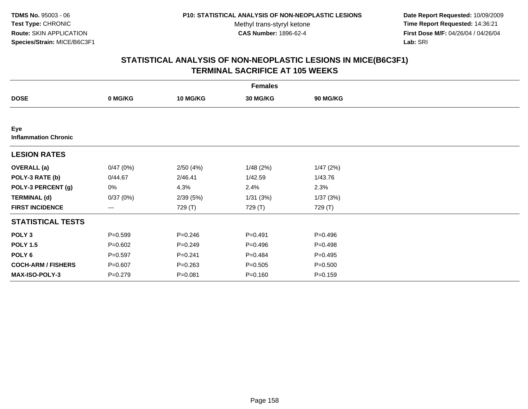**Date Report Requested:** 10/09/2009 **Time Report Requested:** 14:36:21 **First Dose M/F:** 04/26/04 / 04/26/04 Lab: SRI **Lab:** SRI

|                                    | <b>Females</b> |                 |             |             |  |  |  |  |
|------------------------------------|----------------|-----------------|-------------|-------------|--|--|--|--|
| <b>DOSE</b>                        | 0 MG/KG        | <b>10 MG/KG</b> | 30 MG/KG    | 90 MG/KG    |  |  |  |  |
|                                    |                |                 |             |             |  |  |  |  |
| Eye<br><b>Inflammation Chronic</b> |                |                 |             |             |  |  |  |  |
| <b>LESION RATES</b>                |                |                 |             |             |  |  |  |  |
| <b>OVERALL</b> (a)                 | 0/47(0%)       | 2/50(4%)        | 1/48(2%)    | 1/47(2%)    |  |  |  |  |
| POLY-3 RATE (b)                    | 0/44.67        | 2/46.41         | 1/42.59     | 1/43.76     |  |  |  |  |
| POLY-3 PERCENT (g)                 | 0%             | 4.3%            | 2.4%        | 2.3%        |  |  |  |  |
| <b>TERMINAL (d)</b>                | 0/37(0%)       | 2/39(5%)        | 1/31(3%)    | 1/37(3%)    |  |  |  |  |
| <b>FIRST INCIDENCE</b>             | ---            | 729 (T)         | 729 (T)     | 729 (T)     |  |  |  |  |
| <b>STATISTICAL TESTS</b>           |                |                 |             |             |  |  |  |  |
| POLY <sub>3</sub>                  | $P = 0.599$    | $P = 0.246$     | $P=0.491$   | $P = 0.496$ |  |  |  |  |
| <b>POLY 1.5</b>                    | $P = 0.602$    | $P=0.249$       | $P = 0.496$ | $P = 0.498$ |  |  |  |  |
| POLY <sub>6</sub>                  | $P=0.597$      | $P = 0.241$     | $P=0.484$   | $P = 0.495$ |  |  |  |  |
| <b>COCH-ARM / FISHERS</b>          | $P = 0.607$    | $P = 0.263$     | $P = 0.505$ | $P = 0.500$ |  |  |  |  |
| MAX-ISO-POLY-3                     | $P = 0.279$    | $P = 0.081$     | $P = 0.160$ | $P = 0.159$ |  |  |  |  |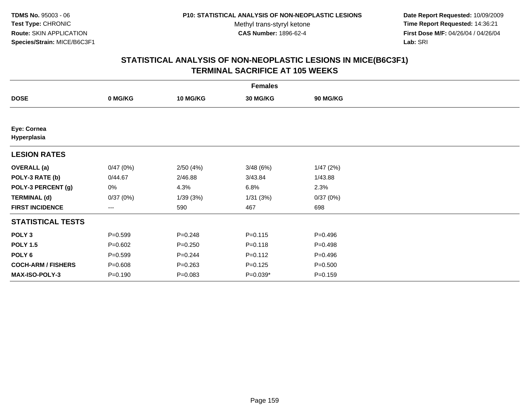**Date Report Requested:** 10/09/2009 **Time Report Requested:** 14:36:21 **First Dose M/F:** 04/26/04 / 04/26/04 Lab: SRI **Lab:** SRI

|                            | <b>Females</b> |                 |                 |             |  |  |  |  |
|----------------------------|----------------|-----------------|-----------------|-------------|--|--|--|--|
| <b>DOSE</b>                | 0 MG/KG        | <b>10 MG/KG</b> | <b>30 MG/KG</b> | 90 MG/KG    |  |  |  |  |
|                            |                |                 |                 |             |  |  |  |  |
| Eye: Cornea<br>Hyperplasia |                |                 |                 |             |  |  |  |  |
| <b>LESION RATES</b>        |                |                 |                 |             |  |  |  |  |
| <b>OVERALL</b> (a)         | 0/47(0%)       | 2/50(4%)        | 3/48(6%)        | 1/47(2%)    |  |  |  |  |
| POLY-3 RATE (b)            | 0/44.67        | 2/46.88         | 3/43.84         | 1/43.88     |  |  |  |  |
| POLY-3 PERCENT (g)         | 0%             | 4.3%            | 6.8%            | 2.3%        |  |  |  |  |
| <b>TERMINAL (d)</b>        | 0/37(0%)       | 1/39(3%)        | 1/31(3%)        | 0/37(0%)    |  |  |  |  |
| <b>FIRST INCIDENCE</b>     | $---$          | 590             | 467             | 698         |  |  |  |  |
| <b>STATISTICAL TESTS</b>   |                |                 |                 |             |  |  |  |  |
| POLY <sub>3</sub>          | $P = 0.599$    | $P = 0.248$     | $P = 0.115$     | $P=0.496$   |  |  |  |  |
| <b>POLY 1.5</b>            | $P = 0.602$    | $P = 0.250$     | $P = 0.118$     | $P=0.498$   |  |  |  |  |
| POLY <sub>6</sub>          | $P = 0.599$    | $P = 0.244$     | $P = 0.112$     | $P=0.496$   |  |  |  |  |
| <b>COCH-ARM / FISHERS</b>  | $P = 0.608$    | $P = 0.263$     | $P = 0.125$     | $P = 0.500$ |  |  |  |  |
| <b>MAX-ISO-POLY-3</b>      | $P = 0.190$    | $P = 0.083$     | $P=0.039*$      | $P = 0.159$ |  |  |  |  |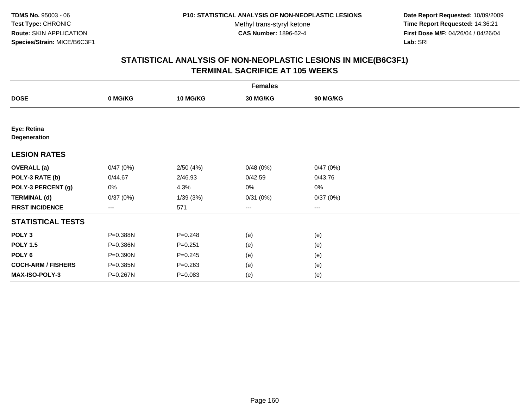**Date Report Requested:** 10/09/2009 **Time Report Requested:** 14:36:21 **First Dose M/F:** 04/26/04 / 04/26/04 Lab: SRI **Lab:** SRI

| <b>Females</b>              |          |                 |                   |                 |  |  |  |
|-----------------------------|----------|-----------------|-------------------|-----------------|--|--|--|
| <b>DOSE</b>                 | 0 MG/KG  | <b>10 MG/KG</b> | 30 MG/KG          | <b>90 MG/KG</b> |  |  |  |
|                             |          |                 |                   |                 |  |  |  |
| Eye: Retina<br>Degeneration |          |                 |                   |                 |  |  |  |
| <b>LESION RATES</b>         |          |                 |                   |                 |  |  |  |
| <b>OVERALL</b> (a)          | 0/47(0%) | 2/50(4%)        | 0/48(0%)          | 0/47(0%)        |  |  |  |
| POLY-3 RATE (b)             | 0/44.67  | 2/46.93         | 0/42.59           | 0/43.76         |  |  |  |
| POLY-3 PERCENT (g)          | 0%       | 4.3%            | $0\%$             | $0\%$           |  |  |  |
| <b>TERMINAL (d)</b>         | 0/37(0%) | 1/39(3%)        | 0/31(0%)          | 0/37(0%)        |  |  |  |
| <b>FIRST INCIDENCE</b>      | $---$    | 571             | $\qquad \qquad -$ | $---$           |  |  |  |
| <b>STATISTICAL TESTS</b>    |          |                 |                   |                 |  |  |  |
| POLY <sub>3</sub>           | P=0.388N | $P = 0.248$     | (e)               | (e)             |  |  |  |
| <b>POLY 1.5</b>             | P=0.386N | $P = 0.251$     | (e)               | (e)             |  |  |  |
| POLY <sub>6</sub>           | P=0.390N | $P = 0.245$     | (e)               | (e)             |  |  |  |
| <b>COCH-ARM / FISHERS</b>   | P=0.385N | $P = 0.263$     | (e)               | (e)             |  |  |  |
| <b>MAX-ISO-POLY-3</b>       | P=0.267N | $P = 0.083$     | (e)               | (e)             |  |  |  |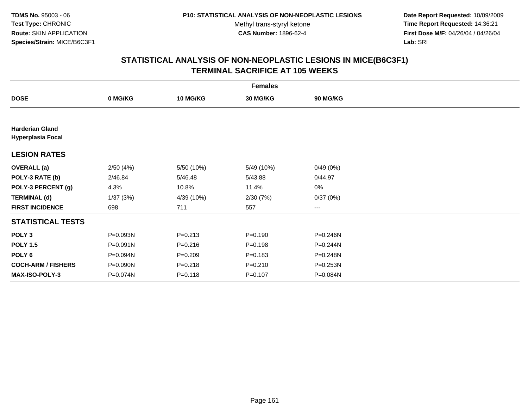**Date Report Requested:** 10/09/2009 **Time Report Requested:** 14:36:21 **First Dose M/F:** 04/26/04 / 04/26/04 Lab: SRI **Lab:** SRI

| <b>Females</b>                                     |              |                 |             |                 |  |  |  |
|----------------------------------------------------|--------------|-----------------|-------------|-----------------|--|--|--|
| <b>DOSE</b>                                        | 0 MG/KG      | <b>10 MG/KG</b> | 30 MG/KG    | <b>90 MG/KG</b> |  |  |  |
|                                                    |              |                 |             |                 |  |  |  |
| <b>Harderian Gland</b><br><b>Hyperplasia Focal</b> |              |                 |             |                 |  |  |  |
| <b>LESION RATES</b>                                |              |                 |             |                 |  |  |  |
| <b>OVERALL</b> (a)                                 | 2/50(4%)     | 5/50 (10%)      | 5/49 (10%)  | 0/49(0%)        |  |  |  |
| POLY-3 RATE (b)                                    | 2/46.84      | 5/46.48         | 5/43.88     | 0/44.97         |  |  |  |
| POLY-3 PERCENT (g)                                 | 4.3%         | 10.8%           | 11.4%       | 0%              |  |  |  |
| <b>TERMINAL (d)</b>                                | 1/37(3%)     | 4/39 (10%)      | 2/30(7%)    | 0/37(0%)        |  |  |  |
| <b>FIRST INCIDENCE</b>                             | 698          | 711             | 557         | ---             |  |  |  |
| <b>STATISTICAL TESTS</b>                           |              |                 |             |                 |  |  |  |
| POLY <sub>3</sub>                                  | P=0.093N     | $P = 0.213$     | $P = 0.190$ | P=0.246N        |  |  |  |
| <b>POLY 1.5</b>                                    | $P = 0.091N$ | $P = 0.216$     | $P = 0.198$ | P=0.244N        |  |  |  |
| POLY 6                                             | P=0.094N     | $P = 0.209$     | $P = 0.183$ | P=0.248N        |  |  |  |
| <b>COCH-ARM / FISHERS</b>                          | P=0.090N     | $P = 0.218$     | $P = 0.210$ | P=0.253N        |  |  |  |
| MAX-ISO-POLY-3                                     | P=0.074N     | $P = 0.118$     | $P = 0.107$ | P=0.084N        |  |  |  |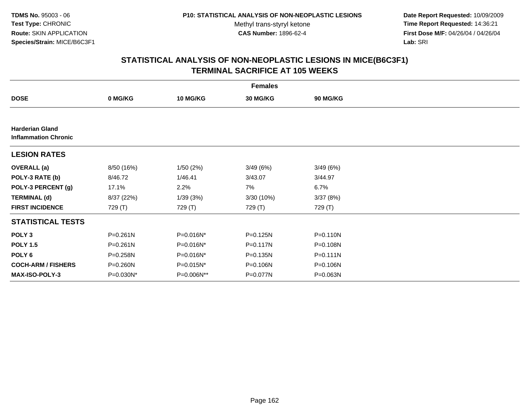**Date Report Requested:** 10/09/2009 **Time Report Requested:** 14:36:21 **First Dose M/F:** 04/26/04 / 04/26/04 Lab: SRI **Lab:** SRI

|                                                       | <b>Females</b> |                 |              |                 |  |  |  |  |  |
|-------------------------------------------------------|----------------|-----------------|--------------|-----------------|--|--|--|--|--|
| <b>DOSE</b>                                           | 0 MG/KG        | <b>10 MG/KG</b> | 30 MG/KG     | <b>90 MG/KG</b> |  |  |  |  |  |
|                                                       |                |                 |              |                 |  |  |  |  |  |
| <b>Harderian Gland</b><br><b>Inflammation Chronic</b> |                |                 |              |                 |  |  |  |  |  |
| <b>LESION RATES</b>                                   |                |                 |              |                 |  |  |  |  |  |
| <b>OVERALL</b> (a)                                    | 8/50 (16%)     | 1/50(2%)        | 3/49(6%)     | 3/49(6%)        |  |  |  |  |  |
| POLY-3 RATE (b)                                       | 8/46.72        | 1/46.41         | 3/43.07      | 3/44.97         |  |  |  |  |  |
| POLY-3 PERCENT (g)                                    | 17.1%          | 2.2%            | 7%           | 6.7%            |  |  |  |  |  |
| <b>TERMINAL (d)</b>                                   | 8/37 (22%)     | 1/39(3%)        | 3/30 (10%)   | 3/37(8%)        |  |  |  |  |  |
| <b>FIRST INCIDENCE</b>                                | 729 (T)        | 729 (T)         | 729 (T)      | 729 (T)         |  |  |  |  |  |
| <b>STATISTICAL TESTS</b>                              |                |                 |              |                 |  |  |  |  |  |
| POLY <sub>3</sub>                                     | P=0.261N       | P=0.016N*       | $P = 0.125N$ | $P = 0.110N$    |  |  |  |  |  |
| <b>POLY 1.5</b>                                       | $P = 0.261N$   | P=0.016N*       | $P = 0.117N$ | $P = 0.108N$    |  |  |  |  |  |
| POLY 6                                                | P=0.258N       | P=0.016N*       | $P = 0.135N$ | $P = 0.111N$    |  |  |  |  |  |
| <b>COCH-ARM / FISHERS</b>                             | P=0.260N       | $P = 0.015N^*$  | $P = 0.106N$ | P=0.106N        |  |  |  |  |  |
| <b>MAX-ISO-POLY-3</b>                                 | P=0.030N*      | P=0.006N**      | P=0.077N     | P=0.063N        |  |  |  |  |  |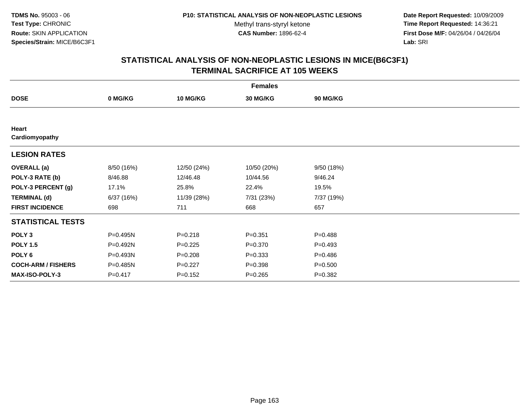**Date Report Requested:** 10/09/2009 **Time Report Requested:** 14:36:21 **First Dose M/F:** 04/26/04 / 04/26/04 Lab: SRI **Lab:** SRI

|                           | <b>Females</b> |                 |             |                 |  |  |  |  |
|---------------------------|----------------|-----------------|-------------|-----------------|--|--|--|--|
| <b>DOSE</b>               | 0 MG/KG        | <b>10 MG/KG</b> | 30 MG/KG    | <b>90 MG/KG</b> |  |  |  |  |
|                           |                |                 |             |                 |  |  |  |  |
| Heart<br>Cardiomyopathy   |                |                 |             |                 |  |  |  |  |
| <b>LESION RATES</b>       |                |                 |             |                 |  |  |  |  |
| <b>OVERALL</b> (a)        | 8/50 (16%)     | 12/50 (24%)     | 10/50 (20%) | 9/50(18%)       |  |  |  |  |
| POLY-3 RATE (b)           | 8/46.88        | 12/46.48        | 10/44.56    | 9/46.24         |  |  |  |  |
| POLY-3 PERCENT (g)        | 17.1%          | 25.8%           | 22.4%       | 19.5%           |  |  |  |  |
| <b>TERMINAL (d)</b>       | 6/37(16%)      | 11/39 (28%)     | 7/31 (23%)  | 7/37 (19%)      |  |  |  |  |
| <b>FIRST INCIDENCE</b>    | 698            | 711             | 668         | 657             |  |  |  |  |
| <b>STATISTICAL TESTS</b>  |                |                 |             |                 |  |  |  |  |
| POLY <sub>3</sub>         | P=0.495N       | $P = 0.218$     | $P = 0.351$ | $P = 0.488$     |  |  |  |  |
| <b>POLY 1.5</b>           | P=0.492N       | $P=0.225$       | $P = 0.370$ | $P = 0.493$     |  |  |  |  |
| POLY 6                    | P=0.493N       | $P = 0.208$     | $P = 0.333$ | $P = 0.486$     |  |  |  |  |
| <b>COCH-ARM / FISHERS</b> | P=0.485N       | $P=0.227$       | $P = 0.398$ | $P = 0.500$     |  |  |  |  |
| <b>MAX-ISO-POLY-3</b>     | $P = 0.417$    | $P = 0.152$     | $P = 0.265$ | $P = 0.382$     |  |  |  |  |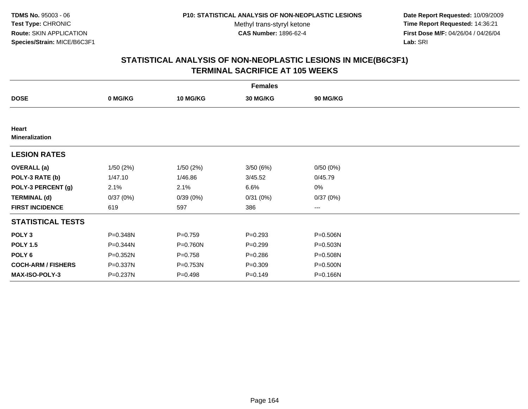**Date Report Requested:** 10/09/2009 **Time Report Requested:** 14:36:21 **First Dose M/F:** 04/26/04 / 04/26/04 Lab: SRI **Lab:** SRI

|                                | <b>Females</b> |                 |             |                        |  |  |  |  |
|--------------------------------|----------------|-----------------|-------------|------------------------|--|--|--|--|
| <b>DOSE</b>                    | 0 MG/KG        | <b>10 MG/KG</b> | 30 MG/KG    | 90 MG/KG               |  |  |  |  |
|                                |                |                 |             |                        |  |  |  |  |
| Heart<br><b>Mineralization</b> |                |                 |             |                        |  |  |  |  |
| <b>LESION RATES</b>            |                |                 |             |                        |  |  |  |  |
| <b>OVERALL</b> (a)             | 1/50(2%)       | 1/50(2%)        | 3/50(6%)    | 0/50(0%)               |  |  |  |  |
| POLY-3 RATE (b)                | 1/47.10        | 1/46.86         | 3/45.52     | 0/45.79                |  |  |  |  |
| POLY-3 PERCENT (g)             | 2.1%           | 2.1%            | 6.6%        | 0%                     |  |  |  |  |
| <b>TERMINAL (d)</b>            | 0/37(0%)       | 0/39(0%)        | 0/31(0%)    | 0/37(0%)               |  |  |  |  |
| <b>FIRST INCIDENCE</b>         | 619            | 597             | 386         | $\qquad \qquad \cdots$ |  |  |  |  |
| <b>STATISTICAL TESTS</b>       |                |                 |             |                        |  |  |  |  |
| POLY <sub>3</sub>              | P=0.348N       | $P=0.759$       | $P = 0.293$ | P=0.506N               |  |  |  |  |
| <b>POLY 1.5</b>                | P=0.344N       | P=0.760N        | $P = 0.299$ | $P = 0.503N$           |  |  |  |  |
| POLY <sub>6</sub>              | P=0.352N       | $P = 0.758$     | $P = 0.286$ | P=0.508N               |  |  |  |  |
| <b>COCH-ARM / FISHERS</b>      | P=0.337N       | P=0.753N        | $P = 0.309$ | P=0.500N               |  |  |  |  |
| <b>MAX-ISO-POLY-3</b>          | P=0.237N       | $P = 0.498$     | $P = 0.149$ | P=0.166N               |  |  |  |  |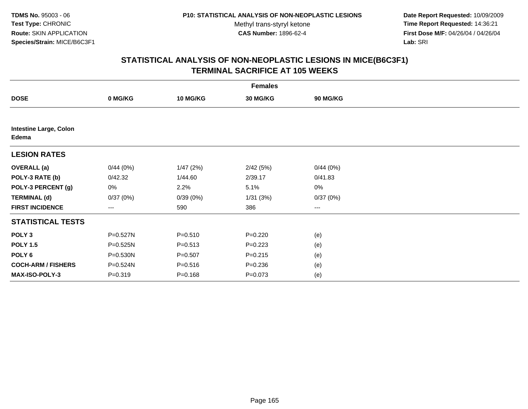**Date Report Requested:** 10/09/2009 **Time Report Requested:** 14:36:21 **First Dose M/F:** 04/26/04 / 04/26/04 Lab: SRI **Lab:** SRI

| <b>Females</b>                         |             |             |             |                 |  |  |  |
|----------------------------------------|-------------|-------------|-------------|-----------------|--|--|--|
| <b>DOSE</b>                            | 0 MG/KG     | 10 MG/KG    | 30 MG/KG    | <b>90 MG/KG</b> |  |  |  |
|                                        |             |             |             |                 |  |  |  |
| <b>Intestine Large, Colon</b><br>Edema |             |             |             |                 |  |  |  |
| <b>LESION RATES</b>                    |             |             |             |                 |  |  |  |
| <b>OVERALL</b> (a)                     | 0/44(0%)    | 1/47(2%)    | 2/42(5%)    | 0/44(0%)        |  |  |  |
| POLY-3 RATE (b)                        | 0/42.32     | 1/44.60     | 2/39.17     | 0/41.83         |  |  |  |
| POLY-3 PERCENT (g)                     | 0%          | 2.2%        | 5.1%        | $0\%$           |  |  |  |
| <b>TERMINAL (d)</b>                    | 0/37(0%)    | 0/39(0%)    | 1/31(3%)    | 0/37(0%)        |  |  |  |
| <b>FIRST INCIDENCE</b>                 | ---         | 590         | 386         | $\cdots$        |  |  |  |
| <b>STATISTICAL TESTS</b>               |             |             |             |                 |  |  |  |
| POLY <sub>3</sub>                      | P=0.527N    | $P = 0.510$ | $P = 0.220$ | (e)             |  |  |  |
| <b>POLY 1.5</b>                        | P=0.525N    | $P = 0.513$ | $P = 0.223$ | (e)             |  |  |  |
| POLY <sub>6</sub>                      | P=0.530N    | $P = 0.507$ | $P = 0.215$ | (e)             |  |  |  |
| <b>COCH-ARM / FISHERS</b>              | P=0.524N    | $P = 0.516$ | $P = 0.236$ | (e)             |  |  |  |
| MAX-ISO-POLY-3                         | $P = 0.319$ | $P = 0.168$ | $P = 0.073$ | (e)             |  |  |  |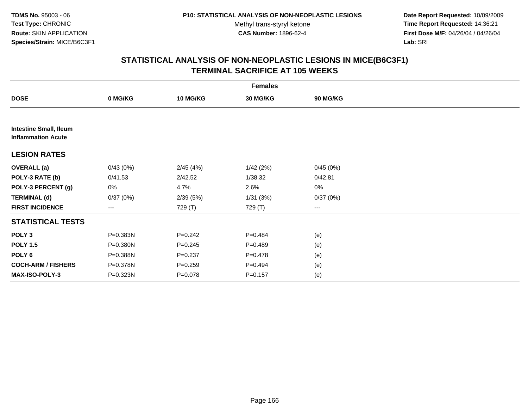**Date Report Requested:** 10/09/2009 **Time Report Requested:** 14:36:21 **First Dose M/F:** 04/26/04 / 04/26/04 Lab: SRI **Lab:** SRI

| <b>Females</b>                                             |          |             |             |                 |  |  |  |  |
|------------------------------------------------------------|----------|-------------|-------------|-----------------|--|--|--|--|
| <b>DOSE</b>                                                | 0 MG/KG  | 10 MG/KG    | 30 MG/KG    | <b>90 MG/KG</b> |  |  |  |  |
|                                                            |          |             |             |                 |  |  |  |  |
| <b>Intestine Small, Ileum</b><br><b>Inflammation Acute</b> |          |             |             |                 |  |  |  |  |
| <b>LESION RATES</b>                                        |          |             |             |                 |  |  |  |  |
| <b>OVERALL</b> (a)                                         | 0/43(0%) | 2/45(4%)    | 1/42(2%)    | 0/45(0%)        |  |  |  |  |
| POLY-3 RATE (b)                                            | 0/41.53  | 2/42.52     | 1/38.32     | 0/42.81         |  |  |  |  |
| POLY-3 PERCENT (g)                                         | 0%       | 4.7%        | 2.6%        | $0\%$           |  |  |  |  |
| <b>TERMINAL (d)</b>                                        | 0/37(0%) | 2/39(5%)    | 1/31(3%)    | 0/37(0%)        |  |  |  |  |
| <b>FIRST INCIDENCE</b>                                     | ---      | 729 (T)     | 729 (T)     | $\cdots$        |  |  |  |  |
| <b>STATISTICAL TESTS</b>                                   |          |             |             |                 |  |  |  |  |
| POLY <sub>3</sub>                                          | P=0.383N | $P = 0.242$ | $P=0.484$   | (e)             |  |  |  |  |
| <b>POLY 1.5</b>                                            | P=0.380N | $P = 0.245$ | $P=0.489$   | (e)             |  |  |  |  |
| POLY <sub>6</sub>                                          | P=0.388N | $P = 0.237$ | $P=0.478$   | (e)             |  |  |  |  |
| <b>COCH-ARM / FISHERS</b>                                  | P=0.378N | $P = 0.259$ | $P=0.494$   | (e)             |  |  |  |  |
| MAX-ISO-POLY-3                                             | P=0.323N | P=0.078     | $P = 0.157$ | (e)             |  |  |  |  |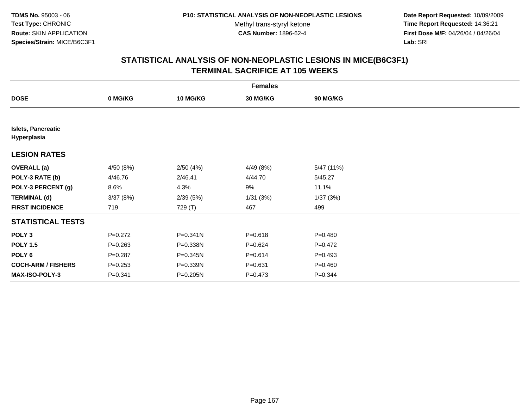**Date Report Requested:** 10/09/2009 **Time Report Requested:** 14:36:21 **First Dose M/F:** 04/26/04 / 04/26/04 Lab: SRI **Lab:** SRI

|                                          | <b>Females</b> |                 |             |             |  |  |  |  |
|------------------------------------------|----------------|-----------------|-------------|-------------|--|--|--|--|
| <b>DOSE</b>                              | 0 MG/KG        | <b>10 MG/KG</b> | 30 MG/KG    | 90 MG/KG    |  |  |  |  |
|                                          |                |                 |             |             |  |  |  |  |
| <b>Islets, Pancreatic</b><br>Hyperplasia |                |                 |             |             |  |  |  |  |
| <b>LESION RATES</b>                      |                |                 |             |             |  |  |  |  |
| <b>OVERALL</b> (a)                       | 4/50 (8%)      | 2/50(4%)        | 4/49 (8%)   | 5/47 (11%)  |  |  |  |  |
| POLY-3 RATE (b)                          | 4/46.76        | 2/46.41         | 4/44.70     | 5/45.27     |  |  |  |  |
| POLY-3 PERCENT (g)                       | 8.6%           | 4.3%            | 9%          | 11.1%       |  |  |  |  |
| <b>TERMINAL (d)</b>                      | 3/37(8%)       | 2/39(5%)        | 1/31(3%)    | 1/37(3%)    |  |  |  |  |
| <b>FIRST INCIDENCE</b>                   | 719            | 729 (T)         | 467         | 499         |  |  |  |  |
| <b>STATISTICAL TESTS</b>                 |                |                 |             |             |  |  |  |  |
| POLY <sub>3</sub>                        | $P=0.272$      | P=0.341N        | $P = 0.618$ | $P = 0.480$ |  |  |  |  |
| <b>POLY 1.5</b>                          | $P = 0.263$    | P=0.338N        | $P=0.624$   | $P=0.472$   |  |  |  |  |
| POLY 6                                   | $P=0.287$      | P=0.345N        | $P = 0.614$ | $P = 0.493$ |  |  |  |  |
| <b>COCH-ARM / FISHERS</b>                | $P = 0.253$    | P=0.339N        | $P = 0.631$ | $P = 0.460$ |  |  |  |  |
| MAX-ISO-POLY-3                           | $P = 0.341$    | P=0.205N        | $P = 0.473$ | $P = 0.344$ |  |  |  |  |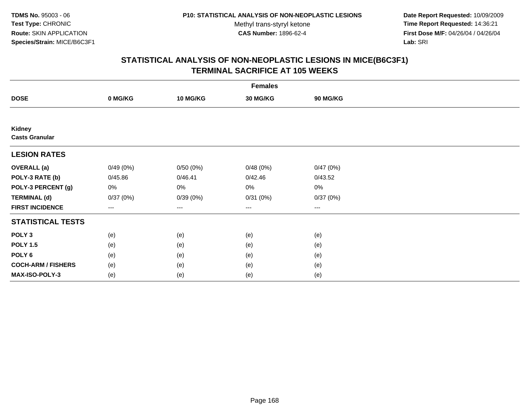**Date Report Requested:** 10/09/2009 **Time Report Requested:** 14:36:21 **First Dose M/F:** 04/26/04 / 04/26/04 Lab: SRI **Lab:** SRI

|                                 | <b>Females</b> |                 |          |                   |  |  |  |  |
|---------------------------------|----------------|-----------------|----------|-------------------|--|--|--|--|
| <b>DOSE</b>                     | 0 MG/KG        | <b>10 MG/KG</b> | 30 MG/KG | 90 MG/KG          |  |  |  |  |
|                                 |                |                 |          |                   |  |  |  |  |
| Kidney<br><b>Casts Granular</b> |                |                 |          |                   |  |  |  |  |
| <b>LESION RATES</b>             |                |                 |          |                   |  |  |  |  |
| <b>OVERALL</b> (a)              | 0/49(0%)       | 0/50(0%)        | 0/48(0%) | 0/47(0%)          |  |  |  |  |
| POLY-3 RATE (b)                 | 0/45.86        | 0/46.41         | 0/42.46  | 0/43.52           |  |  |  |  |
| POLY-3 PERCENT (g)              | 0%             | 0%              | 0%       | $0\%$             |  |  |  |  |
| <b>TERMINAL (d)</b>             | 0/37(0%)       | 0/39(0%)        | 0/31(0%) | 0/37(0%)          |  |  |  |  |
| <b>FIRST INCIDENCE</b>          | $---$          | $\cdots$        | $\cdots$ | $\qquad \qquad -$ |  |  |  |  |
| <b>STATISTICAL TESTS</b>        |                |                 |          |                   |  |  |  |  |
| POLY <sub>3</sub>               | (e)            | (e)             | (e)      | (e)               |  |  |  |  |
| <b>POLY 1.5</b>                 | (e)            | (e)             | (e)      | (e)               |  |  |  |  |
| POLY 6                          | (e)            | (e)             | (e)      | (e)               |  |  |  |  |
| <b>COCH-ARM / FISHERS</b>       | (e)            | (e)             | (e)      | (e)               |  |  |  |  |
| MAX-ISO-POLY-3                  | (e)            | (e)             | (e)      | (e)               |  |  |  |  |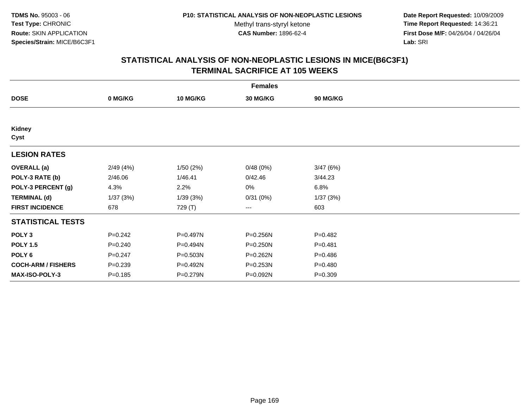**Date Report Requested:** 10/09/2009 **Time Report Requested:** 14:36:21 **First Dose M/F:** 04/26/04 / 04/26/04 Lab: SRI **Lab:** SRI

| <b>Females</b>            |             |                 |                 |             |  |  |  |
|---------------------------|-------------|-----------------|-----------------|-------------|--|--|--|
| <b>DOSE</b>               | 0 MG/KG     | <b>10 MG/KG</b> | <b>30 MG/KG</b> | 90 MG/KG    |  |  |  |
|                           |             |                 |                 |             |  |  |  |
| Kidney<br>Cyst            |             |                 |                 |             |  |  |  |
| <b>LESION RATES</b>       |             |                 |                 |             |  |  |  |
| <b>OVERALL</b> (a)        | 2/49(4%)    | 1/50(2%)        | 0/48(0%)        | 3/47(6%)    |  |  |  |
| POLY-3 RATE (b)           | 2/46.06     | 1/46.41         | 0/42.46         | 3/44.23     |  |  |  |
| POLY-3 PERCENT (g)        | 4.3%        | 2.2%            | 0%              | 6.8%        |  |  |  |
| <b>TERMINAL (d)</b>       | 1/37(3%)    | 1/39(3%)        | 0/31(0%)        | 1/37(3%)    |  |  |  |
| <b>FIRST INCIDENCE</b>    | 678         | 729 (T)         | ---             | 603         |  |  |  |
| <b>STATISTICAL TESTS</b>  |             |                 |                 |             |  |  |  |
| POLY <sub>3</sub>         | $P = 0.242$ | P=0.497N        | P=0.256N        | $P=0.482$   |  |  |  |
| <b>POLY 1.5</b>           | $P = 0.240$ | P=0.494N        | P=0.250N        | $P = 0.481$ |  |  |  |
| POLY 6                    | $P = 0.247$ | P=0.503N        | P=0.262N        | $P = 0.486$ |  |  |  |
| <b>COCH-ARM / FISHERS</b> | $P = 0.239$ | P=0.492N        | P=0.253N        | $P=0.480$   |  |  |  |
| <b>MAX-ISO-POLY-3</b>     | $P = 0.185$ | P=0.279N        | P=0.092N        | $P = 0.309$ |  |  |  |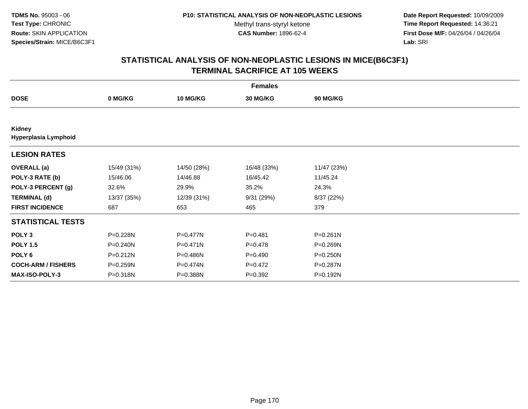**Date Report Requested:** 10/09/2009 **Time Report Requested:** 14:36:21 **First Dose M/F:** 04/26/04 / 04/26/04 Lab: SRI **Lab:** SRI

| <b>Females</b>                 |             |                 |             |                 |  |  |  |
|--------------------------------|-------------|-----------------|-------------|-----------------|--|--|--|
| <b>DOSE</b>                    | 0 MG/KG     | <b>10 MG/KG</b> | 30 MG/KG    | <b>90 MG/KG</b> |  |  |  |
|                                |             |                 |             |                 |  |  |  |
| Kidney<br>Hyperplasia Lymphoid |             |                 |             |                 |  |  |  |
| <b>LESION RATES</b>            |             |                 |             |                 |  |  |  |
| <b>OVERALL</b> (a)             | 15/49 (31%) | 14/50 (28%)     | 16/48 (33%) | 11/47 (23%)     |  |  |  |
| POLY-3 RATE (b)                | 15/46.06    | 14/46.88        | 16/45.42    | 11/45.24        |  |  |  |
| POLY-3 PERCENT (g)             | 32.6%       | 29.9%           | 35.2%       | 24.3%           |  |  |  |
| <b>TERMINAL (d)</b>            | 13/37 (35%) | 12/39 (31%)     | 9/31(29%)   | 8/37 (22%)      |  |  |  |
| <b>FIRST INCIDENCE</b>         | 687         | 653             | 465         | 379             |  |  |  |
| <b>STATISTICAL TESTS</b>       |             |                 |             |                 |  |  |  |
| POLY <sub>3</sub>              | P=0.228N    | $P=0.477N$      | $P=0.481$   | $P = 0.261N$    |  |  |  |
| <b>POLY 1.5</b>                | P=0.240N    | $P = 0.471N$    | $P = 0.478$ | P=0.269N        |  |  |  |
| POLY <sub>6</sub>              | P=0.212N    | P=0.486N        | $P = 0.490$ | $P = 0.250N$    |  |  |  |
| <b>COCH-ARM / FISHERS</b>      | P=0.259N    | P=0.474N        | $P=0.472$   | P=0.287N        |  |  |  |
| <b>MAX-ISO-POLY-3</b>          | P=0.318N    | P=0.388N        | $P = 0.392$ | P=0.192N        |  |  |  |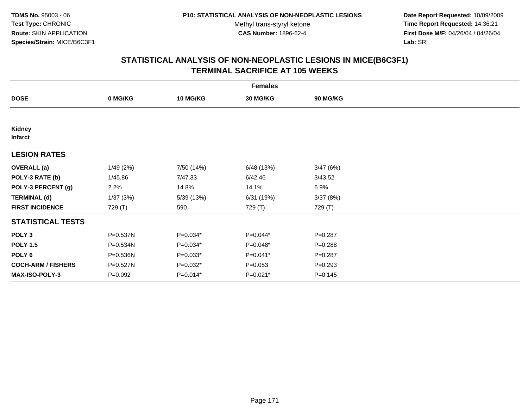**Date Report Requested:** 10/09/2009 **Time Report Requested:** 14:36:21 **First Dose M/F:** 04/26/04 / 04/26/04 Lab: SRI **Lab:** SRI

| <b>Females</b>            |           |                 |             |             |  |  |  |
|---------------------------|-----------|-----------------|-------------|-------------|--|--|--|
| <b>DOSE</b>               | 0 MG/KG   | <b>10 MG/KG</b> | 30 MG/KG    | 90 MG/KG    |  |  |  |
|                           |           |                 |             |             |  |  |  |
| Kidney<br><b>Infarct</b>  |           |                 |             |             |  |  |  |
| <b>LESION RATES</b>       |           |                 |             |             |  |  |  |
| <b>OVERALL</b> (a)        | 1/49(2%)  | 7/50 (14%)      | 6/48 (13%)  | 3/47(6%)    |  |  |  |
| POLY-3 RATE (b)           | 1/45.86   | 7/47.33         | 6/42.46     | 3/43.52     |  |  |  |
| POLY-3 PERCENT (g)        | 2.2%      | 14.8%           | 14.1%       | 6.9%        |  |  |  |
| <b>TERMINAL (d)</b>       | 1/37(3%)  | 5/39 (13%)      | 6/31 (19%)  | 3/37(8%)    |  |  |  |
| <b>FIRST INCIDENCE</b>    | 729 (T)   | 590             | 729 (T)     | 729 (T)     |  |  |  |
| <b>STATISTICAL TESTS</b>  |           |                 |             |             |  |  |  |
| POLY <sub>3</sub>         | P=0.537N  | $P=0.034*$      | P=0.044*    | $P = 0.287$ |  |  |  |
| <b>POLY 1.5</b>           | P=0.534N  | $P=0.034*$      | P=0.048*    | $P = 0.288$ |  |  |  |
| POLY <sub>6</sub>         | P=0.536N  | $P=0.033*$      | P=0.041*    | $P = 0.287$ |  |  |  |
| <b>COCH-ARM / FISHERS</b> | P=0.527N  | $P=0.032*$      | $P = 0.053$ | $P=0.293$   |  |  |  |
| MAX-ISO-POLY-3            | $P=0.092$ | $P=0.014*$      | $P=0.021*$  | $P = 0.145$ |  |  |  |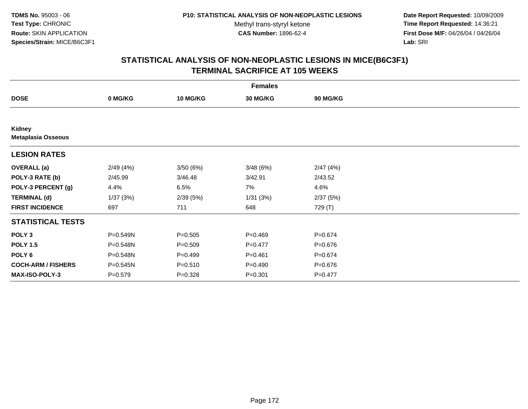**Date Report Requested:** 10/09/2009 **Time Report Requested:** 14:36:21 **First Dose M/F:** 04/26/04 / 04/26/04 Lab: SRI **Lab:** SRI

| <b>Females</b>                      |           |                 |             |                 |  |  |  |
|-------------------------------------|-----------|-----------------|-------------|-----------------|--|--|--|
| <b>DOSE</b>                         | 0 MG/KG   | <b>10 MG/KG</b> | 30 MG/KG    | <b>90 MG/KG</b> |  |  |  |
|                                     |           |                 |             |                 |  |  |  |
| Kidney<br><b>Metaplasia Osseous</b> |           |                 |             |                 |  |  |  |
| <b>LESION RATES</b>                 |           |                 |             |                 |  |  |  |
| <b>OVERALL</b> (a)                  | 2/49(4%)  | 3/50(6%)        | 3/48(6%)    | 2/47(4%)        |  |  |  |
| POLY-3 RATE (b)                     | 2/45.99   | 3/46.48         | 3/42.91     | 2/43.52         |  |  |  |
| POLY-3 PERCENT (g)                  | 4.4%      | 6.5%            | 7%          | 4.6%            |  |  |  |
| <b>TERMINAL (d)</b>                 | 1/37(3%)  | 2/39(5%)        | 1/31(3%)    | 2/37(5%)        |  |  |  |
| <b>FIRST INCIDENCE</b>              | 697       | 711             | 648         | 729 (T)         |  |  |  |
| <b>STATISTICAL TESTS</b>            |           |                 |             |                 |  |  |  |
| POLY <sub>3</sub>                   | P=0.549N  | $P = 0.505$     | $P = 0.469$ | $P = 0.674$     |  |  |  |
| <b>POLY 1.5</b>                     | P=0.548N  | $P = 0.509$     | $P=0.477$   | $P = 0.676$     |  |  |  |
| POLY <sub>6</sub>                   | P=0.548N  | $P=0.499$       | $P = 0.461$ | $P = 0.674$     |  |  |  |
| <b>COCH-ARM / FISHERS</b>           | P=0.545N  | $P = 0.510$     | $P = 0.490$ | P=0.676         |  |  |  |
| <b>MAX-ISO-POLY-3</b>               | $P=0.579$ | $P = 0.328$     | $P = 0.301$ | $P = 0.477$     |  |  |  |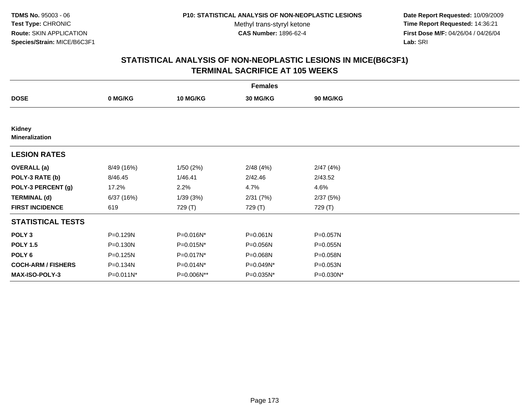**Date Report Requested:** 10/09/2009 **Time Report Requested:** 14:36:21 **First Dose M/F:** 04/26/04 / 04/26/04 Lab: SRI **Lab:** SRI

|                                 | <b>Females</b> |                 |              |                 |  |  |  |  |
|---------------------------------|----------------|-----------------|--------------|-----------------|--|--|--|--|
| <b>DOSE</b>                     | 0 MG/KG        | <b>10 MG/KG</b> | 30 MG/KG     | <b>90 MG/KG</b> |  |  |  |  |
|                                 |                |                 |              |                 |  |  |  |  |
| Kidney<br><b>Mineralization</b> |                |                 |              |                 |  |  |  |  |
| <b>LESION RATES</b>             |                |                 |              |                 |  |  |  |  |
| <b>OVERALL</b> (a)              | 8/49 (16%)     | 1/50(2%)        | 2/48(4%)     | 2/47(4%)        |  |  |  |  |
| POLY-3 RATE (b)                 | 8/46.45        | 1/46.41         | 2/42.46      | 2/43.52         |  |  |  |  |
| POLY-3 PERCENT (g)              | 17.2%          | 2.2%            | 4.7%         | 4.6%            |  |  |  |  |
| <b>TERMINAL (d)</b>             | 6/37(16%)      | 1/39(3%)        | 2/31(7%)     | 2/37(5%)        |  |  |  |  |
| <b>FIRST INCIDENCE</b>          | 619            | 729 (T)         | 729 (T)      | 729 (T)         |  |  |  |  |
| <b>STATISTICAL TESTS</b>        |                |                 |              |                 |  |  |  |  |
| POLY <sub>3</sub>               | P=0.129N       | P=0.016N*       | $P = 0.061N$ | P=0.057N        |  |  |  |  |
| <b>POLY 1.5</b>                 | $P = 0.130N$   | P=0.015N*       | P=0.056N     | $P = 0.055N$    |  |  |  |  |
| POLY 6                          | P=0.125N       | P=0.017N*       | P=0.068N     | P=0.058N        |  |  |  |  |
| <b>COCH-ARM / FISHERS</b>       | P=0.134N       | P=0.014N*       | P=0.049N*    | P=0.053N        |  |  |  |  |
| MAX-ISO-POLY-3                  | P=0.011N*      | P=0.006N**      | P=0.035N*    | P=0.030N*       |  |  |  |  |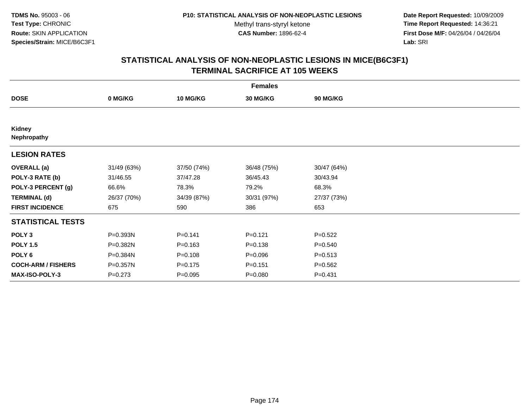**Date Report Requested:** 10/09/2009 **Time Report Requested:** 14:36:21 **First Dose M/F:** 04/26/04 / 04/26/04 Lab: SRI **Lab:** SRI

| <b>Females</b>            |             |                 |             |             |  |  |  |
|---------------------------|-------------|-----------------|-------------|-------------|--|--|--|
| <b>DOSE</b>               | 0 MG/KG     | <b>10 MG/KG</b> | 30 MG/KG    | 90 MG/KG    |  |  |  |
|                           |             |                 |             |             |  |  |  |
| Kidney<br>Nephropathy     |             |                 |             |             |  |  |  |
| <b>LESION RATES</b>       |             |                 |             |             |  |  |  |
| <b>OVERALL</b> (a)        | 31/49 (63%) | 37/50 (74%)     | 36/48 (75%) | 30/47 (64%) |  |  |  |
| POLY-3 RATE (b)           | 31/46.55    | 37/47.28        | 36/45.43    | 30/43.94    |  |  |  |
| POLY-3 PERCENT (g)        | 66.6%       | 78.3%           | 79.2%       | 68.3%       |  |  |  |
| <b>TERMINAL (d)</b>       | 26/37 (70%) | 34/39 (87%)     | 30/31 (97%) | 27/37 (73%) |  |  |  |
| <b>FIRST INCIDENCE</b>    | 675         | 590             | 386         | 653         |  |  |  |
| <b>STATISTICAL TESTS</b>  |             |                 |             |             |  |  |  |
| POLY <sub>3</sub>         | P=0.393N    | $P = 0.141$     | $P=0.121$   | $P=0.522$   |  |  |  |
| <b>POLY 1.5</b>           | P=0.382N    | $P = 0.163$     | $P = 0.138$ | $P = 0.540$ |  |  |  |
| POLY 6                    | P=0.384N    | $P = 0.108$     | $P = 0.096$ | $P = 0.513$ |  |  |  |
| <b>COCH-ARM / FISHERS</b> | P=0.357N    | $P = 0.175$     | $P = 0.151$ | $P = 0.562$ |  |  |  |
| <b>MAX-ISO-POLY-3</b>     | $P = 0.273$ | $P=0.095$       | $P = 0.080$ | $P = 0.431$ |  |  |  |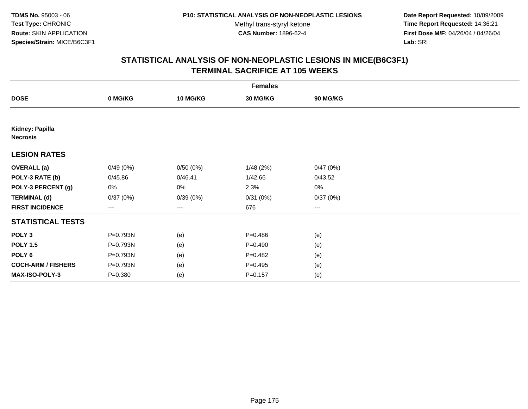**Date Report Requested:** 10/09/2009 **Time Report Requested:** 14:36:21 **First Dose M/F:** 04/26/04 / 04/26/04 Lab: SRI **Lab:** SRI

| <b>Females</b>                     |             |                 |             |          |  |  |  |
|------------------------------------|-------------|-----------------|-------------|----------|--|--|--|
| <b>DOSE</b>                        | 0 MG/KG     | <b>10 MG/KG</b> | 30 MG/KG    | 90 MG/KG |  |  |  |
|                                    |             |                 |             |          |  |  |  |
| Kidney: Papilla<br><b>Necrosis</b> |             |                 |             |          |  |  |  |
| <b>LESION RATES</b>                |             |                 |             |          |  |  |  |
| <b>OVERALL</b> (a)                 | 0/49(0%)    | 0/50(0%)        | 1/48(2%)    | 0/47(0%) |  |  |  |
| POLY-3 RATE (b)                    | 0/45.86     | 0/46.41         | 1/42.66     | 0/43.52  |  |  |  |
| POLY-3 PERCENT (g)                 | 0%          | 0%              | 2.3%        | 0%       |  |  |  |
| <b>TERMINAL (d)</b>                | 0/37(0%)    | 0/39(0%)        | 0/31(0%)    | 0/37(0%) |  |  |  |
| <b>FIRST INCIDENCE</b>             | ---         | $---$           | 676         | ---      |  |  |  |
| <b>STATISTICAL TESTS</b>           |             |                 |             |          |  |  |  |
| POLY <sub>3</sub>                  | P=0.793N    | (e)             | $P = 0.486$ | (e)      |  |  |  |
| <b>POLY 1.5</b>                    | P=0.793N    | (e)             | $P = 0.490$ | (e)      |  |  |  |
| POLY <sub>6</sub>                  | P=0.793N    | (e)             | $P=0.482$   | (e)      |  |  |  |
| <b>COCH-ARM / FISHERS</b>          | P=0.793N    | (e)             | $P = 0.495$ | (e)      |  |  |  |
| MAX-ISO-POLY-3                     | $P = 0.380$ | (e)             | $P = 0.157$ | (e)      |  |  |  |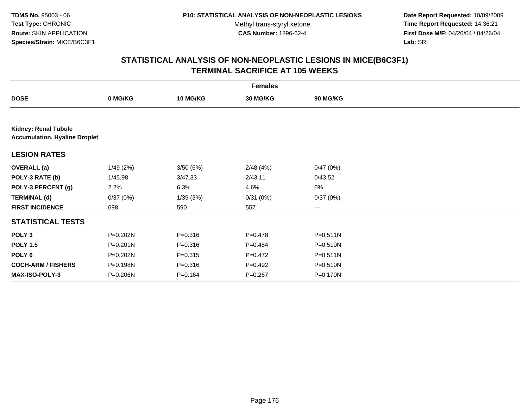**Date Report Requested:** 10/09/2009 **Time Report Requested:** 14:36:21 **First Dose M/F:** 04/26/04 / 04/26/04 Lab: SRI **Lab:** SRI

| <b>Females</b>                                                      |              |             |                 |                 |  |  |  |
|---------------------------------------------------------------------|--------------|-------------|-----------------|-----------------|--|--|--|
| <b>DOSE</b>                                                         | 0 MG/KG      | 10 MG/KG    | <b>30 MG/KG</b> | <b>90 MG/KG</b> |  |  |  |
|                                                                     |              |             |                 |                 |  |  |  |
| <b>Kidney: Renal Tubule</b><br><b>Accumulation, Hyaline Droplet</b> |              |             |                 |                 |  |  |  |
| <b>LESION RATES</b>                                                 |              |             |                 |                 |  |  |  |
| <b>OVERALL</b> (a)                                                  | 1/49(2%)     | 3/50(6%)    | 2/48(4%)        | 0/47(0%)        |  |  |  |
| POLY-3 RATE (b)                                                     | 1/45.98      | 3/47.33     | 2/43.11         | 0/43.52         |  |  |  |
| POLY-3 PERCENT (g)                                                  | 2.2%         | 6.3%        | 4.6%            | 0%              |  |  |  |
| <b>TERMINAL (d)</b>                                                 | 0/37(0%)     | 1/39(3%)    | 0/31(0%)        | 0/37(0%)        |  |  |  |
| <b>FIRST INCIDENCE</b>                                              | 698          | 590         | 557             | ---             |  |  |  |
| <b>STATISTICAL TESTS</b>                                            |              |             |                 |                 |  |  |  |
| POLY <sub>3</sub>                                                   | P=0.202N     | $P = 0.316$ | $P = 0.478$     | P=0.511N        |  |  |  |
| <b>POLY 1.5</b>                                                     | $P = 0.201N$ | $P = 0.316$ | $P = 0.484$     | P=0.510N        |  |  |  |
| POLY <sub>6</sub>                                                   | P=0.202N     | $P = 0.315$ | $P=0.472$       | $P = 0.511N$    |  |  |  |
| <b>COCH-ARM / FISHERS</b>                                           | P=0.198N     | $P = 0.316$ | $P = 0.492$     | P=0.510N        |  |  |  |
| <b>MAX-ISO-POLY-3</b>                                               | P=0.206N     | $P = 0.164$ | $P = 0.267$     | P=0.170N        |  |  |  |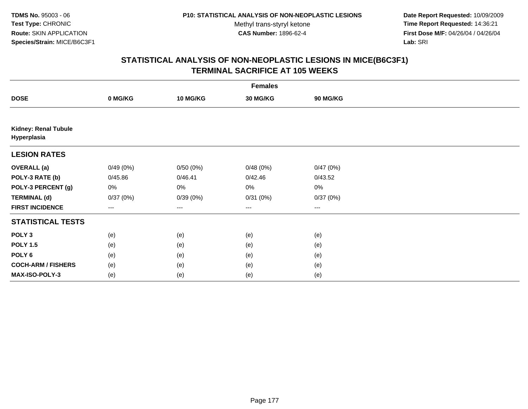**Date Report Requested:** 10/09/2009 **Time Report Requested:** 14:36:21 **First Dose M/F:** 04/26/04 / 04/26/04 Lab: SRI **Lab:** SRI

|                                            | <b>Females</b> |          |          |          |  |  |  |  |
|--------------------------------------------|----------------|----------|----------|----------|--|--|--|--|
| <b>DOSE</b>                                | 0 MG/KG        | 10 MG/KG | 30 MG/KG | 90 MG/KG |  |  |  |  |
|                                            |                |          |          |          |  |  |  |  |
| <b>Kidney: Renal Tubule</b><br>Hyperplasia |                |          |          |          |  |  |  |  |
| <b>LESION RATES</b>                        |                |          |          |          |  |  |  |  |
| <b>OVERALL</b> (a)                         | 0/49(0%)       | 0/50(0%) | 0/48(0%) | 0/47(0%) |  |  |  |  |
| POLY-3 RATE (b)                            | 0/45.86        | 0/46.41  | 0/42.46  | 0/43.52  |  |  |  |  |
| POLY-3 PERCENT (g)                         | 0%             | 0%       | 0%       | 0%       |  |  |  |  |
| <b>TERMINAL (d)</b>                        | 0/37(0%)       | 0/39(0%) | 0/31(0%) | 0/37(0%) |  |  |  |  |
| <b>FIRST INCIDENCE</b>                     | ---            | $\cdots$ | $\cdots$ | $\cdots$ |  |  |  |  |
| <b>STATISTICAL TESTS</b>                   |                |          |          |          |  |  |  |  |
| POLY <sub>3</sub>                          | (e)            | (e)      | (e)      | (e)      |  |  |  |  |
| <b>POLY 1.5</b>                            | (e)            | (e)      | (e)      | (e)      |  |  |  |  |
| POLY <sub>6</sub>                          | (e)            | (e)      | (e)      | (e)      |  |  |  |  |
| <b>COCH-ARM / FISHERS</b>                  | (e)            | (e)      | (e)      | (e)      |  |  |  |  |
| MAX-ISO-POLY-3                             | (e)            | (e)      | (e)      | (e)      |  |  |  |  |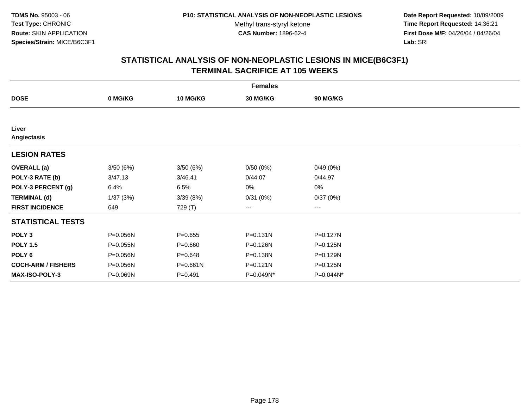**Date Report Requested:** 10/09/2009 **Time Report Requested:** 14:36:21 **First Dose M/F:** 04/26/04 / 04/26/04 Lab: SRI **Lab:** SRI

| <b>Females</b>            |          |                 |                 |              |  |  |  |
|---------------------------|----------|-----------------|-----------------|--------------|--|--|--|
| <b>DOSE</b>               | 0 MG/KG  | <b>10 MG/KG</b> | <b>30 MG/KG</b> | 90 MG/KG     |  |  |  |
|                           |          |                 |                 |              |  |  |  |
| Liver<br>Angiectasis      |          |                 |                 |              |  |  |  |
| <b>LESION RATES</b>       |          |                 |                 |              |  |  |  |
| <b>OVERALL</b> (a)        | 3/50(6%) | 3/50(6%)        | 0/50(0%)        | 0/49(0%)     |  |  |  |
| POLY-3 RATE (b)           | 3/47.13  | 3/46.41         | 0/44.07         | 0/44.97      |  |  |  |
| POLY-3 PERCENT (g)        | 6.4%     | 6.5%            | 0%              | 0%           |  |  |  |
| <b>TERMINAL (d)</b>       | 1/37(3%) | 3/39(8%)        | 0/31(0%)        | 0/37(0%)     |  |  |  |
| <b>FIRST INCIDENCE</b>    | 649      | 729 (T)         | ---             | $--$         |  |  |  |
| <b>STATISTICAL TESTS</b>  |          |                 |                 |              |  |  |  |
| POLY <sub>3</sub>         | P=0.056N | $P=0.655$       | $P = 0.131N$    | $P = 0.127N$ |  |  |  |
| <b>POLY 1.5</b>           | P=0.055N | $P = 0.660$     | P=0.126N        | $P = 0.125N$ |  |  |  |
| POLY <sub>6</sub>         | P=0.056N | $P = 0.648$     | P=0.138N        | $P = 0.129N$ |  |  |  |
| <b>COCH-ARM / FISHERS</b> | P=0.056N | P=0.661N        | $P = 0.121N$    | P=0.125N     |  |  |  |
| <b>MAX-ISO-POLY-3</b>     | P=0.069N | $P = 0.491$     | P=0.049N*       | P=0.044N*    |  |  |  |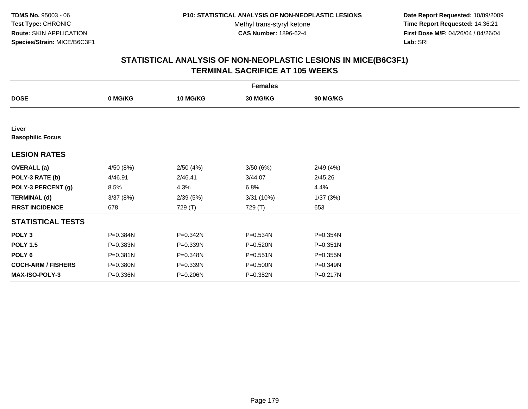**Date Report Requested:** 10/09/2009 **Time Report Requested:** 14:36:21 **First Dose M/F:** 04/26/04 / 04/26/04 Lab: SRI **Lab:** SRI

| <b>Females</b>                   |           |                 |                 |          |  |  |  |
|----------------------------------|-----------|-----------------|-----------------|----------|--|--|--|
| <b>DOSE</b>                      | 0 MG/KG   | <b>10 MG/KG</b> | <b>30 MG/KG</b> | 90 MG/KG |  |  |  |
|                                  |           |                 |                 |          |  |  |  |
| Liver<br><b>Basophilic Focus</b> |           |                 |                 |          |  |  |  |
| <b>LESION RATES</b>              |           |                 |                 |          |  |  |  |
| <b>OVERALL</b> (a)               | 4/50 (8%) | 2/50(4%)        | 3/50(6%)        | 2/49(4%) |  |  |  |
| POLY-3 RATE (b)                  | 4/46.91   | 2/46.41         | 3/44.07         | 2/45.26  |  |  |  |
| POLY-3 PERCENT (g)               | 8.5%      | 4.3%            | 6.8%            | 4.4%     |  |  |  |
| <b>TERMINAL (d)</b>              | 3/37(8%)  | 2/39(5%)        | 3/31 (10%)      | 1/37(3%) |  |  |  |
| <b>FIRST INCIDENCE</b>           | 678       | 729 (T)         | 729 (T)         | 653      |  |  |  |
| <b>STATISTICAL TESTS</b>         |           |                 |                 |          |  |  |  |
| POLY <sub>3</sub>                | P=0.384N  | $P = 0.342N$    | P=0.534N        | P=0.354N |  |  |  |
| <b>POLY 1.5</b>                  | P=0.383N  | $P = 0.339N$    | P=0.520N        | P=0.351N |  |  |  |
| POLY <sub>6</sub>                | P=0.381N  | P=0.348N        | P=0.551N        | P=0.355N |  |  |  |
| <b>COCH-ARM / FISHERS</b>        | P=0.380N  | P=0.339N        | P=0.500N        | P=0.349N |  |  |  |
| <b>MAX-ISO-POLY-3</b>            | P=0.336N  | P=0.206N        | P=0.382N        | P=0.217N |  |  |  |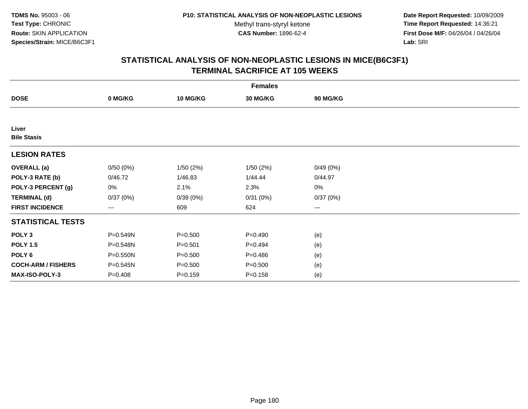**Date Report Requested:** 10/09/2009 **Time Report Requested:** 14:36:21 **First Dose M/F:** 04/26/04 / 04/26/04 Lab: SRI **Lab:** SRI

| <b>Females</b>              |             |                 |             |                 |  |  |  |
|-----------------------------|-------------|-----------------|-------------|-----------------|--|--|--|
| <b>DOSE</b>                 | 0 MG/KG     | <b>10 MG/KG</b> | 30 MG/KG    | <b>90 MG/KG</b> |  |  |  |
|                             |             |                 |             |                 |  |  |  |
| Liver<br><b>Bile Stasis</b> |             |                 |             |                 |  |  |  |
| <b>LESION RATES</b>         |             |                 |             |                 |  |  |  |
| <b>OVERALL</b> (a)          | 0/50(0%)    | 1/50(2%)        | 1/50(2%)    | 0/49(0%)        |  |  |  |
| POLY-3 RATE (b)             | 0/46.72     | 1/46.83         | 1/44.44     | 0/44.97         |  |  |  |
| POLY-3 PERCENT (g)          | 0%          | 2.1%            | 2.3%        | 0%              |  |  |  |
| <b>TERMINAL (d)</b>         | 0/37(0%)    | 0/39(0%)        | 0/31(0%)    | 0/37(0%)        |  |  |  |
| <b>FIRST INCIDENCE</b>      | ---         | 609             | 624         | ---             |  |  |  |
| <b>STATISTICAL TESTS</b>    |             |                 |             |                 |  |  |  |
| POLY <sub>3</sub>           | P=0.549N    | $P = 0.500$     | $P = 0.490$ | (e)             |  |  |  |
| <b>POLY 1.5</b>             | P=0.548N    | $P = 0.501$     | $P=0.494$   | (e)             |  |  |  |
| POLY <sub>6</sub>           | P=0.550N    | $P = 0.500$     | $P = 0.486$ | (e)             |  |  |  |
| <b>COCH-ARM / FISHERS</b>   | P=0.545N    | $P = 0.500$     | $P = 0.500$ | (e)             |  |  |  |
| <b>MAX-ISO-POLY-3</b>       | $P = 0.408$ | $P = 0.159$     | $P = 0.158$ | (e)             |  |  |  |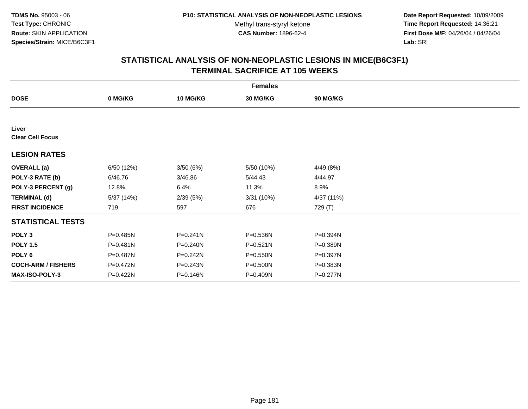**Date Report Requested:** 10/09/2009 **Time Report Requested:** 14:36:21 **First Dose M/F:** 04/26/04 / 04/26/04 Lab: SRI **Lab:** SRI

|                                  |              |                 | <b>Females</b> |            |  |
|----------------------------------|--------------|-----------------|----------------|------------|--|
| <b>DOSE</b>                      | 0 MG/KG      | <b>10 MG/KG</b> | 30 MG/KG       | 90 MG/KG   |  |
|                                  |              |                 |                |            |  |
| Liver<br><b>Clear Cell Focus</b> |              |                 |                |            |  |
| <b>LESION RATES</b>              |              |                 |                |            |  |
| <b>OVERALL</b> (a)               | 6/50 (12%)   | 3/50(6%)        | 5/50 (10%)     | 4/49 (8%)  |  |
| POLY-3 RATE (b)                  | 6/46.76      | 3/46.86         | 5/44.43        | 4/44.97    |  |
| POLY-3 PERCENT (g)               | 12.8%        | 6.4%            | 11.3%          | 8.9%       |  |
| <b>TERMINAL (d)</b>              | 5/37 (14%)   | 2/39(5%)        | 3/31(10%)      | 4/37 (11%) |  |
| <b>FIRST INCIDENCE</b>           | 719          | 597             | 676            | 729 (T)    |  |
| <b>STATISTICAL TESTS</b>         |              |                 |                |            |  |
| POLY <sub>3</sub>                | P=0.485N     | $P = 0.241N$    | P=0.536N       | P=0.394N   |  |
| <b>POLY 1.5</b>                  | $P = 0.481N$ | P=0.240N        | $P = 0.521N$   | P=0.389N   |  |
| POLY 6                           | P=0.487N     | P=0.242N        | P=0.550N       | P=0.397N   |  |
| <b>COCH-ARM / FISHERS</b>        | P=0.472N     | P=0.243N        | P=0.500N       | P=0.383N   |  |
| MAX-ISO-POLY-3                   | P=0.422N     | P=0.146N        | P=0.409N       | P=0.277N   |  |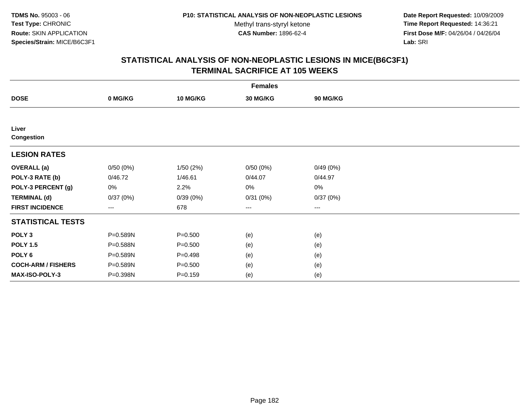**Date Report Requested:** 10/09/2009 **Time Report Requested:** 14:36:21 **First Dose M/F:** 04/26/04 / 04/26/04 Lab: SRI **Lab:** SRI

| <b>Females</b>             |          |                 |          |          |  |  |  |
|----------------------------|----------|-----------------|----------|----------|--|--|--|
| <b>DOSE</b>                | 0 MG/KG  | <b>10 MG/KG</b> | 30 MG/KG | 90 MG/KG |  |  |  |
|                            |          |                 |          |          |  |  |  |
| Liver<br><b>Congestion</b> |          |                 |          |          |  |  |  |
| <b>LESION RATES</b>        |          |                 |          |          |  |  |  |
| <b>OVERALL</b> (a)         | 0/50(0%) | 1/50(2%)        | 0/50(0%) | 0/49(0%) |  |  |  |
| POLY-3 RATE (b)            | 0/46.72  | 1/46.61         | 0/44.07  | 0/44.97  |  |  |  |
| POLY-3 PERCENT (g)         | 0%       | 2.2%            | 0%       | 0%       |  |  |  |
| <b>TERMINAL (d)</b>        | 0/37(0%) | 0/39(0%)        | 0/31(0%) | 0/37(0%) |  |  |  |
| <b>FIRST INCIDENCE</b>     | $--$     | 678             | ---      | $--$     |  |  |  |
| <b>STATISTICAL TESTS</b>   |          |                 |          |          |  |  |  |
| POLY <sub>3</sub>          | P=0.589N | $P = 0.500$     | (e)      | (e)      |  |  |  |
| <b>POLY 1.5</b>            | P=0.588N | $P = 0.500$     | (e)      | (e)      |  |  |  |
| POLY <sub>6</sub>          | P=0.589N | $P = 0.498$     | (e)      | (e)      |  |  |  |
| <b>COCH-ARM / FISHERS</b>  | P=0.589N | $P = 0.500$     | (e)      | (e)      |  |  |  |
| MAX-ISO-POLY-3             | P=0.398N | $P = 0.159$     | (e)      | (e)      |  |  |  |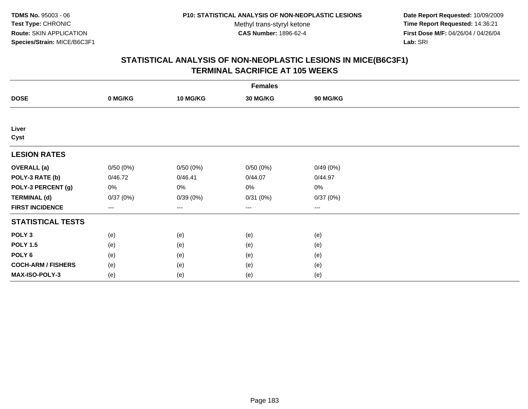**Date Report Requested:** 10/09/2009 **Time Report Requested:** 14:36:21 **First Dose M/F:** 04/26/04 / 04/26/04 Lab: SRI **Lab:** SRI

| <b>Females</b>            |          |                 |          |          |  |  |  |
|---------------------------|----------|-----------------|----------|----------|--|--|--|
| <b>DOSE</b>               | 0 MG/KG  | <b>10 MG/KG</b> | 30 MG/KG | 90 MG/KG |  |  |  |
|                           |          |                 |          |          |  |  |  |
| Liver                     |          |                 |          |          |  |  |  |
| Cyst                      |          |                 |          |          |  |  |  |
| <b>LESION RATES</b>       |          |                 |          |          |  |  |  |
| <b>OVERALL</b> (a)        | 0/50(0%) | 0/50(0%)        | 0/50(0%) | 0/49(0%) |  |  |  |
| POLY-3 RATE (b)           | 0/46.72  | 0/46.41         | 0/44.07  | 0/44.97  |  |  |  |
| POLY-3 PERCENT (g)        | 0%       | $0\%$           | 0%       | 0%       |  |  |  |
| <b>TERMINAL (d)</b>       | 0/37(0%) | 0/39(0%)        | 0/31(0%) | 0/37(0%) |  |  |  |
| <b>FIRST INCIDENCE</b>    | $--$     | ---             | ---      | $--$     |  |  |  |
| <b>STATISTICAL TESTS</b>  |          |                 |          |          |  |  |  |
| POLY <sub>3</sub>         | (e)      | (e)             | (e)      | (e)      |  |  |  |
| <b>POLY 1.5</b>           | (e)      | (e)             | (e)      | (e)      |  |  |  |
| POLY <sub>6</sub>         | (e)      | (e)             | (e)      | (e)      |  |  |  |
| <b>COCH-ARM / FISHERS</b> | (e)      | (e)             | (e)      | (e)      |  |  |  |
| MAX-ISO-POLY-3            | (e)      | (e)             | (e)      | (e)      |  |  |  |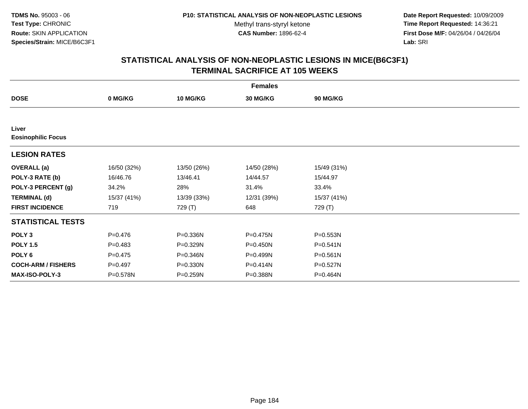**Date Report Requested:** 10/09/2009 **Time Report Requested:** 14:36:21 **First Dose M/F:** 04/26/04 / 04/26/04 Lab: SRI **Lab:** SRI

| <b>Females</b>                     |             |                 |              |                 |  |  |  |
|------------------------------------|-------------|-----------------|--------------|-----------------|--|--|--|
| <b>DOSE</b>                        | 0 MG/KG     | <b>10 MG/KG</b> | 30 MG/KG     | <b>90 MG/KG</b> |  |  |  |
|                                    |             |                 |              |                 |  |  |  |
| Liver<br><b>Eosinophilic Focus</b> |             |                 |              |                 |  |  |  |
| <b>LESION RATES</b>                |             |                 |              |                 |  |  |  |
| <b>OVERALL</b> (a)                 | 16/50 (32%) | 13/50 (26%)     | 14/50 (28%)  | 15/49 (31%)     |  |  |  |
| POLY-3 RATE (b)                    | 16/46.76    | 13/46.41        | 14/44.57     | 15/44.97        |  |  |  |
| POLY-3 PERCENT (g)                 | 34.2%       | 28%             | 31.4%        | 33.4%           |  |  |  |
| <b>TERMINAL (d)</b>                | 15/37 (41%) | 13/39 (33%)     | 12/31 (39%)  | 15/37 (41%)     |  |  |  |
| <b>FIRST INCIDENCE</b>             | 719         | 729 (T)         | 648          | 729 (T)         |  |  |  |
| <b>STATISTICAL TESTS</b>           |             |                 |              |                 |  |  |  |
| POLY <sub>3</sub>                  | $P = 0.476$ | P=0.336N        | P=0.475N     | P=0.553N        |  |  |  |
| <b>POLY 1.5</b>                    | $P = 0.483$ | P=0.329N        | $P = 0.450N$ | $P = 0.541N$    |  |  |  |
| POLY 6                             | $P = 0.475$ | P=0.346N        | P=0.499N     | P=0.561N        |  |  |  |
| <b>COCH-ARM / FISHERS</b>          | $P=0.497$   | P=0.330N        | P=0.414N     | P=0.527N        |  |  |  |
| <b>MAX-ISO-POLY-3</b>              | P=0.578N    | P=0.259N        | P=0.388N     | P=0.464N        |  |  |  |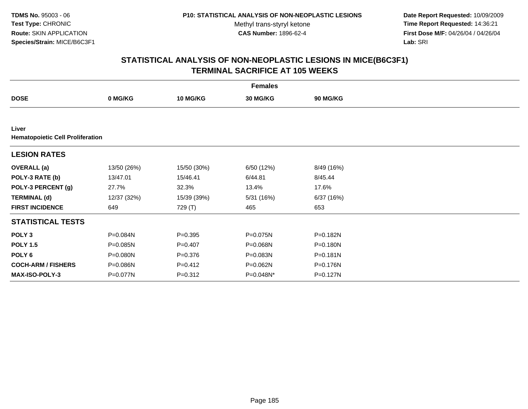**Date Report Requested:** 10/09/2009 **Time Report Requested:** 14:36:21 **First Dose M/F:** 04/26/04 / 04/26/04 Lab: SRI **Lab:** SRI

| <b>Females</b>                                   |             |                 |                 |                 |  |  |  |
|--------------------------------------------------|-------------|-----------------|-----------------|-----------------|--|--|--|
| <b>DOSE</b>                                      | 0 MG/KG     | <b>10 MG/KG</b> | <b>30 MG/KG</b> | <b>90 MG/KG</b> |  |  |  |
|                                                  |             |                 |                 |                 |  |  |  |
| Liver<br><b>Hematopoietic Cell Proliferation</b> |             |                 |                 |                 |  |  |  |
| <b>LESION RATES</b>                              |             |                 |                 |                 |  |  |  |
| <b>OVERALL</b> (a)                               | 13/50 (26%) | 15/50 (30%)     | 6/50 (12%)      | 8/49 (16%)      |  |  |  |
| POLY-3 RATE (b)                                  | 13/47.01    | 15/46.41        | 6/44.81         | 8/45.44         |  |  |  |
| POLY-3 PERCENT (g)                               | 27.7%       | 32.3%           | 13.4%           | 17.6%           |  |  |  |
| <b>TERMINAL (d)</b>                              | 12/37 (32%) | 15/39 (39%)     | 5/31 (16%)      | 6/37 (16%)      |  |  |  |
| <b>FIRST INCIDENCE</b>                           | 649         | 729 (T)         | 465             | 653             |  |  |  |
| <b>STATISTICAL TESTS</b>                         |             |                 |                 |                 |  |  |  |
| POLY <sub>3</sub>                                | P=0.084N    | $P = 0.395$     | P=0.075N        | P=0.182N        |  |  |  |
| <b>POLY 1.5</b>                                  | P=0.085N    | $P=0.407$       | P=0.068N        | $P = 0.180N$    |  |  |  |
| POLY <sub>6</sub>                                | P=0.080N    | $P = 0.376$     | P=0.083N        | $P = 0.181N$    |  |  |  |
| <b>COCH-ARM / FISHERS</b>                        | P=0.086N    | $P=0.412$       | P=0.062N        | P=0.176N        |  |  |  |
| <b>MAX-ISO-POLY-3</b>                            | P=0.077N    | $P = 0.312$     | P=0.048N*       | P=0.127N        |  |  |  |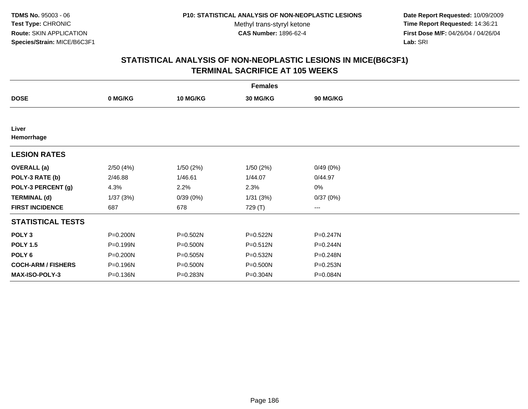**Date Report Requested:** 10/09/2009 **Time Report Requested:** 14:36:21 **First Dose M/F:** 04/26/04 / 04/26/04 Lab: SRI **Lab:** SRI

|                           | <b>Females</b> |                 |          |                        |  |  |  |  |
|---------------------------|----------------|-----------------|----------|------------------------|--|--|--|--|
| <b>DOSE</b>               | 0 MG/KG        | <b>10 MG/KG</b> | 30 MG/KG | 90 MG/KG               |  |  |  |  |
|                           |                |                 |          |                        |  |  |  |  |
| Liver<br>Hemorrhage       |                |                 |          |                        |  |  |  |  |
| <b>LESION RATES</b>       |                |                 |          |                        |  |  |  |  |
| <b>OVERALL</b> (a)        | 2/50(4%)       | 1/50(2%)        | 1/50(2%) | 0/49(0%)               |  |  |  |  |
| POLY-3 RATE (b)           | 2/46.88        | 1/46.61         | 1/44.07  | 0/44.97                |  |  |  |  |
| POLY-3 PERCENT (g)        | 4.3%           | 2.2%            | 2.3%     | 0%                     |  |  |  |  |
| <b>TERMINAL (d)</b>       | 1/37(3%)       | 0/39(0%)        | 1/31(3%) | 0/37(0%)               |  |  |  |  |
| <b>FIRST INCIDENCE</b>    | 687            | 678             | 729 (T)  | $\qquad \qquad \cdots$ |  |  |  |  |
| <b>STATISTICAL TESTS</b>  |                |                 |          |                        |  |  |  |  |
| POLY <sub>3</sub>         | P=0.200N       | P=0.502N        | P=0.522N | P=0.247N               |  |  |  |  |
| <b>POLY 1.5</b>           | P=0.199N       | $P = 0.500N$    | P=0.512N | P=0.244N               |  |  |  |  |
| POLY <sub>6</sub>         | P=0.200N       | P=0.505N        | P=0.532N | P=0.248N               |  |  |  |  |
| <b>COCH-ARM / FISHERS</b> | P=0.196N       | P=0.500N        | P=0.500N | $P = 0.253N$           |  |  |  |  |
| <b>MAX-ISO-POLY-3</b>     | P=0.136N       | P=0.283N        | P=0.304N | P=0.084N               |  |  |  |  |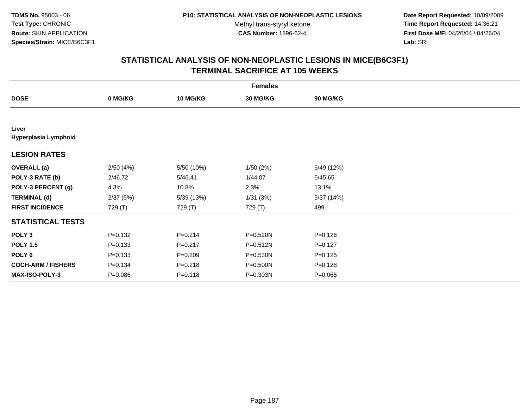**Date Report Requested:** 10/09/2009 **Time Report Requested:** 14:36:21 **First Dose M/F:** 04/26/04 / 04/26/04 Lab: SRI **Lab:** SRI

| <b>Females</b>                |             |                 |                 |             |  |  |  |
|-------------------------------|-------------|-----------------|-----------------|-------------|--|--|--|
| <b>DOSE</b>                   | 0 MG/KG     | <b>10 MG/KG</b> | <b>30 MG/KG</b> | 90 MG/KG    |  |  |  |
|                               |             |                 |                 |             |  |  |  |
| Liver<br>Hyperplasia Lymphoid |             |                 |                 |             |  |  |  |
| <b>LESION RATES</b>           |             |                 |                 |             |  |  |  |
| <b>OVERALL</b> (a)            | 2/50(4%)    | 5/50 (10%)      | 1/50(2%)        | 6/49 (12%)  |  |  |  |
| POLY-3 RATE (b)               | 2/46.72     | 5/46.41         | 1/44.07         | 6/45.65     |  |  |  |
| POLY-3 PERCENT (g)            | 4.3%        | 10.8%           | 2.3%            | 13.1%       |  |  |  |
| <b>TERMINAL (d)</b>           | 2/37(5%)    | 5/39 (13%)      | 1/31(3%)        | 5/37 (14%)  |  |  |  |
| <b>FIRST INCIDENCE</b>        | 729 (T)     | 729 (T)         | 729 (T)         | 499         |  |  |  |
| <b>STATISTICAL TESTS</b>      |             |                 |                 |             |  |  |  |
| POLY <sub>3</sub>             | $P = 0.132$ | $P=0.214$       | P=0.520N        | $P = 0.126$ |  |  |  |
| <b>POLY 1.5</b>               | $P = 0.133$ | $P=0.217$       | $P = 0.512N$    | $P=0.127$   |  |  |  |
| POLY 6                        | $P = 0.133$ | $P = 0.209$     | P=0.530N        | $P = 0.125$ |  |  |  |
| <b>COCH-ARM / FISHERS</b>     | $P = 0.134$ | $P = 0.218$     | P=0.500N        | $P = 0.128$ |  |  |  |
| MAX-ISO-POLY-3                | $P = 0.086$ | $P = 0.118$     | P=0.303N        | $P = 0.065$ |  |  |  |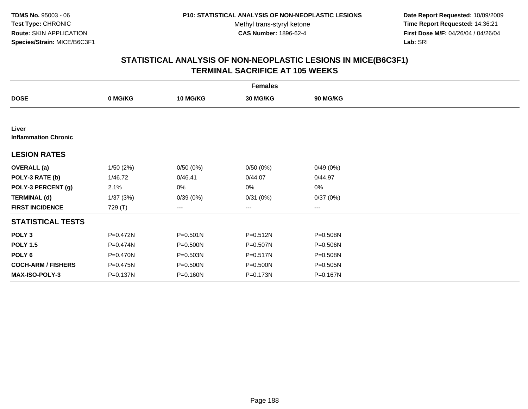**Date Report Requested:** 10/09/2009 **Time Report Requested:** 14:36:21 **First Dose M/F:** 04/26/04 / 04/26/04 Lab: SRI **Lab:** SRI

|                                      | <b>Females</b> |                 |              |                 |  |  |  |  |
|--------------------------------------|----------------|-----------------|--------------|-----------------|--|--|--|--|
| <b>DOSE</b>                          | 0 MG/KG        | <b>10 MG/KG</b> | 30 MG/KG     | <b>90 MG/KG</b> |  |  |  |  |
|                                      |                |                 |              |                 |  |  |  |  |
| Liver<br><b>Inflammation Chronic</b> |                |                 |              |                 |  |  |  |  |
| <b>LESION RATES</b>                  |                |                 |              |                 |  |  |  |  |
| <b>OVERALL</b> (a)                   | 1/50(2%)       | 0/50(0%)        | 0/50(0%)     | 0/49(0%)        |  |  |  |  |
| POLY-3 RATE (b)                      | 1/46.72        | 0/46.41         | 0/44.07      | 0/44.97         |  |  |  |  |
| POLY-3 PERCENT (g)                   | 2.1%           | 0%              | 0%           | $0\%$           |  |  |  |  |
| <b>TERMINAL (d)</b>                  | 1/37(3%)       | 0/39(0%)        | 0/31(0%)     | 0/37(0%)        |  |  |  |  |
| <b>FIRST INCIDENCE</b>               | 729 (T)        | ---             | $\cdots$     | ---             |  |  |  |  |
| <b>STATISTICAL TESTS</b>             |                |                 |              |                 |  |  |  |  |
| POLY <sub>3</sub>                    | P=0.472N       | $P = 0.501N$    | $P = 0.512N$ | P=0.508N        |  |  |  |  |
| <b>POLY 1.5</b>                      | P=0.474N       | $P = 0.500N$    | P=0.507N     | P=0.506N        |  |  |  |  |
| POLY 6                               | $P = 0.470N$   | $P = 0.503N$    | P=0.517N     | P=0.508N        |  |  |  |  |
| <b>COCH-ARM / FISHERS</b>            | P=0.475N       | P=0.500N        | P=0.500N     | P=0.505N        |  |  |  |  |
| MAX-ISO-POLY-3                       | P=0.137N       | P=0.160N        | P=0.173N     | P=0.167N        |  |  |  |  |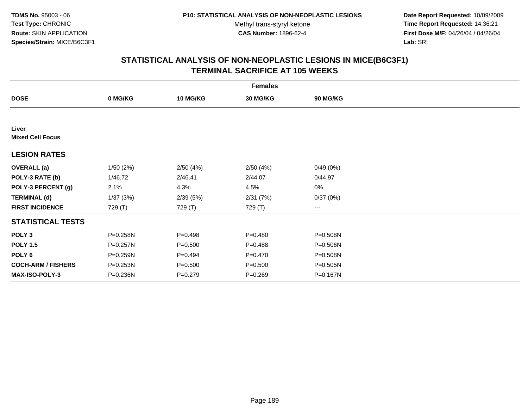**Date Report Requested:** 10/09/2009 **Time Report Requested:** 14:36:21 **First Dose M/F:** 04/26/04 / 04/26/04 Lab: SRI **Lab:** SRI

|                                  | <b>Females</b> |                 |                 |          |  |  |  |  |
|----------------------------------|----------------|-----------------|-----------------|----------|--|--|--|--|
| <b>DOSE</b>                      | 0 MG/KG        | <b>10 MG/KG</b> | <b>30 MG/KG</b> | 90 MG/KG |  |  |  |  |
|                                  |                |                 |                 |          |  |  |  |  |
| Liver<br><b>Mixed Cell Focus</b> |                |                 |                 |          |  |  |  |  |
| <b>LESION RATES</b>              |                |                 |                 |          |  |  |  |  |
| <b>OVERALL</b> (a)               | 1/50(2%)       | 2/50(4%)        | 2/50(4%)        | 0/49(0%) |  |  |  |  |
| POLY-3 RATE (b)                  | 1/46.72        | 2/46.41         | 2/44.07         | 0/44.97  |  |  |  |  |
| POLY-3 PERCENT (g)               | 2.1%           | 4.3%            | 4.5%            | 0%       |  |  |  |  |
| <b>TERMINAL (d)</b>              | 1/37(3%)       | 2/39(5%)        | 2/31(7%)        | 0/37(0%) |  |  |  |  |
| <b>FIRST INCIDENCE</b>           | 729 (T)        | 729 (T)         | 729 (T)         | $--$     |  |  |  |  |
| <b>STATISTICAL TESTS</b>         |                |                 |                 |          |  |  |  |  |
| POLY <sub>3</sub>                | P=0.258N       | $P=0.498$       | $P = 0.480$     | P=0.508N |  |  |  |  |
| <b>POLY 1.5</b>                  | P=0.257N       | $P = 0.500$     | $P = 0.488$     | P=0.506N |  |  |  |  |
| POLY 6                           | P=0.259N       | $P=0.494$       | $P = 0.470$     | P=0.508N |  |  |  |  |
| <b>COCH-ARM / FISHERS</b>        | P=0.253N       | $P = 0.500$     | $P = 0.500$     | P=0.505N |  |  |  |  |
| MAX-ISO-POLY-3                   | P=0.236N       | $P = 0.279$     | $P = 0.269$     | P=0.167N |  |  |  |  |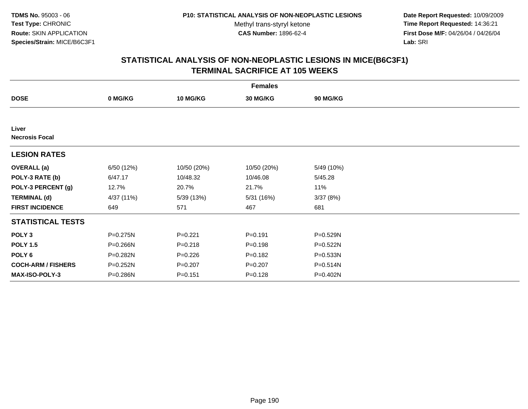**Date Report Requested:** 10/09/2009 **Time Report Requested:** 14:36:21 **First Dose M/F:** 04/26/04 / 04/26/04 Lab: SRI **Lab:** SRI

| <b>Females</b>                 |              |             |             |                 |  |  |  |
|--------------------------------|--------------|-------------|-------------|-----------------|--|--|--|
| <b>DOSE</b>                    | 0 MG/KG      | 10 MG/KG    | 30 MG/KG    | <b>90 MG/KG</b> |  |  |  |
|                                |              |             |             |                 |  |  |  |
| Liver<br><b>Necrosis Focal</b> |              |             |             |                 |  |  |  |
| <b>LESION RATES</b>            |              |             |             |                 |  |  |  |
| <b>OVERALL</b> (a)             | 6/50 (12%)   | 10/50 (20%) | 10/50 (20%) | 5/49 (10%)      |  |  |  |
| POLY-3 RATE (b)                | 6/47.17      | 10/48.32    | 10/46.08    | 5/45.28         |  |  |  |
| POLY-3 PERCENT (g)             | 12.7%        | 20.7%       | 21.7%       | 11%             |  |  |  |
| <b>TERMINAL (d)</b>            | 4/37 (11%)   | 5/39(13%)   | 5/31 (16%)  | 3/37(8%)        |  |  |  |
| <b>FIRST INCIDENCE</b>         | 649          | 571         | 467         | 681             |  |  |  |
| <b>STATISTICAL TESTS</b>       |              |             |             |                 |  |  |  |
| POLY <sub>3</sub>              | $P = 0.275N$ | $P = 0.221$ | $P = 0.191$ | P=0.529N        |  |  |  |
| <b>POLY 1.5</b>                | P=0.266N     | $P = 0.218$ | $P = 0.198$ | P=0.522N        |  |  |  |
| POLY 6                         | P=0.282N     | $P = 0.226$ | $P = 0.182$ | P=0.533N        |  |  |  |
| <b>COCH-ARM / FISHERS</b>      | P=0.252N     | $P = 0.207$ | $P = 0.207$ | P=0.514N        |  |  |  |
| MAX-ISO-POLY-3                 | P=0.286N     | $P = 0.151$ | $P = 0.128$ | P=0.402N        |  |  |  |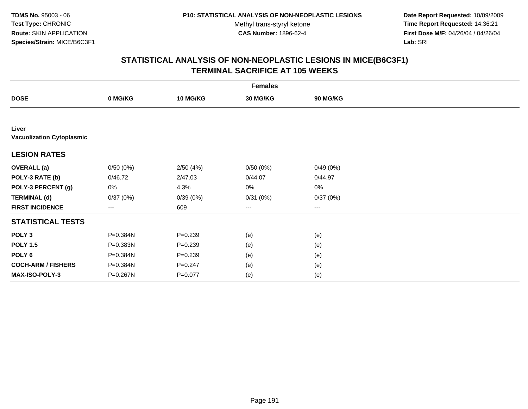**Date Report Requested:** 10/09/2009 **Time Report Requested:** 14:36:21 **First Dose M/F:** 04/26/04 / 04/26/04 Lab: SRI **Lab:** SRI

|                                           | <b>Females</b> |                 |          |          |  |  |  |  |
|-------------------------------------------|----------------|-----------------|----------|----------|--|--|--|--|
| <b>DOSE</b>                               | 0 MG/KG        | <b>10 MG/KG</b> | 30 MG/KG | 90 MG/KG |  |  |  |  |
|                                           |                |                 |          |          |  |  |  |  |
| Liver<br><b>Vacuolization Cytoplasmic</b> |                |                 |          |          |  |  |  |  |
| <b>LESION RATES</b>                       |                |                 |          |          |  |  |  |  |
| <b>OVERALL</b> (a)                        | 0/50(0%)       | 2/50(4%)        | 0/50(0%) | 0/49(0%) |  |  |  |  |
| POLY-3 RATE (b)                           | 0/46.72        | 2/47.03         | 0/44.07  | 0/44.97  |  |  |  |  |
| POLY-3 PERCENT (g)                        | 0%             | 4.3%            | 0%       | 0%       |  |  |  |  |
| <b>TERMINAL (d)</b>                       | 0/37(0%)       | 0/39(0%)        | 0/31(0%) | 0/37(0%) |  |  |  |  |
| <b>FIRST INCIDENCE</b>                    | ---            | 609             | $---$    | ---      |  |  |  |  |
| <b>STATISTICAL TESTS</b>                  |                |                 |          |          |  |  |  |  |
| POLY <sub>3</sub>                         | P=0.384N       | $P = 0.239$     | (e)      | (e)      |  |  |  |  |
| <b>POLY 1.5</b>                           | P=0.383N       | $P = 0.239$     | (e)      | (e)      |  |  |  |  |
| POLY <sub>6</sub>                         | P=0.384N       | $P = 0.239$     | (e)      | (e)      |  |  |  |  |
| <b>COCH-ARM / FISHERS</b>                 | P=0.384N       | $P = 0.247$     | (e)      | (e)      |  |  |  |  |
| MAX-ISO-POLY-3                            | P=0.267N       | $P = 0.077$     | (e)      | (e)      |  |  |  |  |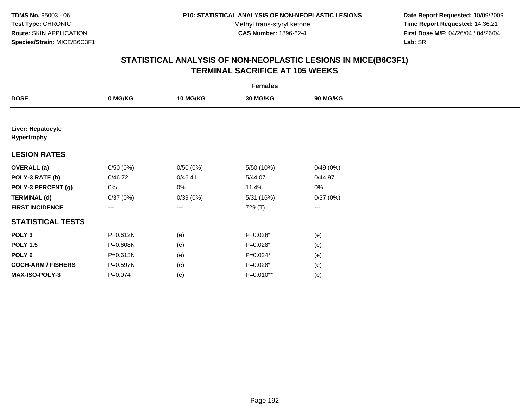**Date Report Requested:** 10/09/2009 **Time Report Requested:** 14:36:21 **First Dose M/F:** 04/26/04 / 04/26/04 Lab: SRI **Lab:** SRI

|                                  | <b>Females</b> |                        |            |                 |  |  |  |  |
|----------------------------------|----------------|------------------------|------------|-----------------|--|--|--|--|
| <b>DOSE</b>                      | 0 MG/KG        | 10 MG/KG               | 30 MG/KG   | <b>90 MG/KG</b> |  |  |  |  |
|                                  |                |                        |            |                 |  |  |  |  |
| Liver: Hepatocyte<br>Hypertrophy |                |                        |            |                 |  |  |  |  |
| <b>LESION RATES</b>              |                |                        |            |                 |  |  |  |  |
| <b>OVERALL</b> (a)               | 0/50(0%)       | 0/50(0%)               | 5/50 (10%) | 0/49(0%)        |  |  |  |  |
| POLY-3 RATE (b)                  | 0/46.72        | 0/46.41                | 5/44.07    | 0/44.97         |  |  |  |  |
| POLY-3 PERCENT (g)               | $0\%$          | 0%                     | 11.4%      | $0\%$           |  |  |  |  |
| <b>TERMINAL (d)</b>              | 0/37(0%)       | 0/39(0%)               | 5/31(16%)  | 0/37(0%)        |  |  |  |  |
| <b>FIRST INCIDENCE</b>           | ---            | $\qquad \qquad \cdots$ | 729 (T)    | ---             |  |  |  |  |
| <b>STATISTICAL TESTS</b>         |                |                        |            |                 |  |  |  |  |
| POLY <sub>3</sub>                | $P = 0.612N$   | (e)                    | P=0.026*   | (e)             |  |  |  |  |
| <b>POLY 1.5</b>                  | P=0.608N       | (e)                    | P=0.028*   | (e)             |  |  |  |  |
| POLY 6                           | P=0.613N       | (e)                    | $P=0.024*$ | (e)             |  |  |  |  |
| <b>COCH-ARM / FISHERS</b>        | P=0.597N       | (e)                    | $P=0.028*$ | (e)             |  |  |  |  |
| MAX-ISO-POLY-3                   | $P = 0.074$    | (e)                    | P=0.010**  | (e)             |  |  |  |  |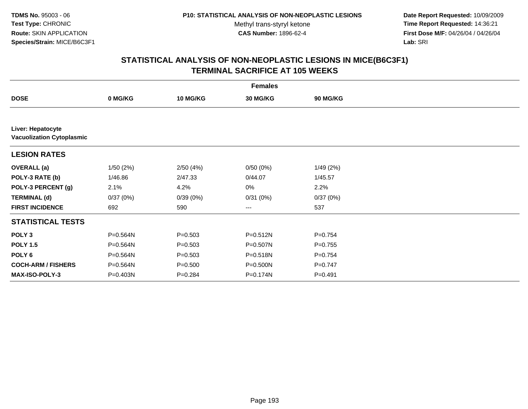**Date Report Requested:** 10/09/2009 **Time Report Requested:** 14:36:21 **First Dose M/F:** 04/26/04 / 04/26/04 Lab: SRI **Lab:** SRI

|                                                       |          |                 | <b>Females</b>  |                 |  |
|-------------------------------------------------------|----------|-----------------|-----------------|-----------------|--|
| <b>DOSE</b>                                           | 0 MG/KG  | <b>10 MG/KG</b> | <b>30 MG/KG</b> | <b>90 MG/KG</b> |  |
|                                                       |          |                 |                 |                 |  |
| Liver: Hepatocyte<br><b>Vacuolization Cytoplasmic</b> |          |                 |                 |                 |  |
| <b>LESION RATES</b>                                   |          |                 |                 |                 |  |
| <b>OVERALL</b> (a)                                    | 1/50(2%) | 2/50(4%)        | 0/50(0%)        | 1/49(2%)        |  |
| POLY-3 RATE (b)                                       | 1/46.86  | 2/47.33         | 0/44.07         | 1/45.57         |  |
| POLY-3 PERCENT (g)                                    | 2.1%     | 4.2%            | 0%              | 2.2%            |  |
| <b>TERMINAL (d)</b>                                   | 0/37(0%) | 0/39(0%)        | 0/31(0%)        | 0/37(0%)        |  |
| <b>FIRST INCIDENCE</b>                                | 692      | 590             | $--$            | 537             |  |
| <b>STATISTICAL TESTS</b>                              |          |                 |                 |                 |  |
| POLY <sub>3</sub>                                     | P=0.564N | $P = 0.503$     | $P = 0.512N$    | $P=0.754$       |  |
| <b>POLY 1.5</b>                                       | P=0.564N | $P = 0.503$     | P=0.507N        | $P=0.755$       |  |
| POLY <sub>6</sub>                                     | P=0.564N | $P = 0.503$     | P=0.518N        | $P=0.754$       |  |
| <b>COCH-ARM / FISHERS</b>                             | P=0.564N | $P = 0.500$     | P=0.500N        | $P=0.747$       |  |
| MAX-ISO-POLY-3                                        | P=0.403N | $P=0.284$       | P=0.174N        | $P = 0.491$     |  |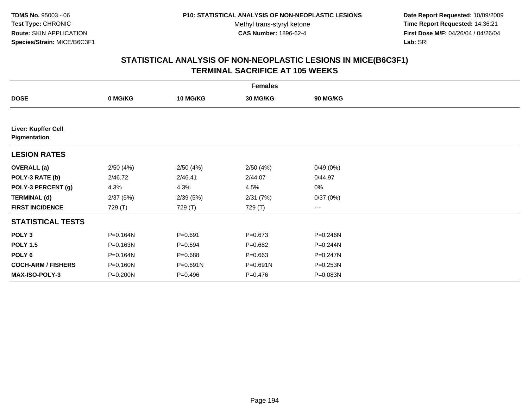**Date Report Requested:** 10/09/2009 **Time Report Requested:** 14:36:21 **First Dose M/F:** 04/26/04 / 04/26/04 Lab: SRI **Lab:** SRI

|                                     |          |                 | <b>Females</b> |              |  |
|-------------------------------------|----------|-----------------|----------------|--------------|--|
| <b>DOSE</b>                         | 0 MG/KG  | <b>10 MG/KG</b> | 30 MG/KG       | 90 MG/KG     |  |
|                                     |          |                 |                |              |  |
| Liver: Kupffer Cell<br>Pigmentation |          |                 |                |              |  |
| <b>LESION RATES</b>                 |          |                 |                |              |  |
| <b>OVERALL</b> (a)                  | 2/50(4%) | 2/50(4%)        | 2/50(4%)       | 0/49(0%)     |  |
| POLY-3 RATE (b)                     | 2/46.72  | 2/46.41         | 2/44.07        | 0/44.97      |  |
| POLY-3 PERCENT (g)                  | 4.3%     | 4.3%            | 4.5%           | 0%           |  |
| <b>TERMINAL (d)</b>                 | 2/37(5%) | 2/39(5%)        | 2/31(7%)       | 0/37(0%)     |  |
| <b>FIRST INCIDENCE</b>              | 729 (T)  | 729 (T)         | 729 (T)        | ---          |  |
| <b>STATISTICAL TESTS</b>            |          |                 |                |              |  |
| POLY <sub>3</sub>                   | P=0.164N | $P = 0.691$     | $P = 0.673$    | P=0.246N     |  |
| <b>POLY 1.5</b>                     | P=0.163N | $P = 0.694$     | $P=0.682$      | $P = 0.244N$ |  |
| POLY 6                              | P=0.164N | $P = 0.688$     | $P = 0.663$    | P=0.247N     |  |
| <b>COCH-ARM / FISHERS</b>           | P=0.160N | P=0.691N        | P=0.691N       | P=0.253N     |  |
| <b>MAX-ISO-POLY-3</b>               | P=0.200N | $P = 0.496$     | $P = 0.476$    | P=0.083N     |  |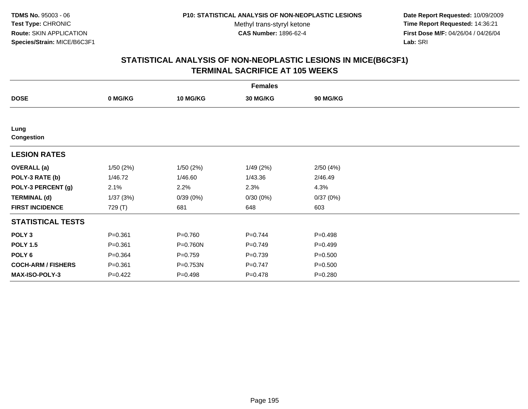**Date Report Requested:** 10/09/2009 **Time Report Requested:** 14:36:21 **First Dose M/F:** 04/26/04 / 04/26/04 Lab: SRI **Lab:** SRI

|                           |             |                 | <b>Females</b>  |             |  |
|---------------------------|-------------|-----------------|-----------------|-------------|--|
| <b>DOSE</b>               | 0 MG/KG     | <b>10 MG/KG</b> | <b>30 MG/KG</b> | 90 MG/KG    |  |
|                           |             |                 |                 |             |  |
| Lung<br><b>Congestion</b> |             |                 |                 |             |  |
| <b>LESION RATES</b>       |             |                 |                 |             |  |
| <b>OVERALL</b> (a)        | 1/50(2%)    | 1/50(2%)        | 1/49(2%)        | 2/50(4%)    |  |
| POLY-3 RATE (b)           | 1/46.72     | 1/46.60         | 1/43.36         | 2/46.49     |  |
| POLY-3 PERCENT (g)        | 2.1%        | 2.2%            | 2.3%            | 4.3%        |  |
| <b>TERMINAL (d)</b>       | 1/37(3%)    | 0/39(0%)        | 0/30(0%)        | 0/37(0%)    |  |
| <b>FIRST INCIDENCE</b>    | 729 (T)     | 681             | 648             | 603         |  |
| <b>STATISTICAL TESTS</b>  |             |                 |                 |             |  |
| POLY <sub>3</sub>         | $P = 0.361$ | $P=0.760$       | $P=0.744$       | $P=0.498$   |  |
| <b>POLY 1.5</b>           | $P = 0.361$ | P=0.760N        | $P=0.749$       | $P=0.499$   |  |
| POLY 6                    | $P = 0.364$ | $P = 0.759$     | $P=0.739$       | $P = 0.500$ |  |
| <b>COCH-ARM / FISHERS</b> | $P = 0.361$ | P=0.753N        | $P=0.747$       | $P = 0.500$ |  |
| MAX-ISO-POLY-3            | $P = 0.422$ | $P=0.498$       | $P = 0.478$     | $P = 0.280$ |  |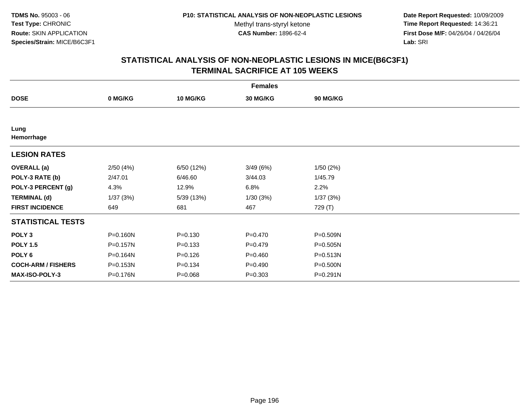**Date Report Requested:** 10/09/2009 **Time Report Requested:** 14:36:21 **First Dose M/F:** 04/26/04 / 04/26/04 Lab: SRI **Lab:** SRI

|                           |              |                 | <b>Females</b> |              |  |
|---------------------------|--------------|-----------------|----------------|--------------|--|
| <b>DOSE</b>               | 0 MG/KG      | <b>10 MG/KG</b> | 30 MG/KG       | 90 MG/KG     |  |
|                           |              |                 |                |              |  |
| Lung<br>Hemorrhage        |              |                 |                |              |  |
| <b>LESION RATES</b>       |              |                 |                |              |  |
| <b>OVERALL</b> (a)        | 2/50(4%)     | 6/50 (12%)      | 3/49(6%)       | 1/50(2%)     |  |
| POLY-3 RATE (b)           | 2/47.01      | 6/46.60         | 3/44.03        | 1/45.79      |  |
| POLY-3 PERCENT (g)        | 4.3%         | 12.9%           | 6.8%           | 2.2%         |  |
| <b>TERMINAL (d)</b>       | 1/37(3%)     | 5/39 (13%)      | 1/30(3%)       | 1/37(3%)     |  |
| <b>FIRST INCIDENCE</b>    | 649          | 681             | 467            | 729 (T)      |  |
| <b>STATISTICAL TESTS</b>  |              |                 |                |              |  |
| POLY <sub>3</sub>         | P=0.160N     | $P = 0.130$     | $P=0.470$      | P=0.509N     |  |
| <b>POLY 1.5</b>           | $P = 0.157N$ | $P = 0.133$     | $P=0.479$      | $P = 0.505N$ |  |
| POLY <sub>6</sub>         | P=0.164N     | $P = 0.126$     | $P = 0.460$    | P=0.513N     |  |
| <b>COCH-ARM / FISHERS</b> | P=0.153N     | $P = 0.134$     | $P=0.490$      | P=0.500N     |  |
| MAX-ISO-POLY-3            | P=0.176N     | $P = 0.068$     | $P = 0.303$    | P=0.291N     |  |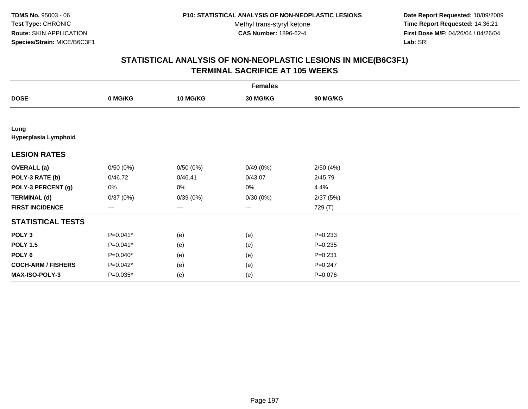**Date Report Requested:** 10/09/2009 **Time Report Requested:** 14:36:21 **First Dose M/F:** 04/26/04 / 04/26/04 Lab: SRI **Lab:** SRI

|                              |            |                 | <b>Females</b>         |             |  |
|------------------------------|------------|-----------------|------------------------|-------------|--|
| <b>DOSE</b>                  | 0 MG/KG    | <b>10 MG/KG</b> | 30 MG/KG               | 90 MG/KG    |  |
|                              |            |                 |                        |             |  |
| Lung<br>Hyperplasia Lymphoid |            |                 |                        |             |  |
| <b>LESION RATES</b>          |            |                 |                        |             |  |
| <b>OVERALL</b> (a)           | 0/50(0%)   | 0/50(0%)        | 0/49(0%)               | 2/50(4%)    |  |
| POLY-3 RATE (b)              | 0/46.72    | 0/46.41         | 0/43.07                | 2/45.79     |  |
| POLY-3 PERCENT (g)           | 0%         | 0%              | 0%                     | 4.4%        |  |
| <b>TERMINAL (d)</b>          | 0/37(0%)   | 0/39(0%)        | 0/30(0%)               | 2/37(5%)    |  |
| <b>FIRST INCIDENCE</b>       | ---        | ---             | $\qquad \qquad \cdots$ | 729 (T)     |  |
| <b>STATISTICAL TESTS</b>     |            |                 |                        |             |  |
| POLY <sub>3</sub>            | $P=0.041*$ | (e)             | (e)                    | $P = 0.233$ |  |
| <b>POLY 1.5</b>              | $P=0.041*$ | (e)             | (e)                    | $P = 0.235$ |  |
| POLY 6                       | $P=0.040*$ | (e)             | (e)                    | $P = 0.231$ |  |
| <b>COCH-ARM / FISHERS</b>    | $P=0.042*$ | (e)             | (e)                    | $P = 0.247$ |  |
| MAX-ISO-POLY-3               | P=0.035*   | (e)             | (e)                    | $P = 0.076$ |  |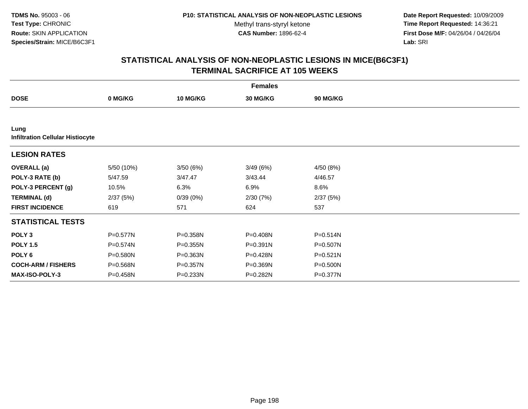**Date Report Requested:** 10/09/2009 **Time Report Requested:** 14:36:21 **First Dose M/F:** 04/26/04 / 04/26/04 Lab: SRI **Lab:** SRI

|                                                 |            |                 | <b>Females</b> |                 |  |
|-------------------------------------------------|------------|-----------------|----------------|-----------------|--|
| <b>DOSE</b>                                     | 0 MG/KG    | <b>10 MG/KG</b> | 30 MG/KG       | <b>90 MG/KG</b> |  |
|                                                 |            |                 |                |                 |  |
| Lung<br><b>Infiltration Cellular Histiocyte</b> |            |                 |                |                 |  |
| <b>LESION RATES</b>                             |            |                 |                |                 |  |
| <b>OVERALL</b> (a)                              | 5/50 (10%) | 3/50(6%)        | 3/49(6%)       | 4/50 (8%)       |  |
| POLY-3 RATE (b)                                 | 5/47.59    | 3/47.47         | 3/43.44        | 4/46.57         |  |
| POLY-3 PERCENT (g)                              | 10.5%      | 6.3%            | 6.9%           | 8.6%            |  |
| <b>TERMINAL (d)</b>                             | 2/37(5%)   | 0/39(0%)        | 2/30(7%)       | 2/37(5%)        |  |
| <b>FIRST INCIDENCE</b>                          | 619        | 571             | 624            | 537             |  |
| <b>STATISTICAL TESTS</b>                        |            |                 |                |                 |  |
| POLY <sub>3</sub>                               | P=0.577N   | P=0.358N        | P=0.408N       | $P = 0.514N$    |  |
| <b>POLY 1.5</b>                                 | P=0.574N   | P=0.355N        | $P = 0.391N$   | P=0.507N        |  |
| POLY 6                                          | P=0.580N   | P=0.363N        | P=0.428N       | $P = 0.521N$    |  |
| <b>COCH-ARM / FISHERS</b>                       | P=0.568N   | P=0.357N        | P=0.369N       | P=0.500N        |  |
| MAX-ISO-POLY-3                                  | P=0.458N   | P=0.233N        | P=0.282N       | P=0.377N        |  |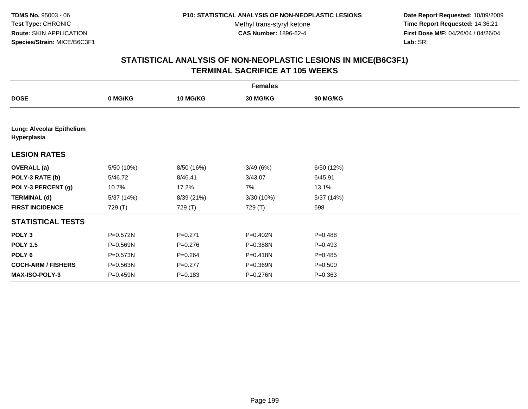**Date Report Requested:** 10/09/2009 **Time Report Requested:** 14:36:21 **First Dose M/F:** 04/26/04 / 04/26/04 Lab: SRI **Lab:** SRI

|                                          |              |                 | <b>Females</b> |                 |  |
|------------------------------------------|--------------|-----------------|----------------|-----------------|--|
| <b>DOSE</b>                              | 0 MG/KG      | <b>10 MG/KG</b> | 30 MG/KG       | <b>90 MG/KG</b> |  |
|                                          |              |                 |                |                 |  |
| Lung: Alveolar Epithelium<br>Hyperplasia |              |                 |                |                 |  |
| <b>LESION RATES</b>                      |              |                 |                |                 |  |
| <b>OVERALL</b> (a)                       | 5/50 (10%)   | 8/50 (16%)      | 3/49(6%)       | 6/50 (12%)      |  |
| POLY-3 RATE (b)                          | 5/46.72      | 8/46.41         | 3/43.07        | 6/45.91         |  |
| POLY-3 PERCENT (g)                       | 10.7%        | 17.2%           | 7%             | 13.1%           |  |
| <b>TERMINAL (d)</b>                      | 5/37 (14%)   | 8/39 (21%)      | 3/30 (10%)     | 5/37 (14%)      |  |
| <b>FIRST INCIDENCE</b>                   | 729 (T)      | 729 (T)         | 729 (T)        | 698             |  |
| <b>STATISTICAL TESTS</b>                 |              |                 |                |                 |  |
| POLY <sub>3</sub>                        | P=0.572N     | $P=0.271$       | P=0.402N       | $P = 0.488$     |  |
| <b>POLY 1.5</b>                          | P=0.569N     | $P=0.276$       | P=0.388N       | $P = 0.493$     |  |
| POLY 6                                   | $P = 0.573N$ | $P = 0.264$     | P=0.418N       | $P = 0.485$     |  |
| <b>COCH-ARM / FISHERS</b>                | P=0.563N     | $P=0.277$       | P=0.369N       | $P = 0.500$     |  |
| MAX-ISO-POLY-3                           | P=0.459N     | $P = 0.183$     | P=0.276N       | $P = 0.363$     |  |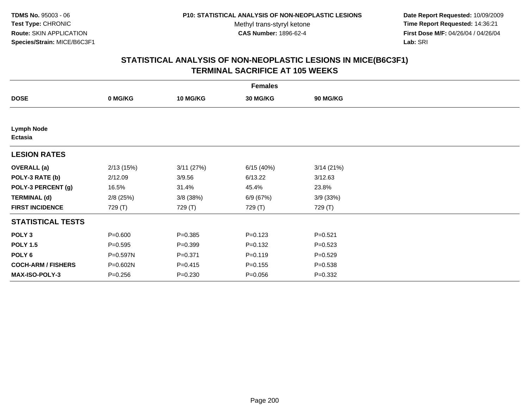**Date Report Requested:** 10/09/2009 **Time Report Requested:** 14:36:21 **First Dose M/F:** 04/26/04 / 04/26/04 Lab: SRI **Lab:** SRI

|                              |             |                 | <b>Females</b> |             |  |
|------------------------------|-------------|-----------------|----------------|-------------|--|
| <b>DOSE</b>                  | 0 MG/KG     | <b>10 MG/KG</b> | 30 MG/KG       | 90 MG/KG    |  |
|                              |             |                 |                |             |  |
| <b>Lymph Node</b><br>Ectasia |             |                 |                |             |  |
| <b>LESION RATES</b>          |             |                 |                |             |  |
| <b>OVERALL</b> (a)           | 2/13(15%)   | 3/11(27%)       | 6/15(40%)      | 3/14(21%)   |  |
| POLY-3 RATE (b)              | 2/12.09     | 3/9.56          | 6/13.22        | 3/12.63     |  |
| POLY-3 PERCENT (g)           | 16.5%       | 31.4%           | 45.4%          | 23.8%       |  |
| <b>TERMINAL (d)</b>          | $2/8$ (25%) | $3/8$ (38%)     | 6/9 (67%)      | 3/9(33%)    |  |
| <b>FIRST INCIDENCE</b>       | 729 (T)     | 729 (T)         | 729 (T)        | 729 (T)     |  |
| <b>STATISTICAL TESTS</b>     |             |                 |                |             |  |
| POLY <sub>3</sub>            | $P = 0.600$ | $P = 0.385$     | $P = 0.123$    | $P = 0.521$ |  |
| <b>POLY 1.5</b>              | $P = 0.595$ | $P = 0.399$     | $P = 0.132$    | $P=0.523$   |  |
| POLY <sub>6</sub>            | P=0.597N    | $P = 0.371$     | $P = 0.119$    | $P = 0.529$ |  |
| <b>COCH-ARM / FISHERS</b>    | P=0.602N    | $P = 0.415$     | $P = 0.155$    | $P = 0.538$ |  |
| <b>MAX-ISO-POLY-3</b>        | $P = 0.256$ | $P = 0.230$     | $P = 0.056$    | $P = 0.332$ |  |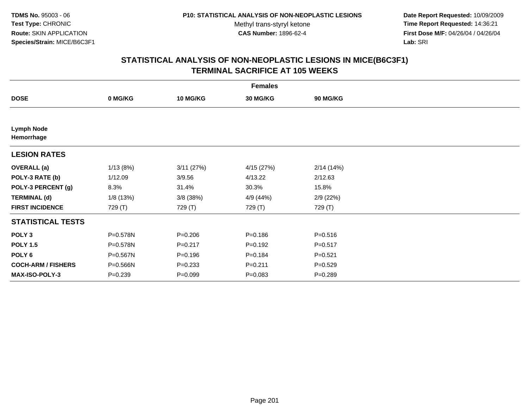**Date Report Requested:** 10/09/2009 **Time Report Requested:** 14:36:21 **First Dose M/F:** 04/26/04 / 04/26/04 Lab: SRI **Lab:** SRI

|                                 |             |                 | <b>Females</b>  |             |  |
|---------------------------------|-------------|-----------------|-----------------|-------------|--|
| <b>DOSE</b>                     | 0 MG/KG     | <b>10 MG/KG</b> | <b>30 MG/KG</b> | 90 MG/KG    |  |
|                                 |             |                 |                 |             |  |
| <b>Lymph Node</b><br>Hemorrhage |             |                 |                 |             |  |
| <b>LESION RATES</b>             |             |                 |                 |             |  |
| <b>OVERALL</b> (a)              | 1/13(8%)    | 3/11(27%)       | 4/15 (27%)      | 2/14(14%)   |  |
| POLY-3 RATE (b)                 | 1/12.09     | 3/9.56          | 4/13.22         | 2/12.63     |  |
| POLY-3 PERCENT (g)              | 8.3%        | 31.4%           | 30.3%           | 15.8%       |  |
| <b>TERMINAL (d)</b>             | 1/8 (13%)   | $3/8$ (38%)     | 4/9 (44%)       | 2/9(22%)    |  |
| <b>FIRST INCIDENCE</b>          | 729 (T)     | 729 (T)         | 729 (T)         | 729 (T)     |  |
| <b>STATISTICAL TESTS</b>        |             |                 |                 |             |  |
| POLY <sub>3</sub>               | P=0.578N    | $P = 0.206$     | $P = 0.186$     | $P = 0.516$ |  |
| <b>POLY 1.5</b>                 | P=0.578N    | $P = 0.217$     | $P = 0.192$     | $P = 0.517$ |  |
| POLY <sub>6</sub>               | P=0.567N    | $P = 0.196$     | $P = 0.184$     | $P = 0.521$ |  |
| <b>COCH-ARM / FISHERS</b>       | P=0.566N    | $P = 0.233$     | $P = 0.211$     | $P = 0.529$ |  |
| MAX-ISO-POLY-3                  | $P = 0.239$ | $P=0.099$       | $P=0.083$       | $P = 0.289$ |  |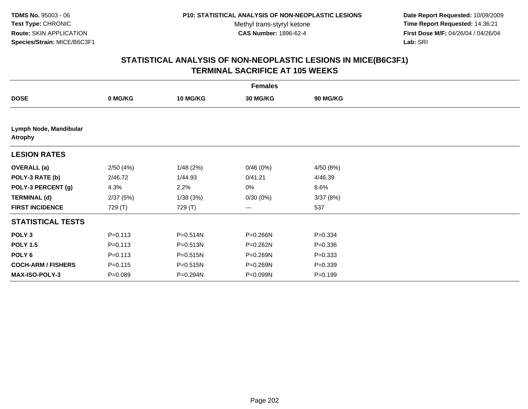**Date Report Requested:** 10/09/2009 **Time Report Requested:** 14:36:21 **First Dose M/F:** 04/26/04 / 04/26/04 Lab: SRI **Lab:** SRI

|                                          |             |                 | <b>Females</b> |                 |  |
|------------------------------------------|-------------|-----------------|----------------|-----------------|--|
| <b>DOSE</b>                              | 0 MG/KG     | <b>10 MG/KG</b> | 30 MG/KG       | <b>90 MG/KG</b> |  |
|                                          |             |                 |                |                 |  |
| Lymph Node, Mandibular<br><b>Atrophy</b> |             |                 |                |                 |  |
| <b>LESION RATES</b>                      |             |                 |                |                 |  |
| <b>OVERALL</b> (a)                       | 2/50(4%)    | 1/48(2%)        | 0/46(0%)       | 4/50 (8%)       |  |
| POLY-3 RATE (b)                          | 2/46.72     | 1/44.93         | 0/41.21        | 4/46.39         |  |
| POLY-3 PERCENT (g)                       | 4.3%        | 2.2%            | 0%             | 8.6%            |  |
| <b>TERMINAL (d)</b>                      | 2/37(5%)    | 1/38(3%)        | 0/30(0%)       | 3/37(8%)        |  |
| <b>FIRST INCIDENCE</b>                   | 729 (T)     | 729 (T)         | $--$           | 537             |  |
| <b>STATISTICAL TESTS</b>                 |             |                 |                |                 |  |
| POLY <sub>3</sub>                        | $P = 0.113$ | P=0.514N        | P=0.266N       | $P = 0.334$     |  |
| <b>POLY 1.5</b>                          | $P = 0.113$ | P=0.513N        | P=0.262N       | $P = 0.336$     |  |
| POLY <sub>6</sub>                        | $P = 0.113$ | P=0.515N        | P=0.269N       | $P = 0.333$     |  |
| <b>COCH-ARM / FISHERS</b>                | $P = 0.115$ | P=0.515N        | P=0.269N       | $P = 0.339$     |  |
| MAX-ISO-POLY-3                           | $P = 0.089$ | P=0.294N        | P=0.099N       | $P = 0.199$     |  |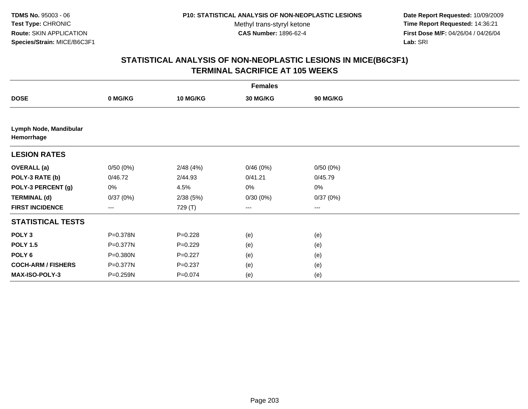**Date Report Requested:** 10/09/2009 **Time Report Requested:** 14:36:21 **First Dose M/F:** 04/26/04 / 04/26/04 Lab: SRI **Lab:** SRI

|                                      |                        |                 | <b>Females</b> |                 |  |
|--------------------------------------|------------------------|-----------------|----------------|-----------------|--|
| <b>DOSE</b>                          | 0 MG/KG                | <b>10 MG/KG</b> | 30 MG/KG       | <b>90 MG/KG</b> |  |
|                                      |                        |                 |                |                 |  |
| Lymph Node, Mandibular<br>Hemorrhage |                        |                 |                |                 |  |
| <b>LESION RATES</b>                  |                        |                 |                |                 |  |
| <b>OVERALL (a)</b>                   | 0/50(0%)               | 2/48(4%)        | 0/46(0%)       | 0/50(0%)        |  |
| POLY-3 RATE (b)                      | 0/46.72                | 2/44.93         | 0/41.21        | 0/45.79         |  |
| POLY-3 PERCENT (g)                   | 0%                     | 4.5%            | 0%             | $0\%$           |  |
| <b>TERMINAL (d)</b>                  | 0/37(0%)               | 2/38(5%)        | 0/30(0%)       | 0/37(0%)        |  |
| <b>FIRST INCIDENCE</b>               | $\qquad \qquad \cdots$ | 729 (T)         | $---$          | ---             |  |
| <b>STATISTICAL TESTS</b>             |                        |                 |                |                 |  |
| POLY <sub>3</sub>                    | P=0.378N               | $P = 0.228$     | (e)            | (e)             |  |
| <b>POLY 1.5</b>                      | P=0.377N               | $P=0.229$       | (e)            | (e)             |  |
| POLY 6                               | P=0.380N               | $P=0.227$       | (e)            | (e)             |  |
| <b>COCH-ARM / FISHERS</b>            | P=0.377N               | $P = 0.237$     | (e)            | (e)             |  |
| MAX-ISO-POLY-3                       | P=0.259N               | $P=0.074$       | (e)            | (e)             |  |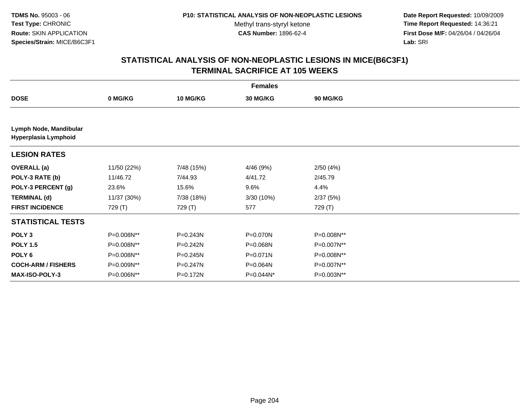**Date Report Requested:** 10/09/2009 **Time Report Requested:** 14:36:21 **First Dose M/F:** 04/26/04 / 04/26/04 Lab: SRI **Lab:** SRI

|                                                |             |              | <b>Females</b> |                 |  |
|------------------------------------------------|-------------|--------------|----------------|-----------------|--|
| <b>DOSE</b>                                    | 0 MG/KG     | 10 MG/KG     | 30 MG/KG       | <b>90 MG/KG</b> |  |
|                                                |             |              |                |                 |  |
| Lymph Node, Mandibular<br>Hyperplasia Lymphoid |             |              |                |                 |  |
| <b>LESION RATES</b>                            |             |              |                |                 |  |
| <b>OVERALL</b> (a)                             | 11/50 (22%) | 7/48 (15%)   | 4/46 (9%)      | 2/50(4%)        |  |
| POLY-3 RATE (b)                                | 11/46.72    | 7/44.93      | 4/41.72        | 2/45.79         |  |
| POLY-3 PERCENT (g)                             | 23.6%       | 15.6%        | 9.6%           | 4.4%            |  |
| <b>TERMINAL (d)</b>                            | 11/37 (30%) | 7/38 (18%)   | 3/30(10%)      | 2/37(5%)        |  |
| <b>FIRST INCIDENCE</b>                         | 729 (T)     | 729 (T)      | 577            | 729 (T)         |  |
| <b>STATISTICAL TESTS</b>                       |             |              |                |                 |  |
| POLY <sub>3</sub>                              | P=0.008N**  | $P = 0.243N$ | P=0.070N       | P=0.008N**      |  |
| <b>POLY 1.5</b>                                | P=0.008N**  | $P = 0.242N$ | P=0.068N       | P=0.007N**      |  |
| POLY <sub>6</sub>                              | P=0.008N**  | $P = 0.245N$ | P=0.071N       | P=0.008N**      |  |
| <b>COCH-ARM / FISHERS</b>                      | P=0.009N**  | $P = 0.247N$ | P=0.064N       | P=0.007N**      |  |
| <b>MAX-ISO-POLY-3</b>                          | P=0.006N**  | P=0.172N     | P=0.044N*      | P=0.003N**      |  |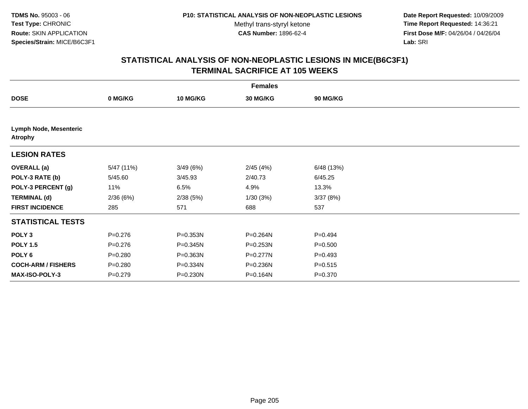**Date Report Requested:** 10/09/2009 **Time Report Requested:** 14:36:21 **First Dose M/F:** 04/26/04 / 04/26/04 Lab: SRI **Lab:** SRI

| <b>Females</b>                           |             |                 |          |                 |  |  |
|------------------------------------------|-------------|-----------------|----------|-----------------|--|--|
| <b>DOSE</b>                              | 0 MG/KG     | <b>10 MG/KG</b> | 30 MG/KG | <b>90 MG/KG</b> |  |  |
|                                          |             |                 |          |                 |  |  |
| Lymph Node, Mesenteric<br><b>Atrophy</b> |             |                 |          |                 |  |  |
| <b>LESION RATES</b>                      |             |                 |          |                 |  |  |
| <b>OVERALL</b> (a)                       | 5/47 (11%)  | 3/49(6%)        | 2/45(4%) | 6/48(13%)       |  |  |
| POLY-3 RATE (b)                          | 5/45.60     | 3/45.93         | 2/40.73  | 6/45.25         |  |  |
| POLY-3 PERCENT (g)                       | 11%         | 6.5%            | 4.9%     | 13.3%           |  |  |
| <b>TERMINAL (d)</b>                      | 2/36(6%)    | 2/38(5%)        | 1/30(3%) | 3/37(8%)        |  |  |
| <b>FIRST INCIDENCE</b>                   | 285         | 571             | 688      | 537             |  |  |
| <b>STATISTICAL TESTS</b>                 |             |                 |          |                 |  |  |
| POLY <sub>3</sub>                        | $P = 0.276$ | P=0.353N        | P=0.264N | $P=0.494$       |  |  |
| <b>POLY 1.5</b>                          | $P = 0.276$ | P=0.345N        | P=0.253N | $P = 0.500$     |  |  |
| POLY <sub>6</sub>                        | $P = 0.280$ | P=0.363N        | P=0.277N | $P=0.493$       |  |  |
| <b>COCH-ARM / FISHERS</b>                | $P = 0.280$ | P=0.334N        | P=0.236N | $P = 0.515$     |  |  |
| MAX-ISO-POLY-3                           | $P = 0.279$ | P=0.230N        | P=0.164N | $P = 0.370$     |  |  |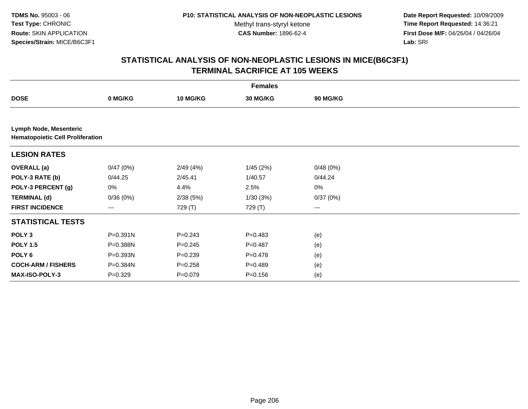**Date Report Requested:** 10/09/2009 **Time Report Requested:** 14:36:21 **First Dose M/F:** 04/26/04 / 04/26/04 Lab: SRI **Lab:** SRI

| <b>Females</b>            |                                         |                 |             |                 |  |  |  |  |
|---------------------------|-----------------------------------------|-----------------|-------------|-----------------|--|--|--|--|
| <b>DOSE</b>               | 0 MG/KG                                 | <b>10 MG/KG</b> | 30 MG/KG    | <b>90 MG/KG</b> |  |  |  |  |
|                           |                                         |                 |             |                 |  |  |  |  |
| Lymph Node, Mesenteric    | <b>Hematopoietic Cell Proliferation</b> |                 |             |                 |  |  |  |  |
| <b>LESION RATES</b>       |                                         |                 |             |                 |  |  |  |  |
| <b>OVERALL (a)</b>        | 0/47(0%)                                | 2/49(4%)        | 1/45(2%)    | 0/48(0%)        |  |  |  |  |
| POLY-3 RATE (b)           | 0/44.25                                 | 2/45.41         | 1/40.57     | 0/44.24         |  |  |  |  |
| POLY-3 PERCENT (g)        | 0%                                      | 4.4%            | 2.5%        | 0%              |  |  |  |  |
| <b>TERMINAL (d)</b>       | 0/36(0%)                                | 2/38(5%)        | 1/30(3%)    | 0/37(0%)        |  |  |  |  |
| <b>FIRST INCIDENCE</b>    | $--$                                    | 729 (T)         | 729 (T)     | $---$           |  |  |  |  |
| <b>STATISTICAL TESTS</b>  |                                         |                 |             |                 |  |  |  |  |
| POLY <sub>3</sub>         | $P = 0.391N$                            | $P = 0.243$     | $P = 0.483$ | (e)             |  |  |  |  |
| <b>POLY 1.5</b>           | P=0.388N                                | $P = 0.245$     | $P=0.487$   | (e)             |  |  |  |  |
| POLY <sub>6</sub>         | P=0.393N                                | $P = 0.239$     | $P=0.478$   | (e)             |  |  |  |  |
| <b>COCH-ARM / FISHERS</b> | P=0.384N                                | $P = 0.258$     | $P=0.489$   | (e)             |  |  |  |  |
| MAX-ISO-POLY-3            | $P = 0.329$                             | $P = 0.079$     | $P = 0.156$ | (e)             |  |  |  |  |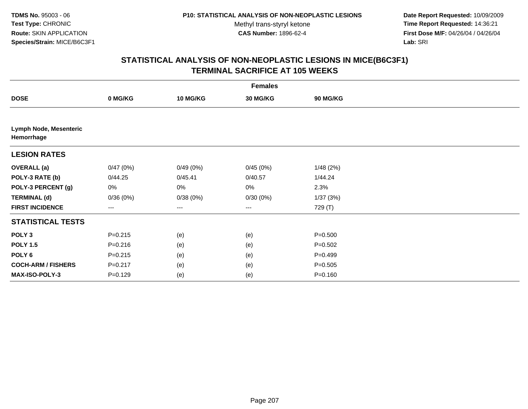**Date Report Requested:** 10/09/2009 **Time Report Requested:** 14:36:21 **First Dose M/F:** 04/26/04 / 04/26/04 Lab: SRI **Lab:** SRI

| <b>Females</b>                       |                        |                 |          |                 |  |  |  |
|--------------------------------------|------------------------|-----------------|----------|-----------------|--|--|--|
| <b>DOSE</b>                          | 0 MG/KG                | <b>10 MG/KG</b> | 30 MG/KG | <b>90 MG/KG</b> |  |  |  |
|                                      |                        |                 |          |                 |  |  |  |
| Lymph Node, Mesenteric<br>Hemorrhage |                        |                 |          |                 |  |  |  |
| <b>LESION RATES</b>                  |                        |                 |          |                 |  |  |  |
| <b>OVERALL (a)</b>                   | 0/47(0%)               | 0/49(0%)        | 0/45(0%) | 1/48(2%)        |  |  |  |
| POLY-3 RATE (b)                      | 0/44.25                | 0/45.41         | 0/40.57  | 1/44.24         |  |  |  |
| POLY-3 PERCENT (g)                   | 0%                     | 0%              | 0%       | 2.3%            |  |  |  |
| <b>TERMINAL (d)</b>                  | 0/36(0%)               | 0/38(0%)        | 0/30(0%) | 1/37 (3%)       |  |  |  |
| <b>FIRST INCIDENCE</b>               | $\qquad \qquad \cdots$ | ---             | $---$    | 729 (T)         |  |  |  |
| <b>STATISTICAL TESTS</b>             |                        |                 |          |                 |  |  |  |
| POLY <sub>3</sub>                    | $P = 0.215$            | (e)             | (e)      | $P = 0.500$     |  |  |  |
| <b>POLY 1.5</b>                      | $P = 0.216$            | (e)             | (e)      | $P = 0.502$     |  |  |  |
| POLY 6                               | $P = 0.215$            | (e)             | (e)      | $P=0.499$       |  |  |  |
| <b>COCH-ARM / FISHERS</b>            | $P = 0.217$            | (e)             | (e)      | $P = 0.505$     |  |  |  |
| MAX-ISO-POLY-3                       | $P=0.129$              | (e)             | (e)      | $P = 0.160$     |  |  |  |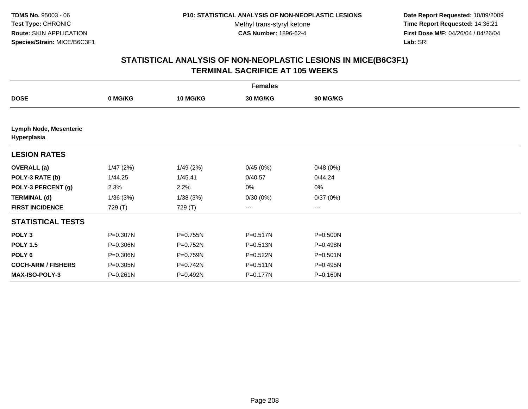**Date Report Requested:** 10/09/2009 **Time Report Requested:** 14:36:21 **First Dose M/F:** 04/26/04 / 04/26/04 Lab: SRI **Lab:** SRI

| <b>Females</b>                        |              |                 |              |              |  |  |  |
|---------------------------------------|--------------|-----------------|--------------|--------------|--|--|--|
| <b>DOSE</b>                           | 0 MG/KG      | <b>10 MG/KG</b> | 30 MG/KG     | 90 MG/KG     |  |  |  |
|                                       |              |                 |              |              |  |  |  |
| Lymph Node, Mesenteric<br>Hyperplasia |              |                 |              |              |  |  |  |
| <b>LESION RATES</b>                   |              |                 |              |              |  |  |  |
| <b>OVERALL</b> (a)                    | 1/47(2%)     | 1/49(2%)        | 0/45(0%)     | 0/48(0%)     |  |  |  |
| POLY-3 RATE (b)                       | 1/44.25      | 1/45.41         | 0/40.57      | 0/44.24      |  |  |  |
| POLY-3 PERCENT (g)                    | 2.3%         | 2.2%            | 0%           | $0\%$        |  |  |  |
| <b>TERMINAL (d)</b>                   | 1/36(3%)     | 1/38(3%)        | 0/30(0%)     | 0/37(0%)     |  |  |  |
| <b>FIRST INCIDENCE</b>                | 729 (T)      | 729 (T)         | $---$        | $---$        |  |  |  |
| <b>STATISTICAL TESTS</b>              |              |                 |              |              |  |  |  |
| POLY <sub>3</sub>                     | P=0.307N     | P=0.755N        | P=0.517N     | P=0.500N     |  |  |  |
| <b>POLY 1.5</b>                       | P=0.306N     | P=0.752N        | P=0.513N     | P=0.498N     |  |  |  |
| POLY <sub>6</sub>                     | P=0.306N     | P=0.759N        | $P = 0.522N$ | $P = 0.501N$ |  |  |  |
| <b>COCH-ARM / FISHERS</b>             | P=0.305N     | P=0.742N        | $P = 0.511N$ | P=0.495N     |  |  |  |
| <b>MAX-ISO-POLY-3</b>                 | $P = 0.261N$ | P=0.492N        | P=0.177N     | P=0.160N     |  |  |  |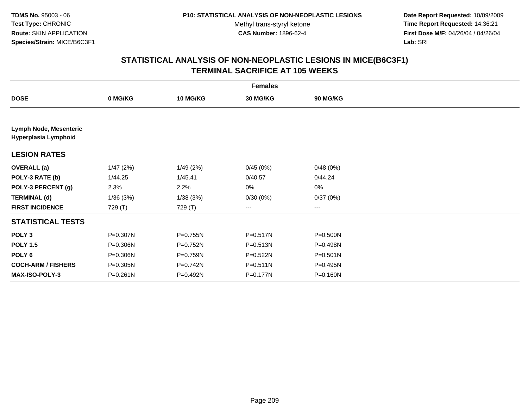**Date Report Requested:** 10/09/2009 **Time Report Requested:** 14:36:21 **First Dose M/F:** 04/26/04 / 04/26/04 Lab: SRI **Lab:** SRI

|                                                       | <b>Females</b> |          |          |                 |  |  |  |  |
|-------------------------------------------------------|----------------|----------|----------|-----------------|--|--|--|--|
| <b>DOSE</b>                                           | 0 MG/KG        | 10 MG/KG | 30 MG/KG | <b>90 MG/KG</b> |  |  |  |  |
|                                                       |                |          |          |                 |  |  |  |  |
| <b>Lymph Node, Mesenteric</b><br>Hyperplasia Lymphoid |                |          |          |                 |  |  |  |  |
| <b>LESION RATES</b>                                   |                |          |          |                 |  |  |  |  |
| <b>OVERALL</b> (a)                                    | 1/47(2%)       | 1/49(2%) | 0/45(0%) | 0/48(0%)        |  |  |  |  |
| POLY-3 RATE (b)                                       | 1/44.25        | 1/45.41  | 0/40.57  | 0/44.24         |  |  |  |  |
| POLY-3 PERCENT (g)                                    | 2.3%           | 2.2%     | 0%       | 0%              |  |  |  |  |
| <b>TERMINAL (d)</b>                                   | 1/36(3%)       | 1/38(3%) | 0/30(0%) | 0/37(0%)        |  |  |  |  |
| <b>FIRST INCIDENCE</b>                                | 729 (T)        | 729 (T)  | ---      | ---             |  |  |  |  |
| <b>STATISTICAL TESTS</b>                              |                |          |          |                 |  |  |  |  |
| POLY <sub>3</sub>                                     | P=0.307N       | P=0.755N | P=0.517N | P=0.500N        |  |  |  |  |
| <b>POLY 1.5</b>                                       | P=0.306N       | P=0.752N | P=0.513N | P=0.498N        |  |  |  |  |
| POLY <sub>6</sub>                                     | P=0.306N       | P=0.759N | P=0.522N | P=0.501N        |  |  |  |  |
| <b>COCH-ARM / FISHERS</b>                             | P=0.305N       | P=0.742N | P=0.511N | P=0.495N        |  |  |  |  |
| <b>MAX-ISO-POLY-3</b>                                 | $P = 0.261N$   | P=0.492N | P=0.177N | P=0.160N        |  |  |  |  |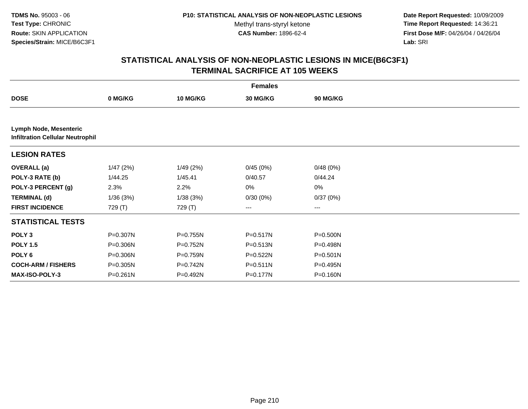**Date Report Requested:** 10/09/2009 **Time Report Requested:** 14:36:21 **First Dose M/F:** 04/26/04 / 04/26/04 Lab: SRI **Lab:** SRI

|                                                                   | <b>Females</b> |            |                 |              |  |  |  |  |
|-------------------------------------------------------------------|----------------|------------|-----------------|--------------|--|--|--|--|
| <b>DOSE</b>                                                       | 0 MG/KG        | 10 MG/KG   | <b>30 MG/KG</b> | 90 MG/KG     |  |  |  |  |
|                                                                   |                |            |                 |              |  |  |  |  |
| Lymph Node, Mesenteric<br><b>Infiltration Cellular Neutrophil</b> |                |            |                 |              |  |  |  |  |
| <b>LESION RATES</b>                                               |                |            |                 |              |  |  |  |  |
| <b>OVERALL (a)</b>                                                | 1/47(2%)       | 1/49(2%)   | 0/45(0%)        | 0/48(0%)     |  |  |  |  |
| POLY-3 RATE (b)                                                   | 1/44.25        | 1/45.41    | 0/40.57         | 0/44.24      |  |  |  |  |
| POLY-3 PERCENT (g)                                                | 2.3%           | 2.2%       | 0%              | 0%           |  |  |  |  |
| <b>TERMINAL (d)</b>                                               | 1/36(3%)       | 1/38(3%)   | 0/30(0%)        | 0/37(0%)     |  |  |  |  |
| <b>FIRST INCIDENCE</b>                                            | 729 (T)        | 729 (T)    | ---             | ---          |  |  |  |  |
| <b>STATISTICAL TESTS</b>                                          |                |            |                 |              |  |  |  |  |
| POLY <sub>3</sub>                                                 | P=0.307N       | P=0.755N   | P=0.517N        | P=0.500N     |  |  |  |  |
| <b>POLY 1.5</b>                                                   | P=0.306N       | P=0.752N   | P=0.513N        | P=0.498N     |  |  |  |  |
| POLY <sub>6</sub>                                                 | P=0.306N       | P=0.759N   | $P = 0.522N$    | $P = 0.501N$ |  |  |  |  |
| <b>COCH-ARM / FISHERS</b>                                         | P=0.305N       | $P=0.742N$ | $P = 0.511N$    | P=0.495N     |  |  |  |  |
| <b>MAX-ISO-POLY-3</b>                                             | $P = 0.261N$   | P=0.492N   | P=0.177N        | P=0.160N     |  |  |  |  |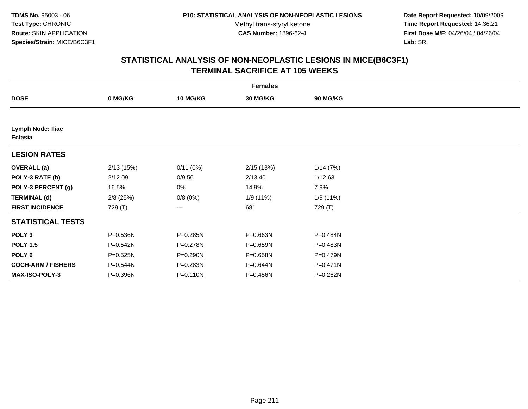**Date Report Requested:** 10/09/2009 **Time Report Requested:** 14:36:21 **First Dose M/F:** 04/26/04 / 04/26/04 Lab: SRI **Lab:** SRI

|                                            | <b>Females</b> |                 |           |              |  |  |  |  |
|--------------------------------------------|----------------|-----------------|-----------|--------------|--|--|--|--|
| <b>DOSE</b>                                | 0 MG/KG        | <b>10 MG/KG</b> | 30 MG/KG  | 90 MG/KG     |  |  |  |  |
|                                            |                |                 |           |              |  |  |  |  |
| <b>Lymph Node: Iliac</b><br><b>Ectasia</b> |                |                 |           |              |  |  |  |  |
| <b>LESION RATES</b>                        |                |                 |           |              |  |  |  |  |
| <b>OVERALL</b> (a)                         | 2/13(15%)      | 0/11(0%)        | 2/15(13%) | 1/14(7%)     |  |  |  |  |
| POLY-3 RATE (b)                            | 2/12.09        | 0/9.56          | 2/13.40   | 1/12.63      |  |  |  |  |
| POLY-3 PERCENT (g)                         | 16.5%          | 0%              | 14.9%     | 7.9%         |  |  |  |  |
| <b>TERMINAL (d)</b>                        | $2/8$ (25%)    | 0/8(0%)         | 1/9 (11%) | 1/9 (11%)    |  |  |  |  |
| <b>FIRST INCIDENCE</b>                     | 729 (T)        | ---             | 681       | 729 (T)      |  |  |  |  |
| <b>STATISTICAL TESTS</b>                   |                |                 |           |              |  |  |  |  |
| POLY <sub>3</sub>                          | P=0.536N       | P=0.285N        | P=0.663N  | P=0.484N     |  |  |  |  |
| <b>POLY 1.5</b>                            | P=0.542N       | P=0.278N        | P=0.659N  | P=0.483N     |  |  |  |  |
| POLY 6                                     | P=0.525N       | P=0.290N        | P=0.658N  | P=0.479N     |  |  |  |  |
| <b>COCH-ARM / FISHERS</b>                  | P=0.544N       | P=0.283N        | P=0.644N  | $P = 0.471N$ |  |  |  |  |
| <b>MAX-ISO-POLY-3</b>                      | P=0.396N       | P=0.110N        | P=0.456N  | P=0.262N     |  |  |  |  |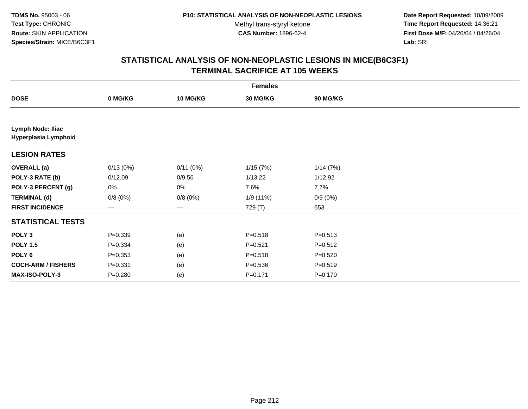**Date Report Requested:** 10/09/2009 **Time Report Requested:** 14:36:21 **First Dose M/F:** 04/26/04 / 04/26/04 Lab: SRI **Lab:** SRI

|                                           | <b>Females</b> |                 |             |                 |  |  |  |  |
|-------------------------------------------|----------------|-----------------|-------------|-----------------|--|--|--|--|
| <b>DOSE</b>                               | 0 MG/KG        | <b>10 MG/KG</b> | 30 MG/KG    | <b>90 MG/KG</b> |  |  |  |  |
|                                           |                |                 |             |                 |  |  |  |  |
| Lymph Node: Iliac<br>Hyperplasia Lymphoid |                |                 |             |                 |  |  |  |  |
| <b>LESION RATES</b>                       |                |                 |             |                 |  |  |  |  |
| <b>OVERALL</b> (a)                        | 0/13(0%)       | 0/11(0%)        | 1/15(7%)    | 1/14(7%)        |  |  |  |  |
| POLY-3 RATE (b)                           | 0/12.09        | 0/9.56          | 1/13.22     | 1/12.92         |  |  |  |  |
| POLY-3 PERCENT (g)                        | 0%             | 0%              | 7.6%        | 7.7%            |  |  |  |  |
| <b>TERMINAL (d)</b>                       | 0/8(0%)        | 0/8(0%)         | 1/9 (11%)   | $0/9(0\%)$      |  |  |  |  |
| <b>FIRST INCIDENCE</b>                    | $---$          | ---             | 729 (T)     | 653             |  |  |  |  |
| <b>STATISTICAL TESTS</b>                  |                |                 |             |                 |  |  |  |  |
| POLY <sub>3</sub>                         | $P = 0.339$    | (e)             | $P = 0.518$ | $P = 0.513$     |  |  |  |  |
| <b>POLY 1.5</b>                           | $P = 0.334$    | (e)             | $P = 0.521$ | $P = 0.512$     |  |  |  |  |
| POLY <sub>6</sub>                         | $P = 0.353$    | (e)             | $P = 0.518$ | $P = 0.520$     |  |  |  |  |
| <b>COCH-ARM / FISHERS</b>                 | $P = 0.331$    | (e)             | $P = 0.536$ | $P = 0.519$     |  |  |  |  |
| MAX-ISO-POLY-3                            | $P=0.280$      | (e)             | $P = 0.171$ | $P = 0.170$     |  |  |  |  |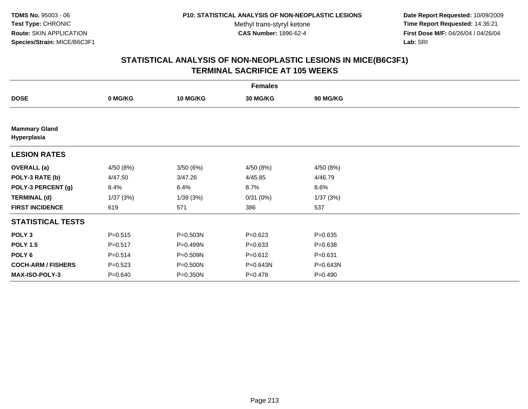**Date Report Requested:** 10/09/2009 **Time Report Requested:** 14:36:21 **First Dose M/F:** 04/26/04 / 04/26/04 Lab: SRI **Lab:** SRI

|                                     | <b>Females</b> |                 |             |             |  |  |  |  |
|-------------------------------------|----------------|-----------------|-------------|-------------|--|--|--|--|
| <b>DOSE</b>                         | 0 MG/KG        | <b>10 MG/KG</b> | 30 MG/KG    | 90 MG/KG    |  |  |  |  |
|                                     |                |                 |             |             |  |  |  |  |
| <b>Mammary Gland</b><br>Hyperplasia |                |                 |             |             |  |  |  |  |
| <b>LESION RATES</b>                 |                |                 |             |             |  |  |  |  |
| <b>OVERALL</b> (a)                  | 4/50 (8%)      | 3/50(6%)        | 4/50 (8%)   | 4/50 (8%)   |  |  |  |  |
| POLY-3 RATE (b)                     | 4/47.50        | 3/47.26         | 4/45.85     | 4/46.79     |  |  |  |  |
| POLY-3 PERCENT (g)                  | 8.4%           | 6.4%            | 8.7%        | 8.6%        |  |  |  |  |
| <b>TERMINAL (d)</b>                 | 1/37(3%)       | 1/39(3%)        | 0/31(0%)    | 1/37(3%)    |  |  |  |  |
| <b>FIRST INCIDENCE</b>              | 619            | 571             | 386         | 537         |  |  |  |  |
| <b>STATISTICAL TESTS</b>            |                |                 |             |             |  |  |  |  |
| POLY <sub>3</sub>                   | $P = 0.515$    | P=0.503N        | $P=0.623$   | $P = 0.635$ |  |  |  |  |
| <b>POLY 1.5</b>                     | $P = 0.517$    | P=0.499N        | $P = 0.633$ | $P = 0.638$ |  |  |  |  |
| POLY <sub>6</sub>                   | $P = 0.514$    | P=0.509N        | $P = 0.612$ | $P = 0.631$ |  |  |  |  |
| <b>COCH-ARM / FISHERS</b>           | $P = 0.523$    | P=0.500N        | P=0.643N    | P=0.643N    |  |  |  |  |
| MAX-ISO-POLY-3                      | $P = 0.640$    | P=0.350N        | $P=0.478$   | $P = 0.490$ |  |  |  |  |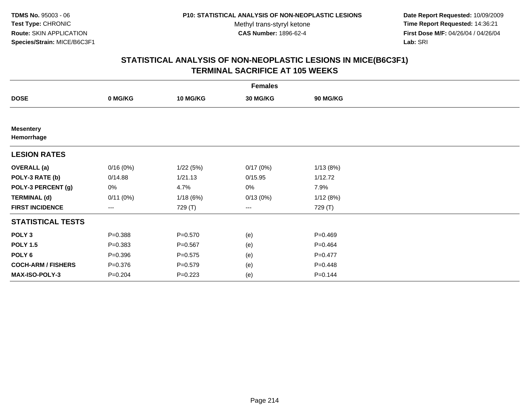**Date Report Requested:** 10/09/2009 **Time Report Requested:** 14:36:21 **First Dose M/F:** 04/26/04 / 04/26/04 Lab: SRI **Lab:** SRI

|                                | <b>Females</b>    |                 |                 |             |  |  |  |  |
|--------------------------------|-------------------|-----------------|-----------------|-------------|--|--|--|--|
| <b>DOSE</b>                    | 0 MG/KG           | <b>10 MG/KG</b> | <b>30 MG/KG</b> | 90 MG/KG    |  |  |  |  |
|                                |                   |                 |                 |             |  |  |  |  |
| <b>Mesentery</b><br>Hemorrhage |                   |                 |                 |             |  |  |  |  |
| <b>LESION RATES</b>            |                   |                 |                 |             |  |  |  |  |
| <b>OVERALL</b> (a)             | 0/16(0%)          | 1/22(5%)        | 0/17(0%)        | 1/13(8%)    |  |  |  |  |
| POLY-3 RATE (b)                | 0/14.88           | 1/21.13         | 0/15.95         | 1/12.72     |  |  |  |  |
| POLY-3 PERCENT (g)             | 0%                | 4.7%            | 0%              | 7.9%        |  |  |  |  |
| <b>TERMINAL (d)</b>            | 0/11(0%)          | 1/18(6%)        | 0/13(0%)        | 1/12(8%)    |  |  |  |  |
| <b>FIRST INCIDENCE</b>         | $\qquad \qquad -$ | 729 (T)         | ---             | 729 (T)     |  |  |  |  |
| <b>STATISTICAL TESTS</b>       |                   |                 |                 |             |  |  |  |  |
| POLY <sub>3</sub>              | $P = 0.388$       | $P = 0.570$     | (e)             | $P=0.469$   |  |  |  |  |
| <b>POLY 1.5</b>                | $P = 0.383$       | $P = 0.567$     | (e)             | $P=0.464$   |  |  |  |  |
| POLY <sub>6</sub>              | $P = 0.396$       | $P = 0.575$     | (e)             | $P=0.477$   |  |  |  |  |
| <b>COCH-ARM / FISHERS</b>      | $P = 0.376$       | $P = 0.579$     | (e)             | $P=0.448$   |  |  |  |  |
| MAX-ISO-POLY-3                 | $P = 0.204$       | $P = 0.223$     | (e)             | $P = 0.144$ |  |  |  |  |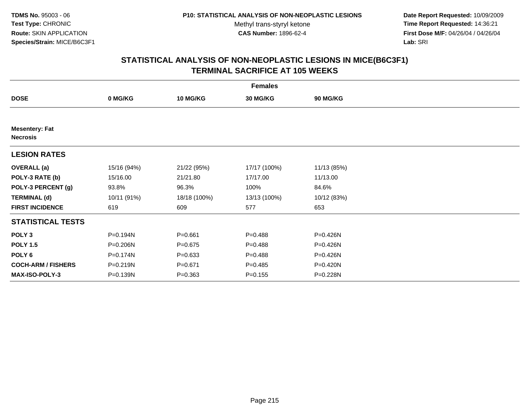**Date Report Requested:** 10/09/2009 **Time Report Requested:** 14:36:21 **First Dose M/F:** 04/26/04 / 04/26/04 Lab: SRI **Lab:** SRI

| <b>Females</b>                           |              |                 |              |             |  |  |  |
|------------------------------------------|--------------|-----------------|--------------|-------------|--|--|--|
| <b>DOSE</b>                              | 0 MG/KG      | <b>10 MG/KG</b> | 30 MG/KG     | 90 MG/KG    |  |  |  |
|                                          |              |                 |              |             |  |  |  |
| <b>Mesentery: Fat</b><br><b>Necrosis</b> |              |                 |              |             |  |  |  |
| <b>LESION RATES</b>                      |              |                 |              |             |  |  |  |
| <b>OVERALL</b> (a)                       | 15/16 (94%)  | 21/22 (95%)     | 17/17 (100%) | 11/13 (85%) |  |  |  |
| POLY-3 RATE (b)                          | 15/16.00     | 21/21.80        | 17/17.00     | 11/13.00    |  |  |  |
| POLY-3 PERCENT (g)                       | 93.8%        | 96.3%           | 100%         | 84.6%       |  |  |  |
| <b>TERMINAL (d)</b>                      | 10/11 (91%)  | 18/18 (100%)    | 13/13 (100%) | 10/12 (83%) |  |  |  |
| <b>FIRST INCIDENCE</b>                   | 619          | 609             | 577          | 653         |  |  |  |
| <b>STATISTICAL TESTS</b>                 |              |                 |              |             |  |  |  |
| POLY <sub>3</sub>                        | P=0.194N     | $P = 0.661$     | $P = 0.488$  | P=0.426N    |  |  |  |
| <b>POLY 1.5</b>                          | P=0.206N     | $P = 0.675$     | $P = 0.488$  | P=0.426N    |  |  |  |
| POLY <sub>6</sub>                        | P=0.174N     | $P = 0.633$     | $P = 0.488$  | P=0.426N    |  |  |  |
| <b>COCH-ARM / FISHERS</b>                | $P = 0.219N$ | $P = 0.671$     | $P = 0.485$  | P=0.420N    |  |  |  |
| MAX-ISO-POLY-3                           | P=0.139N     | $P = 0.363$     | $P = 0.155$  | P=0.228N    |  |  |  |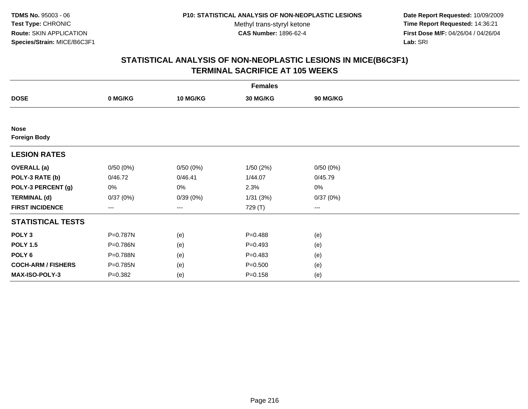**Date Report Requested:** 10/09/2009 **Time Report Requested:** 14:36:21 **First Dose M/F:** 04/26/04 / 04/26/04 Lab: SRI **Lab:** SRI

| <b>Females</b>                     |             |          |             |                 |  |  |  |
|------------------------------------|-------------|----------|-------------|-----------------|--|--|--|
| <b>DOSE</b>                        | 0 MG/KG     | 10 MG/KG | 30 MG/KG    | <b>90 MG/KG</b> |  |  |  |
|                                    |             |          |             |                 |  |  |  |
| <b>Nose</b><br><b>Foreign Body</b> |             |          |             |                 |  |  |  |
| <b>LESION RATES</b>                |             |          |             |                 |  |  |  |
| <b>OVERALL</b> (a)                 | 0/50(0%)    | 0/50(0%) | 1/50(2%)    | 0/50(0%)        |  |  |  |
| POLY-3 RATE (b)                    | 0/46.72     | 0/46.41  | 1/44.07     | 0/45.79         |  |  |  |
| POLY-3 PERCENT (g)                 | 0%          | 0%       | 2.3%        | $0\%$           |  |  |  |
| <b>TERMINAL (d)</b>                | 0/37(0%)    | 0/39(0%) | 1/31(3%)    | 0/37(0%)        |  |  |  |
| <b>FIRST INCIDENCE</b>             | ---         | ---      | 729 (T)     | $---$           |  |  |  |
| <b>STATISTICAL TESTS</b>           |             |          |             |                 |  |  |  |
| POLY <sub>3</sub>                  | P=0.787N    | (e)      | $P = 0.488$ | (e)             |  |  |  |
| <b>POLY 1.5</b>                    | P=0.786N    | (e)      | $P=0.493$   | (e)             |  |  |  |
| POLY <sub>6</sub>                  | P=0.788N    | (e)      | $P = 0.483$ | (e)             |  |  |  |
| <b>COCH-ARM / FISHERS</b>          | P=0.785N    | (e)      | $P = 0.500$ | (e)             |  |  |  |
| MAX-ISO-POLY-3                     | $P = 0.382$ | (e)      | $P = 0.158$ | (e)             |  |  |  |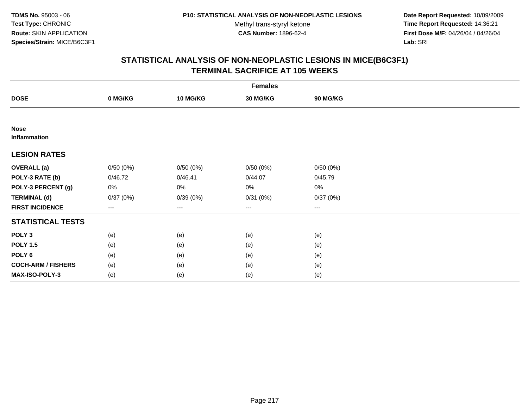**Date Report Requested:** 10/09/2009 **Time Report Requested:** 14:36:21 **First Dose M/F:** 04/26/04 / 04/26/04 Lab: SRI **Lab:** SRI

|                             | <b>Females</b> |          |          |          |  |  |  |  |
|-----------------------------|----------------|----------|----------|----------|--|--|--|--|
| <b>DOSE</b>                 | 0 MG/KG        | 10 MG/KG | 30 MG/KG | 90 MG/KG |  |  |  |  |
|                             |                |          |          |          |  |  |  |  |
| <b>Nose</b><br>Inflammation |                |          |          |          |  |  |  |  |
| <b>LESION RATES</b>         |                |          |          |          |  |  |  |  |
| <b>OVERALL</b> (a)          | 0/50(0%)       | 0/50(0%) | 0/50(0%) | 0/50(0%) |  |  |  |  |
| POLY-3 RATE (b)             | 0/46.72        | 0/46.41  | 0/44.07  | 0/45.79  |  |  |  |  |
| POLY-3 PERCENT (g)          | 0%             | 0%       | 0%       | $0\%$    |  |  |  |  |
| <b>TERMINAL (d)</b>         | 0/37(0%)       | 0/39(0%) | 0/31(0%) | 0/37(0%) |  |  |  |  |
| <b>FIRST INCIDENCE</b>      | ---            | $--$     | $---$    | ---      |  |  |  |  |
| <b>STATISTICAL TESTS</b>    |                |          |          |          |  |  |  |  |
| POLY <sub>3</sub>           | (e)            | (e)      | (e)      | (e)      |  |  |  |  |
| <b>POLY 1.5</b>             | (e)            | (e)      | (e)      | (e)      |  |  |  |  |
| POLY <sub>6</sub>           | (e)            | (e)      | (e)      | (e)      |  |  |  |  |
| <b>COCH-ARM / FISHERS</b>   | (e)            | (e)      | (e)      | (e)      |  |  |  |  |
| MAX-ISO-POLY-3              | (e)            | (e)      | (e)      | (e)      |  |  |  |  |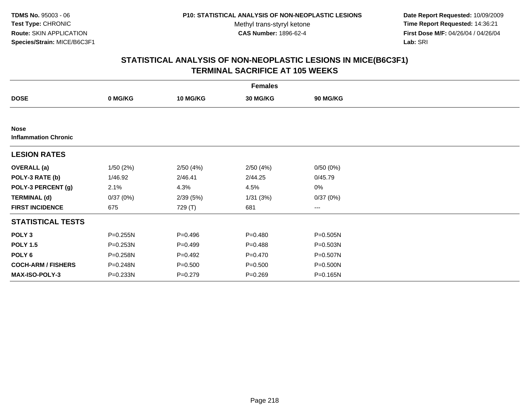**Date Report Requested:** 10/09/2009 **Time Report Requested:** 14:36:21 **First Dose M/F:** 04/26/04 / 04/26/04 Lab: SRI **Lab:** SRI

|                                            |          |             | <b>Females</b> |              |  |
|--------------------------------------------|----------|-------------|----------------|--------------|--|
| <b>DOSE</b>                                | 0 MG/KG  | 10 MG/KG    | 30 MG/KG       | 90 MG/KG     |  |
|                                            |          |             |                |              |  |
| <b>Nose</b><br><b>Inflammation Chronic</b> |          |             |                |              |  |
| <b>LESION RATES</b>                        |          |             |                |              |  |
| <b>OVERALL</b> (a)                         | 1/50(2%) | 2/50(4%)    | 2/50(4%)       | 0/50(0%)     |  |
| POLY-3 RATE (b)                            | 1/46.92  | 2/46.41     | 2/44.25        | 0/45.79      |  |
| POLY-3 PERCENT (g)                         | 2.1%     | 4.3%        | 4.5%           | $0\%$        |  |
| <b>TERMINAL (d)</b>                        | 0/37(0%) | 2/39(5%)    | 1/31(3%)       | 0/37(0%)     |  |
| <b>FIRST INCIDENCE</b>                     | 675      | 729 (T)     | 681            | $\cdots$     |  |
| <b>STATISTICAL TESTS</b>                   |          |             |                |              |  |
| POLY <sub>3</sub>                          | P=0.255N | $P=0.496$   | $P = 0.480$    | P=0.505N     |  |
| <b>POLY 1.5</b>                            | P=0.253N | $P=0.499$   | $P = 0.488$    | P=0.503N     |  |
| POLY 6                                     | P=0.258N | $P=0.492$   | $P = 0.470$    | P=0.507N     |  |
| <b>COCH-ARM / FISHERS</b>                  | P=0.248N | $P = 0.500$ | $P = 0.500$    | $P = 0.500N$ |  |
| <b>MAX-ISO-POLY-3</b>                      | P=0.233N | $P=0.279$   | $P = 0.269$    | P=0.165N     |  |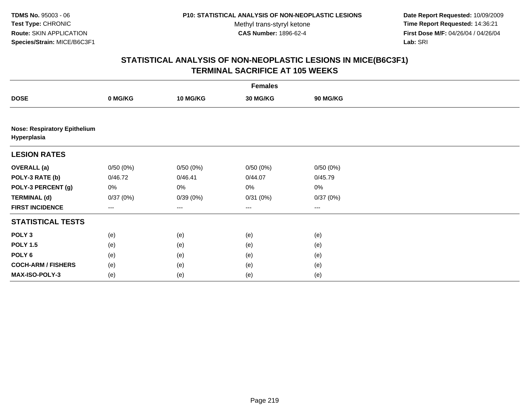**Date Report Requested:** 10/09/2009 **Time Report Requested:** 14:36:21 **First Dose M/F:** 04/26/04 / 04/26/04 Lab: SRI **Lab:** SRI

|                                                    | <b>Females</b> |                   |          |                   |  |  |  |  |
|----------------------------------------------------|----------------|-------------------|----------|-------------------|--|--|--|--|
| <b>DOSE</b>                                        | 0 MG/KG        | 10 MG/KG          | 30 MG/KG | <b>90 MG/KG</b>   |  |  |  |  |
|                                                    |                |                   |          |                   |  |  |  |  |
| <b>Nose: Respiratory Epithelium</b><br>Hyperplasia |                |                   |          |                   |  |  |  |  |
| <b>LESION RATES</b>                                |                |                   |          |                   |  |  |  |  |
| <b>OVERALL (a)</b>                                 | 0/50(0%)       | 0/50(0%)          | 0/50(0%) | 0/50(0%)          |  |  |  |  |
| POLY-3 RATE (b)                                    | 0/46.72        | 0/46.41           | 0/44.07  | 0/45.79           |  |  |  |  |
| POLY-3 PERCENT (g)                                 | 0%             | 0%                | $0\%$    | $0\%$             |  |  |  |  |
| <b>TERMINAL (d)</b>                                | 0/37(0%)       | 0/39(0%)          | 0/31(0%) | 0/37(0%)          |  |  |  |  |
| <b>FIRST INCIDENCE</b>                             | ---            | $\qquad \qquad -$ | ---      | $\qquad \qquad -$ |  |  |  |  |
| <b>STATISTICAL TESTS</b>                           |                |                   |          |                   |  |  |  |  |
| POLY <sub>3</sub>                                  | (e)            | (e)               | (e)      | (e)               |  |  |  |  |
| <b>POLY 1.5</b>                                    | (e)            | (e)               | (e)      | (e)               |  |  |  |  |
| POLY <sub>6</sub>                                  | (e)            | (e)               | (e)      | (e)               |  |  |  |  |
| <b>COCH-ARM / FISHERS</b>                          | (e)            | (e)               | (e)      | (e)               |  |  |  |  |
| MAX-ISO-POLY-3                                     | (e)            | (e)               | (e)      | (e)               |  |  |  |  |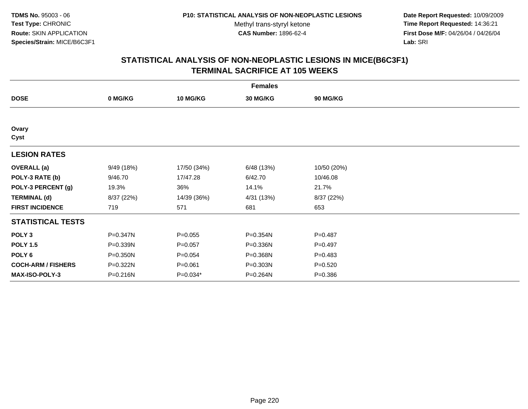**Date Report Requested:** 10/09/2009 **Time Report Requested:** 14:36:21 **First Dose M/F:** 04/26/04 / 04/26/04 Lab: SRI **Lab:** SRI

| <b>Females</b>            |            |                 |                 |             |  |  |  |
|---------------------------|------------|-----------------|-----------------|-------------|--|--|--|
| <b>DOSE</b>               | 0 MG/KG    | <b>10 MG/KG</b> | <b>30 MG/KG</b> | 90 MG/KG    |  |  |  |
|                           |            |                 |                 |             |  |  |  |
| Ovary<br>Cyst             |            |                 |                 |             |  |  |  |
| <b>LESION RATES</b>       |            |                 |                 |             |  |  |  |
| <b>OVERALL</b> (a)        | 9/49(18%)  | 17/50 (34%)     | 6/48 (13%)      | 10/50 (20%) |  |  |  |
| POLY-3 RATE (b)           | 9/46.70    | 17/47.28        | 6/42.70         | 10/46.08    |  |  |  |
| POLY-3 PERCENT (g)        | 19.3%      | 36%             | 14.1%           | 21.7%       |  |  |  |
| <b>TERMINAL (d)</b>       | 8/37 (22%) | 14/39 (36%)     | 4/31 (13%)      | 8/37 (22%)  |  |  |  |
| <b>FIRST INCIDENCE</b>    | 719        | 571             | 681             | 653         |  |  |  |
| <b>STATISTICAL TESTS</b>  |            |                 |                 |             |  |  |  |
| POLY <sub>3</sub>         | P=0.347N   | $P = 0.055$     | P=0.354N        | $P=0.487$   |  |  |  |
| <b>POLY 1.5</b>           | P=0.339N   | $P = 0.057$     | P=0.336N        | $P=0.497$   |  |  |  |
| POLY <sub>6</sub>         | P=0.350N   | $P = 0.054$     | P=0.368N        | $P=0.483$   |  |  |  |
| <b>COCH-ARM / FISHERS</b> | P=0.322N   | $P = 0.061$     | P=0.303N        | $P = 0.520$ |  |  |  |
| MAX-ISO-POLY-3            | P=0.216N   | P=0.034*        | P=0.264N        | $P = 0.386$ |  |  |  |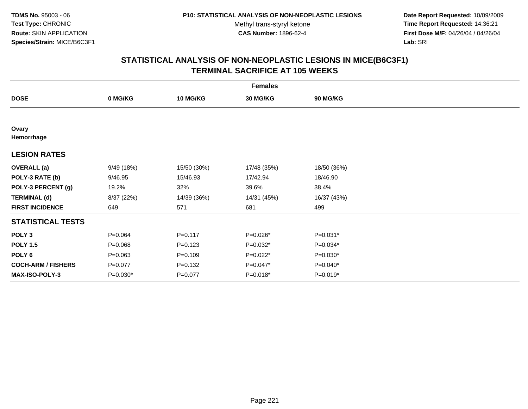**Date Report Requested:** 10/09/2009 **Time Report Requested:** 14:36:21 **First Dose M/F:** 04/26/04 / 04/26/04 Lab: SRI **Lab:** SRI

| <b>Females</b>            |             |                 |                 |             |  |  |  |
|---------------------------|-------------|-----------------|-----------------|-------------|--|--|--|
| <b>DOSE</b>               | 0 MG/KG     | <b>10 MG/KG</b> | <b>30 MG/KG</b> | 90 MG/KG    |  |  |  |
|                           |             |                 |                 |             |  |  |  |
| Ovary<br>Hemorrhage       |             |                 |                 |             |  |  |  |
| <b>LESION RATES</b>       |             |                 |                 |             |  |  |  |
| <b>OVERALL</b> (a)        | 9/49(18%)   | 15/50 (30%)     | 17/48 (35%)     | 18/50 (36%) |  |  |  |
| POLY-3 RATE (b)           | 9/46.95     | 15/46.93        | 17/42.94        | 18/46.90    |  |  |  |
| POLY-3 PERCENT (g)        | 19.2%       | 32%             | 39.6%           | 38.4%       |  |  |  |
| <b>TERMINAL (d)</b>       | 8/37 (22%)  | 14/39 (36%)     | 14/31 (45%)     | 16/37 (43%) |  |  |  |
| <b>FIRST INCIDENCE</b>    | 649         | 571             | 681             | 499         |  |  |  |
| <b>STATISTICAL TESTS</b>  |             |                 |                 |             |  |  |  |
| POLY <sub>3</sub>         | $P = 0.064$ | $P = 0.117$     | P=0.026*        | $P=0.031*$  |  |  |  |
| <b>POLY 1.5</b>           | $P = 0.068$ | $P = 0.123$     | P=0.032*        | $P=0.034*$  |  |  |  |
| POLY <sub>6</sub>         | $P = 0.063$ | $P = 0.109$     | P=0.022*        | $P=0.030*$  |  |  |  |
| <b>COCH-ARM / FISHERS</b> | $P = 0.077$ | $P = 0.132$     | P=0.047*        | $P=0.040*$  |  |  |  |
| <b>MAX-ISO-POLY-3</b>     | $P=0.030*$  | $P = 0.077$     | $P=0.018*$      | $P=0.019*$  |  |  |  |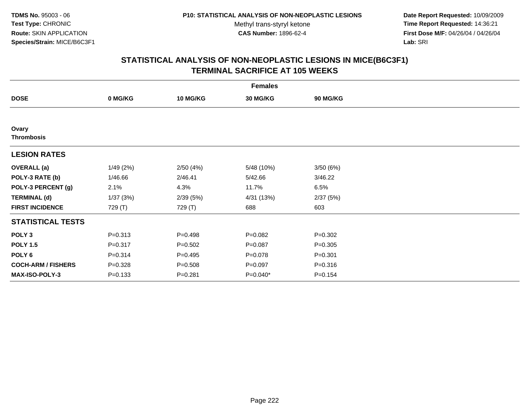**Date Report Requested:** 10/09/2009 **Time Report Requested:** 14:36:21 **First Dose M/F:** 04/26/04 / 04/26/04 Lab: SRI **Lab:** SRI

|                            |             |                 | <b>Females</b>  |             |  |
|----------------------------|-------------|-----------------|-----------------|-------------|--|
| <b>DOSE</b>                | 0 MG/KG     | <b>10 MG/KG</b> | <b>30 MG/KG</b> | 90 MG/KG    |  |
|                            |             |                 |                 |             |  |
| Ovary<br><b>Thrombosis</b> |             |                 |                 |             |  |
| <b>LESION RATES</b>        |             |                 |                 |             |  |
| <b>OVERALL</b> (a)         | 1/49(2%)    | 2/50(4%)        | 5/48 (10%)      | 3/50(6%)    |  |
| POLY-3 RATE (b)            | 1/46.66     | 2/46.41         | 5/42.66         | 3/46.22     |  |
| POLY-3 PERCENT (g)         | 2.1%        | 4.3%            | 11.7%           | 6.5%        |  |
| <b>TERMINAL (d)</b>        | 1/37(3%)    | 2/39(5%)        | 4/31 (13%)      | 2/37(5%)    |  |
| <b>FIRST INCIDENCE</b>     | 729 (T)     | 729 (T)         | 688             | 603         |  |
| <b>STATISTICAL TESTS</b>   |             |                 |                 |             |  |
| POLY <sub>3</sub>          | $P = 0.313$ | $P=0.498$       | $P = 0.082$     | $P = 0.302$ |  |
| <b>POLY 1.5</b>            | $P = 0.317$ | $P = 0.502$     | $P = 0.087$     | $P = 0.305$ |  |
| POLY <sub>6</sub>          | $P = 0.314$ | $P=0.495$       | $P = 0.078$     | $P = 0.301$ |  |
| <b>COCH-ARM / FISHERS</b>  | $P = 0.328$ | $P = 0.508$     | $P = 0.097$     | $P = 0.316$ |  |
| <b>MAX-ISO-POLY-3</b>      | $P = 0.133$ | $P = 0.281$     | $P=0.040*$      | $P = 0.154$ |  |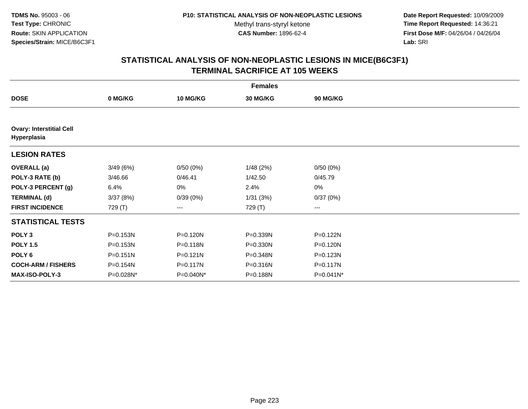**Date Report Requested:** 10/09/2009 **Time Report Requested:** 14:36:21 **First Dose M/F:** 04/26/04 / 04/26/04 Lab: SRI **Lab:** SRI

|                                                |              |              | <b>Females</b> |                 |  |
|------------------------------------------------|--------------|--------------|----------------|-----------------|--|
| <b>DOSE</b>                                    | 0 MG/KG      | 10 MG/KG     | 30 MG/KG       | <b>90 MG/KG</b> |  |
|                                                |              |              |                |                 |  |
| <b>Ovary: Interstitial Cell</b><br>Hyperplasia |              |              |                |                 |  |
| <b>LESION RATES</b>                            |              |              |                |                 |  |
| <b>OVERALL</b> (a)                             | 3/49(6%)     | 0/50(0%)     | 1/48(2%)       | 0/50(0%)        |  |
| POLY-3 RATE (b)                                | 3/46.66      | 0/46.41      | 1/42.50        | 0/45.79         |  |
| POLY-3 PERCENT (g)                             | 6.4%         | 0%           | 2.4%           | $0\%$           |  |
| <b>TERMINAL (d)</b>                            | 3/37(8%)     | 0/39(0%)     | 1/31(3%)       | 0/37(0%)        |  |
| <b>FIRST INCIDENCE</b>                         | 729 (T)      | ---          | 729 (T)        | ---             |  |
| <b>STATISTICAL TESTS</b>                       |              |              |                |                 |  |
| POLY <sub>3</sub>                              | P=0.153N     | P=0.120N     | P=0.339N       | P=0.122N        |  |
| <b>POLY 1.5</b>                                | $P = 0.153N$ | P=0.118N     | P=0.330N       | P=0.120N        |  |
| POLY 6                                         | $P = 0.151N$ | $P = 0.121N$ | P=0.348N       | P=0.123N        |  |
| <b>COCH-ARM / FISHERS</b>                      | P=0.154N     | P=0.117N     | P=0.316N       | P=0.117N        |  |
| MAX-ISO-POLY-3                                 | P=0.028N*    | P=0.040N*    | P=0.188N       | P=0.041N*       |  |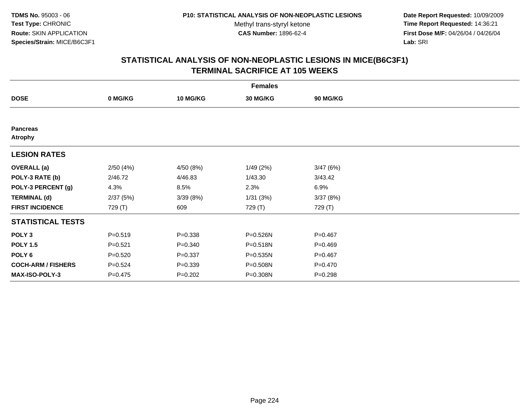**Date Report Requested:** 10/09/2009 **Time Report Requested:** 14:36:21 **First Dose M/F:** 04/26/04 / 04/26/04 Lab: SRI **Lab:** SRI

|                                   |             |                 | <b>Females</b> |             |  |
|-----------------------------------|-------------|-----------------|----------------|-------------|--|
| <b>DOSE</b>                       | 0 MG/KG     | <b>10 MG/KG</b> | 30 MG/KG       | 90 MG/KG    |  |
|                                   |             |                 |                |             |  |
| <b>Pancreas</b><br><b>Atrophy</b> |             |                 |                |             |  |
| <b>LESION RATES</b>               |             |                 |                |             |  |
| <b>OVERALL</b> (a)                | 2/50(4%)    | 4/50 (8%)       | 1/49(2%)       | 3/47(6%)    |  |
| POLY-3 RATE (b)                   | 2/46.72     | 4/46.83         | 1/43.30        | 3/43.42     |  |
| POLY-3 PERCENT (g)                | 4.3%        | 8.5%            | 2.3%           | 6.9%        |  |
| <b>TERMINAL (d)</b>               | 2/37(5%)    | 3/39(8%)        | 1/31(3%)       | 3/37(8%)    |  |
| <b>FIRST INCIDENCE</b>            | 729 (T)     | 609             | 729 (T)        | 729 (T)     |  |
| <b>STATISTICAL TESTS</b>          |             |                 |                |             |  |
| POLY <sub>3</sub>                 | $P = 0.519$ | $P = 0.338$     | P=0.526N       | $P=0.467$   |  |
| <b>POLY 1.5</b>                   | $P = 0.521$ | $P = 0.340$     | P=0.518N       | $P = 0.469$ |  |
| POLY <sub>6</sub>                 | $P = 0.520$ | $P = 0.337$     | P=0.535N       | $P = 0.467$ |  |
| <b>COCH-ARM / FISHERS</b>         | $P = 0.524$ | $P = 0.339$     | P=0.508N       | $P = 0.470$ |  |
| MAX-ISO-POLY-3                    | $P = 0.475$ | $P = 0.202$     | P=0.308N       | $P = 0.298$ |  |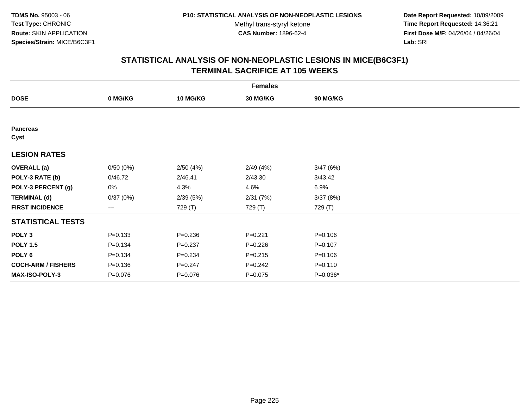**Date Report Requested:** 10/09/2009 **Time Report Requested:** 14:36:21 **First Dose M/F:** 04/26/04 / 04/26/04 Lab: SRI **Lab:** SRI

|                           | <b>Females</b> |                 |                 |             |  |  |  |  |
|---------------------------|----------------|-----------------|-----------------|-------------|--|--|--|--|
| <b>DOSE</b>               | 0 MG/KG        | <b>10 MG/KG</b> | <b>30 MG/KG</b> | 90 MG/KG    |  |  |  |  |
|                           |                |                 |                 |             |  |  |  |  |
| <b>Pancreas</b><br>Cyst   |                |                 |                 |             |  |  |  |  |
| <b>LESION RATES</b>       |                |                 |                 |             |  |  |  |  |
| <b>OVERALL</b> (a)        | 0/50(0%)       | 2/50(4%)        | 2/49(4%)        | 3/47(6%)    |  |  |  |  |
| POLY-3 RATE (b)           | 0/46.72        | 2/46.41         | 2/43.30         | 3/43.42     |  |  |  |  |
| POLY-3 PERCENT (g)        | 0%             | 4.3%            | 4.6%            | 6.9%        |  |  |  |  |
| <b>TERMINAL (d)</b>       | 0/37(0%)       | 2/39(5%)        | 2/31(7%)        | 3/37(8%)    |  |  |  |  |
| <b>FIRST INCIDENCE</b>    | $--$           | 729 (T)         | 729 (T)         | 729 (T)     |  |  |  |  |
| <b>STATISTICAL TESTS</b>  |                |                 |                 |             |  |  |  |  |
| POLY <sub>3</sub>         | $P = 0.133$    | $P = 0.236$     | $P=0.221$       | $P = 0.106$ |  |  |  |  |
| <b>POLY 1.5</b>           | $P = 0.134$    | $P = 0.237$     | $P = 0.226$     | $P=0.107$   |  |  |  |  |
| POLY <sub>6</sub>         | $P = 0.134$    | $P = 0.234$     | $P = 0.215$     | $P = 0.106$ |  |  |  |  |
| <b>COCH-ARM / FISHERS</b> | $P = 0.136$    | $P = 0.247$     | $P=0.242$       | $P = 0.110$ |  |  |  |  |
| MAX-ISO-POLY-3            | $P = 0.076$    | $P = 0.076$     | $P = 0.075$     | P=0.036*    |  |  |  |  |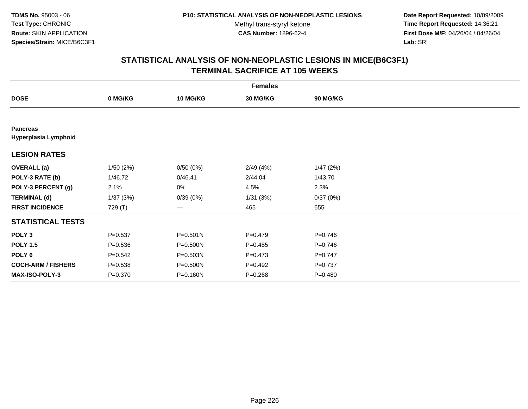**Date Report Requested:** 10/09/2009 **Time Report Requested:** 14:36:21 **First Dose M/F:** 04/26/04 / 04/26/04 Lab: SRI **Lab:** SRI

|                                         |             |              | <b>Females</b> |                 |  |
|-----------------------------------------|-------------|--------------|----------------|-----------------|--|
| <b>DOSE</b>                             | 0 MG/KG     | 10 MG/KG     | 30 MG/KG       | <b>90 MG/KG</b> |  |
|                                         |             |              |                |                 |  |
| <b>Pancreas</b><br>Hyperplasia Lymphoid |             |              |                |                 |  |
| <b>LESION RATES</b>                     |             |              |                |                 |  |
| <b>OVERALL</b> (a)                      | 1/50(2%)    | 0/50(0%)     | 2/49(4%)       | 1/47(2%)        |  |
| POLY-3 RATE (b)                         | 1/46.72     | 0/46.41      | 2/44.04        | 1/43.70         |  |
| POLY-3 PERCENT (g)                      | 2.1%        | 0%           | 4.5%           | 2.3%            |  |
| <b>TERMINAL (d)</b>                     | 1/37(3%)    | 0/39(0%)     | 1/31(3%)       | 0/37(0%)        |  |
| <b>FIRST INCIDENCE</b>                  | 729 (T)     | ---          | 465            | 655             |  |
| <b>STATISTICAL TESTS</b>                |             |              |                |                 |  |
| POLY <sub>3</sub>                       | $P = 0.537$ | $P = 0.501N$ | $P=0.479$      | $P = 0.746$     |  |
| <b>POLY 1.5</b>                         | $P = 0.536$ | P=0.500N     | $P=0.485$      | $P = 0.746$     |  |
| POLY 6                                  | $P = 0.542$ | P=0.503N     | $P=0.473$      | $P = 0.747$     |  |
| <b>COCH-ARM / FISHERS</b>               | $P = 0.538$ | P=0.500N     | $P=0.492$      | $P = 0.737$     |  |
| MAX-ISO-POLY-3                          | $P = 0.370$ | P=0.160N     | $P = 0.268$    | $P = 0.480$     |  |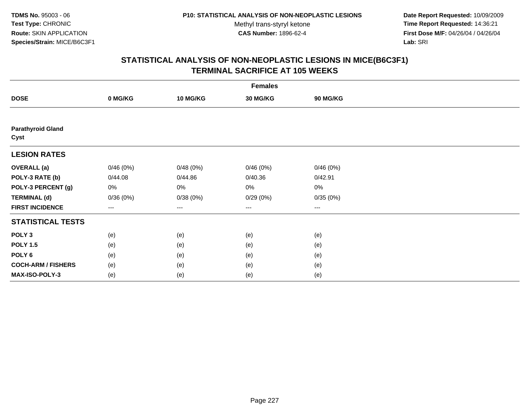**Date Report Requested:** 10/09/2009 **Time Report Requested:** 14:36:21 **First Dose M/F:** 04/26/04 / 04/26/04 Lab: SRI **Lab:** SRI

|                                  | <b>Females</b>         |                 |                 |          |  |  |  |  |
|----------------------------------|------------------------|-----------------|-----------------|----------|--|--|--|--|
| <b>DOSE</b>                      | 0 MG/KG                | <b>10 MG/KG</b> | <b>30 MG/KG</b> | 90 MG/KG |  |  |  |  |
|                                  |                        |                 |                 |          |  |  |  |  |
| <b>Parathyroid Gland</b><br>Cyst |                        |                 |                 |          |  |  |  |  |
| <b>LESION RATES</b>              |                        |                 |                 |          |  |  |  |  |
| <b>OVERALL</b> (a)               | 0/46(0%)               | 0/48(0%)        | 0/46(0%)        | 0/46(0%) |  |  |  |  |
| POLY-3 RATE (b)                  | 0/44.08                | 0/44.86         | 0/40.36         | 0/42.91  |  |  |  |  |
| POLY-3 PERCENT (g)               | 0%                     | 0%              | 0%              | 0%       |  |  |  |  |
| <b>TERMINAL (d)</b>              | 0/36(0%)               | 0/38(0%)        | 0/29(0%)        | 0/35(0%) |  |  |  |  |
| <b>FIRST INCIDENCE</b>           | $\qquad \qquad \cdots$ | ---             | ---             | $\cdots$ |  |  |  |  |
| <b>STATISTICAL TESTS</b>         |                        |                 |                 |          |  |  |  |  |
| POLY <sub>3</sub>                | (e)                    | (e)             | (e)             | (e)      |  |  |  |  |
| <b>POLY 1.5</b>                  | (e)                    | (e)             | (e)             | (e)      |  |  |  |  |
| POLY <sub>6</sub>                | (e)                    | (e)             | (e)             | (e)      |  |  |  |  |
| <b>COCH-ARM / FISHERS</b>        | (e)                    | (e)             | (e)             | (e)      |  |  |  |  |
| MAX-ISO-POLY-3                   | (e)                    | (e)             | (e)             | (e)      |  |  |  |  |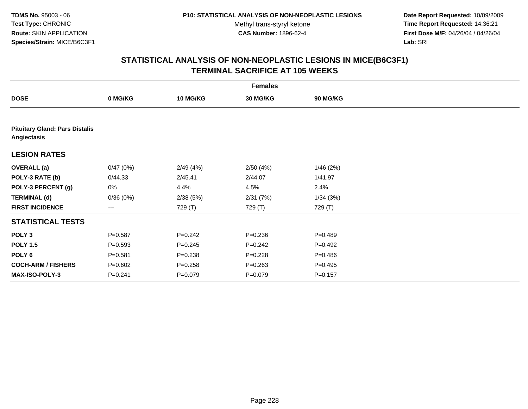**Date Report Requested:** 10/09/2009 **Time Report Requested:** 14:36:21 **First Dose M/F:** 04/26/04 / 04/26/04 Lab: SRI **Lab:** SRI

|                           |                                       |                 | <b>Females</b> |                 |  |  |  |  |  |
|---------------------------|---------------------------------------|-----------------|----------------|-----------------|--|--|--|--|--|
| <b>DOSE</b>               | 0 MG/KG                               | <b>10 MG/KG</b> | 30 MG/KG       | <b>90 MG/KG</b> |  |  |  |  |  |
|                           |                                       |                 |                |                 |  |  |  |  |  |
| Angiectasis               | <b>Pituitary Gland: Pars Distalis</b> |                 |                |                 |  |  |  |  |  |
| <b>LESION RATES</b>       |                                       |                 |                |                 |  |  |  |  |  |
| <b>OVERALL</b> (a)        | 0/47(0%)                              | 2/49(4%)        | 2/50(4%)       | 1/46(2%)        |  |  |  |  |  |
| POLY-3 RATE (b)           | 0/44.33                               | 2/45.41         | 2/44.07        | 1/41.97         |  |  |  |  |  |
| POLY-3 PERCENT (g)        | 0%                                    | 4.4%            | 4.5%           | 2.4%            |  |  |  |  |  |
| <b>TERMINAL (d)</b>       | 0/36(0%)                              | 2/38(5%)        | 2/31(7%)       | 1/34(3%)        |  |  |  |  |  |
| <b>FIRST INCIDENCE</b>    | ---                                   | 729 (T)         | 729 (T)        | 729 (T)         |  |  |  |  |  |
| <b>STATISTICAL TESTS</b>  |                                       |                 |                |                 |  |  |  |  |  |
| POLY <sub>3</sub>         | $P = 0.587$                           | $P = 0.242$     | $P = 0.236$    | $P = 0.489$     |  |  |  |  |  |
| <b>POLY 1.5</b>           | $P = 0.593$                           | $P = 0.245$     | $P = 0.242$    | $P = 0.492$     |  |  |  |  |  |
| POLY 6                    | $P = 0.581$                           | $P = 0.238$     | $P=0.228$      | $P = 0.486$     |  |  |  |  |  |
| <b>COCH-ARM / FISHERS</b> | $P = 0.602$                           | $P = 0.258$     | $P = 0.263$    | $P=0.495$       |  |  |  |  |  |
| MAX-ISO-POLY-3            | $P = 0.241$                           | $P = 0.079$     | $P = 0.079$    | $P = 0.157$     |  |  |  |  |  |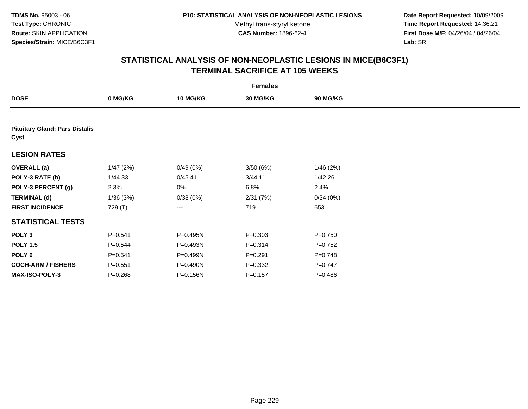**Date Report Requested:** 10/09/2009 **Time Report Requested:** 14:36:21 **First Dose M/F:** 04/26/04 / 04/26/04 Lab: SRI **Lab:** SRI

|                                               | <b>Females</b> |                 |             |                 |  |  |  |  |
|-----------------------------------------------|----------------|-----------------|-------------|-----------------|--|--|--|--|
| <b>DOSE</b>                                   | 0 MG/KG        | <b>10 MG/KG</b> | 30 MG/KG    | <b>90 MG/KG</b> |  |  |  |  |
|                                               |                |                 |             |                 |  |  |  |  |
| <b>Pituitary Gland: Pars Distalis</b><br>Cyst |                |                 |             |                 |  |  |  |  |
| <b>LESION RATES</b>                           |                |                 |             |                 |  |  |  |  |
| <b>OVERALL</b> (a)                            | 1/47(2%)       | 0/49(0%)        | 3/50(6%)    | 1/46(2%)        |  |  |  |  |
| POLY-3 RATE (b)                               | 1/44.33        | 0/45.41         | 3/44.11     | 1/42.26         |  |  |  |  |
| POLY-3 PERCENT (g)                            | 2.3%           | 0%              | 6.8%        | 2.4%            |  |  |  |  |
| <b>TERMINAL (d)</b>                           | 1/36(3%)       | 0/38(0%)        | 2/31(7%)    | 0/34(0%)        |  |  |  |  |
| <b>FIRST INCIDENCE</b>                        | 729 (T)        | ---             | 719         | 653             |  |  |  |  |
| <b>STATISTICAL TESTS</b>                      |                |                 |             |                 |  |  |  |  |
| POLY <sub>3</sub>                             | $P = 0.541$    | P=0.495N        | $P = 0.303$ | $P = 0.750$     |  |  |  |  |
| <b>POLY 1.5</b>                               | $P = 0.544$    | P=0.493N        | $P = 0.314$ | $P=0.752$       |  |  |  |  |
| POLY <sub>6</sub>                             | $P = 0.541$    | P=0.499N        | $P = 0.291$ | $P = 0.748$     |  |  |  |  |
| <b>COCH-ARM / FISHERS</b>                     | $P = 0.551$    | P=0.490N        | $P = 0.332$ | $P = 0.747$     |  |  |  |  |
| MAX-ISO-POLY-3                                | $P = 0.268$    | P=0.156N        | $P = 0.157$ | $P = 0.486$     |  |  |  |  |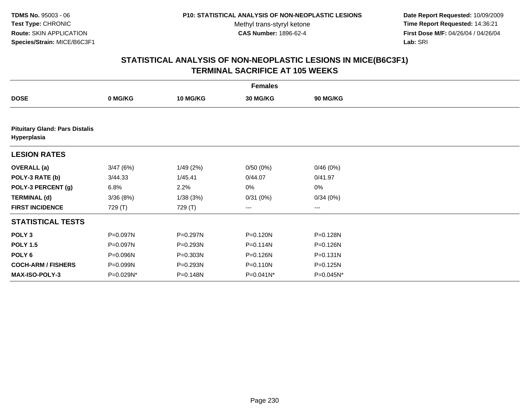**Date Report Requested:** 10/09/2009 **Time Report Requested:** 14:36:21 **First Dose M/F:** 04/26/04 / 04/26/04 Lab: SRI **Lab:** SRI

| <b>Females</b>                                       |           |                 |              |              |  |  |  |
|------------------------------------------------------|-----------|-----------------|--------------|--------------|--|--|--|
| <b>DOSE</b>                                          | 0 MG/KG   | <b>10 MG/KG</b> | 30 MG/KG     | 90 MG/KG     |  |  |  |
|                                                      |           |                 |              |              |  |  |  |
| <b>Pituitary Gland: Pars Distalis</b><br>Hyperplasia |           |                 |              |              |  |  |  |
| <b>LESION RATES</b>                                  |           |                 |              |              |  |  |  |
| <b>OVERALL</b> (a)                                   | 3/47(6%)  | 1/49(2%)        | 0/50(0%)     | 0/46(0%)     |  |  |  |
| POLY-3 RATE (b)                                      | 3/44.33   | 1/45.41         | 0/44.07      | 0/41.97      |  |  |  |
| POLY-3 PERCENT (g)                                   | 6.8%      | 2.2%            | 0%           | $0\%$        |  |  |  |
| <b>TERMINAL (d)</b>                                  | 3/36(8%)  | 1/38(3%)        | 0/31(0%)     | 0/34(0%)     |  |  |  |
| <b>FIRST INCIDENCE</b>                               | 729 (T)   | 729 (T)         | ---          | ---          |  |  |  |
| <b>STATISTICAL TESTS</b>                             |           |                 |              |              |  |  |  |
| POLY <sub>3</sub>                                    | P=0.097N  | P=0.297N        | P=0.120N     | P=0.128N     |  |  |  |
| <b>POLY 1.5</b>                                      | P=0.097N  | P=0.293N        | P=0.114N     | P=0.126N     |  |  |  |
| POLY 6                                               | P=0.096N  | P=0.303N        | P=0.126N     | $P = 0.131N$ |  |  |  |
| <b>COCH-ARM / FISHERS</b>                            | P=0.099N  | P=0.293N        | $P = 0.110N$ | P=0.125N     |  |  |  |
| MAX-ISO-POLY-3                                       | P=0.029N* | P=0.148N        | $P=0.041N^*$ | P=0.045N*    |  |  |  |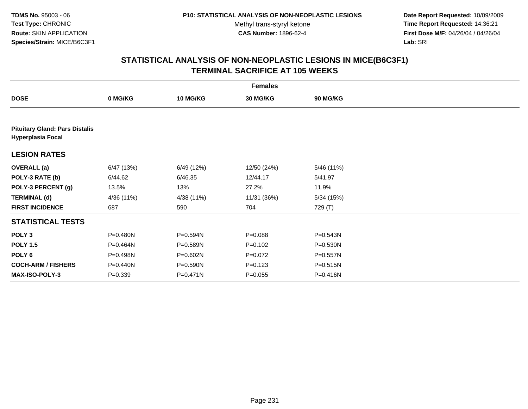**Date Report Requested:** 10/09/2009 **Time Report Requested:** 14:36:21 **First Dose M/F:** 04/26/04 / 04/26/04 Lab: SRI **Lab:** SRI

|                                                                   | <b>Females</b> |                 |             |                 |  |  |  |  |
|-------------------------------------------------------------------|----------------|-----------------|-------------|-----------------|--|--|--|--|
| <b>DOSE</b>                                                       | 0 MG/KG        | <b>10 MG/KG</b> | 30 MG/KG    | <b>90 MG/KG</b> |  |  |  |  |
|                                                                   |                |                 |             |                 |  |  |  |  |
| <b>Pituitary Gland: Pars Distalis</b><br><b>Hyperplasia Focal</b> |                |                 |             |                 |  |  |  |  |
| <b>LESION RATES</b>                                               |                |                 |             |                 |  |  |  |  |
| <b>OVERALL</b> (a)                                                | 6/47 (13%)     | 6/49 (12%)      | 12/50 (24%) | 5/46 (11%)      |  |  |  |  |
| POLY-3 RATE (b)                                                   | 6/44.62        | 6/46.35         | 12/44.17    | 5/41.97         |  |  |  |  |
| POLY-3 PERCENT (g)                                                | 13.5%          | 13%             | 27.2%       | 11.9%           |  |  |  |  |
| <b>TERMINAL (d)</b>                                               | 4/36 (11%)     | 4/38 (11%)      | 11/31 (36%) | 5/34(15%)       |  |  |  |  |
| <b>FIRST INCIDENCE</b>                                            | 687            | 590             | 704         | 729 (T)         |  |  |  |  |
| <b>STATISTICAL TESTS</b>                                          |                |                 |             |                 |  |  |  |  |
| POLY <sub>3</sub>                                                 | P=0.480N       | P=0.594N        | $P = 0.088$ | P=0.543N        |  |  |  |  |
| <b>POLY 1.5</b>                                                   | P=0.464N       | P=0.589N        | $P=0.102$   | $P = 0.530N$    |  |  |  |  |
| POLY 6                                                            | P=0.498N       | P=0.602N        | $P=0.072$   | $P = 0.557N$    |  |  |  |  |
| <b>COCH-ARM / FISHERS</b>                                         | P=0.440N       | P=0.590N        | $P=0.123$   | $P = 0.515N$    |  |  |  |  |
| MAX-ISO-POLY-3                                                    | $P = 0.339$    | P=0.471N        | $P = 0.055$ | P=0.416N        |  |  |  |  |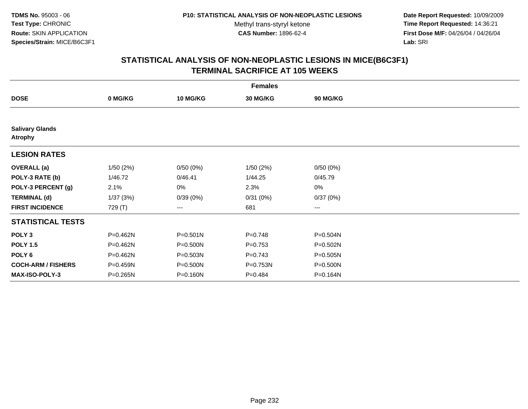**Date Report Requested:** 10/09/2009 **Time Report Requested:** 14:36:21 **First Dose M/F:** 04/26/04 / 04/26/04 Lab: SRI **Lab:** SRI

|                                          | <b>Females</b> |                 |                 |              |  |  |  |  |
|------------------------------------------|----------------|-----------------|-----------------|--------------|--|--|--|--|
| <b>DOSE</b>                              | 0 MG/KG        | <b>10 MG/KG</b> | <b>30 MG/KG</b> | 90 MG/KG     |  |  |  |  |
|                                          |                |                 |                 |              |  |  |  |  |
| <b>Salivary Glands</b><br><b>Atrophy</b> |                |                 |                 |              |  |  |  |  |
| <b>LESION RATES</b>                      |                |                 |                 |              |  |  |  |  |
| <b>OVERALL</b> (a)                       | 1/50(2%)       | 0/50(0%)        | 1/50(2%)        | 0/50(0%)     |  |  |  |  |
| POLY-3 RATE (b)                          | 1/46.72        | 0/46.41         | 1/44.25         | 0/45.79      |  |  |  |  |
| POLY-3 PERCENT (g)                       | 2.1%           | 0%              | 2.3%            | 0%           |  |  |  |  |
| <b>TERMINAL (d)</b>                      | 1/37(3%)       | 0/39(0%)        | 0/31(0%)        | 0/37(0%)     |  |  |  |  |
| <b>FIRST INCIDENCE</b>                   | 729 (T)        | $---$           | 681             | $\cdots$     |  |  |  |  |
| <b>STATISTICAL TESTS</b>                 |                |                 |                 |              |  |  |  |  |
| POLY <sub>3</sub>                        | P=0.462N       | P=0.501N        | $P = 0.748$     | P=0.504N     |  |  |  |  |
| <b>POLY 1.5</b>                          | P=0.462N       | P=0.500N        | $P=0.753$       | $P = 0.502N$ |  |  |  |  |
| POLY 6                                   | P=0.462N       | P=0.503N        | $P = 0.743$     | $P = 0.505N$ |  |  |  |  |
| <b>COCH-ARM / FISHERS</b>                | P=0.459N       | P=0.500N        | P=0.753N        | P=0.500N     |  |  |  |  |
| <b>MAX-ISO-POLY-3</b>                    | P=0.265N       | P=0.160N        | $P=0.484$       | P=0.164N     |  |  |  |  |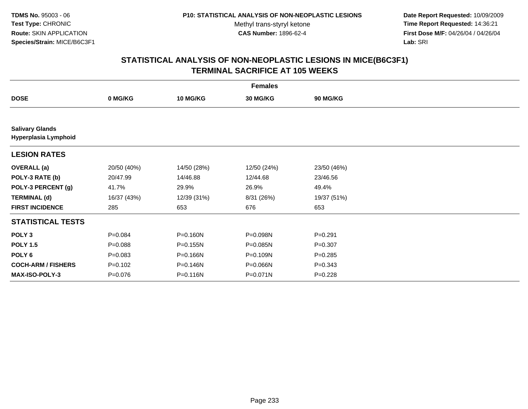**Date Report Requested:** 10/09/2009 **Time Report Requested:** 14:36:21 **First Dose M/F:** 04/26/04 / 04/26/04 Lab: SRI **Lab:** SRI

|                                                | <b>Females</b> |                 |              |                 |  |  |  |  |
|------------------------------------------------|----------------|-----------------|--------------|-----------------|--|--|--|--|
| <b>DOSE</b>                                    | 0 MG/KG        | <b>10 MG/KG</b> | 30 MG/KG     | <b>90 MG/KG</b> |  |  |  |  |
|                                                |                |                 |              |                 |  |  |  |  |
| <b>Salivary Glands</b><br>Hyperplasia Lymphoid |                |                 |              |                 |  |  |  |  |
| <b>LESION RATES</b>                            |                |                 |              |                 |  |  |  |  |
| <b>OVERALL</b> (a)                             | 20/50 (40%)    | 14/50 (28%)     | 12/50 (24%)  | 23/50 (46%)     |  |  |  |  |
| POLY-3 RATE (b)                                | 20/47.99       | 14/46.88        | 12/44.68     | 23/46.56        |  |  |  |  |
| POLY-3 PERCENT (g)                             | 41.7%          | 29.9%           | 26.9%        | 49.4%           |  |  |  |  |
| <b>TERMINAL (d)</b>                            | 16/37 (43%)    | 12/39 (31%)     | 8/31 (26%)   | 19/37 (51%)     |  |  |  |  |
| <b>FIRST INCIDENCE</b>                         | 285            | 653             | 676          | 653             |  |  |  |  |
| <b>STATISTICAL TESTS</b>                       |                |                 |              |                 |  |  |  |  |
| POLY <sub>3</sub>                              | $P=0.084$      | P=0.160N        | P=0.098N     | $P = 0.291$     |  |  |  |  |
| <b>POLY 1.5</b>                                | $P = 0.088$    | $P = 0.155N$    | P=0.085N     | $P = 0.307$     |  |  |  |  |
| POLY <sub>6</sub>                              | $P = 0.083$    | P=0.166N        | P=0.109N     | $P = 0.285$     |  |  |  |  |
| <b>COCH-ARM / FISHERS</b>                      | $P=0.102$      | P=0.146N        | P=0.066N     | $P = 0.343$     |  |  |  |  |
| MAX-ISO-POLY-3                                 | $P = 0.076$    | P=0.116N        | $P = 0.071N$ | $P = 0.228$     |  |  |  |  |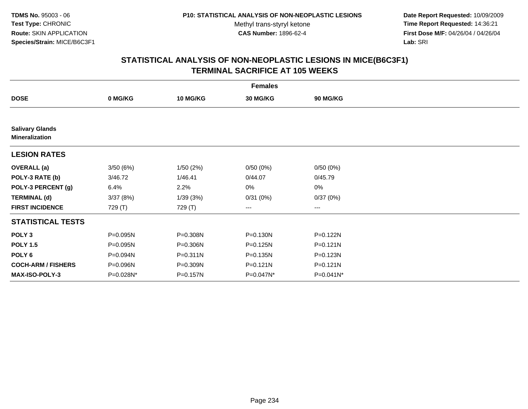**Date Report Requested:** 10/09/2009 **Time Report Requested:** 14:36:21 **First Dose M/F:** 04/26/04 / 04/26/04 Lab: SRI **Lab:** SRI

|                                                 | <b>Females</b> |                 |                        |                |  |  |  |  |
|-------------------------------------------------|----------------|-----------------|------------------------|----------------|--|--|--|--|
| <b>DOSE</b>                                     | 0 MG/KG        | <b>10 MG/KG</b> | 30 MG/KG               | 90 MG/KG       |  |  |  |  |
|                                                 |                |                 |                        |                |  |  |  |  |
| <b>Salivary Glands</b><br><b>Mineralization</b> |                |                 |                        |                |  |  |  |  |
| <b>LESION RATES</b>                             |                |                 |                        |                |  |  |  |  |
| <b>OVERALL</b> (a)                              | 3/50(6%)       | 1/50(2%)        | 0/50(0%)               | 0/50(0%)       |  |  |  |  |
| POLY-3 RATE (b)                                 | 3/46.72        | 1/46.41         | 0/44.07                | 0/45.79        |  |  |  |  |
| POLY-3 PERCENT (g)                              | 6.4%           | 2.2%            | 0%                     | 0%             |  |  |  |  |
| <b>TERMINAL (d)</b>                             | 3/37(8%)       | 1/39(3%)        | 0/31(0%)               | 0/37(0%)       |  |  |  |  |
| <b>FIRST INCIDENCE</b>                          | 729 (T)        | 729 (T)         | $\qquad \qquad \cdots$ | ---            |  |  |  |  |
| <b>STATISTICAL TESTS</b>                        |                |                 |                        |                |  |  |  |  |
| POLY <sub>3</sub>                               | P=0.095N       | P=0.308N        | P=0.130N               | $P = 0.122N$   |  |  |  |  |
| <b>POLY 1.5</b>                                 | P=0.095N       | P=0.306N        | P=0.125N               | $P = 0.121N$   |  |  |  |  |
| POLY <sub>6</sub>                               | P=0.094N       | P=0.311N        | $P = 0.135N$           | P=0.123N       |  |  |  |  |
| <b>COCH-ARM / FISHERS</b>                       | P=0.096N       | P=0.309N        | P=0.121N               | $P = 0.121N$   |  |  |  |  |
| <b>MAX-ISO-POLY-3</b>                           | P=0.028N*      | P=0.157N        | P=0.047N*              | $P = 0.041N^*$ |  |  |  |  |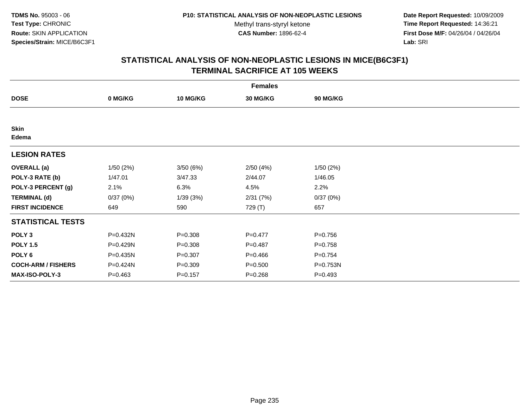**Date Report Requested:** 10/09/2009 **Time Report Requested:** 14:36:21 **First Dose M/F:** 04/26/04 / 04/26/04 Lab: SRI **Lab:** SRI

| <b>Females</b>            |             |                 |             |             |  |  |  |
|---------------------------|-------------|-----------------|-------------|-------------|--|--|--|
| <b>DOSE</b>               | 0 MG/KG     | <b>10 MG/KG</b> | 30 MG/KG    | 90 MG/KG    |  |  |  |
|                           |             |                 |             |             |  |  |  |
| <b>Skin</b><br>Edema      |             |                 |             |             |  |  |  |
| <b>LESION RATES</b>       |             |                 |             |             |  |  |  |
| <b>OVERALL</b> (a)        | 1/50(2%)    | 3/50(6%)        | 2/50(4%)    | 1/50(2%)    |  |  |  |
| POLY-3 RATE (b)           | 1/47.01     | 3/47.33         | 2/44.07     | 1/46.05     |  |  |  |
| POLY-3 PERCENT (g)        | 2.1%        | 6.3%            | 4.5%        | 2.2%        |  |  |  |
| <b>TERMINAL (d)</b>       | 0/37(0%)    | 1/39(3%)        | 2/31(7%)    | 0/37(0%)    |  |  |  |
| <b>FIRST INCIDENCE</b>    | 649         | 590             | 729 (T)     | 657         |  |  |  |
| <b>STATISTICAL TESTS</b>  |             |                 |             |             |  |  |  |
| POLY <sub>3</sub>         | P=0.432N    | $P = 0.308$     | $P=0.477$   | $P = 0.756$ |  |  |  |
| <b>POLY 1.5</b>           | P=0.429N    | $P = 0.308$     | $P=0.487$   | $P = 0.758$ |  |  |  |
| POLY <sub>6</sub>         | P=0.435N    | $P = 0.307$     | $P = 0.466$ | $P=0.754$   |  |  |  |
| <b>COCH-ARM / FISHERS</b> | P=0.424N    | $P = 0.309$     | $P = 0.500$ | P=0.753N    |  |  |  |
| MAX-ISO-POLY-3            | $P = 0.463$ | $P = 0.157$     | $P = 0.268$ | $P=0.493$   |  |  |  |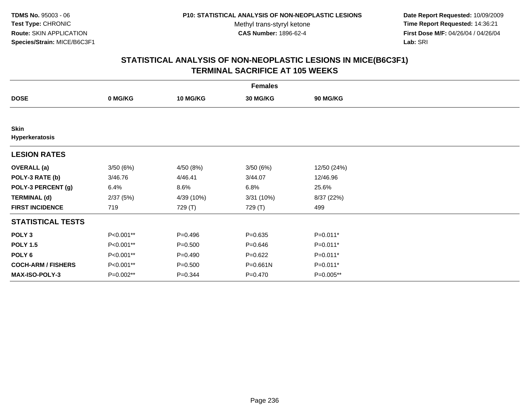**Date Report Requested:** 10/09/2009 **Time Report Requested:** 14:36:21 **First Dose M/F:** 04/26/04 / 04/26/04 Lab: SRI **Lab:** SRI

| <b>Females</b>                |           |             |              |                 |  |  |
|-------------------------------|-----------|-------------|--------------|-----------------|--|--|
| <b>DOSE</b>                   | 0 MG/KG   | 10 MG/KG    | 30 MG/KG     | <b>90 MG/KG</b> |  |  |
|                               |           |             |              |                 |  |  |
| <b>Skin</b><br>Hyperkeratosis |           |             |              |                 |  |  |
| <b>LESION RATES</b>           |           |             |              |                 |  |  |
| <b>OVERALL</b> (a)            | 3/50(6%)  | 4/50 (8%)   | 3/50(6%)     | 12/50 (24%)     |  |  |
| POLY-3 RATE (b)               | 3/46.76   | 4/46.41     | 3/44.07      | 12/46.96        |  |  |
| POLY-3 PERCENT (g)            | 6.4%      | 8.6%        | 6.8%         | 25.6%           |  |  |
| <b>TERMINAL (d)</b>           | 2/37(5%)  | 4/39 (10%)  | 3/31(10%)    | 8/37 (22%)      |  |  |
| <b>FIRST INCIDENCE</b>        | 719       | 729 (T)     | 729 (T)      | 499             |  |  |
| <b>STATISTICAL TESTS</b>      |           |             |              |                 |  |  |
| POLY <sub>3</sub>             | P<0.001** | $P=0.496$   | $P = 0.635$  | P=0.011*        |  |  |
| <b>POLY 1.5</b>               | P<0.001** | $P = 0.500$ | $P = 0.646$  | $P=0.011*$      |  |  |
| POLY 6                        | P<0.001** | $P=0.490$   | $P=0.622$    | P=0.011*        |  |  |
| <b>COCH-ARM / FISHERS</b>     | P<0.001** | $P = 0.500$ | $P = 0.661N$ | $P=0.011*$      |  |  |
| MAX-ISO-POLY-3                | P=0.002** | $P = 0.344$ | $P = 0.470$  | P=0.005**       |  |  |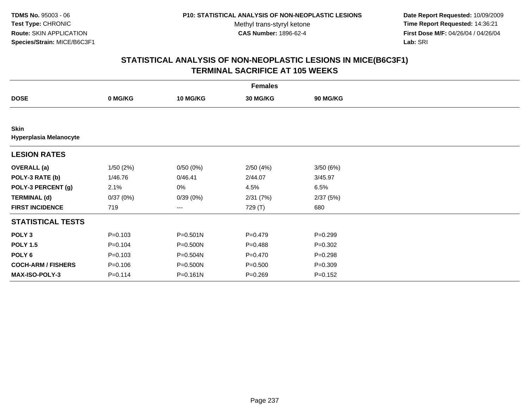**Date Report Requested:** 10/09/2009 **Time Report Requested:** 14:36:21 **First Dose M/F:** 04/26/04 / 04/26/04 Lab: SRI **Lab:** SRI

| <b>Females</b>                               |             |                 |                 |             |  |  |  |
|----------------------------------------------|-------------|-----------------|-----------------|-------------|--|--|--|
| <b>DOSE</b>                                  | 0 MG/KG     | <b>10 MG/KG</b> | <b>30 MG/KG</b> | 90 MG/KG    |  |  |  |
|                                              |             |                 |                 |             |  |  |  |
| <b>Skin</b><br><b>Hyperplasia Melanocyte</b> |             |                 |                 |             |  |  |  |
| <b>LESION RATES</b>                          |             |                 |                 |             |  |  |  |
| <b>OVERALL</b> (a)                           | 1/50(2%)    | 0/50(0%)        | 2/50(4%)        | 3/50(6%)    |  |  |  |
| POLY-3 RATE (b)                              | 1/46.76     | 0/46.41         | 2/44.07         | 3/45.97     |  |  |  |
| POLY-3 PERCENT (g)                           | 2.1%        | 0%              | 4.5%            | 6.5%        |  |  |  |
| <b>TERMINAL (d)</b>                          | 0/37(0%)    | 0/39(0%)        | 2/31(7%)        | 2/37(5%)    |  |  |  |
| <b>FIRST INCIDENCE</b>                       | 719         | ---             | 729 (T)         | 680         |  |  |  |
| <b>STATISTICAL TESTS</b>                     |             |                 |                 |             |  |  |  |
| POLY <sub>3</sub>                            | $P = 0.103$ | P=0.501N        | $P=0.479$       | $P = 0.299$ |  |  |  |
| <b>POLY 1.5</b>                              | $P = 0.104$ | P=0.500N        | $P = 0.488$     | $P=0.302$   |  |  |  |
| POLY 6                                       | $P = 0.103$ | P=0.504N        | $P = 0.470$     | $P = 0.298$ |  |  |  |
| <b>COCH-ARM / FISHERS</b>                    | $P = 0.106$ | P=0.500N        | $P = 0.500$     | $P = 0.309$ |  |  |  |
| <b>MAX-ISO-POLY-3</b>                        | $P = 0.114$ | P=0.161N        | $P = 0.269$     | $P = 0.152$ |  |  |  |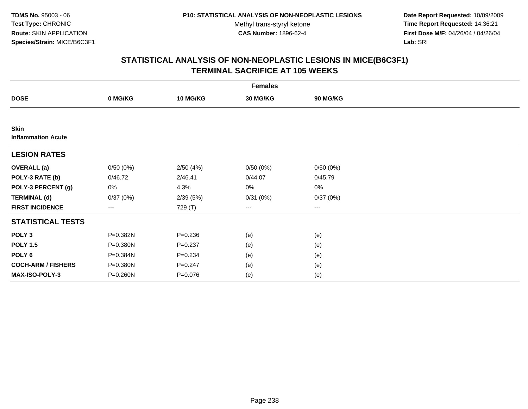**Date Report Requested:** 10/09/2009 **Time Report Requested:** 14:36:21 **First Dose M/F:** 04/26/04 / 04/26/04 Lab: SRI **Lab:** SRI

|                                          | <b>Females</b> |                 |          |          |  |  |  |  |
|------------------------------------------|----------------|-----------------|----------|----------|--|--|--|--|
| <b>DOSE</b>                              | 0 MG/KG        | <b>10 MG/KG</b> | 30 MG/KG | 90 MG/KG |  |  |  |  |
|                                          |                |                 |          |          |  |  |  |  |
| <b>Skin</b><br><b>Inflammation Acute</b> |                |                 |          |          |  |  |  |  |
| <b>LESION RATES</b>                      |                |                 |          |          |  |  |  |  |
| <b>OVERALL</b> (a)                       | 0/50(0%)       | 2/50(4%)        | 0/50(0%) | 0/50(0%) |  |  |  |  |
| POLY-3 RATE (b)                          | 0/46.72        | 2/46.41         | 0/44.07  | 0/45.79  |  |  |  |  |
| POLY-3 PERCENT (g)                       | 0%             | 4.3%            | 0%       | $0\%$    |  |  |  |  |
| <b>TERMINAL (d)</b>                      | 0/37(0%)       | 2/39(5%)        | 0/31(0%) | 0/37(0%) |  |  |  |  |
| <b>FIRST INCIDENCE</b>                   | ---            | 729 (T)         | $---$    | ---      |  |  |  |  |
| <b>STATISTICAL TESTS</b>                 |                |                 |          |          |  |  |  |  |
| POLY <sub>3</sub>                        | P=0.382N       | $P = 0.236$     | (e)      | (e)      |  |  |  |  |
| <b>POLY 1.5</b>                          | P=0.380N       | $P = 0.237$     | (e)      | (e)      |  |  |  |  |
| POLY <sub>6</sub>                        | P=0.384N       | $P = 0.234$     | (e)      | (e)      |  |  |  |  |
| <b>COCH-ARM / FISHERS</b>                | P=0.380N       | $P = 0.247$     | (e)      | (e)      |  |  |  |  |
| MAX-ISO-POLY-3                           | P=0.260N       | $P = 0.076$     | (e)      | (e)      |  |  |  |  |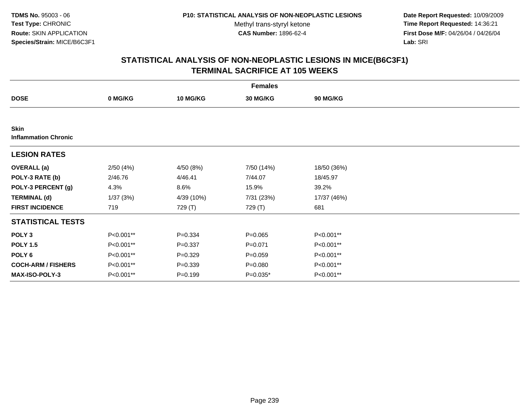**Date Report Requested:** 10/09/2009 **Time Report Requested:** 14:36:21 **First Dose M/F:** 04/26/04 / 04/26/04 Lab: SRI **Lab:** SRI

|                                            | <b>Females</b> |                 |             |             |  |  |  |  |
|--------------------------------------------|----------------|-----------------|-------------|-------------|--|--|--|--|
| <b>DOSE</b>                                | 0 MG/KG        | <b>10 MG/KG</b> | 30 MG/KG    | 90 MG/KG    |  |  |  |  |
|                                            |                |                 |             |             |  |  |  |  |
| <b>Skin</b><br><b>Inflammation Chronic</b> |                |                 |             |             |  |  |  |  |
| <b>LESION RATES</b>                        |                |                 |             |             |  |  |  |  |
| <b>OVERALL</b> (a)                         | 2/50(4%)       | 4/50 (8%)       | 7/50 (14%)  | 18/50 (36%) |  |  |  |  |
| POLY-3 RATE (b)                            | 2/46.76        | 4/46.41         | 7/44.07     | 18/45.97    |  |  |  |  |
| POLY-3 PERCENT (g)                         | 4.3%           | 8.6%            | 15.9%       | 39.2%       |  |  |  |  |
| <b>TERMINAL (d)</b>                        | 1/37(3%)       | 4/39 (10%)      | 7/31 (23%)  | 17/37 (46%) |  |  |  |  |
| <b>FIRST INCIDENCE</b>                     | 719            | 729 (T)         | 729 (T)     | 681         |  |  |  |  |
| <b>STATISTICAL TESTS</b>                   |                |                 |             |             |  |  |  |  |
| POLY <sub>3</sub>                          | P<0.001**      | $P = 0.334$     | $P = 0.065$ | P<0.001**   |  |  |  |  |
| <b>POLY 1.5</b>                            | P<0.001**      | $P = 0.337$     | $P = 0.071$ | P<0.001**   |  |  |  |  |
| POLY 6                                     | P<0.001**      | $P = 0.329$     | $P = 0.059$ | P<0.001**   |  |  |  |  |
| <b>COCH-ARM / FISHERS</b>                  | P<0.001**      | $P = 0.339$     | $P = 0.080$ | P<0.001**   |  |  |  |  |
| MAX-ISO-POLY-3                             | P<0.001**      | $P = 0.199$     | $P=0.035*$  | P<0.001**   |  |  |  |  |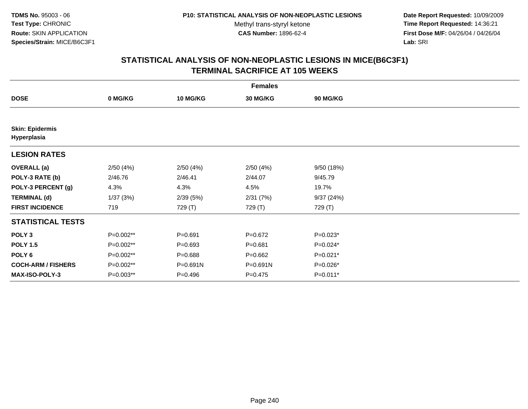**Date Report Requested:** 10/09/2009 **Time Report Requested:** 14:36:21 **First Dose M/F:** 04/26/04 / 04/26/04 Lab: SRI **Lab:** SRI

| <b>Females</b>                        |           |                 |             |            |  |  |  |
|---------------------------------------|-----------|-----------------|-------------|------------|--|--|--|
| <b>DOSE</b>                           | 0 MG/KG   | <b>10 MG/KG</b> | 30 MG/KG    | 90 MG/KG   |  |  |  |
|                                       |           |                 |             |            |  |  |  |
| <b>Skin: Epidermis</b><br>Hyperplasia |           |                 |             |            |  |  |  |
| <b>LESION RATES</b>                   |           |                 |             |            |  |  |  |
| <b>OVERALL</b> (a)                    | 2/50(4%)  | 2/50(4%)        | 2/50(4%)    | 9/50 (18%) |  |  |  |
| POLY-3 RATE (b)                       | 2/46.76   | 2/46.41         | 2/44.07     | 9/45.79    |  |  |  |
| POLY-3 PERCENT (g)                    | 4.3%      | 4.3%            | 4.5%        | 19.7%      |  |  |  |
| <b>TERMINAL (d)</b>                   | 1/37(3%)  | 2/39(5%)        | 2/31(7%)    | 9/37(24%)  |  |  |  |
| <b>FIRST INCIDENCE</b>                | 719       | 729 (T)         | 729 (T)     | 729 (T)    |  |  |  |
| <b>STATISTICAL TESTS</b>              |           |                 |             |            |  |  |  |
| POLY <sub>3</sub>                     | P=0.002** | $P = 0.691$     | $P=0.672$   | $P=0.023*$ |  |  |  |
| <b>POLY 1.5</b>                       | P=0.002** | $P = 0.693$     | $P = 0.681$ | $P=0.024*$ |  |  |  |
| POLY <sub>6</sub>                     | P=0.002** | $P = 0.688$     | $P = 0.662$ | P=0.021*   |  |  |  |
| <b>COCH-ARM / FISHERS</b>             | P=0.002** | P=0.691N        | P=0.691N    | P=0.026*   |  |  |  |
| MAX-ISO-POLY-3                        | P=0.003** | $P = 0.496$     | $P=0.475$   | P=0.011*   |  |  |  |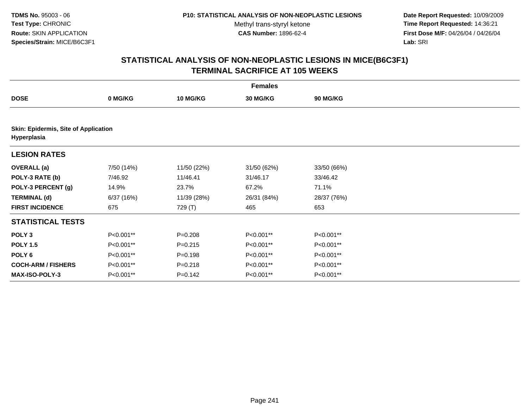**Date Report Requested:** 10/09/2009 **Time Report Requested:** 14:36:21 **First Dose M/F:** 04/26/04 / 04/26/04 Lab: SRI **Lab:** SRI

|                                                     | <b>Females</b> |             |             |                 |  |  |  |
|-----------------------------------------------------|----------------|-------------|-------------|-----------------|--|--|--|
| <b>DOSE</b>                                         | 0 MG/KG        | 10 MG/KG    | 30 MG/KG    | <b>90 MG/KG</b> |  |  |  |
|                                                     |                |             |             |                 |  |  |  |
| Skin: Epidermis, Site of Application<br>Hyperplasia |                |             |             |                 |  |  |  |
| <b>LESION RATES</b>                                 |                |             |             |                 |  |  |  |
| <b>OVERALL</b> (a)                                  | 7/50 (14%)     | 11/50 (22%) | 31/50 (62%) | 33/50 (66%)     |  |  |  |
| POLY-3 RATE (b)                                     | 7/46.92        | 11/46.41    | 31/46.17    | 33/46.42        |  |  |  |
| POLY-3 PERCENT (g)                                  | 14.9%          | 23.7%       | 67.2%       | 71.1%           |  |  |  |
| <b>TERMINAL (d)</b>                                 | 6/37 (16%)     | 11/39 (28%) | 26/31 (84%) | 28/37 (76%)     |  |  |  |
| <b>FIRST INCIDENCE</b>                              | 675            | 729 (T)     | 465         | 653             |  |  |  |
| <b>STATISTICAL TESTS</b>                            |                |             |             |                 |  |  |  |
| POLY <sub>3</sub>                                   | P<0.001**      | $P = 0.208$ | P<0.001**   | P<0.001**       |  |  |  |
| <b>POLY 1.5</b>                                     | P<0.001**      | $P = 0.215$ | P<0.001**   | P<0.001**       |  |  |  |
| POLY <sub>6</sub>                                   | P<0.001**      | $P = 0.198$ | P<0.001**   | P<0.001**       |  |  |  |
| <b>COCH-ARM / FISHERS</b>                           | P<0.001**      | $P = 0.218$ | P<0.001**   | P<0.001**       |  |  |  |
| <b>MAX-ISO-POLY-3</b>                               | P<0.001**      | $P = 0.142$ | P<0.001**   | P<0.001**       |  |  |  |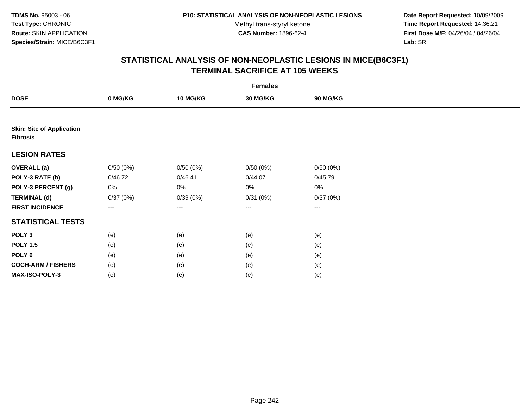**Date Report Requested:** 10/09/2009 **Time Report Requested:** 14:36:21 **First Dose M/F:** 04/26/04 / 04/26/04 Lab: SRI **Lab:** SRI

|                                                     | <b>Females</b> |                 |                   |                 |  |  |  |  |
|-----------------------------------------------------|----------------|-----------------|-------------------|-----------------|--|--|--|--|
| <b>DOSE</b>                                         | 0 MG/KG        | <b>10 MG/KG</b> | 30 MG/KG          | <b>90 MG/KG</b> |  |  |  |  |
|                                                     |                |                 |                   |                 |  |  |  |  |
| <b>Skin: Site of Application</b><br><b>Fibrosis</b> |                |                 |                   |                 |  |  |  |  |
| <b>LESION RATES</b>                                 |                |                 |                   |                 |  |  |  |  |
| <b>OVERALL</b> (a)                                  | 0/50(0%)       | 0/50(0%)        | 0/50(0%)          | 0/50(0%)        |  |  |  |  |
| POLY-3 RATE (b)                                     | 0/46.72        | 0/46.41         | 0/44.07           | 0/45.79         |  |  |  |  |
| POLY-3 PERCENT (g)                                  | 0%             | 0%              | 0%                | 0%              |  |  |  |  |
| <b>TERMINAL (d)</b>                                 | 0/37(0%)       | 0/39(0%)        | 0/31(0%)          | 0/37(0%)        |  |  |  |  |
| <b>FIRST INCIDENCE</b>                              | $---$          | $---$           | $\qquad \qquad -$ | ---             |  |  |  |  |
| <b>STATISTICAL TESTS</b>                            |                |                 |                   |                 |  |  |  |  |
| POLY <sub>3</sub>                                   | (e)            | (e)             | (e)               | (e)             |  |  |  |  |
| <b>POLY 1.5</b>                                     | (e)            | (e)             | (e)               | (e)             |  |  |  |  |
| POLY <sub>6</sub>                                   | (e)            | (e)             | (e)               | (e)             |  |  |  |  |
| <b>COCH-ARM / FISHERS</b>                           | (e)            | (e)             | (e)               | (e)             |  |  |  |  |
| MAX-ISO-POLY-3                                      | (e)            | (e)             | (e)               | (e)             |  |  |  |  |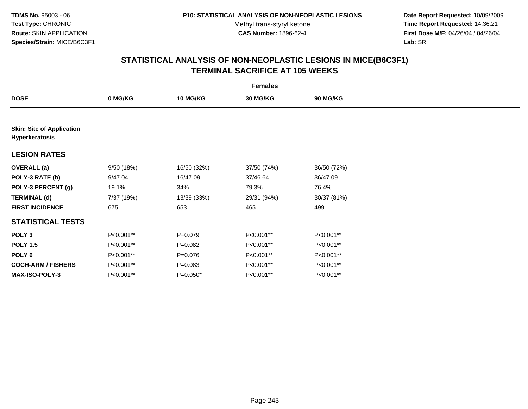**Date Report Requested:** 10/09/2009 **Time Report Requested:** 14:36:21 **First Dose M/F:** 04/26/04 / 04/26/04 Lab: SRI **Lab:** SRI

|                                                    | <b>Females</b> |                 |             |                 |  |  |  |
|----------------------------------------------------|----------------|-----------------|-------------|-----------------|--|--|--|
| <b>DOSE</b>                                        | 0 MG/KG        | <b>10 MG/KG</b> | 30 MG/KG    | <b>90 MG/KG</b> |  |  |  |
|                                                    |                |                 |             |                 |  |  |  |
| <b>Skin: Site of Application</b><br>Hyperkeratosis |                |                 |             |                 |  |  |  |
| <b>LESION RATES</b>                                |                |                 |             |                 |  |  |  |
| <b>OVERALL</b> (a)                                 | 9/50 (18%)     | 16/50 (32%)     | 37/50 (74%) | 36/50 (72%)     |  |  |  |
| POLY-3 RATE (b)                                    | 9/47.04        | 16/47.09        | 37/46.64    | 36/47.09        |  |  |  |
| POLY-3 PERCENT (g)                                 | 19.1%          | 34%             | 79.3%       | 76.4%           |  |  |  |
| <b>TERMINAL (d)</b>                                | 7/37 (19%)     | 13/39 (33%)     | 29/31 (94%) | 30/37 (81%)     |  |  |  |
| <b>FIRST INCIDENCE</b>                             | 675            | 653             | 465         | 499             |  |  |  |
| <b>STATISTICAL TESTS</b>                           |                |                 |             |                 |  |  |  |
| POLY <sub>3</sub>                                  | P<0.001**      | $P = 0.079$     | P<0.001**   | P<0.001**       |  |  |  |
| <b>POLY 1.5</b>                                    | P<0.001**      | $P=0.082$       | P<0.001**   | P<0.001**       |  |  |  |
| POLY <sub>6</sub>                                  | P<0.001**      | $P = 0.076$     | P<0.001**   | P<0.001**       |  |  |  |
| <b>COCH-ARM / FISHERS</b>                          | P<0.001**      | $P = 0.083$     | P<0.001**   | P<0.001**       |  |  |  |
| <b>MAX-ISO-POLY-3</b>                              | P<0.001**      | $P=0.050*$      | P<0.001**   | P<0.001**       |  |  |  |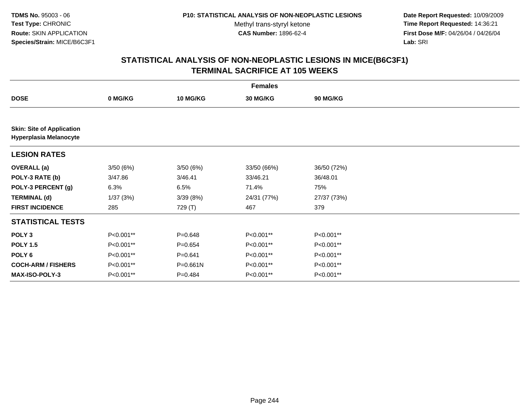**Date Report Requested:** 10/09/2009 **Time Report Requested:** 14:36:21 **First Dose M/F:** 04/26/04 / 04/26/04 Lab: SRI **Lab:** SRI

|                                                                   | <b>Females</b> |                 |             |                 |  |  |  |
|-------------------------------------------------------------------|----------------|-----------------|-------------|-----------------|--|--|--|
| <b>DOSE</b>                                                       | 0 MG/KG        | <b>10 MG/KG</b> | 30 MG/KG    | <b>90 MG/KG</b> |  |  |  |
|                                                                   |                |                 |             |                 |  |  |  |
| <b>Skin: Site of Application</b><br><b>Hyperplasia Melanocyte</b> |                |                 |             |                 |  |  |  |
| <b>LESION RATES</b>                                               |                |                 |             |                 |  |  |  |
| <b>OVERALL</b> (a)                                                | 3/50(6%)       | 3/50(6%)        | 33/50 (66%) | 36/50 (72%)     |  |  |  |
| POLY-3 RATE (b)                                                   | 3/47.86        | 3/46.41         | 33/46.21    | 36/48.01        |  |  |  |
| POLY-3 PERCENT (g)                                                | 6.3%           | 6.5%            | 71.4%       | 75%             |  |  |  |
| <b>TERMINAL (d)</b>                                               | 1/37(3%)       | 3/39(8%)        | 24/31 (77%) | 27/37 (73%)     |  |  |  |
| <b>FIRST INCIDENCE</b>                                            | 285            | 729 (T)         | 467         | 379             |  |  |  |
| <b>STATISTICAL TESTS</b>                                          |                |                 |             |                 |  |  |  |
| POLY <sub>3</sub>                                                 | P<0.001**      | $P = 0.648$     | P<0.001**   | P<0.001**       |  |  |  |
| <b>POLY 1.5</b>                                                   | P<0.001**      | $P=0.654$       | P<0.001**   | P<0.001**       |  |  |  |
| POLY 6                                                            | P<0.001**      | $P = 0.641$     | P<0.001**   | P<0.001**       |  |  |  |
| <b>COCH-ARM / FISHERS</b>                                         | P<0.001**      | P=0.661N        | P<0.001**   | P<0.001**       |  |  |  |
| <b>MAX-ISO-POLY-3</b>                                             | P<0.001**      | $P=0.484$       | P<0.001**   | P<0.001**       |  |  |  |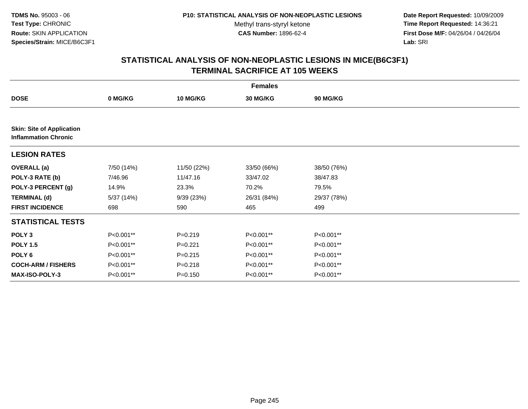**Date Report Requested:** 10/09/2009 **Time Report Requested:** 14:36:21 **First Dose M/F:** 04/26/04 / 04/26/04 Lab: SRI **Lab:** SRI

|                                                                 | <b>Females</b> |             |                 |                 |  |  |  |
|-----------------------------------------------------------------|----------------|-------------|-----------------|-----------------|--|--|--|
| <b>DOSE</b>                                                     | 0 MG/KG        | 10 MG/KG    | <b>30 MG/KG</b> | <b>90 MG/KG</b> |  |  |  |
|                                                                 |                |             |                 |                 |  |  |  |
| <b>Skin: Site of Application</b><br><b>Inflammation Chronic</b> |                |             |                 |                 |  |  |  |
| <b>LESION RATES</b>                                             |                |             |                 |                 |  |  |  |
| <b>OVERALL</b> (a)                                              | 7/50 (14%)     | 11/50 (22%) | 33/50 (66%)     | 38/50 (76%)     |  |  |  |
| POLY-3 RATE (b)                                                 | 7/46.96        | 11/47.16    | 33/47.02        | 38/47.83        |  |  |  |
| POLY-3 PERCENT (g)                                              | 14.9%          | 23.3%       | 70.2%           | 79.5%           |  |  |  |
| <b>TERMINAL (d)</b>                                             | 5/37 (14%)     | 9/39(23%)   | 26/31 (84%)     | 29/37 (78%)     |  |  |  |
| <b>FIRST INCIDENCE</b>                                          | 698            | 590         | 465             | 499             |  |  |  |
| <b>STATISTICAL TESTS</b>                                        |                |             |                 |                 |  |  |  |
| POLY <sub>3</sub>                                               | P<0.001**      | $P = 0.219$ | P<0.001**       | P<0.001**       |  |  |  |
| <b>POLY 1.5</b>                                                 | P<0.001**      | $P = 0.221$ | P<0.001**       | P<0.001**       |  |  |  |
| POLY <sub>6</sub>                                               | P<0.001**      | $P = 0.215$ | P<0.001**       | P<0.001**       |  |  |  |
| <b>COCH-ARM / FISHERS</b>                                       | P<0.001**      | $P = 0.218$ | P<0.001**       | P<0.001**       |  |  |  |
| <b>MAX-ISO-POLY-3</b>                                           | P<0.001**      | $P = 0.150$ | P<0.001**       | P<0.001**       |  |  |  |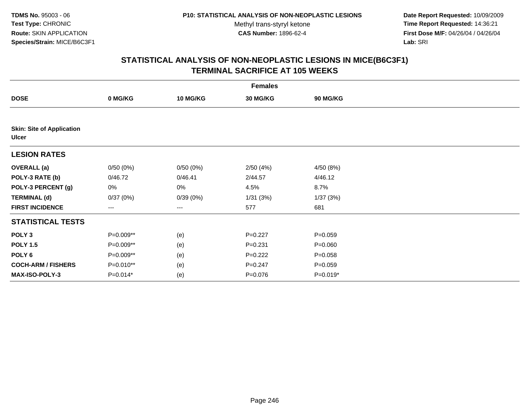**Date Report Requested:** 10/09/2009 **Time Report Requested:** 14:36:21 **First Dose M/F:** 04/26/04 / 04/26/04 Lab: SRI **Lab:** SRI

|                                                  | <b>Females</b> |                 |             |                 |  |  |  |  |
|--------------------------------------------------|----------------|-----------------|-------------|-----------------|--|--|--|--|
| <b>DOSE</b>                                      | 0 MG/KG        | <b>10 MG/KG</b> | 30 MG/KG    | <b>90 MG/KG</b> |  |  |  |  |
|                                                  |                |                 |             |                 |  |  |  |  |
| <b>Skin: Site of Application</b><br><b>Ulcer</b> |                |                 |             |                 |  |  |  |  |
| <b>LESION RATES</b>                              |                |                 |             |                 |  |  |  |  |
| <b>OVERALL</b> (a)                               | 0/50(0%)       | 0/50(0%)        | 2/50(4%)    | 4/50 (8%)       |  |  |  |  |
| POLY-3 RATE (b)                                  | 0/46.72        | 0/46.41         | 2/44.57     | 4/46.12         |  |  |  |  |
| POLY-3 PERCENT (g)                               | 0%             | 0%              | 4.5%        | 8.7%            |  |  |  |  |
| <b>TERMINAL (d)</b>                              | 0/37(0%)       | 0/39(0%)        | 1/31(3%)    | 1/37 (3%)       |  |  |  |  |
| <b>FIRST INCIDENCE</b>                           | ---            | ---             | 577         | 681             |  |  |  |  |
| <b>STATISTICAL TESTS</b>                         |                |                 |             |                 |  |  |  |  |
| POLY <sub>3</sub>                                | P=0.009**      | (e)             | $P=0.227$   | $P = 0.059$     |  |  |  |  |
| <b>POLY 1.5</b>                                  | P=0.009**      | (e)             | $P = 0.231$ | $P = 0.060$     |  |  |  |  |
| POLY <sub>6</sub>                                | P=0.009**      | (e)             | $P=0.222$   | $P = 0.058$     |  |  |  |  |
| <b>COCH-ARM / FISHERS</b>                        | P=0.010**      | (e)             | $P = 0.247$ | $P = 0.059$     |  |  |  |  |
| MAX-ISO-POLY-3                                   | $P=0.014*$     | (e)             | $P = 0.076$ | $P=0.019*$      |  |  |  |  |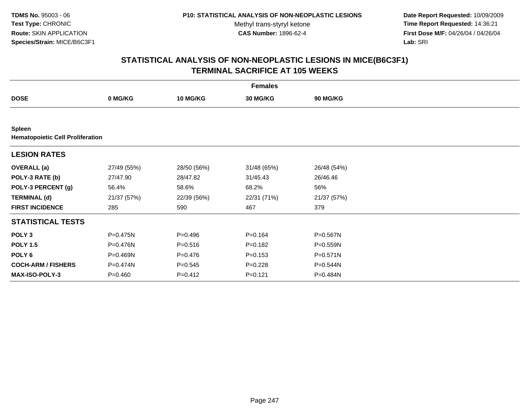**Date Report Requested:** 10/09/2009 **Time Report Requested:** 14:36:21 **First Dose M/F:** 04/26/04 / 04/26/04 Lab: SRI **Lab:** SRI

|                                                          | <b>Females</b> |                 |             |                 |  |  |  |
|----------------------------------------------------------|----------------|-----------------|-------------|-----------------|--|--|--|
| <b>DOSE</b>                                              | 0 MG/KG        | <b>10 MG/KG</b> | 30 MG/KG    | <b>90 MG/KG</b> |  |  |  |
|                                                          |                |                 |             |                 |  |  |  |
| <b>Spleen</b><br><b>Hematopoietic Cell Proliferation</b> |                |                 |             |                 |  |  |  |
| <b>LESION RATES</b>                                      |                |                 |             |                 |  |  |  |
| <b>OVERALL</b> (a)                                       | 27/49 (55%)    | 28/50 (56%)     | 31/48 (65%) | 26/48 (54%)     |  |  |  |
| POLY-3 RATE (b)                                          | 27/47.90       | 28/47.82        | 31/45.43    | 26/46.46        |  |  |  |
| POLY-3 PERCENT (g)                                       | 56.4%          | 58.6%           | 68.2%       | 56%             |  |  |  |
| <b>TERMINAL (d)</b>                                      | 21/37 (57%)    | 22/39 (56%)     | 22/31 (71%) | 21/37 (57%)     |  |  |  |
| <b>FIRST INCIDENCE</b>                                   | 285            | 590             | 467         | 379             |  |  |  |
| <b>STATISTICAL TESTS</b>                                 |                |                 |             |                 |  |  |  |
| POLY <sub>3</sub>                                        | P=0.475N       | $P = 0.496$     | $P = 0.164$ | P=0.567N        |  |  |  |
| <b>POLY 1.5</b>                                          | P=0.476N       | $P = 0.516$     | $P = 0.182$ | $P = 0.559N$    |  |  |  |
| POLY 6                                                   | P=0.469N       | $P = 0.476$     | $P = 0.153$ | $P = 0.571N$    |  |  |  |
| <b>COCH-ARM / FISHERS</b>                                | P=0.474N       | $P = 0.545$     | $P=0.228$   | P=0.544N        |  |  |  |
| MAX-ISO-POLY-3                                           | $P = 0.460$    | $P = 0.412$     | $P = 0.121$ | P=0.484N        |  |  |  |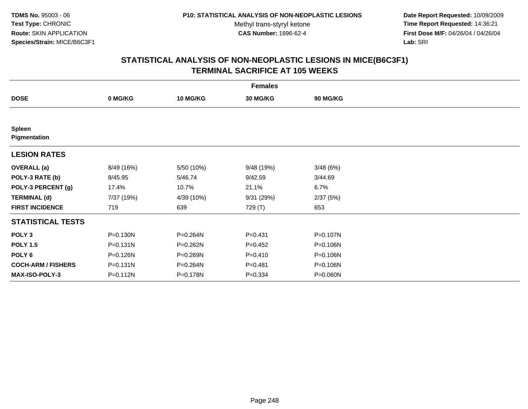**Date Report Requested:** 10/09/2009 **Time Report Requested:** 14:36:21 **First Dose M/F:** 04/26/04 / 04/26/04 Lab: SRI **Lab:** SRI

|                               | <b>Females</b> |                 |             |                 |  |  |  |  |
|-------------------------------|----------------|-----------------|-------------|-----------------|--|--|--|--|
| <b>DOSE</b>                   | 0 MG/KG        | <b>10 MG/KG</b> | 30 MG/KG    | <b>90 MG/KG</b> |  |  |  |  |
|                               |                |                 |             |                 |  |  |  |  |
| <b>Spleen</b><br>Pigmentation |                |                 |             |                 |  |  |  |  |
| <b>LESION RATES</b>           |                |                 |             |                 |  |  |  |  |
| <b>OVERALL</b> (a)            | 8/49 (16%)     | 5/50 (10%)      | 9/48 (19%)  | 3/48(6%)        |  |  |  |  |
| POLY-3 RATE (b)               | 8/45.95        | 5/46.74         | 9/42.59     | 3/44.69         |  |  |  |  |
| POLY-3 PERCENT (g)            | 17.4%          | 10.7%           | 21.1%       | 6.7%            |  |  |  |  |
| <b>TERMINAL (d)</b>           | 7/37 (19%)     | 4/39 (10%)      | 9/31(29%)   | 2/37(5%)        |  |  |  |  |
| <b>FIRST INCIDENCE</b>        | 719            | 639             | 729 (T)     | 653             |  |  |  |  |
| <b>STATISTICAL TESTS</b>      |                |                 |             |                 |  |  |  |  |
| POLY <sub>3</sub>             | $P = 0.130N$   | P=0.264N        | $P = 0.431$ | P=0.107N        |  |  |  |  |
| <b>POLY 1.5</b>               | $P = 0.131N$   | $P = 0.262N$    | $P=0.452$   | P=0.106N        |  |  |  |  |
| POLY <sub>6</sub>             | P=0.126N       | P=0.269N        | $P=0.410$   | P=0.106N        |  |  |  |  |
| <b>COCH-ARM / FISHERS</b>     | $P = 0.131N$   | P=0.264N        | $P = 0.481$ | P=0.106N        |  |  |  |  |
| MAX-ISO-POLY-3                | P=0.112N       | P=0.178N        | $P = 0.334$ | P=0.060N        |  |  |  |  |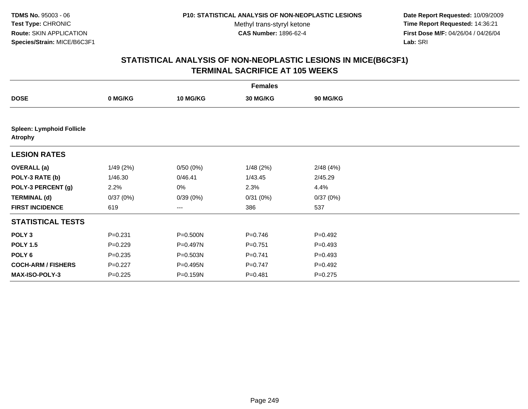**Date Report Requested:** 10/09/2009 **Time Report Requested:** 14:36:21 **First Dose M/F:** 04/26/04 / 04/26/04 Lab: SRI **Lab:** SRI

|                                                    | <b>Females</b> |                 |             |                 |  |  |  |  |
|----------------------------------------------------|----------------|-----------------|-------------|-----------------|--|--|--|--|
| <b>DOSE</b>                                        | 0 MG/KG        | <b>10 MG/KG</b> | 30 MG/KG    | <b>90 MG/KG</b> |  |  |  |  |
|                                                    |                |                 |             |                 |  |  |  |  |
| <b>Spleen: Lymphoid Follicle</b><br><b>Atrophy</b> |                |                 |             |                 |  |  |  |  |
| <b>LESION RATES</b>                                |                |                 |             |                 |  |  |  |  |
| <b>OVERALL</b> (a)                                 | 1/49(2%)       | 0/50(0%)        | 1/48(2%)    | 2/48(4%)        |  |  |  |  |
| POLY-3 RATE (b)                                    | 1/46.30        | 0/46.41         | 1/43.45     | 2/45.29         |  |  |  |  |
| POLY-3 PERCENT (g)                                 | 2.2%           | 0%              | 2.3%        | 4.4%            |  |  |  |  |
| <b>TERMINAL (d)</b>                                | 0/37(0%)       | 0/39(0%)        | 0/31(0%)    | 0/37(0%)        |  |  |  |  |
| <b>FIRST INCIDENCE</b>                             | 619            | ---             | 386         | 537             |  |  |  |  |
| <b>STATISTICAL TESTS</b>                           |                |                 |             |                 |  |  |  |  |
| POLY <sub>3</sub>                                  | $P = 0.231$    | P=0.500N        | $P=0.746$   | $P = 0.492$     |  |  |  |  |
| <b>POLY 1.5</b>                                    | $P=0.229$      | P=0.497N        | $P = 0.751$ | $P = 0.493$     |  |  |  |  |
| POLY 6                                             | $P = 0.235$    | $P = 0.503N$    | $P=0.741$   | $P = 0.493$     |  |  |  |  |
| <b>COCH-ARM / FISHERS</b>                          | $P=0.227$      | P=0.495N        | $P=0.747$   | $P=0.492$       |  |  |  |  |
| MAX-ISO-POLY-3                                     | $P=0.225$      | P=0.159N        | $P = 0.481$ | $P = 0.275$     |  |  |  |  |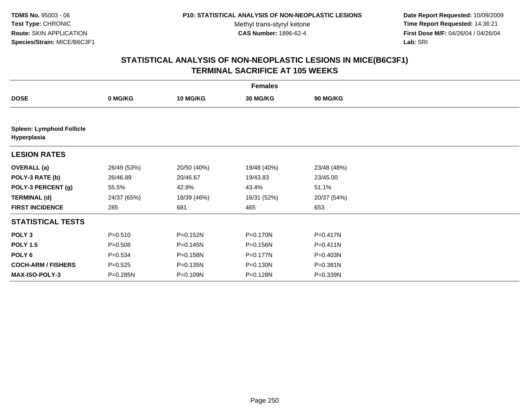**Date Report Requested:** 10/09/2009 **Time Report Requested:** 14:36:21 **First Dose M/F:** 04/26/04 / 04/26/04 Lab: SRI **Lab:** SRI

| <b>Females</b>                                  |             |                 |              |                 |  |  |
|-------------------------------------------------|-------------|-----------------|--------------|-----------------|--|--|
| <b>DOSE</b>                                     | 0 MG/KG     | <b>10 MG/KG</b> | 30 MG/KG     | <b>90 MG/KG</b> |  |  |
|                                                 |             |                 |              |                 |  |  |
| <b>Spleen: Lymphoid Follicle</b><br>Hyperplasia |             |                 |              |                 |  |  |
| <b>LESION RATES</b>                             |             |                 |              |                 |  |  |
| <b>OVERALL</b> (a)                              | 26/49 (53%) | 20/50 (40%)     | 19/48 (40%)  | 23/48 (48%)     |  |  |
| POLY-3 RATE (b)                                 | 26/46.89    | 20/46.67        | 19/43.83     | 23/45.00        |  |  |
| POLY-3 PERCENT (g)                              | 55.5%       | 42.9%           | 43.4%        | 51.1%           |  |  |
| <b>TERMINAL (d)</b>                             | 24/37 (65%) | 18/39 (46%)     | 16/31 (52%)  | 20/37 (54%)     |  |  |
| <b>FIRST INCIDENCE</b>                          | 285         | 681             | 465          | 653             |  |  |
| <b>STATISTICAL TESTS</b>                        |             |                 |              |                 |  |  |
| POLY <sub>3</sub>                               | $P = 0.510$ | P=0.152N        | P=0.170N     | P=0.417N        |  |  |
| <b>POLY 1.5</b>                                 | $P = 0.508$ | $P = 0.145N$    | P=0.156N     | $P = 0.411N$    |  |  |
| POLY 6                                          | $P = 0.534$ | P=0.158N        | P=0.177N     | P=0.403N        |  |  |
| <b>COCH-ARM / FISHERS</b>                       | $P = 0.525$ | $P = 0.135N$    | $P = 0.130N$ | P=0.381N        |  |  |
| <b>MAX-ISO-POLY-3</b>                           | P=0.285N    | P=0.109N        | P=0.128N     | P=0.339N        |  |  |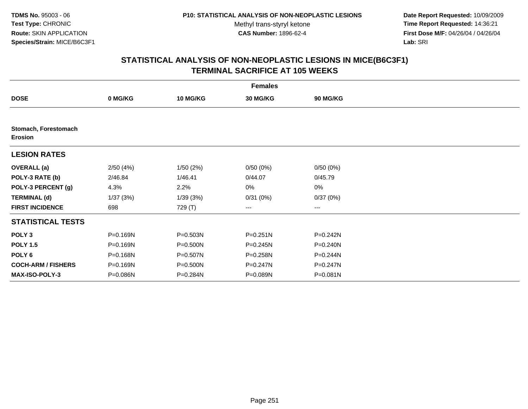**Date Report Requested:** 10/09/2009 **Time Report Requested:** 14:36:21 **First Dose M/F:** 04/26/04 / 04/26/04 Lab: SRI **Lab:** SRI

|                                        | <b>Females</b> |          |              |              |  |  |  |  |
|----------------------------------------|----------------|----------|--------------|--------------|--|--|--|--|
| <b>DOSE</b>                            | 0 MG/KG        | 10 MG/KG | 30 MG/KG     | 90 MG/KG     |  |  |  |  |
|                                        |                |          |              |              |  |  |  |  |
| Stomach, Forestomach<br><b>Erosion</b> |                |          |              |              |  |  |  |  |
| <b>LESION RATES</b>                    |                |          |              |              |  |  |  |  |
| <b>OVERALL</b> (a)                     | 2/50(4%)       | 1/50(2%) | 0/50(0%)     | 0/50(0%)     |  |  |  |  |
| POLY-3 RATE (b)                        | 2/46.84        | 1/46.41  | 0/44.07      | 0/45.79      |  |  |  |  |
| POLY-3 PERCENT (g)                     | 4.3%           | 2.2%     | 0%           | $0\%$        |  |  |  |  |
| <b>TERMINAL (d)</b>                    | 1/37(3%)       | 1/39(3%) | 0/31(0%)     | 0/37(0%)     |  |  |  |  |
| <b>FIRST INCIDENCE</b>                 | 698            | 729 (T)  | $\cdots$     | $\cdots$     |  |  |  |  |
| <b>STATISTICAL TESTS</b>               |                |          |              |              |  |  |  |  |
| POLY <sub>3</sub>                      | P=0.169N       | P=0.503N | $P = 0.251N$ | P=0.242N     |  |  |  |  |
| <b>POLY 1.5</b>                        | P=0.169N       | P=0.500N | $P = 0.245N$ | P=0.240N     |  |  |  |  |
| POLY 6                                 | P=0.168N       | P=0.507N | P=0.258N     | P=0.244N     |  |  |  |  |
| <b>COCH-ARM / FISHERS</b>              | P=0.169N       | P=0.500N | P=0.247N     | $P = 0.247N$ |  |  |  |  |
| <b>MAX-ISO-POLY-3</b>                  | P=0.086N       | P=0.284N | P=0.089N     | P=0.081N     |  |  |  |  |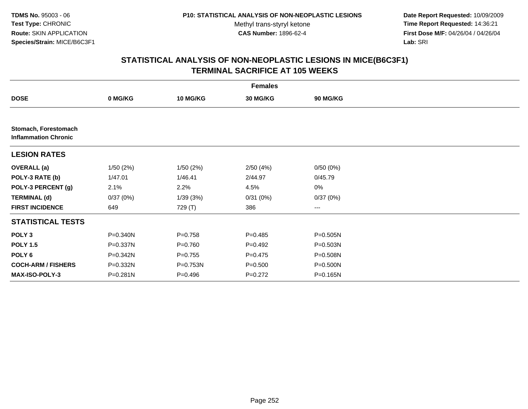**Date Report Requested:** 10/09/2009 **Time Report Requested:** 14:36:21 **First Dose M/F:** 04/26/04 / 04/26/04 Lab: SRI **Lab:** SRI

|                                                     | <b>Females</b> |             |             |                 |  |  |  |  |
|-----------------------------------------------------|----------------|-------------|-------------|-----------------|--|--|--|--|
| <b>DOSE</b>                                         | 0 MG/KG        | 10 MG/KG    | 30 MG/KG    | <b>90 MG/KG</b> |  |  |  |  |
|                                                     |                |             |             |                 |  |  |  |  |
| Stomach, Forestomach<br><b>Inflammation Chronic</b> |                |             |             |                 |  |  |  |  |
| <b>LESION RATES</b>                                 |                |             |             |                 |  |  |  |  |
| <b>OVERALL</b> (a)                                  | 1/50(2%)       | 1/50(2%)    | 2/50(4%)    | 0/50(0%)        |  |  |  |  |
| POLY-3 RATE (b)                                     | 1/47.01        | 1/46.41     | 2/44.97     | 0/45.79         |  |  |  |  |
| POLY-3 PERCENT (g)                                  | 2.1%           | 2.2%        | 4.5%        | 0%              |  |  |  |  |
| <b>TERMINAL (d)</b>                                 | 0/37(0%)       | 1/39(3%)    | 0/31(0%)    | 0/37(0%)        |  |  |  |  |
| <b>FIRST INCIDENCE</b>                              | 649            | 729 (T)     | 386         | ---             |  |  |  |  |
| <b>STATISTICAL TESTS</b>                            |                |             |             |                 |  |  |  |  |
| POLY <sub>3</sub>                                   | P=0.340N       | $P = 0.758$ | $P=0.485$   | $P = 0.505N$    |  |  |  |  |
| <b>POLY 1.5</b>                                     | P=0.337N       | $P = 0.760$ | $P=0.492$   | P=0.503N        |  |  |  |  |
| POLY <sub>6</sub>                                   | P=0.342N       | $P=0.755$   | $P=0.475$   | P=0.508N        |  |  |  |  |
| <b>COCH-ARM / FISHERS</b>                           | P=0.332N       | P=0.753N    | $P = 0.500$ | $P = 0.500N$    |  |  |  |  |
| <b>MAX-ISO-POLY-3</b>                               | P=0.281N       | $P = 0.496$ | $P=0.272$   | $P = 0.165N$    |  |  |  |  |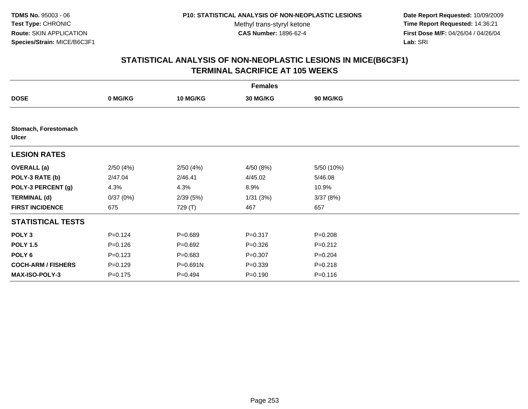**Date Report Requested:** 10/09/2009 **Time Report Requested:** 14:36:21 **First Dose M/F:** 04/26/04 / 04/26/04 Lab: SRI **Lab:** SRI

|                                      | <b>Females</b> |                 |                 |             |  |  |  |  |
|--------------------------------------|----------------|-----------------|-----------------|-------------|--|--|--|--|
| <b>DOSE</b>                          | 0 MG/KG        | <b>10 MG/KG</b> | <b>30 MG/KG</b> | 90 MG/KG    |  |  |  |  |
|                                      |                |                 |                 |             |  |  |  |  |
| Stomach, Forestomach<br><b>Ulcer</b> |                |                 |                 |             |  |  |  |  |
| <b>LESION RATES</b>                  |                |                 |                 |             |  |  |  |  |
| <b>OVERALL</b> (a)                   | 2/50(4%)       | 2/50(4%)        | 4/50 (8%)       | 5/50 (10%)  |  |  |  |  |
| POLY-3 RATE (b)                      | 2/47.04        | 2/46.41         | 4/45.02         | 5/46.08     |  |  |  |  |
| POLY-3 PERCENT (g)                   | 4.3%           | 4.3%            | 8.9%            | 10.9%       |  |  |  |  |
| <b>TERMINAL (d)</b>                  | 0/37(0%)       | 2/39(5%)        | 1/31(3%)        | 3/37(8%)    |  |  |  |  |
| <b>FIRST INCIDENCE</b>               | 675            | 729 (T)         | 467             | 657         |  |  |  |  |
| <b>STATISTICAL TESTS</b>             |                |                 |                 |             |  |  |  |  |
| POLY <sub>3</sub>                    | $P=0.124$      | $P = 0.689$     | $P = 0.317$     | $P = 0.208$ |  |  |  |  |
| <b>POLY 1.5</b>                      | $P = 0.126$    | $P=0.692$       | $P = 0.326$     | $P=0.212$   |  |  |  |  |
| POLY <sub>6</sub>                    | $P = 0.123$    | $P = 0.683$     | $P = 0.307$     | $P = 0.204$ |  |  |  |  |
| <b>COCH-ARM / FISHERS</b>            | $P = 0.129$    | P=0.691N        | $P = 0.339$     | $P = 0.218$ |  |  |  |  |
| MAX-ISO-POLY-3                       | $P=0.175$      | $P=0.494$       | $P = 0.190$     | $P = 0.116$ |  |  |  |  |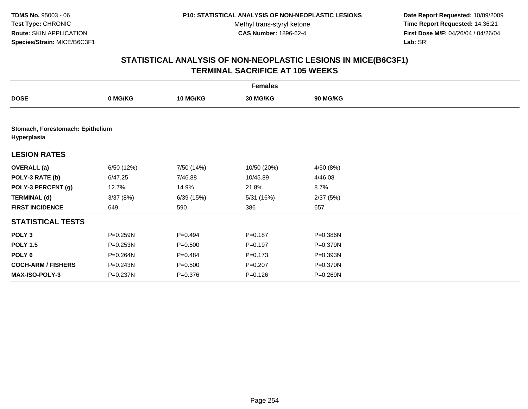**Date Report Requested:** 10/09/2009 **Time Report Requested:** 14:36:21 **First Dose M/F:** 04/26/04 / 04/26/04 Lab: SRI **Lab:** SRI

|                           | <b>Females</b>                   |             |             |                 |  |  |  |  |
|---------------------------|----------------------------------|-------------|-------------|-----------------|--|--|--|--|
| <b>DOSE</b>               | 0 MG/KG                          | 10 MG/KG    | 30 MG/KG    | <b>90 MG/KG</b> |  |  |  |  |
|                           |                                  |             |             |                 |  |  |  |  |
| Hyperplasia               | Stomach, Forestomach: Epithelium |             |             |                 |  |  |  |  |
| <b>LESION RATES</b>       |                                  |             |             |                 |  |  |  |  |
| <b>OVERALL</b> (a)        | 6/50 (12%)                       | 7/50 (14%)  | 10/50 (20%) | 4/50(8%)        |  |  |  |  |
| POLY-3 RATE (b)           | 6/47.25                          | 7/46.88     | 10/45.89    | 4/46.08         |  |  |  |  |
| POLY-3 PERCENT (g)        | 12.7%                            | 14.9%       | 21.8%       | 8.7%            |  |  |  |  |
| <b>TERMINAL (d)</b>       | 3/37(8%)                         | 6/39(15%)   | 5/31 (16%)  | 2/37(5%)        |  |  |  |  |
| <b>FIRST INCIDENCE</b>    | 649                              | 590         | 386         | 657             |  |  |  |  |
| <b>STATISTICAL TESTS</b>  |                                  |             |             |                 |  |  |  |  |
| POLY <sub>3</sub>         | P=0.259N                         | $P=0.494$   | $P = 0.187$ | P=0.386N        |  |  |  |  |
| <b>POLY 1.5</b>           | P=0.253N                         | $P = 0.500$ | $P=0.197$   | P=0.379N        |  |  |  |  |
| POLY <sub>6</sub>         | P=0.264N                         | $P=0.484$   | $P = 0.173$ | $P = 0.393N$    |  |  |  |  |
| <b>COCH-ARM / FISHERS</b> | P=0.243N                         | $P = 0.500$ | $P=0.207$   | P=0.370N        |  |  |  |  |
| MAX-ISO-POLY-3            | P=0.237N                         | $P = 0.376$ | $P = 0.126$ | P=0.269N        |  |  |  |  |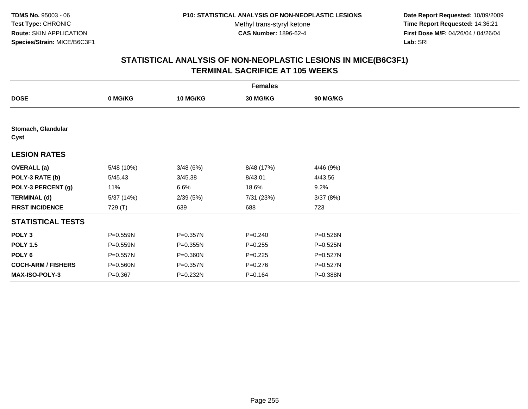**Date Report Requested:** 10/09/2009 **Time Report Requested:** 14:36:21 **First Dose M/F:** 04/26/04 / 04/26/04 Lab: SRI **Lab:** SRI

| <b>Females</b>             |             |                 |             |              |  |  |  |
|----------------------------|-------------|-----------------|-------------|--------------|--|--|--|
| <b>DOSE</b>                | 0 MG/KG     | <b>10 MG/KG</b> | 30 MG/KG    | 90 MG/KG     |  |  |  |
|                            |             |                 |             |              |  |  |  |
| Stomach, Glandular<br>Cyst |             |                 |             |              |  |  |  |
| <b>LESION RATES</b>        |             |                 |             |              |  |  |  |
| <b>OVERALL</b> (a)         | 5/48 (10%)  | 3/48(6%)        | 8/48 (17%)  | 4/46 (9%)    |  |  |  |
| POLY-3 RATE (b)            | 5/45.43     | 3/45.38         | 8/43.01     | 4/43.56      |  |  |  |
| POLY-3 PERCENT (g)         | 11%         | 6.6%            | 18.6%       | 9.2%         |  |  |  |
| <b>TERMINAL (d)</b>        | 5/37 (14%)  | 2/39(5%)        | 7/31 (23%)  | 3/37(8%)     |  |  |  |
| <b>FIRST INCIDENCE</b>     | 729 (T)     | 639             | 688         | 723          |  |  |  |
| <b>STATISTICAL TESTS</b>   |             |                 |             |              |  |  |  |
| POLY <sub>3</sub>          | P=0.559N    | P=0.357N        | $P = 0.240$ | P=0.526N     |  |  |  |
| <b>POLY 1.5</b>            | P=0.559N    | P=0.355N        | $P = 0.255$ | $P = 0.525N$ |  |  |  |
| POLY <sub>6</sub>          | P=0.557N    | P=0.360N        | $P=0.225$   | P=0.527N     |  |  |  |
| <b>COCH-ARM / FISHERS</b>  | P=0.560N    | P=0.357N        | $P = 0.276$ | P=0.527N     |  |  |  |
| <b>MAX-ISO-POLY-3</b>      | $P = 0.367$ | P=0.232N        | $P = 0.164$ | P=0.388N     |  |  |  |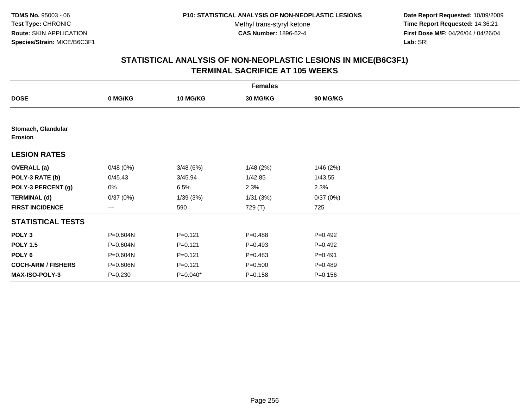**Date Report Requested:** 10/09/2009 **Time Report Requested:** 14:36:21 **First Dose M/F:** 04/26/04 / 04/26/04 Lab: SRI **Lab:** SRI

|                                      | <b>Females</b> |             |             |             |  |  |  |  |
|--------------------------------------|----------------|-------------|-------------|-------------|--|--|--|--|
| <b>DOSE</b>                          | 0 MG/KG        | 10 MG/KG    | 30 MG/KG    | 90 MG/KG    |  |  |  |  |
|                                      |                |             |             |             |  |  |  |  |
| Stomach, Glandular<br><b>Erosion</b> |                |             |             |             |  |  |  |  |
| <b>LESION RATES</b>                  |                |             |             |             |  |  |  |  |
| <b>OVERALL</b> (a)                   | 0/48(0%)       | 3/48(6%)    | 1/48(2%)    | 1/46(2%)    |  |  |  |  |
| POLY-3 RATE (b)                      | 0/45.43        | 3/45.94     | 1/42.85     | 1/43.55     |  |  |  |  |
| POLY-3 PERCENT (g)                   | 0%             | 6.5%        | 2.3%        | 2.3%        |  |  |  |  |
| <b>TERMINAL (d)</b>                  | 0/37(0%)       | 1/39(3%)    | 1/31(3%)    | 0/37(0%)    |  |  |  |  |
| <b>FIRST INCIDENCE</b>               | ---            | 590         | 729 (T)     | 725         |  |  |  |  |
| <b>STATISTICAL TESTS</b>             |                |             |             |             |  |  |  |  |
| POLY <sub>3</sub>                    | P=0.604N       | $P = 0.121$ | $P = 0.488$ | $P = 0.492$ |  |  |  |  |
| <b>POLY 1.5</b>                      | P=0.604N       | $P = 0.121$ | $P=0.493$   | $P = 0.492$ |  |  |  |  |
| POLY 6                               | P=0.604N       | $P = 0.121$ | $P = 0.483$ | $P = 0.491$ |  |  |  |  |
| <b>COCH-ARM / FISHERS</b>            | P=0.606N       | $P = 0.121$ | $P = 0.500$ | $P = 0.489$ |  |  |  |  |
| <b>MAX-ISO-POLY-3</b>                | $P = 0.230$    | $P=0.040*$  | $P = 0.158$ | $P = 0.156$ |  |  |  |  |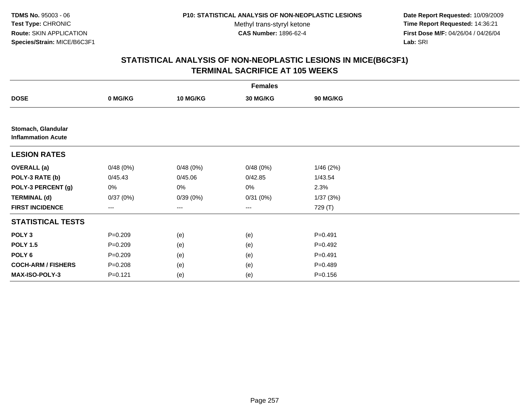**Date Report Requested:** 10/09/2009 **Time Report Requested:** 14:36:21 **First Dose M/F:** 04/26/04 / 04/26/04 Lab: SRI **Lab:** SRI

|                                                 | <b>Females</b> |                 |                   |                 |  |  |  |  |
|-------------------------------------------------|----------------|-----------------|-------------------|-----------------|--|--|--|--|
| <b>DOSE</b>                                     | 0 MG/KG        | <b>10 MG/KG</b> | 30 MG/KG          | <b>90 MG/KG</b> |  |  |  |  |
|                                                 |                |                 |                   |                 |  |  |  |  |
| Stomach, Glandular<br><b>Inflammation Acute</b> |                |                 |                   |                 |  |  |  |  |
| <b>LESION RATES</b>                             |                |                 |                   |                 |  |  |  |  |
| <b>OVERALL</b> (a)                              | 0/48(0%)       | 0/48(0%)        | 0/48(0%)          | 1/46(2%)        |  |  |  |  |
| POLY-3 RATE (b)                                 | 0/45.43        | 0/45.06         | 0/42.85           | 1/43.54         |  |  |  |  |
| POLY-3 PERCENT (g)                              | 0%             | 0%              | 0%                | 2.3%            |  |  |  |  |
| <b>TERMINAL (d)</b>                             | 0/37(0%)       | 0/39(0%)        | 0/31(0%)          | 1/37(3%)        |  |  |  |  |
| <b>FIRST INCIDENCE</b>                          | $---$          | ---             | $\qquad \qquad -$ | 729 (T)         |  |  |  |  |
| <b>STATISTICAL TESTS</b>                        |                |                 |                   |                 |  |  |  |  |
| POLY <sub>3</sub>                               | $P = 0.209$    | (e)             | (e)               | $P=0.491$       |  |  |  |  |
| <b>POLY 1.5</b>                                 | $P = 0.209$    | (e)             | (e)               | $P=0.492$       |  |  |  |  |
| POLY <sub>6</sub>                               | $P = 0.209$    | (e)             | (e)               | $P = 0.491$     |  |  |  |  |
| <b>COCH-ARM / FISHERS</b>                       | $P = 0.208$    | (e)             | (e)               | $P=0.489$       |  |  |  |  |
| MAX-ISO-POLY-3                                  | $P = 0.121$    | (e)             | (e)               | $P = 0.156$     |  |  |  |  |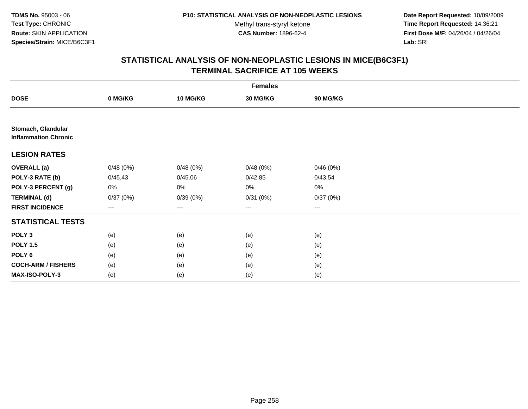**Date Report Requested:** 10/09/2009 **Time Report Requested:** 14:36:21 **First Dose M/F:** 04/26/04 / 04/26/04 Lab: SRI **Lab:** SRI

| <b>Females</b>                                    |          |                 |                   |                 |  |  |  |
|---------------------------------------------------|----------|-----------------|-------------------|-----------------|--|--|--|
| <b>DOSE</b>                                       | 0 MG/KG  | <b>10 MG/KG</b> | 30 MG/KG          | <b>90 MG/KG</b> |  |  |  |
|                                                   |          |                 |                   |                 |  |  |  |
| Stomach, Glandular<br><b>Inflammation Chronic</b> |          |                 |                   |                 |  |  |  |
| <b>LESION RATES</b>                               |          |                 |                   |                 |  |  |  |
| <b>OVERALL</b> (a)                                | 0/48(0%) | 0/48(0%)        | 0/48(0%)          | 0/46(0%)        |  |  |  |
| POLY-3 RATE (b)                                   | 0/45.43  | 0/45.06         | 0/42.85           | 0/43.54         |  |  |  |
| POLY-3 PERCENT (g)                                | 0%       | 0%              | 0%                | 0%              |  |  |  |
| <b>TERMINAL (d)</b>                               | 0/37(0%) | 0/39(0%)        | 0/31(0%)          | 0/37(0%)        |  |  |  |
| <b>FIRST INCIDENCE</b>                            | $---$    | $---$           | $\qquad \qquad -$ | ---             |  |  |  |
| <b>STATISTICAL TESTS</b>                          |          |                 |                   |                 |  |  |  |
| POLY <sub>3</sub>                                 | (e)      | (e)             | (e)               | (e)             |  |  |  |
| <b>POLY 1.5</b>                                   | (e)      | (e)             | (e)               | (e)             |  |  |  |
| POLY <sub>6</sub>                                 | (e)      | (e)             | (e)               | (e)             |  |  |  |
| <b>COCH-ARM / FISHERS</b>                         | (e)      | (e)             | (e)               | (e)             |  |  |  |
| MAX-ISO-POLY-3                                    | (e)      | (e)             | (e)               | (e)             |  |  |  |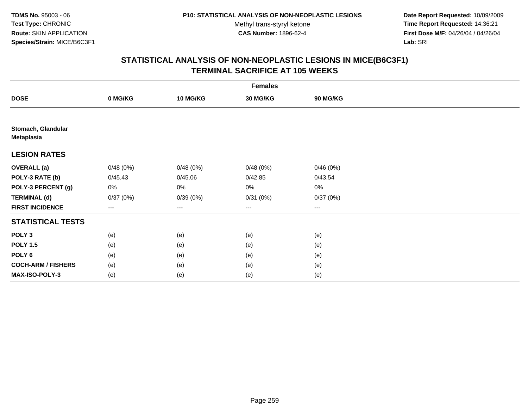**Date Report Requested:** 10/09/2009 **Time Report Requested:** 14:36:21 **First Dose M/F:** 04/26/04 / 04/26/04 Lab: SRI **Lab:** SRI

| <b>Females</b>                          |          |                 |                        |          |  |  |  |
|-----------------------------------------|----------|-----------------|------------------------|----------|--|--|--|
| <b>DOSE</b>                             | 0 MG/KG  | <b>10 MG/KG</b> | 30 MG/KG               | 90 MG/KG |  |  |  |
|                                         |          |                 |                        |          |  |  |  |
| Stomach, Glandular<br><b>Metaplasia</b> |          |                 |                        |          |  |  |  |
| <b>LESION RATES</b>                     |          |                 |                        |          |  |  |  |
| <b>OVERALL</b> (a)                      | 0/48(0%) | 0/48(0%)        | 0/48(0%)               | 0/46(0%) |  |  |  |
| POLY-3 RATE (b)                         | 0/45.43  | 0/45.06         | 0/42.85                | 0/43.54  |  |  |  |
| POLY-3 PERCENT (g)                      | 0%       | 0%              | 0%                     | 0%       |  |  |  |
| <b>TERMINAL (d)</b>                     | 0/37(0%) | 0/39(0%)        | 0/31(0%)               | 0/37(0%) |  |  |  |
| <b>FIRST INCIDENCE</b>                  | ---      | $---$           | $\qquad \qquad \cdots$ | $\cdots$ |  |  |  |
| <b>STATISTICAL TESTS</b>                |          |                 |                        |          |  |  |  |
| POLY <sub>3</sub>                       | (e)      | (e)             | (e)                    | (e)      |  |  |  |
| <b>POLY 1.5</b>                         | (e)      | (e)             | (e)                    | (e)      |  |  |  |
| POLY <sub>6</sub>                       | (e)      | (e)             | (e)                    | (e)      |  |  |  |
| <b>COCH-ARM / FISHERS</b>               | (e)      | (e)             | (e)                    | (e)      |  |  |  |
| MAX-ISO-POLY-3                          | (e)      | (e)             | (e)                    | (e)      |  |  |  |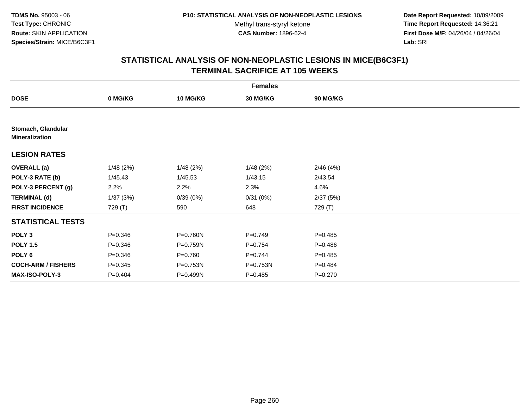**Date Report Requested:** 10/09/2009 **Time Report Requested:** 14:36:21 **First Dose M/F:** 04/26/04 / 04/26/04 Lab: SRI **Lab:** SRI

| <b>Females</b>                              |             |             |              |             |  |  |  |
|---------------------------------------------|-------------|-------------|--------------|-------------|--|--|--|
| <b>DOSE</b>                                 | 0 MG/KG     | 10 MG/KG    | 30 MG/KG     | 90 MG/KG    |  |  |  |
|                                             |             |             |              |             |  |  |  |
| Stomach, Glandular<br><b>Mineralization</b> |             |             |              |             |  |  |  |
| <b>LESION RATES</b>                         |             |             |              |             |  |  |  |
| <b>OVERALL</b> (a)                          | 1/48(2%)    | 1/48(2%)    | 1/48(2%)     | 2/46(4%)    |  |  |  |
| POLY-3 RATE (b)                             | 1/45.43     | 1/45.53     | 1/43.15      | 2/43.54     |  |  |  |
| POLY-3 PERCENT (g)                          | 2.2%        | 2.2%        | 2.3%         | 4.6%        |  |  |  |
| <b>TERMINAL (d)</b>                         | 1/37(3%)    | 0/39(0%)    | 0/31(0%)     | 2/37(5%)    |  |  |  |
| <b>FIRST INCIDENCE</b>                      | 729 (T)     | 590         | 648          | 729 (T)     |  |  |  |
| <b>STATISTICAL TESTS</b>                    |             |             |              |             |  |  |  |
| POLY <sub>3</sub>                           | $P = 0.346$ | P=0.760N    | $P = 0.749$  | $P = 0.485$ |  |  |  |
| <b>POLY 1.5</b>                             | $P = 0.346$ | P=0.759N    | $P=0.754$    | $P = 0.486$ |  |  |  |
| POLY 6                                      | $P = 0.346$ | $P = 0.760$ | $P = 0.744$  | $P = 0.485$ |  |  |  |
| <b>COCH-ARM / FISHERS</b>                   | $P = 0.345$ | P=0.753N    | $P = 0.753N$ | $P = 0.484$ |  |  |  |
| <b>MAX-ISO-POLY-3</b>                       | $P = 0.404$ | P=0.499N    | $P = 0.485$  | $P = 0.270$ |  |  |  |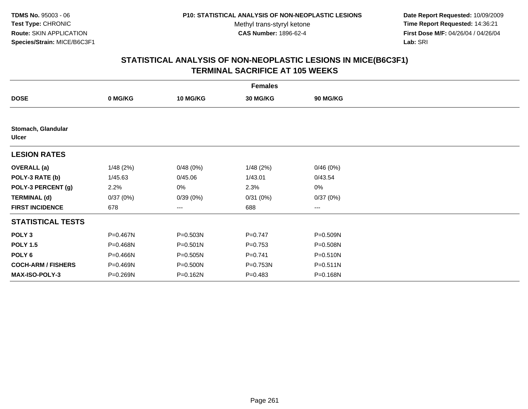**Date Report Requested:** 10/09/2009 **Time Report Requested:** 14:36:21 **First Dose M/F:** 04/26/04 / 04/26/04 Lab: SRI **Lab:** SRI

| <b>Females</b>                     |          |                 |                 |              |  |  |  |
|------------------------------------|----------|-----------------|-----------------|--------------|--|--|--|
| <b>DOSE</b>                        | 0 MG/KG  | <b>10 MG/KG</b> | <b>30 MG/KG</b> | 90 MG/KG     |  |  |  |
|                                    |          |                 |                 |              |  |  |  |
| Stomach, Glandular<br><b>Ulcer</b> |          |                 |                 |              |  |  |  |
| <b>LESION RATES</b>                |          |                 |                 |              |  |  |  |
| <b>OVERALL</b> (a)                 | 1/48(2%) | 0/48(0%)        | 1/48(2%)        | 0/46(0%)     |  |  |  |
| POLY-3 RATE (b)                    | 1/45.63  | 0/45.06         | 1/43.01         | 0/43.54      |  |  |  |
| POLY-3 PERCENT (g)                 | 2.2%     | 0%              | 2.3%            | 0%           |  |  |  |
| <b>TERMINAL (d)</b>                | 0/37(0%) | 0/39(0%)        | 0/31(0%)        | 0/37(0%)     |  |  |  |
| <b>FIRST INCIDENCE</b>             | 678      | $---$           | 688             | $--$         |  |  |  |
| <b>STATISTICAL TESTS</b>           |          |                 |                 |              |  |  |  |
| POLY <sub>3</sub>                  | P=0.467N | $P = 0.503N$    | $P=0.747$       | $P = 0.509N$ |  |  |  |
| <b>POLY 1.5</b>                    | P=0.468N | P=0.501N        | $P=0.753$       | P=0.508N     |  |  |  |
| POLY <sub>6</sub>                  | P=0.466N | P=0.505N        | $P = 0.741$     | $P = 0.510N$ |  |  |  |
| <b>COCH-ARM / FISHERS</b>          | P=0.469N | P=0.500N        | P=0.753N        | $P = 0.511N$ |  |  |  |
| MAX-ISO-POLY-3                     | P=0.269N | P=0.162N        | $P=0.483$       | P=0.168N     |  |  |  |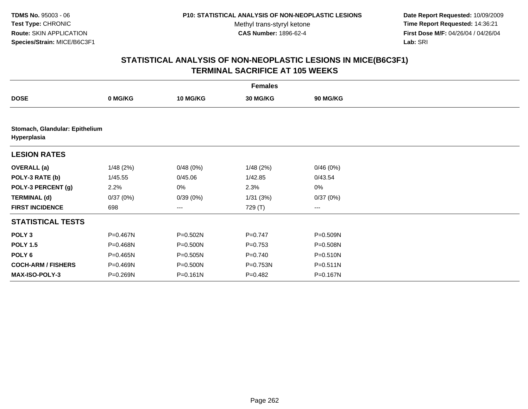**Date Report Requested:** 10/09/2009 **Time Report Requested:** 14:36:21 **First Dose M/F:** 04/26/04 / 04/26/04 Lab: SRI **Lab:** SRI

| <b>Females</b>                                |          |              |                 |              |  |  |  |
|-----------------------------------------------|----------|--------------|-----------------|--------------|--|--|--|
| <b>DOSE</b>                                   | 0 MG/KG  | 10 MG/KG     | <b>30 MG/KG</b> | 90 MG/KG     |  |  |  |
|                                               |          |              |                 |              |  |  |  |
| Stomach, Glandular: Epithelium<br>Hyperplasia |          |              |                 |              |  |  |  |
| <b>LESION RATES</b>                           |          |              |                 |              |  |  |  |
| <b>OVERALL</b> (a)                            | 1/48(2%) | 0/48(0%)     | 1/48(2%)        | 0/46(0%)     |  |  |  |
| POLY-3 RATE (b)                               | 1/45.55  | 0/45.06      | 1/42.85         | 0/43.54      |  |  |  |
| POLY-3 PERCENT (g)                            | 2.2%     | 0%           | 2.3%            | 0%           |  |  |  |
| <b>TERMINAL (d)</b>                           | 0/37(0%) | 0/39(0%)     | 1/31(3%)        | 0/37(0%)     |  |  |  |
| <b>FIRST INCIDENCE</b>                        | 698      | $--$         | 729 (T)         | ---          |  |  |  |
| <b>STATISTICAL TESTS</b>                      |          |              |                 |              |  |  |  |
| POLY <sub>3</sub>                             | P=0.467N | $P = 0.502N$ | $P=0.747$       | P=0.509N     |  |  |  |
| <b>POLY 1.5</b>                               | P=0.468N | $P = 0.500N$ | $P=0.753$       | P=0.508N     |  |  |  |
| POLY <sub>6</sub>                             | P=0.465N | $P = 0.505N$ | $P = 0.740$     | $P = 0.510N$ |  |  |  |
| <b>COCH-ARM / FISHERS</b>                     | P=0.469N | P=0.500N     | P=0.753N        | $P = 0.511N$ |  |  |  |
| MAX-ISO-POLY-3                                | P=0.269N | $P = 0.161N$ | $P=0.482$       | P=0.167N     |  |  |  |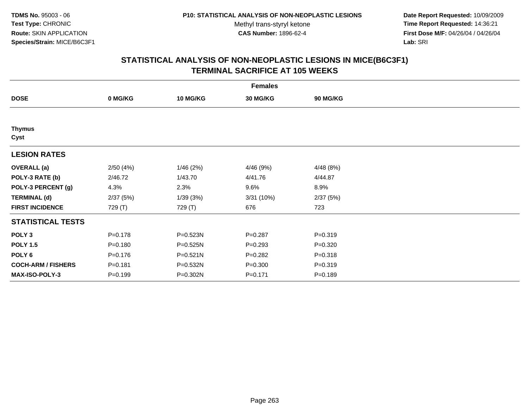**Date Report Requested:** 10/09/2009 **Time Report Requested:** 14:36:21 **First Dose M/F:** 04/26/04 / 04/26/04 Lab: SRI **Lab:** SRI

| <b>Females</b>            |             |                 |                 |             |  |  |  |
|---------------------------|-------------|-----------------|-----------------|-------------|--|--|--|
| <b>DOSE</b>               | 0 MG/KG     | <b>10 MG/KG</b> | <b>30 MG/KG</b> | 90 MG/KG    |  |  |  |
|                           |             |                 |                 |             |  |  |  |
| <b>Thymus</b><br>Cyst     |             |                 |                 |             |  |  |  |
| <b>LESION RATES</b>       |             |                 |                 |             |  |  |  |
| <b>OVERALL</b> (a)        | 2/50(4%)    | 1/46(2%)        | 4/46 (9%)       | 4/48(8%)    |  |  |  |
| POLY-3 RATE (b)           | 2/46.72     | 1/43.70         | 4/41.76         | 4/44.87     |  |  |  |
| POLY-3 PERCENT (g)        | 4.3%        | 2.3%            | 9.6%            | 8.9%        |  |  |  |
| <b>TERMINAL (d)</b>       | 2/37(5%)    | 1/39(3%)        | 3/31 (10%)      | 2/37(5%)    |  |  |  |
| <b>FIRST INCIDENCE</b>    | 729 (T)     | 729 (T)         | 676             | 723         |  |  |  |
| <b>STATISTICAL TESTS</b>  |             |                 |                 |             |  |  |  |
| POLY <sub>3</sub>         | $P = 0.178$ | P=0.523N        | $P = 0.287$     | $P = 0.319$ |  |  |  |
| <b>POLY 1.5</b>           | $P = 0.180$ | P=0.525N        | $P = 0.293$     | $P = 0.320$ |  |  |  |
| POLY <sub>6</sub>         | $P = 0.176$ | P=0.521N        | $P = 0.282$     | $P = 0.318$ |  |  |  |
| <b>COCH-ARM / FISHERS</b> | $P = 0.181$ | P=0.532N        | $P = 0.300$     | $P = 0.319$ |  |  |  |
| MAX-ISO-POLY-3            | $P = 0.199$ | P=0.302N        | $P = 0.171$     | $P = 0.189$ |  |  |  |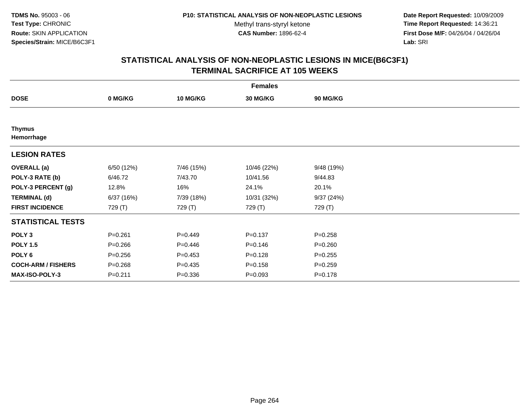**Date Report Requested:** 10/09/2009 **Time Report Requested:** 14:36:21 **First Dose M/F:** 04/26/04 / 04/26/04 Lab: SRI **Lab:** SRI

|                             | <b>Females</b> |                 |                 |             |  |  |  |  |
|-----------------------------|----------------|-----------------|-----------------|-------------|--|--|--|--|
| <b>DOSE</b>                 | 0 MG/KG        | <b>10 MG/KG</b> | <b>30 MG/KG</b> | 90 MG/KG    |  |  |  |  |
|                             |                |                 |                 |             |  |  |  |  |
| <b>Thymus</b><br>Hemorrhage |                |                 |                 |             |  |  |  |  |
| <b>LESION RATES</b>         |                |                 |                 |             |  |  |  |  |
| <b>OVERALL</b> (a)          | 6/50(12%)      | 7/46 (15%)      | 10/46 (22%)     | 9/48 (19%)  |  |  |  |  |
| POLY-3 RATE (b)             | 6/46.72        | 7/43.70         | 10/41.56        | 9/44.83     |  |  |  |  |
| POLY-3 PERCENT (g)          | 12.8%          | 16%             | 24.1%           | 20.1%       |  |  |  |  |
| <b>TERMINAL (d)</b>         | 6/37(16%)      | 7/39 (18%)      | 10/31 (32%)     | 9/37(24%)   |  |  |  |  |
| <b>FIRST INCIDENCE</b>      | 729 (T)        | 729 (T)         | 729 (T)         | 729 (T)     |  |  |  |  |
| <b>STATISTICAL TESTS</b>    |                |                 |                 |             |  |  |  |  |
| POLY <sub>3</sub>           | $P = 0.261$    | $P=0.449$       | $P = 0.137$     | $P = 0.258$ |  |  |  |  |
| <b>POLY 1.5</b>             | $P = 0.266$    | $P=0.446$       | $P = 0.146$     | $P = 0.260$ |  |  |  |  |
| POLY <sub>6</sub>           | $P = 0.256$    | $P=0.453$       | $P = 0.128$     | $P = 0.255$ |  |  |  |  |
| <b>COCH-ARM / FISHERS</b>   | $P = 0.268$    | $P=0.435$       | $P = 0.158$     | $P = 0.259$ |  |  |  |  |
| MAX-ISO-POLY-3              | $P = 0.211$    | $P = 0.336$     | $P = 0.093$     | $P = 0.178$ |  |  |  |  |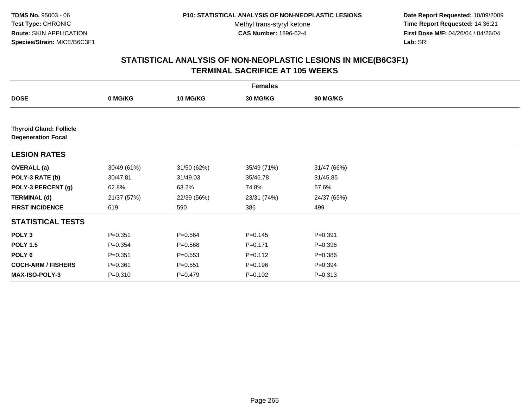**Date Report Requested:** 10/09/2009 **Time Report Requested:** 14:36:21 **First Dose M/F:** 04/26/04 / 04/26/04 Lab: SRI **Lab:** SRI

| <b>Females</b>                                              |             |                 |             |                 |  |
|-------------------------------------------------------------|-------------|-----------------|-------------|-----------------|--|
| <b>DOSE</b>                                                 | 0 MG/KG     | <b>10 MG/KG</b> | 30 MG/KG    | <b>90 MG/KG</b> |  |
|                                                             |             |                 |             |                 |  |
| <b>Thyroid Gland: Follicle</b><br><b>Degeneration Focal</b> |             |                 |             |                 |  |
| <b>LESION RATES</b>                                         |             |                 |             |                 |  |
| <b>OVERALL</b> (a)                                          | 30/49 (61%) | 31/50 (62%)     | 35/49 (71%) | 31/47 (66%)     |  |
| POLY-3 RATE (b)                                             | 30/47.81    | 31/49.03        | 35/46.78    | 31/45.85        |  |
| POLY-3 PERCENT (g)                                          | 62.8%       | 63.2%           | 74.8%       | 67.6%           |  |
| <b>TERMINAL (d)</b>                                         | 21/37 (57%) | 22/39 (56%)     | 23/31 (74%) | 24/37 (65%)     |  |
| <b>FIRST INCIDENCE</b>                                      | 619         | 590             | 386         | 499             |  |
| <b>STATISTICAL TESTS</b>                                    |             |                 |             |                 |  |
| POLY <sub>3</sub>                                           | $P = 0.351$ | $P=0.564$       | $P = 0.145$ | $P = 0.391$     |  |
| <b>POLY 1.5</b>                                             | $P = 0.354$ | $P = 0.568$     | $P = 0.171$ | $P = 0.396$     |  |
| POLY <sub>6</sub>                                           | $P = 0.351$ | $P = 0.553$     | $P = 0.112$ | $P = 0.386$     |  |
| <b>COCH-ARM / FISHERS</b>                                   | $P = 0.361$ | $P = 0.551$     | $P = 0.196$ | $P = 0.394$     |  |
| MAX-ISO-POLY-3                                              | $P = 0.310$ | $P=0.479$       | $P = 0.102$ | $P = 0.313$     |  |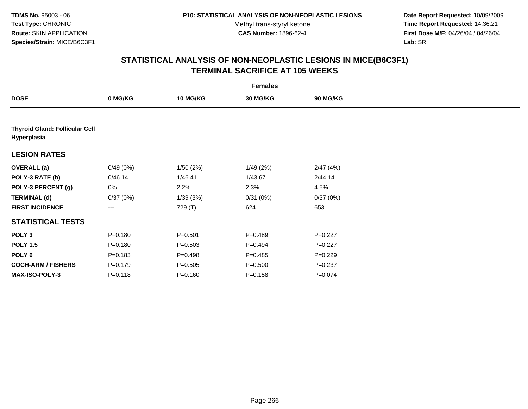**Date Report Requested:** 10/09/2009 **Time Report Requested:** 14:36:21 **First Dose M/F:** 04/26/04 / 04/26/04 Lab: SRI **Lab:** SRI

|                                                      |             |                 | <b>Females</b> |                 |  |
|------------------------------------------------------|-------------|-----------------|----------------|-----------------|--|
| <b>DOSE</b>                                          | 0 MG/KG     | <b>10 MG/KG</b> | 30 MG/KG       | <b>90 MG/KG</b> |  |
|                                                      |             |                 |                |                 |  |
| <b>Thyroid Gland: Follicular Cell</b><br>Hyperplasia |             |                 |                |                 |  |
| <b>LESION RATES</b>                                  |             |                 |                |                 |  |
| <b>OVERALL (a)</b>                                   | 0/49(0%)    | 1/50(2%)        | 1/49(2%)       | 2/47(4%)        |  |
| POLY-3 RATE (b)                                      | 0/46.14     | 1/46.41         | 1/43.67        | 2/44.14         |  |
| POLY-3 PERCENT (g)                                   | 0%          | 2.2%            | 2.3%           | 4.5%            |  |
| <b>TERMINAL (d)</b>                                  | 0/37(0%)    | 1/39(3%)        | 0/31(0%)       | 0/37(0%)        |  |
| <b>FIRST INCIDENCE</b>                               | ---         | 729 (T)         | 624            | 653             |  |
| <b>STATISTICAL TESTS</b>                             |             |                 |                |                 |  |
| POLY <sub>3</sub>                                    | $P = 0.180$ | $P = 0.501$     | $P = 0.489$    | $P=0.227$       |  |
| <b>POLY 1.5</b>                                      | $P = 0.180$ | $P = 0.503$     | $P=0.494$      | $P=0.227$       |  |
| POLY <sub>6</sub>                                    | $P = 0.183$ | $P = 0.498$     | $P = 0.485$    | $P=0.229$       |  |
| <b>COCH-ARM / FISHERS</b>                            | $P = 0.179$ | $P = 0.505$     | $P = 0.500$    | $P = 0.237$     |  |
| MAX-ISO-POLY-3                                       | $P = 0.118$ | $P = 0.160$     | $P = 0.158$    | $P = 0.074$     |  |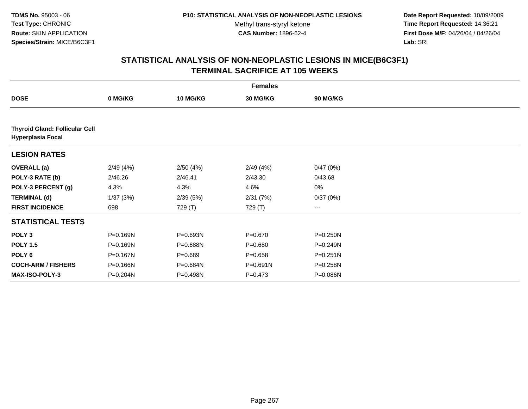**Date Report Requested:** 10/09/2009 **Time Report Requested:** 14:36:21 **First Dose M/F:** 04/26/04 / 04/26/04 Lab: SRI **Lab:** SRI

|                                                                   |          |             | <b>Females</b> |              |  |
|-------------------------------------------------------------------|----------|-------------|----------------|--------------|--|
| <b>DOSE</b>                                                       | 0 MG/KG  | 10 MG/KG    | 30 MG/KG       | 90 MG/KG     |  |
|                                                                   |          |             |                |              |  |
| <b>Thyroid Gland: Follicular Cell</b><br><b>Hyperplasia Focal</b> |          |             |                |              |  |
| <b>LESION RATES</b>                                               |          |             |                |              |  |
| <b>OVERALL</b> (a)                                                | 2/49(4%) | 2/50(4%)    | 2/49(4%)       | 0/47(0%)     |  |
| POLY-3 RATE (b)                                                   | 2/46.26  | 2/46.41     | 2/43.30        | 0/43.68      |  |
| POLY-3 PERCENT (g)                                                | 4.3%     | 4.3%        | 4.6%           | $0\%$        |  |
| <b>TERMINAL (d)</b>                                               | 1/37(3%) | 2/39(5%)    | 2/31(7%)       | 0/37(0%)     |  |
| <b>FIRST INCIDENCE</b>                                            | 698      | 729 (T)     | 729 (T)        | $---$        |  |
| <b>STATISTICAL TESTS</b>                                          |          |             |                |              |  |
| POLY <sub>3</sub>                                                 | P=0.169N | P=0.693N    | $P = 0.670$    | $P = 0.250N$ |  |
| <b>POLY 1.5</b>                                                   | P=0.169N | P=0.688N    | $P = 0.680$    | P=0.249N     |  |
| POLY <sub>6</sub>                                                 | P=0.167N | $P = 0.689$ | $P = 0.658$    | $P = 0.251N$ |  |
| <b>COCH-ARM / FISHERS</b>                                         | P=0.166N | P=0.684N    | P=0.691N       | P=0.258N     |  |
| <b>MAX-ISO-POLY-3</b>                                             | P=0.204N | P=0.498N    | $P = 0.473$    | P=0.086N     |  |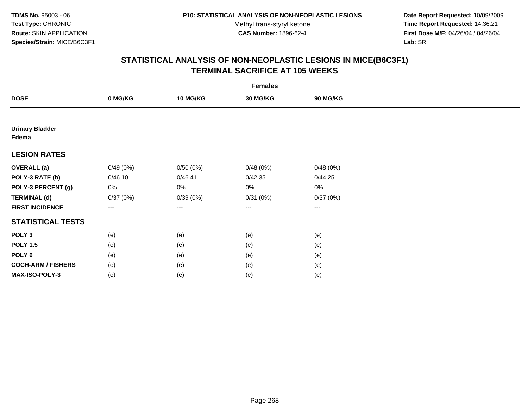**Date Report Requested:** 10/09/2009 **Time Report Requested:** 14:36:21 **First Dose M/F:** 04/26/04 / 04/26/04 Lab: SRI **Lab:** SRI

| <b>Females</b>                  |                        |                   |          |          |  |
|---------------------------------|------------------------|-------------------|----------|----------|--|
| <b>DOSE</b>                     | 0 MG/KG                | <b>10 MG/KG</b>   | 30 MG/KG | 90 MG/KG |  |
|                                 |                        |                   |          |          |  |
| <b>Urinary Bladder</b><br>Edema |                        |                   |          |          |  |
| <b>LESION RATES</b>             |                        |                   |          |          |  |
| <b>OVERALL</b> (a)              | 0/49(0%)               | 0/50(0%)          | 0/48(0%) | 0/48(0%) |  |
| POLY-3 RATE (b)                 | 0/46.10                | 0/46.41           | 0/42.35  | 0/44.25  |  |
| POLY-3 PERCENT (g)              | 0%                     | 0%                | 0%       | 0%       |  |
| <b>TERMINAL (d)</b>             | 0/37(0%)               | 0/39(0%)          | 0/31(0%) | 0/37(0%) |  |
| <b>FIRST INCIDENCE</b>          | $\qquad \qquad \cdots$ | $\qquad \qquad -$ | ---      | $\cdots$ |  |
| <b>STATISTICAL TESTS</b>        |                        |                   |          |          |  |
| POLY <sub>3</sub>               | (e)                    | (e)               | (e)      | (e)      |  |
| <b>POLY 1.5</b>                 | (e)                    | (e)               | (e)      | (e)      |  |
| POLY <sub>6</sub>               | (e)                    | (e)               | (e)      | (e)      |  |
| <b>COCH-ARM / FISHERS</b>       | (e)                    | (e)               | (e)      | (e)      |  |
| MAX-ISO-POLY-3                  | (e)                    | (e)               | (e)      | (e)      |  |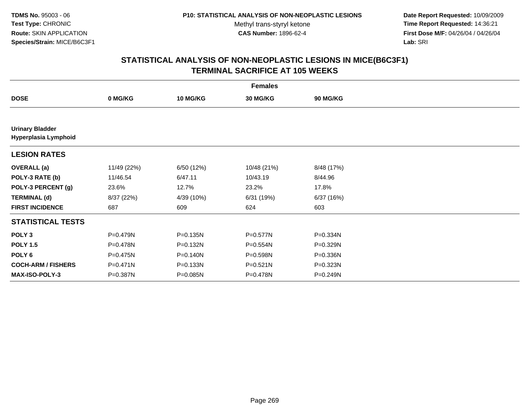**Date Report Requested:** 10/09/2009 **Time Report Requested:** 14:36:21 **First Dose M/F:** 04/26/04 / 04/26/04 Lab: SRI **Lab:** SRI

|                                                |             |                 | <b>Females</b> |                 |  |
|------------------------------------------------|-------------|-----------------|----------------|-----------------|--|
| <b>DOSE</b>                                    | 0 MG/KG     | <b>10 MG/KG</b> | 30 MG/KG       | <b>90 MG/KG</b> |  |
|                                                |             |                 |                |                 |  |
| <b>Urinary Bladder</b><br>Hyperplasia Lymphoid |             |                 |                |                 |  |
| <b>LESION RATES</b>                            |             |                 |                |                 |  |
| <b>OVERALL</b> (a)                             | 11/49 (22%) | 6/50 (12%)      | 10/48 (21%)    | 8/48 (17%)      |  |
| POLY-3 RATE (b)                                | 11/46.54    | 6/47.11         | 10/43.19       | 8/44.96         |  |
| POLY-3 PERCENT (g)                             | 23.6%       | 12.7%           | 23.2%          | 17.8%           |  |
| <b>TERMINAL (d)</b>                            | 8/37 (22%)  | 4/39 (10%)      | 6/31 (19%)     | 6/37(16%)       |  |
| <b>FIRST INCIDENCE</b>                         | 687         | 609             | 624            | 603             |  |
| <b>STATISTICAL TESTS</b>                       |             |                 |                |                 |  |
| POLY <sub>3</sub>                              | P=0.479N    | $P = 0.135N$    | P=0.577N       | P=0.334N        |  |
| <b>POLY 1.5</b>                                | P=0.478N    | P=0.132N        | P=0.554N       | P=0.329N        |  |
| POLY <sub>6</sub>                              | P=0.475N    | P=0.140N        | P=0.598N       | P=0.336N        |  |
| <b>COCH-ARM / FISHERS</b>                      | P=0.471N    | P=0.133N        | $P = 0.521N$   | P=0.323N        |  |
| <b>MAX-ISO-POLY-3</b>                          | P=0.387N    | P=0.085N        | P=0.478N       | P=0.249N        |  |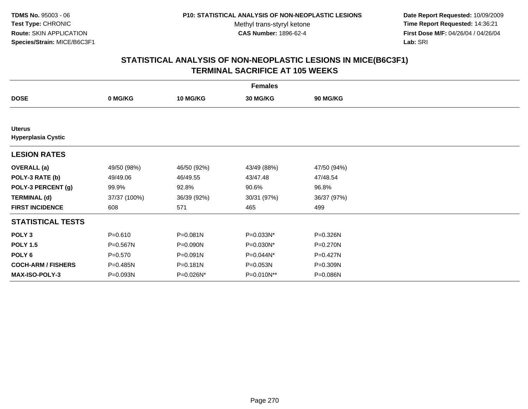**Date Report Requested:** 10/09/2009 **Time Report Requested:** 14:36:21 **First Dose M/F:** 04/26/04 / 04/26/04 Lab: SRI **Lab:** SRI

| <b>Females</b>                             |              |                 |             |             |  |
|--------------------------------------------|--------------|-----------------|-------------|-------------|--|
| <b>DOSE</b>                                | 0 MG/KG      | <b>10 MG/KG</b> | 30 MG/KG    | 90 MG/KG    |  |
|                                            |              |                 |             |             |  |
| <b>Uterus</b><br><b>Hyperplasia Cystic</b> |              |                 |             |             |  |
| <b>LESION RATES</b>                        |              |                 |             |             |  |
| <b>OVERALL</b> (a)                         | 49/50 (98%)  | 46/50 (92%)     | 43/49 (88%) | 47/50 (94%) |  |
| POLY-3 RATE (b)                            | 49/49.06     | 46/49.55        | 43/47.48    | 47/48.54    |  |
| POLY-3 PERCENT (g)                         | 99.9%        | 92.8%           | 90.6%       | 96.8%       |  |
| <b>TERMINAL (d)</b>                        | 37/37 (100%) | 36/39 (92%)     | 30/31 (97%) | 36/37 (97%) |  |
| <b>FIRST INCIDENCE</b>                     | 608          | 571             | 465         | 499         |  |
| <b>STATISTICAL TESTS</b>                   |              |                 |             |             |  |
| POLY <sub>3</sub>                          | $P = 0.610$  | P=0.081N        | P=0.033N*   | P=0.326N    |  |
| <b>POLY 1.5</b>                            | P=0.567N     | P=0.090N        | P=0.030N*   | P=0.270N    |  |
| POLY 6                                     | $P = 0.570$  | P=0.091N        | P=0.044N*   | P=0.427N    |  |
| <b>COCH-ARM / FISHERS</b>                  | P=0.485N     | P=0.181N        | P=0.053N    | P=0.309N    |  |
| <b>MAX-ISO-POLY-3</b>                      | P=0.093N     | P=0.026N*       | P=0.010N**  | P=0.086N    |  |